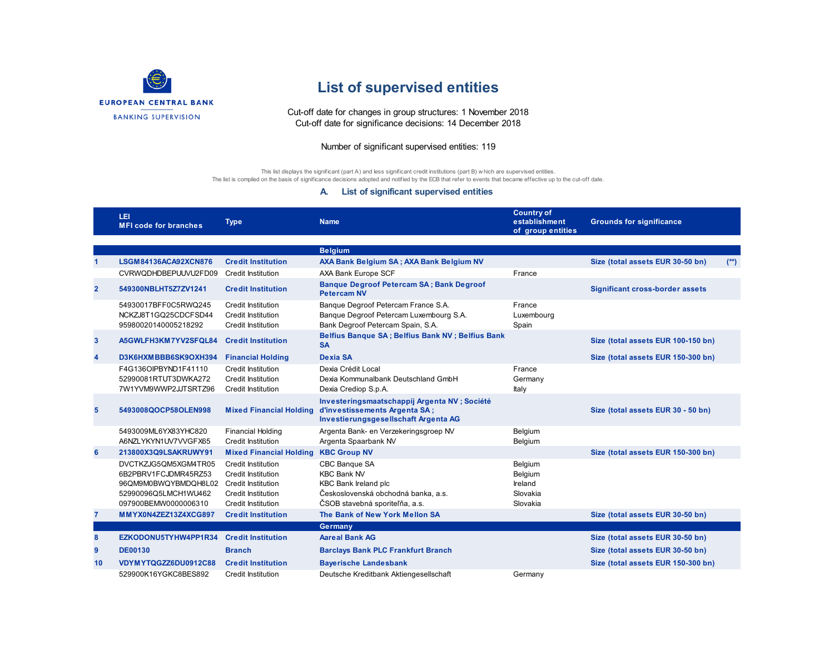

## **List of supervised entities**

Cut-off date for changes in group structures: 1 November 2018 Cut-off date for significance decisions: 14 December 2018

## Number of significant supervised entities: 119

This list displays the significant (part A) and less significant credit institutions (part B) w hich are supervised entities. The list is compiled on the basis of significance decisions adopted and notified by the ECB that refer to events that became effective up to the cut-off date.

## **A. List of significant supervised entities**

|                | LEI<br><b>MFI code for branches</b>                                                                                  | <b>Type</b>                                                                                                              | <b>Name</b>                                                                                                                                 | <b>Country of</b><br>establishment<br>of group entities | <b>Grounds for significance</b>        |        |
|----------------|----------------------------------------------------------------------------------------------------------------------|--------------------------------------------------------------------------------------------------------------------------|---------------------------------------------------------------------------------------------------------------------------------------------|---------------------------------------------------------|----------------------------------------|--------|
|                |                                                                                                                      |                                                                                                                          | <b>Belgium</b>                                                                                                                              |                                                         |                                        |        |
|                | LSGM84136ACA92XCN876                                                                                                 | <b>Credit Institution</b>                                                                                                | AXA Bank Belgium SA; AXA Bank Belgium NV                                                                                                    |                                                         | Size (total assets EUR 30-50 bn)       | $(**)$ |
|                | CVRWQDHDBEPUUVU2FD09                                                                                                 | <b>Credit Institution</b>                                                                                                | AXA Bank Europe SCF                                                                                                                         | France                                                  |                                        |        |
| $\overline{2}$ | 549300NBLHT5Z7ZV1241                                                                                                 | <b>Credit Institution</b>                                                                                                | <b>Banque Degroof Petercam SA; Bank Degroof</b><br><b>Petercam NV</b>                                                                       |                                                         | <b>Significant cross-border assets</b> |        |
|                | 54930017BFF0C5RWQ245<br>NCKZJ8T1GQ25CDCFSD44<br>95980020140005218292                                                 | Credit Institution<br>Credit Institution<br><b>Credit Institution</b>                                                    | Banque Degroof Petercam France S.A.<br>Banque Degroof Petercam Luxembourg S.A.<br>Bank Degroof Petercam Spain, S.A.                         | France<br>Luxembourg<br>Spain                           |                                        |        |
| $\mathbf{3}$   | A5GWLFH3KM7YV2SFQL84                                                                                                 | <b>Credit Institution</b>                                                                                                | Belfius Banque SA; Belfius Bank NV; Belfius Bank<br><b>SA</b>                                                                               |                                                         | Size (total assets EUR 100-150 bn)     |        |
| 4              | D3K6HXMBBB6SK9OXH394                                                                                                 | <b>Financial Holding</b>                                                                                                 | <b>Dexia SA</b>                                                                                                                             |                                                         | Size (total assets EUR 150-300 bn)     |        |
|                | F4G136OIPBYND1F41110                                                                                                 | <b>Credit Institution</b>                                                                                                | Dexia Crédit Local                                                                                                                          | France                                                  |                                        |        |
|                | 52990081RTUT3DWKA272<br>7W1YVM9WWP2JJTSRTZ96                                                                         | <b>Credit Institution</b><br><b>Credit Institution</b>                                                                   | Dexia Kommunalbank Deutschland GmbH<br>Dexia Crediop S.p.A.                                                                                 | Germany<br>Italy                                        |                                        |        |
| 5              | 5493008QOCP58OLEN998                                                                                                 | <b>Mixed Financial Holding</b>                                                                                           | Investeringsmaatschappij Argenta NV ; Société<br>d'investissements Argenta SA;<br>Investierungsgesellschaft Argenta AG                      |                                                         | Size (total assets EUR 30 - 50 bn)     |        |
|                | 5493009ML6YX83YHC820<br>A6NZLYKYN1UV7VVGFX65                                                                         | <b>Financial Holding</b><br>Credit Institution                                                                           | Argenta Bank- en Verzekeringsgroep NV<br>Argenta Spaarbank NV                                                                               | Belgium<br>Belgium                                      |                                        |        |
| 6              | 213800X3Q9LSAKRUWY91                                                                                                 | <b>Mixed Financial Holding</b>                                                                                           | <b>KBC Group NV</b>                                                                                                                         |                                                         | Size (total assets EUR 150-300 bn)     |        |
|                | DVCTKZJG5QM5XGM4TR05<br>6B2PBRV1FCJDMR45RZ53<br>96QM9M0BWQYBMDQH8L02<br>52990096Q5LMCH1WU462<br>097900BEMW0000006310 | <b>Credit Institution</b><br>Credit Institution<br>Credit Institution<br>Credit Institution<br><b>Credit Institution</b> | CBC Banque SA<br><b>KBC Bank NV</b><br><b>KBC Bank Ireland plc</b><br>Československá obchodná banka, a.s.<br>ČSOB stavebná sporiteľňa, a.s. | Belgium<br>Belgium<br>Ireland<br>Slovakia<br>Slovakia   |                                        |        |
| 7              | MMYX0N4ZEZ13Z4XCG897                                                                                                 | <b>Credit Institution</b>                                                                                                | The Bank of New York Mellon SA                                                                                                              |                                                         | Size (total assets EUR 30-50 bn)       |        |
|                |                                                                                                                      |                                                                                                                          | Germany                                                                                                                                     |                                                         |                                        |        |
| 8              | EZKODONU5TYHW4PP1R34                                                                                                 | <b>Credit Institution</b>                                                                                                | <b>Aareal Bank AG</b>                                                                                                                       |                                                         | Size (total assets EUR 30-50 bn)       |        |
| 9              | <b>DE00130</b>                                                                                                       | <b>Branch</b>                                                                                                            | <b>Barclays Bank PLC Frankfurt Branch</b>                                                                                                   |                                                         | Size (total assets EUR 30-50 bn)       |        |
| 10             | VDYMYTQGZZ6DU0912C88                                                                                                 | <b>Credit Institution</b>                                                                                                | <b>Bayerische Landesbank</b>                                                                                                                |                                                         | Size (total assets EUR 150-300 bn)     |        |
|                | 529900K16YGKC8BES892                                                                                                 | Credit Institution                                                                                                       | Deutsche Kreditbank Aktiengesellschaft                                                                                                      | Germany                                                 |                                        |        |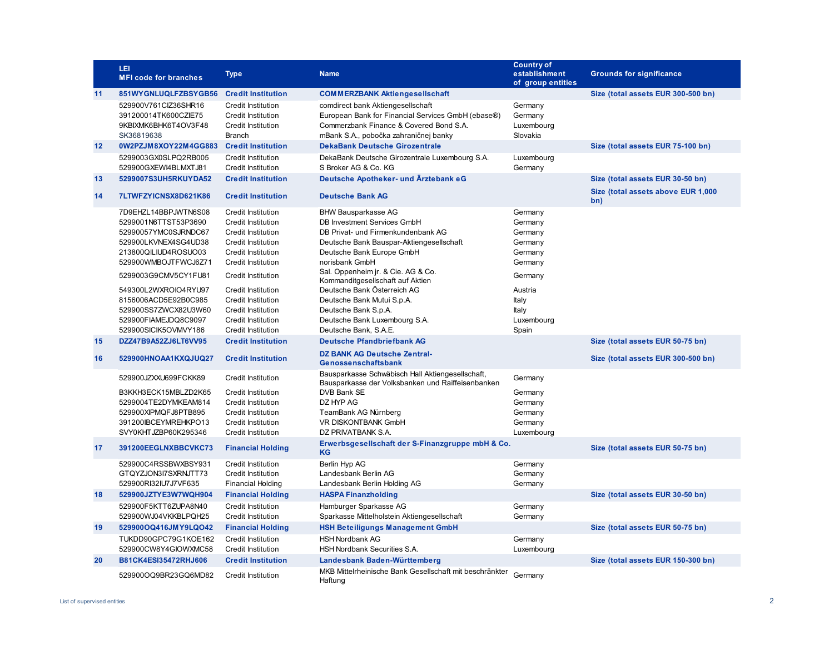|    | LEI<br><b>MFI code for branches</b>                                                                                                                                                                                                                                                          | <b>Type</b>                                                                                                                                                                                                                                                                                                                                | <b>Name</b>                                                                                                                                                                                                                                                                                                                                                                                                         | <b>Country of</b><br>establishment<br>of group entities                                                                       | <b>Grounds for significance</b>           |
|----|----------------------------------------------------------------------------------------------------------------------------------------------------------------------------------------------------------------------------------------------------------------------------------------------|--------------------------------------------------------------------------------------------------------------------------------------------------------------------------------------------------------------------------------------------------------------------------------------------------------------------------------------------|---------------------------------------------------------------------------------------------------------------------------------------------------------------------------------------------------------------------------------------------------------------------------------------------------------------------------------------------------------------------------------------------------------------------|-------------------------------------------------------------------------------------------------------------------------------|-------------------------------------------|
| 11 | 851WYGNLUQLFZBSYGB56                                                                                                                                                                                                                                                                         | <b>Credit Institution</b>                                                                                                                                                                                                                                                                                                                  | <b>COMMERZBANK Aktiengesellschaft</b>                                                                                                                                                                                                                                                                                                                                                                               |                                                                                                                               | Size (total assets EUR 300-500 bn)        |
|    | 529900V761ClZ36SHR16<br>391200014TK600CZIE75<br>9KBIXMK6BHK6T4OV3F48<br>SK36819638                                                                                                                                                                                                           | <b>Credit Institution</b><br><b>Credit Institution</b><br><b>Credit Institution</b><br><b>Branch</b>                                                                                                                                                                                                                                       | comdirect bank Aktiengesellschaft<br>European Bank for Financial Services GmbH (ebase®)<br>Commerzbank Finance & Covered Bond S.A.<br>mBank S.A., pobočka zahraničnej banky                                                                                                                                                                                                                                         | Germany<br>Germany<br>Luxembourg<br>Slovakia                                                                                  |                                           |
| 12 | 0W2PZJM8XOY22M4GG883                                                                                                                                                                                                                                                                         | <b>Credit Institution</b>                                                                                                                                                                                                                                                                                                                  | <b>DekaBank Deutsche Girozentrale</b>                                                                                                                                                                                                                                                                                                                                                                               |                                                                                                                               | Size (total assets EUR 75-100 bn)         |
|    | 5299003GX0SLPQ2RB005<br>529900GXEWI4BLMXTJ81                                                                                                                                                                                                                                                 | Credit Institution<br><b>Credit Institution</b>                                                                                                                                                                                                                                                                                            | DekaBank Deutsche Girozentrale Luxembourg S.A.<br>S Broker AG & Co. KG                                                                                                                                                                                                                                                                                                                                              | Luxembourg<br>Germany                                                                                                         |                                           |
| 13 | 5299007S3UH5RKUYDA52                                                                                                                                                                                                                                                                         | <b>Credit Institution</b>                                                                                                                                                                                                                                                                                                                  | Deutsche Apotheker- und Ärztebank eG                                                                                                                                                                                                                                                                                                                                                                                |                                                                                                                               | Size (total assets EUR 30-50 bn)          |
| 14 | 7LTWFZYICNSX8D621K86                                                                                                                                                                                                                                                                         | <b>Credit Institution</b>                                                                                                                                                                                                                                                                                                                  | <b>Deutsche Bank AG</b>                                                                                                                                                                                                                                                                                                                                                                                             |                                                                                                                               | Size (total assets above EUR 1,000<br>bn) |
|    | 7D9EHZL14BBPJWTN6S08<br>5299001N6TTST53P3690<br>52990057YMC0SJRNDC67<br>529900LKVNEX4SG4UD38<br>213800QILIUD4ROSUO03<br>529900WMBOJTFWCJ6Z71<br>5299003G9CMV5CY1FU81<br>549300L2WXROIO4RYU97<br>8156006ACD5E92B0C985<br>529900SS7ZWCX82U3W60<br>529900FIAMEJDQ8C9097<br>529900SICIK5OVMVY186 | <b>Credit Institution</b><br><b>Credit Institution</b><br><b>Credit Institution</b><br><b>Credit Institution</b><br><b>Credit Institution</b><br><b>Credit Institution</b><br>Credit Institution<br><b>Credit Institution</b><br>Credit Institution<br><b>Credit Institution</b><br><b>Credit Institution</b><br><b>Credit Institution</b> | <b>BHW Bausparkasse AG</b><br>DB Investment Services GmbH<br>DB Privat- und Firmenkundenbank AG<br>Deutsche Bank Bauspar-Aktiengesellschaft<br>Deutsche Bank Europe GmbH<br>norisbank GmbH<br>Sal. Oppenheim jr. & Cie. AG & Co.<br>Kommanditgesellschaft auf Aktien<br>Deutsche Bank Österreich AG<br>Deutsche Bank Mutui S.p.A.<br>Deutsche Bank S.p.A.<br>Deutsche Bank Luxembourg S.A.<br>Deutsche Bank, S.A.E. | Germany<br>Germany<br>Germany<br>Germany<br>Germany<br>Germany<br>Germany<br>Austria<br>Italy<br>Italy<br>Luxembourg<br>Spain |                                           |
| 15 | DZZ47B9A52ZJ6LT6VV95                                                                                                                                                                                                                                                                         | <b>Credit Institution</b>                                                                                                                                                                                                                                                                                                                  | <b>Deutsche Pfandbriefbank AG</b>                                                                                                                                                                                                                                                                                                                                                                                   |                                                                                                                               | Size (total assets EUR 50-75 bn)          |
| 16 | 529900HNOAA1KXQJUQ27                                                                                                                                                                                                                                                                         | <b>Credit Institution</b>                                                                                                                                                                                                                                                                                                                  | <b>DZ BANK AG Deutsche Zentral-</b><br>Genossenschaftsbank                                                                                                                                                                                                                                                                                                                                                          |                                                                                                                               | Size (total assets EUR 300-500 bn)        |
|    | 529900JZXXU699FCKK89<br>B3KKH3ECK15MBLZD2K65<br>5299004TE2DYMKEAM814<br>529900XIPMQFJ8PTB895<br>391200IBCEYMREHKPO13<br>SVY0KHTJZBP60K295346                                                                                                                                                 | Credit Institution<br><b>Credit Institution</b><br><b>Credit Institution</b><br><b>Credit Institution</b><br><b>Credit Institution</b><br>Credit Institution                                                                                                                                                                               | Bausparkasse Schwäbisch Hall Aktiengesellschaft,<br>Bausparkasse der Volksbanken und Raiffeisenbanken<br>DVB Bank SE<br>DZ HYP AG<br>TeamBank AG Nürnberg<br><b>VR DISKONTBANK GmbH</b><br>DZ PRIVATBANK S.A.                                                                                                                                                                                                       | Germany<br>Germany<br>Germany<br>Germany<br>Germany<br>Luxembourg                                                             |                                           |
| 17 | 391200EEGLNXBBCVKC73                                                                                                                                                                                                                                                                         | <b>Financial Holding</b>                                                                                                                                                                                                                                                                                                                   | Erwerbsgesellschaft der S-Finanzgruppe mbH & Co.<br><b>KG</b>                                                                                                                                                                                                                                                                                                                                                       |                                                                                                                               | Size (total assets EUR 50-75 bn)          |
|    | 529900C4RSSBWXBSY931<br>GTQYZJON3I7SXRNJTT73<br>529900RI32IU7J7VF635                                                                                                                                                                                                                         | <b>Credit Institution</b><br><b>Credit Institution</b><br><b>Financial Holding</b>                                                                                                                                                                                                                                                         | Berlin Hyp AG<br>Landesbank Berlin AG<br>Landesbank Berlin Holding AG                                                                                                                                                                                                                                                                                                                                               | Germany<br>Germany<br>Germany                                                                                                 |                                           |
| 18 | 529900JZTYE3W7WQH904                                                                                                                                                                                                                                                                         | <b>Financial Holding</b>                                                                                                                                                                                                                                                                                                                   | <b>HASPA Finanzholding</b>                                                                                                                                                                                                                                                                                                                                                                                          |                                                                                                                               | Size (total assets EUR 30-50 bn)          |
|    | 529900F5KTT6ZUPA8N40<br>529900WJ04VKKBLPQH25                                                                                                                                                                                                                                                 | <b>Credit Institution</b><br><b>Credit Institution</b>                                                                                                                                                                                                                                                                                     | Hamburger Sparkasse AG<br>Sparkasse Mittelholstein Aktiengesellschaft                                                                                                                                                                                                                                                                                                                                               | Germany<br>Germany                                                                                                            |                                           |
| 19 | 529900OQ416JMY9LQO42                                                                                                                                                                                                                                                                         | <b>Financial Holding</b>                                                                                                                                                                                                                                                                                                                   | <b>HSH Beteiligungs Management GmbH</b>                                                                                                                                                                                                                                                                                                                                                                             |                                                                                                                               | Size (total assets EUR 50-75 bn)          |
|    | TUKDD90GPC79G1KOE162<br>529900CW8Y4GIOWXMC58                                                                                                                                                                                                                                                 | <b>Credit Institution</b><br><b>Credit Institution</b>                                                                                                                                                                                                                                                                                     | <b>HSH Nordbank AG</b><br><b>HSH Nordbank Securities S.A.</b>                                                                                                                                                                                                                                                                                                                                                       | Germany<br>Luxembourg                                                                                                         |                                           |
| 20 | B81CK4ESI35472RHJ606                                                                                                                                                                                                                                                                         | <b>Credit Institution</b>                                                                                                                                                                                                                                                                                                                  | Landesbank Baden-Württemberg                                                                                                                                                                                                                                                                                                                                                                                        |                                                                                                                               | Size (total assets EUR 150-300 bn)        |
|    | 529900OQ9BR23GQ6MD82                                                                                                                                                                                                                                                                         | <b>Credit Institution</b>                                                                                                                                                                                                                                                                                                                  | MKB Mittelrheinische Bank Gesellschaft mit beschränkter<br>Haftung                                                                                                                                                                                                                                                                                                                                                  | Germany                                                                                                                       |                                           |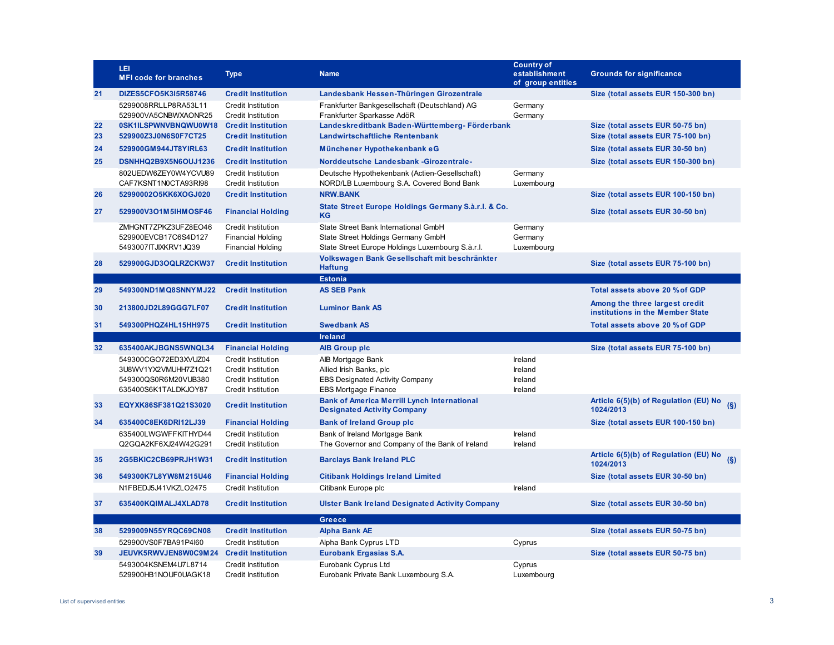|    | LEI<br><b>MFI code for branches</b>          | <b>Type</b>                                            | <b>Name</b>                                                                                | <b>Country of</b><br>establishment<br>of group entities | <b>Grounds for significance</b>                                    |
|----|----------------------------------------------|--------------------------------------------------------|--------------------------------------------------------------------------------------------|---------------------------------------------------------|--------------------------------------------------------------------|
| 21 | DIZES5CFO5K3I5R58746                         | <b>Credit Institution</b>                              | Landesbank Hessen-Thüringen Girozentrale                                                   |                                                         | Size (total assets EUR 150-300 bn)                                 |
|    | 5299008RRLLP8RA53L11<br>529900VA5CNBWXAONR25 | Credit Institution<br><b>Credit Institution</b>        | Frankfurter Bankgesellschaft (Deutschland) AG<br>Frankfurter Sparkasse AdöR                | Germany<br>Germany                                      |                                                                    |
| 22 | 0SK1ILSPWNVBNQWU0W18                         | <b>Credit Institution</b>                              | Landeskreditbank Baden-Württemberg- Förderbank                                             |                                                         | Size (total assets EUR 50-75 bn)                                   |
| 23 | 529900Z3J0N6S0F7CT25                         | <b>Credit Institution</b>                              | Landwirtschaftliche Rentenbank                                                             |                                                         | Size (total assets EUR 75-100 bn)                                  |
| 24 | 529900GM944JT8YIRL63                         | <b>Credit Institution</b>                              | Münchener Hypothekenbank eG                                                                |                                                         | Size (total assets EUR 30-50 bn)                                   |
| 25 | DSNHHQ2B9X5N6OUJ1236                         | <b>Credit Institution</b>                              | Norddeutsche Landesbank -Girozentrale-                                                     |                                                         | Size (total assets EUR 150-300 bn)                                 |
|    | 802UEDW6ZEY0W4YCVU89<br>CAF7KSNT1N0CTA93RI98 | <b>Credit Institution</b><br>Credit Institution        | Deutsche Hypothekenbank (Actien-Gesellschaft)<br>NORD/LB Luxembourg S.A. Covered Bond Bank | Germany<br>Luxembourg                                   |                                                                    |
| 26 | 52990002O5KK6XOGJ020                         | <b>Credit Institution</b>                              | <b>NRW.BANK</b>                                                                            |                                                         | Size (total assets EUR 100-150 bn)                                 |
| 27 | 529900V3O1M5IHMOSF46                         | <b>Financial Holding</b>                               | State Street Europe Holdings Germany S.à.r.l. & Co.<br>KG                                  |                                                         | Size (total assets EUR 30-50 bn)                                   |
|    | ZMHGNT7ZPKZ3UFZ8EO46<br>529900EVCB17C6S4D127 | <b>Credit Institution</b><br><b>Financial Holding</b>  | State Street Bank International GmbH<br>State Street Holdings Germany GmbH                 | Germany<br>Germany                                      |                                                                    |
|    | 5493007ITJIXKRV1JQ39                         | <b>Financial Holding</b>                               | State Street Europe Holdings Luxembourg S.à.r.l.                                           | Luxembourg                                              |                                                                    |
| 28 | 529900GJD3OQLRZCKW37                         | <b>Credit Institution</b>                              | Volkswagen Bank Gesellschaft mit beschränkter<br><b>Haftung</b>                            |                                                         | Size (total assets EUR 75-100 bn)                                  |
|    |                                              |                                                        | <b>Estonia</b>                                                                             |                                                         |                                                                    |
| 29 | 549300ND1MQ8SNNYMJ22                         | <b>Credit Institution</b>                              | <b>AS SEB Pank</b>                                                                         |                                                         | Total assets above 20 % of GDP                                     |
| 30 | 213800JD2L89GGG7LF07                         | <b>Credit Institution</b>                              | <b>Luminor Bank AS</b>                                                                     |                                                         | Among the three largest credit<br>institutions in the Member State |
| 31 | 549300PHQZ4HL15HH975                         | <b>Credit Institution</b>                              | <b>Swedbank AS</b>                                                                         |                                                         | Total assets above 20 % of GDP                                     |
|    |                                              |                                                        | <b>Ireland</b>                                                                             |                                                         |                                                                    |
| 32 | 635400AKJBGNS5WNQL34                         | <b>Financial Holding</b>                               | <b>AIB Group plc</b>                                                                       |                                                         | Size (total assets EUR 75-100 bn)                                  |
|    | 549300CGO72ED3XVUZ04                         | <b>Credit Institution</b>                              | AIB Mortgage Bank                                                                          | Ireland                                                 |                                                                    |
|    | 3U8WV1YX2VMUHH7Z1Q21                         | <b>Credit Institution</b>                              | Allied Irish Banks, plc                                                                    | Ireland                                                 |                                                                    |
|    | 549300QS0R6M20VUB380<br>635400S6K1TALDKJOY87 | <b>Credit Institution</b><br><b>Credit Institution</b> | EBS Designated Activity Company<br><b>EBS Mortgage Finance</b>                             | Ireland<br>Ireland                                      |                                                                    |
| 33 | EQYXK86SF381Q21S3020                         | <b>Credit Institution</b>                              | <b>Bank of America Merrill Lynch International</b><br><b>Designated Activity Company</b>   |                                                         | Article 6(5)(b) of Regulation (EU) No<br>(S)<br>1024/2013          |
| 34 | 635400C8EK6DRI12LJ39                         | <b>Financial Holding</b>                               | <b>Bank of Ireland Group plc</b>                                                           |                                                         | Size (total assets EUR 100-150 bn)                                 |
|    | 635400LWGWFFKITHYD44                         | Credit Institution                                     | Bank of Ireland Mortgage Bank                                                              | Ireland                                                 |                                                                    |
|    | Q2GQA2KF6XJ24W42G291                         | <b>Credit Institution</b>                              | The Governor and Company of the Bank of Ireland                                            | Ireland                                                 |                                                                    |
| 35 | 2G5BKIC2CB69PRJH1W31                         | <b>Credit Institution</b>                              | <b>Barclays Bank Ireland PLC</b>                                                           |                                                         | Article 6(5)(b) of Regulation (EU) No<br>(S)<br>1024/2013          |
| 36 | 549300K7L8YW8M215U46                         | <b>Financial Holding</b>                               | <b>Citibank Holdings Ireland Limited</b>                                                   |                                                         | Size (total assets EUR 30-50 bn)                                   |
|    | N1FBEDJ5J41VKZLO2475                         | <b>Credit Institution</b>                              | Citibank Europe plc                                                                        | Ireland                                                 |                                                                    |
| 37 | 635400KQIMALJ4XLAD78                         | <b>Credit Institution</b>                              | <b>Ulster Bank Ireland Designated Activity Company</b>                                     |                                                         | Size (total assets EUR 30-50 bn)                                   |
|    |                                              |                                                        | <b>Greece</b>                                                                              |                                                         |                                                                    |
| 38 | 5299009N55YRQC69CN08                         | <b>Credit Institution</b>                              | <b>Alpha Bank AE</b>                                                                       |                                                         | Size (total assets EUR 50-75 bn)                                   |
|    | 529900VS0F7BA91P4l60                         | <b>Credit Institution</b>                              | Alpha Bank Cyprus LTD                                                                      | Cyprus                                                  |                                                                    |
| 39 | JEUVK5RWVJEN8W0C9M24                         | <b>Credit Institution</b>                              | <b>Eurobank Ergasias S.A.</b>                                                              |                                                         | Size (total assets EUR 50-75 bn)                                   |
|    | 5493004KSNEM4U7L8714<br>529900HB1NOUF0UAGK18 | <b>Credit Institution</b><br><b>Credit Institution</b> | Eurobank Cyprus Ltd<br>Eurobank Private Bank Luxembourg S.A.                               | Cyprus<br>Luxembourg                                    |                                                                    |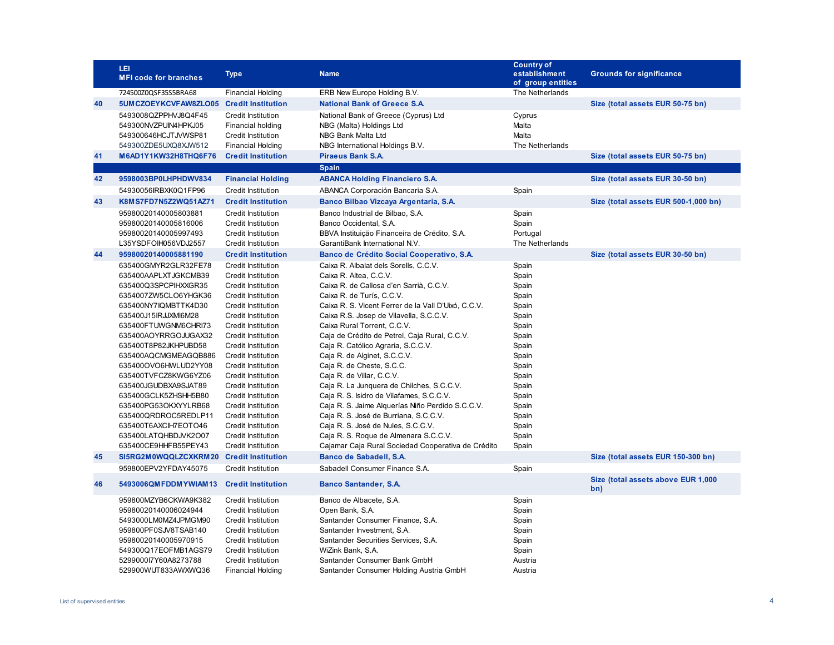|    | LEI<br><b>MFI code for branches</b>                                                                                                                                                                                                                                                                                                                                                                                                                                  | <b>Type</b>                                                                                                                                                                                                                                                                                                                                                                                                                                                                                          | <b>Name</b>                                                                                                                                                                                                                                                                                                                                                                                                                                                                                                                                                                                                                                                                                                                                                                          | <b>Country of</b><br>establishment<br>of group entities                                                                                                                 | <b>Grounds for significance</b>           |
|----|----------------------------------------------------------------------------------------------------------------------------------------------------------------------------------------------------------------------------------------------------------------------------------------------------------------------------------------------------------------------------------------------------------------------------------------------------------------------|------------------------------------------------------------------------------------------------------------------------------------------------------------------------------------------------------------------------------------------------------------------------------------------------------------------------------------------------------------------------------------------------------------------------------------------------------------------------------------------------------|--------------------------------------------------------------------------------------------------------------------------------------------------------------------------------------------------------------------------------------------------------------------------------------------------------------------------------------------------------------------------------------------------------------------------------------------------------------------------------------------------------------------------------------------------------------------------------------------------------------------------------------------------------------------------------------------------------------------------------------------------------------------------------------|-------------------------------------------------------------------------------------------------------------------------------------------------------------------------|-------------------------------------------|
|    | 724500Z0QSF35S5BRA68                                                                                                                                                                                                                                                                                                                                                                                                                                                 | <b>Financial Holding</b>                                                                                                                                                                                                                                                                                                                                                                                                                                                                             | ERB New Europe Holding B.V.                                                                                                                                                                                                                                                                                                                                                                                                                                                                                                                                                                                                                                                                                                                                                          | The Netherlands                                                                                                                                                         |                                           |
| 40 | 5UMCZOEYKCVFAW8ZLO05 Credit Institution                                                                                                                                                                                                                                                                                                                                                                                                                              |                                                                                                                                                                                                                                                                                                                                                                                                                                                                                                      | <b>National Bank of Greece S.A.</b>                                                                                                                                                                                                                                                                                                                                                                                                                                                                                                                                                                                                                                                                                                                                                  |                                                                                                                                                                         | Size (total assets EUR 50-75 bn)          |
|    | 5493008QZPPHVJ8Q4F45<br>549300NVZPUIN4HPKJ05<br>549300646HCJTJVWSP81<br>549300ZDE5UXQ8XJW512                                                                                                                                                                                                                                                                                                                                                                         | <b>Credit Institution</b><br>Financial holding<br>Credit Institution<br><b>Financial Holding</b>                                                                                                                                                                                                                                                                                                                                                                                                     | National Bank of Greece (Cyprus) Ltd<br>NBG (Malta) Holdings Ltd<br>NBG Bank Malta Ltd<br>NBG International Holdings B.V.                                                                                                                                                                                                                                                                                                                                                                                                                                                                                                                                                                                                                                                            | Cyprus<br>Malta<br>Malta<br>The Netherlands                                                                                                                             |                                           |
| 41 | M6AD1Y1KW32H8THQ6F76                                                                                                                                                                                                                                                                                                                                                                                                                                                 | <b>Credit Institution</b>                                                                                                                                                                                                                                                                                                                                                                                                                                                                            | <b>Piraeus Bank S.A.</b>                                                                                                                                                                                                                                                                                                                                                                                                                                                                                                                                                                                                                                                                                                                                                             |                                                                                                                                                                         | Size (total assets EUR 50-75 bn)          |
|    |                                                                                                                                                                                                                                                                                                                                                                                                                                                                      |                                                                                                                                                                                                                                                                                                                                                                                                                                                                                                      | Spain                                                                                                                                                                                                                                                                                                                                                                                                                                                                                                                                                                                                                                                                                                                                                                                |                                                                                                                                                                         |                                           |
| 42 | 9598003BP0LHPHDWV834                                                                                                                                                                                                                                                                                                                                                                                                                                                 | <b>Financial Holding</b>                                                                                                                                                                                                                                                                                                                                                                                                                                                                             | <b>ABANCA Holding Financiero S.A.</b>                                                                                                                                                                                                                                                                                                                                                                                                                                                                                                                                                                                                                                                                                                                                                |                                                                                                                                                                         | Size (total assets EUR 30-50 bn)          |
|    | 54930056IRBXK0Q1FP96                                                                                                                                                                                                                                                                                                                                                                                                                                                 | <b>Credit Institution</b>                                                                                                                                                                                                                                                                                                                                                                                                                                                                            | ABANCA Corporación Bancaria S.A.                                                                                                                                                                                                                                                                                                                                                                                                                                                                                                                                                                                                                                                                                                                                                     | Spain                                                                                                                                                                   |                                           |
| 43 | K8MS7FD7N5Z2WQ51AZ71                                                                                                                                                                                                                                                                                                                                                                                                                                                 | <b>Credit Institution</b>                                                                                                                                                                                                                                                                                                                                                                                                                                                                            | Banco Bilbao Vizcaya Argentaria, S.A.                                                                                                                                                                                                                                                                                                                                                                                                                                                                                                                                                                                                                                                                                                                                                |                                                                                                                                                                         | Size (total assets EUR 500-1,000 bn)      |
|    | 95980020140005803881<br>95980020140005816006<br>95980020140005997493<br>L35YSDFOIH056VDJ2557                                                                                                                                                                                                                                                                                                                                                                         | <b>Credit Institution</b><br><b>Credit Institution</b><br>Credit Institution<br>Credit Institution                                                                                                                                                                                                                                                                                                                                                                                                   | Banco Industrial de Bilbao, S.A.<br>Banco Occidental, S.A.<br>BBVA Instituição Financeira de Crédito, S.A.<br>GarantiBank International N.V.                                                                                                                                                                                                                                                                                                                                                                                                                                                                                                                                                                                                                                         | Spain<br>Spain<br>Portugal<br>The Netherlands                                                                                                                           |                                           |
| 44 | 95980020140005881190                                                                                                                                                                                                                                                                                                                                                                                                                                                 | <b>Credit Institution</b>                                                                                                                                                                                                                                                                                                                                                                                                                                                                            | Banco de Crédito Social Cooperativo, S.A.                                                                                                                                                                                                                                                                                                                                                                                                                                                                                                                                                                                                                                                                                                                                            |                                                                                                                                                                         | Size (total assets EUR 30-50 bn)          |
|    | 635400GMYR2GLR32FE78<br>635400AAPLXTJGKCMB39<br>635400Q3SPCPIHXXGR35<br>6354007ZW5CLO6YHGK36<br>635400NY7IQMBTTK4D30<br>635400J15IRJJXMI6M28<br>635400FTUWGNM6CHRI73<br>635400AOYRRGOJUGAX32<br>635400T8P82JKHPUBD58<br>635400AQCMGMEAGQB886<br>635400OVO6HWLUD2YY08<br>635400TVFCZ8KWG6YZ06<br>635400JGUDBXA9SJAT89<br>635400GCLK5ZHSHH5B80<br>635400PG53OKXYYLRB68<br>635400QRDROC5REDLP11<br>635400T6AXCIH7EOTO46<br>635400LATQHBDJVK2O07<br>635400CE9HHFB55PEY43 | <b>Credit Institution</b><br><b>Credit Institution</b><br><b>Credit Institution</b><br><b>Credit Institution</b><br><b>Credit Institution</b><br>Credit Institution<br>Credit Institution<br>Credit Institution<br><b>Credit Institution</b><br>Credit Institution<br>Credit Institution<br>Credit Institution<br>Credit Institution<br>Credit Institution<br><b>Credit Institution</b><br><b>Credit Institution</b><br>Credit Institution<br><b>Credit Institution</b><br><b>Credit Institution</b> | Caixa R. Albalat dels Sorells, C.C.V.<br>Caixa R. Altea, C.C.V.<br>Caixa R. de Callosa d'en Sarrià, C.C.V.<br>Caixa R. de Turís, C.C.V.<br>Caixa R. S. Vicent Ferrer de la Vall D'Uixó, C.C.V.<br>Caixa R.S. Josep de Vilavella, S.C.C.V.<br>Caixa Rural Torrent, C.C.V.<br>Caja de Crédito de Petrel, Caja Rural, C.C.V.<br>Caja R. Católico Agraria, S.C.C.V.<br>Caja R. de Alginet, S.C.C.V.<br>Caja R. de Cheste, S.C.C.<br>Caja R. de Villar, C.C.V.<br>Caja R. La Junquera de Chilches, S.C.C.V.<br>Caja R. S. Isidro de Vilafames, S.C.C.V.<br>Caja R. S. Jaime Alguerías Niño Perdido S.C.C.V.<br>Caja R. S. José de Burriana, S.C.C.V.<br>Caja R. S. José de Nules, S.C.C.V.<br>Caja R. S. Roque de Almenara S.C.C.V.<br>Cajamar Caja Rural Sociedad Cooperativa de Crédito | Spain<br>Spain<br>Spain<br>Spain<br>Spain<br>Spain<br>Spain<br>Spain<br>Spain<br>Spain<br>Spain<br>Spain<br>Spain<br>Spain<br>Spain<br>Spain<br>Spain<br>Spain<br>Spain |                                           |
| 45 | SI5RG2M0WQQLZCXKRM20                                                                                                                                                                                                                                                                                                                                                                                                                                                 | <b>Credit Institution</b>                                                                                                                                                                                                                                                                                                                                                                                                                                                                            | Banco de Sabadell, S.A.                                                                                                                                                                                                                                                                                                                                                                                                                                                                                                                                                                                                                                                                                                                                                              |                                                                                                                                                                         | Size (total assets EUR 150-300 bn)        |
|    | 959800EPV2YFDAY45075                                                                                                                                                                                                                                                                                                                                                                                                                                                 | <b>Credit Institution</b>                                                                                                                                                                                                                                                                                                                                                                                                                                                                            | Sabadell Consumer Finance S.A.                                                                                                                                                                                                                                                                                                                                                                                                                                                                                                                                                                                                                                                                                                                                                       | Spain                                                                                                                                                                   |                                           |
| 46 | 5493006QMFDDMYWIAM13                                                                                                                                                                                                                                                                                                                                                                                                                                                 | <b>Credit Institution</b>                                                                                                                                                                                                                                                                                                                                                                                                                                                                            | <b>Banco Santander, S.A.</b>                                                                                                                                                                                                                                                                                                                                                                                                                                                                                                                                                                                                                                                                                                                                                         |                                                                                                                                                                         | Size (total assets above EUR 1,000<br>bn) |
|    | 959800MZYB6CKWA9K382<br>95980020140006024944<br>5493000LM0MZ4JPMGM90<br>959800PF0SJV8TSAB140<br>95980020140005970915<br>549300Q17EOFMB1AGS79<br>5299000l7Y60A8273788<br>529900WIJT833AWXWQ36                                                                                                                                                                                                                                                                         | <b>Credit Institution</b><br><b>Credit Institution</b><br><b>Credit Institution</b><br>Credit Institution<br><b>Credit Institution</b><br><b>Credit Institution</b><br><b>Credit Institution</b><br><b>Financial Holding</b>                                                                                                                                                                                                                                                                         | Banco de Albacete, S.A.<br>Open Bank, S.A.<br>Santander Consumer Finance, S.A.<br>Santander Investment, S.A.<br>Santander Securities Services, S.A.<br>WiZink Bank, S.A.<br>Santander Consumer Bank GmbH<br>Santander Consumer Holding Austria GmbH                                                                                                                                                                                                                                                                                                                                                                                                                                                                                                                                  | Spain<br>Spain<br>Spain<br>Spain<br>Spain<br>Spain<br>Austria<br>Austria                                                                                                |                                           |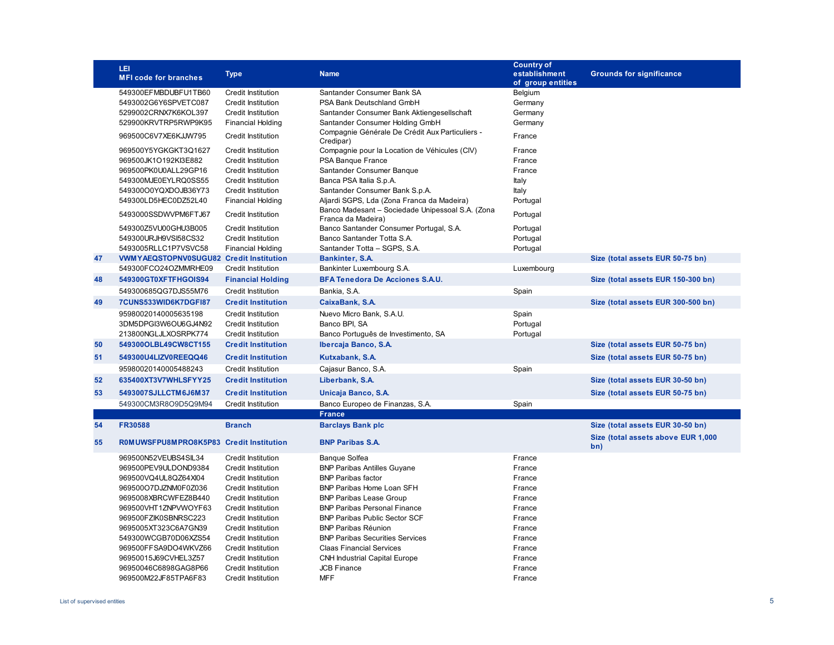|    | LEI                                            | <b>Type</b>               | <b>Name</b>                                                            | <b>Country of</b><br>establishment | <b>Grounds for significance</b>           |
|----|------------------------------------------------|---------------------------|------------------------------------------------------------------------|------------------------------------|-------------------------------------------|
|    | <b>MFI code for branches</b>                   |                           |                                                                        | of group entities                  |                                           |
|    | 549300EFMBDUBFU1TB60                           | <b>Credit Institution</b> | Santander Consumer Bank SA                                             | Belgium                            |                                           |
|    | 5493002G6Y6SPVETC087                           | Credit Institution        | PSA Bank Deutschland GmbH                                              | Germany                            |                                           |
|    | 5299002CRNX7K6KOL397                           | Credit Institution        | Santander Consumer Bank Aktiengesellschaft                             | Germany                            |                                           |
|    | 529900KRVTRP5RWP9K95                           | <b>Financial Holding</b>  | Santander Consumer Holding GmbH                                        | Germany                            |                                           |
|    | 969500C6V7XE6KJJW795                           | <b>Credit Institution</b> | Compagnie Générale De Crédit Aux Particuliers -<br>Credipar)           | France                             |                                           |
|    | 969500Y5YGKGKT3Q1627                           | <b>Credit Institution</b> | Compagnie pour la Location de Véhicules (CIV)                          | France                             |                                           |
|    | 969500JK1O192Kl3E882                           | <b>Credit Institution</b> | PSA Banque France                                                      | France                             |                                           |
|    | 969500PK0U0ALL29GP16                           | Credit Institution        | Santander Consumer Banque                                              | France                             |                                           |
|    | 549300MJE0EYLRQ0SS55                           | <b>Credit Institution</b> | Banca PSA Italia S.p.A.                                                | Italy                              |                                           |
|    | 549300O0YQXDOJB36Y73                           | <b>Credit Institution</b> | Santander Consumer Bank S.p.A.                                         | Italy                              |                                           |
|    | 549300LD5HEC0DZ52L40                           | <b>Financial Holding</b>  | Aljardi SGPS, Lda (Zona Franca da Madeira)                             | Portugal                           |                                           |
|    | 5493000SSDWVPM6FTJ67                           | <b>Credit Institution</b> | Banco Madesant - Sociedade Unipessoal S.A. (Zona<br>Franca da Madeira) | Portugal                           |                                           |
|    | 549300Z5VU00GHU3B005                           | Credit Institution        | Banco Santander Consumer Portugal, S.A.                                | Portugal                           |                                           |
|    | 549300URJH9VSI58CS32                           | <b>Credit Institution</b> | Banco Santander Totta S.A.                                             | Portugal                           |                                           |
|    | 5493005RLLC1P7VSVC58                           | <b>Financial Holding</b>  | Santander Totta - SGPS, S.A.                                           | Portugal                           |                                           |
| 47 | <b>VWMYAEQSTOPNV0SUGU82 Credit Institution</b> |                           | Bankinter, S.A.                                                        |                                    | Size (total assets EUR 50-75 bn)          |
|    | 549300FCO24OZMMRHE09                           | <b>Credit Institution</b> | Bankinter Luxembourg S.A.                                              | Luxembourg                         |                                           |
| 48 | 549300GT0XFTFHGOIS94                           | <b>Financial Holding</b>  | <b>BFA Tenedora De Acciones S.A.U.</b>                                 |                                    | Size (total assets EUR 150-300 bn)        |
|    | 549300685QG7DJS55M76                           | <b>Credit Institution</b> | Bankia, S.A.                                                           | Spain                              |                                           |
| 49 | 7CUNS533WID6K7DGFI87                           | <b>Credit Institution</b> | CaixaBank, S.A.                                                        |                                    | Size (total assets EUR 300-500 bn)        |
|    | 95980020140005635198                           | Credit Institution        | Nuevo Micro Bank, S.A.U.                                               | Spain                              |                                           |
|    | 3DM5DPGI3W6OU6GJ4N92                           | <b>Credit Institution</b> | Banco BPI, SA                                                          | Portugal                           |                                           |
|    | 213800NGLJLXOSRPK774                           | <b>Credit Institution</b> | Banco Português de Investimento, SA                                    | Portugal                           |                                           |
| 50 | 549300OLBL49CW8CT155                           | <b>Credit Institution</b> | Ibercaja Banco, S.A.                                                   |                                    | Size (total assets EUR 50-75 bn)          |
| 51 | 549300U4LIZV0REEQQ46                           | <b>Credit Institution</b> | Kutxabank, S.A.                                                        |                                    | Size (total assets EUR 50-75 bn)          |
|    | 95980020140005488243                           | Credit Institution        | Cajasur Banco, S.A.                                                    | Spain                              |                                           |
| 52 | 635400XT3V7WHLSFYY25                           | <b>Credit Institution</b> | Liberbank, S.A.                                                        |                                    | Size (total assets EUR 30-50 bn)          |
| 53 |                                                |                           |                                                                        |                                    |                                           |
|    | 5493007SJLLCTM6J6M37                           | <b>Credit Institution</b> | Unicaja Banco, S.A.                                                    |                                    | Size (total assets EUR 50-75 bn)          |
|    | 549300CM3R8O9D5Q9M94                           | Credit Institution        | Banco Europeo de Finanzas, S.A.<br><b>France</b>                       | Spain                              |                                           |
| 54 | <b>FR30588</b>                                 | <b>Branch</b>             | <b>Barclays Bank plc</b>                                               |                                    | Size (total assets EUR 30-50 bn)          |
|    |                                                |                           |                                                                        |                                    |                                           |
| 55 | R0MUWSFPU8MPRO8K5P83 Credit Institution        |                           | <b>BNP Paribas S.A.</b>                                                |                                    | Size (total assets above EUR 1,000<br>bn) |
|    | 969500N52VEUBS4SIL34                           | Credit Institution        | <b>Banque Solfea</b>                                                   | France                             |                                           |
|    | 969500PEV9ULDOND9384                           | <b>Credit Institution</b> | <b>BNP Paribas Antilles Guyane</b>                                     | France                             |                                           |
|    | 969500VQ4UL8QZ64Xl04                           | <b>Credit Institution</b> | <b>BNP Paribas factor</b>                                              | France                             |                                           |
|    | 969500O7DJZNM0F0Z036                           | <b>Credit Institution</b> | BNP Paribas Home Loan SFH                                              | France                             |                                           |
|    | 9695008XBRCWFEZ8B440                           | Credit Institution        | <b>BNP Paribas Lease Group</b>                                         | France                             |                                           |
|    | 969500VHT1ZNPVWOYF63                           | <b>Credit Institution</b> | <b>BNP Paribas Personal Finance</b>                                    | France                             |                                           |
|    | 969500FZIK0SBNRSC223                           | <b>Credit Institution</b> | <b>BNP Paribas Public Sector SCF</b>                                   | France                             |                                           |
|    | 9695005XT323C6A7GN39                           | <b>Credit Institution</b> | <b>BNP Paribas Réunion</b>                                             | France                             |                                           |
|    | 549300WCGB70D06XZS54                           | <b>Credit Institution</b> | <b>BNP Paribas Securities Services</b>                                 | France                             |                                           |
|    | 969500FFSA9DO4WKVZ66                           | <b>Credit Institution</b> | <b>Claas Financial Services</b>                                        | France                             |                                           |
|    | 96950015J69CVHEL3Z57                           | <b>Credit Institution</b> | <b>CNH Industrial Capital Europe</b>                                   | France                             |                                           |
|    | 96950046C6898GAG8P66                           | <b>Credit Institution</b> | <b>JCB Finance</b>                                                     | France                             |                                           |
|    | 969500M22JF85TPA6F83                           | <b>Credit Institution</b> | <b>MFF</b>                                                             | France                             |                                           |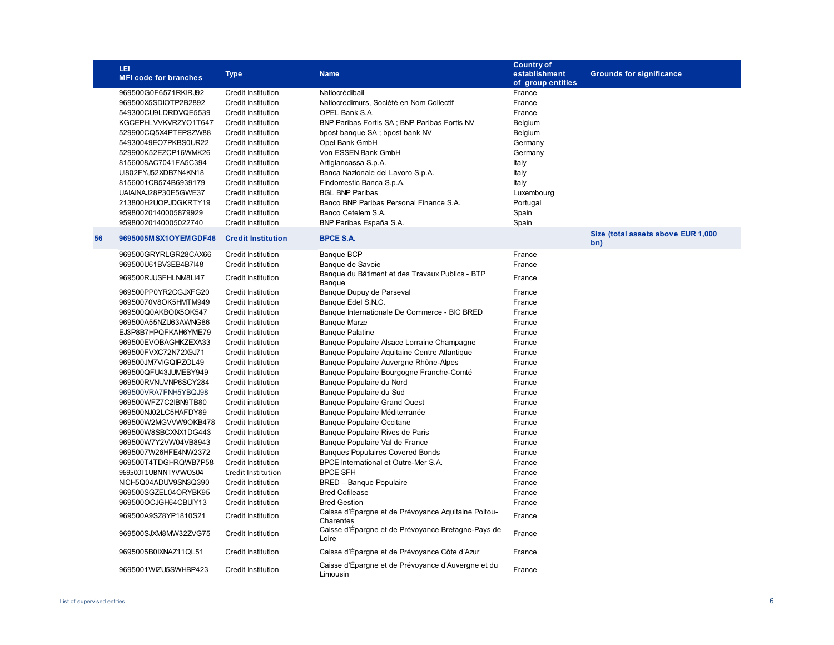|    | LEI<br><b>MFI code for branches</b> | <b>Type</b>               | <b>Name</b>                                                      | <b>Country of</b><br>establishment<br>of group entities | <b>Grounds for significance</b>           |
|----|-------------------------------------|---------------------------|------------------------------------------------------------------|---------------------------------------------------------|-------------------------------------------|
|    | 969500G0F6571RKIRJ92                | Credit Institution        | Natiocrédibail                                                   | France                                                  |                                           |
|    | 969500X5SDIOTP2B2892                | <b>Credit Institution</b> | Natiocredimurs, Société en Nom Collectif                         | France                                                  |                                           |
|    | 549300CU9LDRDVQE5539                | <b>Credit Institution</b> | OPEL Bank S.A.                                                   | France                                                  |                                           |
|    | KGCEPHLVVKVRZYO1T647                | <b>Credit Institution</b> | BNP Paribas Fortis SA; BNP Paribas Fortis NV                     | Belgium                                                 |                                           |
|    | 529900CQ5X4PTEPSZW88                | Credit Institution        | bpost banque SA; bpost bank NV                                   | Belgium                                                 |                                           |
|    | 54930049EO7PKBS0UR22                | Credit Institution        | Opel Bank GmbH                                                   | Germany                                                 |                                           |
|    | 529900K52EZCP16WMK26                | <b>Credit Institution</b> | Von ESSEN Bank GmbH                                              | Germany                                                 |                                           |
|    | 8156008AC7041FA5C394                | <b>Credit Institution</b> | Artigiancassa S.p.A.                                             | Italy                                                   |                                           |
|    | UI802FYJ52XDB7N4KN18                | <b>Credit Institution</b> | Banca Nazionale del Lavoro S.p.A.                                | Italy                                                   |                                           |
|    | 8156001CB574B6939179                | <b>Credit Institution</b> | Findomestic Banca S.p.A.                                         | Italy                                                   |                                           |
|    | UAIAINAJ28P30E5GWE37                | <b>Credit Institution</b> | <b>BGL BNP Paribas</b>                                           | Luxembourg                                              |                                           |
|    | 213800H2UOPJDGKRTY19                | <b>Credit Institution</b> | Banco BNP Paribas Personal Finance S.A.                          | Portugal                                                |                                           |
|    | 95980020140005879929                | <b>Credit Institution</b> | Banco Cetelem S.A.                                               | Spain                                                   |                                           |
|    | 95980020140005022740                | <b>Credit Institution</b> | BNP Paribas España S.A.                                          | Spain                                                   |                                           |
| 56 | 9695005MSX1OYEMGDF46                | <b>Credit Institution</b> | <b>BPCE S.A.</b>                                                 |                                                         | Size (total assets above EUR 1,000<br>bn) |
|    | 969500GRYRLGR28CAX66                | <b>Credit Institution</b> | Banque BCP                                                       | France                                                  |                                           |
|    | 969500U61BV3EB4B7I48                | <b>Credit Institution</b> | Banque de Savoie                                                 | France                                                  |                                           |
|    | 969500RJUSFHLNM8LI47                | <b>Credit Institution</b> | Banque du Bâtiment et des Travaux Publics - BTP                  | France                                                  |                                           |
|    | 969500PP0YR2CGJXFG20                | Credit Institution        | Banque<br>Banque Dupuy de Parseval                               | France                                                  |                                           |
|    | 96950070V8OK5HMTM949                | <b>Credit Institution</b> | Banque Edel S.N.C.                                               | France                                                  |                                           |
|    | 969500Q0AKBOIX5OK547                | <b>Credit Institution</b> | Banque Internationale De Commerce - BIC BRED                     | France                                                  |                                           |
|    | 969500A55NZU63AWNG86                | Credit Institution        | <b>Banque Marze</b>                                              | France                                                  |                                           |
|    | EJ3P8B7HPQFKAH6YME79                | Credit Institution        | <b>Banque Palatine</b>                                           | France                                                  |                                           |
|    | 969500EVOBAGHKZEXA33                | <b>Credit Institution</b> | Banque Populaire Alsace Lorraine Champagne                       | France                                                  |                                           |
|    | 969500FVXC72N72X9J71                | <b>Credit Institution</b> | Banque Populaire Aquitaine Centre Atlantique                     | France                                                  |                                           |
|    | 969500JM7VIGQIPZOL49                | <b>Credit Institution</b> | Banque Populaire Auvergne Rhône-Alpes                            | France                                                  |                                           |
|    | 969500QFU43JUMEBY949                | <b>Credit Institution</b> | Banque Populaire Bourgogne Franche-Comté                         | France                                                  |                                           |
|    | 969500RVNUVNP6SCY284                | <b>Credit Institution</b> | Banque Populaire du Nord                                         | France                                                  |                                           |
|    | 969500VRA7FNH5YBQJ98                | <b>Credit Institution</b> | Banque Populaire du Sud                                          | France                                                  |                                           |
|    | 969500WFZ7C2IBN9TB80                | Credit institution        | <b>Banque Populaire Grand Ouest</b>                              | France                                                  |                                           |
|    | 969500NJ02LC5HAFDY89                | <b>Credit Institution</b> | Banque Populaire Méditerranée                                    | France                                                  |                                           |
|    | 969500W2MGVVW9OKB478                | Credit Institution        | Banque Populaire Occitane                                        | France                                                  |                                           |
|    | 969500W8SBCXNX1DG443                | Credit Institution        | Banque Populaire Rives de Paris                                  | France                                                  |                                           |
|    | 969500W7Y2VW04VB8943                | Credit Institution        | Banque Populaire Val de France                                   | France                                                  |                                           |
|    | 9695007W26HFE4NW2372                | Credit Institution        | <b>Banques Populaires Covered Bonds</b>                          | France                                                  |                                           |
|    | 969500T4TDGHRQWB7P58                | Credit Institution        | BPCE International et Outre-Mer S.A.                             | France                                                  |                                           |
|    | 969500T1UBNNTYVWOS04                | Credit Institution        | <b>BPCE SFH</b>                                                  | France                                                  |                                           |
|    | NICH5Q04ADUV9SN3Q390                | <b>Credit Institution</b> | <b>BRED</b> - Banque Populaire                                   | France                                                  |                                           |
|    | 969500SGZEL04ORYBK95                | <b>Credit Institution</b> | <b>Bred Cofilease</b>                                            | France                                                  |                                           |
|    | 969500OCJGH64CBUIY13                | <b>Credit Institution</b> | <b>Bred Gestion</b>                                              | France                                                  |                                           |
|    | 969500A9SZ8YP1810S21                | <b>Credit Institution</b> | Caisse d'Épargne et de Prévoyance Aquitaine Poitou-<br>Charentes | France                                                  |                                           |
|    | 969500SJXM8MW32ZVG75                | Credit Institution        | Caisse d'Épargne et de Prévoyance Bretagne-Pays de<br>Loire      | France                                                  |                                           |
|    | 9695005B0IXNAZ11QL51                | <b>Credit Institution</b> | Caisse d'Épargne et de Prévoyance Côte d'Azur                    | France                                                  |                                           |
|    | 9695001WIZU5SWHBP423                | Credit Institution        | Caisse d'Épargne et de Prévoyance d'Auvergne et du<br>Limousin   | France                                                  |                                           |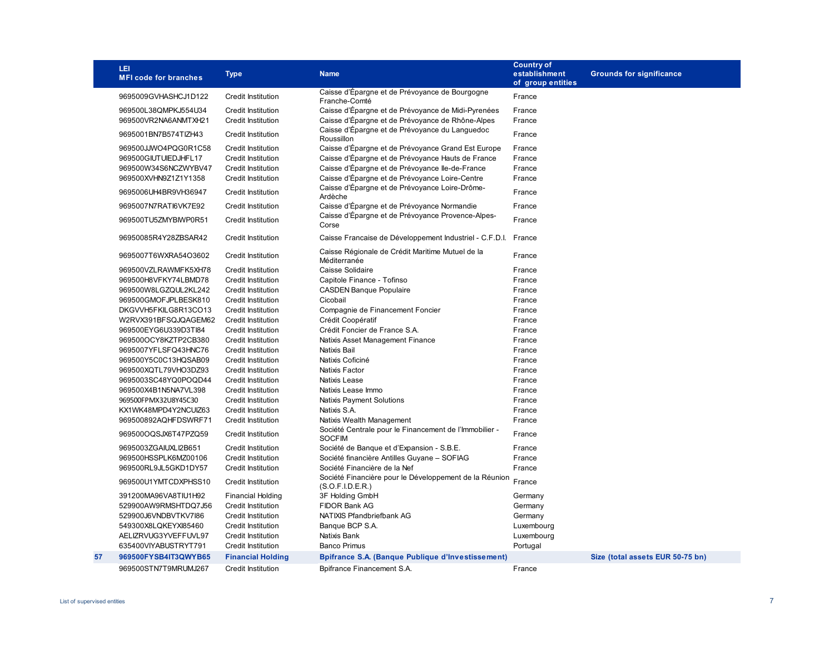|    | LEI<br><b>MFI code for branches</b> | <b>Type</b>               | <b>Name</b>                                                                | <b>Country of</b><br>establishment<br>of group entities | <b>Grounds for significance</b>  |
|----|-------------------------------------|---------------------------|----------------------------------------------------------------------------|---------------------------------------------------------|----------------------------------|
|    | 9695009GVHASHCJ1D122                | <b>Credit Institution</b> | Caisse d'Épargne et de Prévoyance de Bourgogne<br>Franche-Comté            | France                                                  |                                  |
|    | 969500L38QMPKJ554U34                | <b>Credit Institution</b> | Caisse d'Épargne et de Prévoyance de Midi-Pyrenées                         | France                                                  |                                  |
|    | 969500VR2NA6ANMTXH21                | <b>Credit Institution</b> | Caisse d'Épargne et de Prévoyance de Rhône-Alpes                           | France                                                  |                                  |
|    | 9695001BN7B574TIZH43                | <b>Credit Institution</b> | Caisse d'Épargne et de Prévoyance du Languedoc<br>Roussillon               | France                                                  |                                  |
|    | 969500JJWO4PQG0R1C58                | <b>Credit Institution</b> | Caisse d'Épargne et de Prévoyance Grand Est Europe                         | France                                                  |                                  |
|    | 969500GIUTUIEDJHFL17                | <b>Credit Institution</b> | Caisse d'Épargne et de Prévoyance Hauts de France                          | France                                                  |                                  |
|    | 969500W34S6NCZWYBV47                | <b>Credit Institution</b> | Caisse d'Épargne et de Prévoyance lle-de-France                            | France                                                  |                                  |
|    | 969500XVHN9Z1Z1Y1358                | <b>Credit Institution</b> | Caisse d'Épargne et de Prévoyance Loire-Centre                             | France                                                  |                                  |
|    | 9695006UH4BR9VH36947                | <b>Credit Institution</b> | Caisse d'Épargne et de Prévoyance Loire-Drôme-<br>Ardèche                  | France                                                  |                                  |
|    | 9695007N7RATI6VK7E92                | <b>Credit Institution</b> | Caisse d'Épargne et de Prévoyance Normandie                                | France                                                  |                                  |
|    | 969500TU5ZMYBIWP0R51                | Credit Institution        | Caisse d'Épargne et de Prévoyance Provence-Alpes-<br>Corse                 | France                                                  |                                  |
|    | 96950085R4Y28ZBSAR42                | <b>Credit Institution</b> | Caisse Francaise de Développement Industriel - C.F.D.I. France             |                                                         |                                  |
|    | 9695007T6WXRA54O3602                | <b>Credit Institution</b> | Caisse Régionale de Crédit Maritime Mutuel de la<br>Méditerranée           | France                                                  |                                  |
|    | 969500VZLRAWMFK5XH78                | <b>Credit Institution</b> | Caisse Solidaire                                                           | France                                                  |                                  |
|    | 969500H8VFKY74LBMD78                | <b>Credit Institution</b> | Capitole Finance - Tofinso                                                 | France                                                  |                                  |
|    | 969500W8LGZQUL2KL242                | <b>Credit Institution</b> | <b>CASDEN Banque Populaire</b>                                             | France                                                  |                                  |
|    | 969500GMOFJPLBESK810                | <b>Credit Institution</b> | Cicobail                                                                   | France                                                  |                                  |
|    | DKGVVH5FKILG8R13CO13                | <b>Credit Institution</b> | Compagnie de Financement Foncier                                           | France                                                  |                                  |
|    | W2RVX391BFSQJQAGEM62                | <b>Credit Institution</b> | Crédit Coopératif                                                          | France                                                  |                                  |
|    | 969500EYG6U339D3Tl84                | <b>Credit Institution</b> | Crédit Foncier de France S.A.                                              | France                                                  |                                  |
|    | 969500OCY8KZTP2CB380                | <b>Credit Institution</b> | Natixis Asset Management Finance                                           | France                                                  |                                  |
|    | 9695007YFLSFQ43HNC76                | Credit Institution        | Natixis Bail                                                               | France                                                  |                                  |
|    | 969500Y5C0C13HQSAB09                | <b>Credit Institution</b> | Natixis Coficiné                                                           | France                                                  |                                  |
|    | 969500XQTL79VHO3DZ93                | Credit Institution        | Natixis Factor                                                             | France                                                  |                                  |
|    | 9695003SC48YQ0POQD44                | <b>Credit Institution</b> | Natixis Lease                                                              | France                                                  |                                  |
|    | 969500X4B1N5NA7VL398                | <b>Credit Institution</b> | Natixis Lease Immo                                                         | France                                                  |                                  |
|    | 969500FPMX32U8Y45C30                | <b>Credit Institution</b> | Natixis Payment Solutions                                                  | France                                                  |                                  |
|    | KX1WK48MPD4Y2NCUIZ63                | <b>Credit Institution</b> | Natixis S.A.                                                               | France                                                  |                                  |
|    | 969500892AQHFDSWRF71                | <b>Credit Institution</b> | Natixis Wealth Management                                                  | France                                                  |                                  |
|    | 969500OQSJX6T47PZQ59                | <b>Credit Institution</b> | Société Centrale pour le Financement de l'Immobilier -<br><b>SOCFIM</b>    | France                                                  |                                  |
|    | 9695003ZGAIUXLI2B651                | <b>Credit Institution</b> | Société de Banque et d'Expansion - S.B.E.                                  | France                                                  |                                  |
|    | 969500HSSPLK6MZ00106                | <b>Credit Institution</b> | Société financière Antilles Guyane - SOFIAG                                | France                                                  |                                  |
|    | 969500RL9JL5GKD1DY57                | <b>Credit Institution</b> | Société Financière de la Nef                                               | France                                                  |                                  |
|    | 969500U1YMTCDXPHSS10                | <b>Credit Institution</b> | Société Financière pour le Développement de la Réunion<br>(S.O.F.I.D.E.R.) | France                                                  |                                  |
|    | 391200MA96VA8TIU1H92                | <b>Financial Holding</b>  | 3F Holding GmbH                                                            | Germany                                                 |                                  |
|    | 529900AW9RMSHTDQ7J56                | <b>Credit Institution</b> | <b>FIDOR Bank AG</b>                                                       | Germany                                                 |                                  |
|    | 529900J6VNDBVTKV7I86                | <b>Credit Institution</b> | NATIXIS Pfandbriefbank AG                                                  | Germany                                                 |                                  |
|    | 549300X8LQKEYXl85460                | <b>Credit Institution</b> | Banque BCP S.A.                                                            | Luxembourg                                              |                                  |
|    | AELIZRVUG3YVEFFUVL97                | <b>Credit Institution</b> | Natixis Bank                                                               | Luxembourg                                              |                                  |
|    | 635400VIYABUSTRYT791                | <b>Credit Institution</b> | <b>Banco Primus</b>                                                        | Portugal                                                |                                  |
| 57 | 969500FYSB4IT3QWYB65                | <b>Financial Holding</b>  | Bpifrance S.A. (Banque Publique d'Investissement)                          |                                                         | Size (total assets EUR 50-75 bn) |
|    | 969500STN7T9MRUMJ267                | <b>Credit Institution</b> | Bpifrance Financement S.A.                                                 | France                                                  |                                  |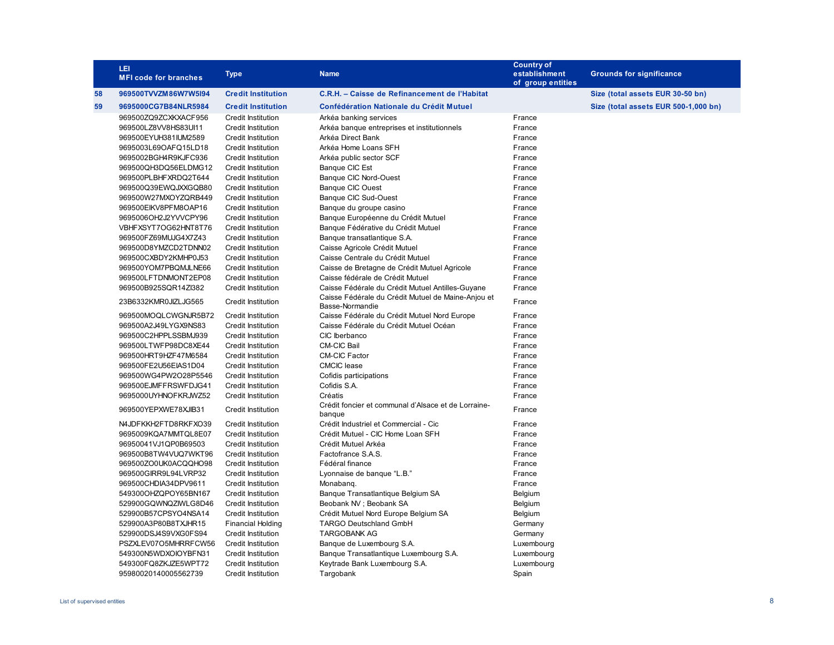|    | LEI<br><b>MFI code for branches</b> | <b>Type</b>               | <b>Name</b>                                                           | <b>Country of</b><br>establishment<br>of group entities | <b>Grounds for significance</b>      |
|----|-------------------------------------|---------------------------|-----------------------------------------------------------------------|---------------------------------------------------------|--------------------------------------|
| 58 | 969500TVVZM86W7W5I94                | <b>Credit Institution</b> | C.R.H. - Caisse de Refinancement de l'Habitat                         |                                                         | Size (total assets EUR 30-50 bn)     |
| 59 | 9695000CG7B84NLR5984                | <b>Credit Institution</b> | Confédération Nationale du Crédit Mutuel                              |                                                         | Size (total assets EUR 500-1,000 bn) |
|    | 969500ZQ9ZCXKXACF956                | <b>Credit Institution</b> | Arkéa banking services                                                | France                                                  |                                      |
|    | 969500LZ8VV8HS83Ul11                | <b>Credit Institution</b> | Arkéa banque entreprises et institutionnels                           | France                                                  |                                      |
|    | 969500EYUH381IUM2589                | <b>Credit Institution</b> | Arkéa Direct Bank                                                     | France                                                  |                                      |
|    | 9695003L69OAFQ15LD18                | <b>Credit Institution</b> | Arkéa Home Loans SFH                                                  | France                                                  |                                      |
|    | 9695002BGH4R9KJFC936                | <b>Credit Institution</b> | Arkéa public sector SCF                                               | France                                                  |                                      |
|    | 969500QH3DQ56ELDMG12                | <b>Credit Institution</b> | <b>Banque CIC Est</b>                                                 | France                                                  |                                      |
|    | 969500PLBHFXRDQ2T644                | <b>Credit Institution</b> | Banque CIC Nord-Ouest                                                 | France                                                  |                                      |
|    | 969500Q39EWQJXXGQB80                | <b>Credit Institution</b> | <b>Banque CIC Ouest</b>                                               | France                                                  |                                      |
|    | 969500W27MXOYZQRB449                | <b>Credit Institution</b> | Banque CIC Sud-Ouest                                                  | France                                                  |                                      |
|    | 969500EIKV8PFM8OAP16                | <b>Credit Institution</b> | Banque du groupe casino                                               | France                                                  |                                      |
|    | 9695006OH2J2YVVCPY96                | <b>Credit Institution</b> | Banque Européenne du Crédit Mutuel                                    | France                                                  |                                      |
|    | VBHFXSYT7OG62HNT8T76                | <b>Credit Institution</b> | Banque Fédérative du Crédit Mutuel                                    | France                                                  |                                      |
|    | 969500FZ69MUJG4X7Z43                | <b>Credit Institution</b> | Banque transatlantique S.A.                                           | France                                                  |                                      |
|    | 969500D8YMZCD2TDNN02                | <b>Credit Institution</b> | Caisse Agricole Crédit Mutuel                                         | France                                                  |                                      |
|    | 969500CXBDY2KMHP0J53                | <b>Credit Institution</b> | Caisse Centrale du Crédit Mutuel                                      | France                                                  |                                      |
|    | 969500YOM7PBQMJLNE66                | <b>Credit Institution</b> | Caisse de Bretagne de Crédit Mutuel Agricole                          | France                                                  |                                      |
|    | 969500LFTDNMONT2EP08                | <b>Credit Institution</b> | Caisse fédérale de Crédit Mutuel                                      | France                                                  |                                      |
|    | 969500B925SQR14Zl382                | <b>Credit Institution</b> | Caisse Fédérale du Crédit Mutuel Antilles-Guyane                      | France                                                  |                                      |
|    | 23B6332KMR0JIZLJG565                | <b>Credit Institution</b> | Caisse Fédérale du Crédit Mutuel de Maine-Anjou et<br>Basse-Normandie | France                                                  |                                      |
|    | 969500MOQLCWGNJR5B72                | <b>Credit Institution</b> | Caisse Fédérale du Crédit Mutuel Nord Europe                          | France                                                  |                                      |
|    | 969500A2J49LYGX9NS83                | <b>Credit Institution</b> | Caisse Fédérale du Crédit Mutuel Océan                                | France                                                  |                                      |
|    | 969500C2HPPLSSBMJ939                | Credit Institution        | CIC Iberbanco                                                         | France                                                  |                                      |
|    | 969500LTWFP98DC8XE44                | <b>Credit Institution</b> | <b>CM-CIC Bail</b>                                                    | France                                                  |                                      |
|    | 969500HRT9HZF47M6584                | <b>Credit Institution</b> | <b>CM-CIC Factor</b>                                                  | France                                                  |                                      |
|    | 969500FE2U56EIAS1D04                | <b>Credit Institution</b> | <b>CMCIC</b> lease                                                    | France                                                  |                                      |
|    | 969500WG4PW2O28P5546                | <b>Credit Institution</b> | Cofidis participations                                                | France                                                  |                                      |
|    | 969500EJMFFRSWFDJG41                | <b>Credit Institution</b> | Cofidis S.A.                                                          | France                                                  |                                      |
|    | 9695000UYHNOFKRJWZ52                | <b>Credit Institution</b> | Créatis                                                               | France                                                  |                                      |
|    | 969500YEPXWE78XJIB31                | <b>Credit Institution</b> | Crédit foncier et communal d'Alsace et de Lorraine-<br>banque         | France                                                  |                                      |
|    | N4JDFKKH2FTD8RKFXO39                | <b>Credit Institution</b> | Crédit Industriel et Commercial - Cic                                 | France                                                  |                                      |
|    | 9695009KQA7MMTQL8E07                | <b>Credit Institution</b> | Crédit Mutuel - CIC Home Loan SFH                                     | France                                                  |                                      |
|    | 96950041VJ1QP0B69503                | <b>Credit Institution</b> | Crédit Mutuel Arkéa                                                   | France                                                  |                                      |
|    | 969500B8TW4VUQ7WKT96                | <b>Credit Institution</b> | Factofrance S.A.S.                                                    | France                                                  |                                      |
|    | 969500ZO0UK0ACQQHO98                | <b>Credit Institution</b> | Fédéral finance                                                       | France                                                  |                                      |
|    | 969500GIRR9L94LVRP32                | <b>Credit Institution</b> | Lyonnaise de banque "L.B."                                            | France                                                  |                                      |
|    | 969500CHDIA34DPV9611                | <b>Credit Institution</b> | Monabang.                                                             | France                                                  |                                      |
|    | 549300OHZQPOY65BN167                | Credit Institution        | Banque Transatlantique Belgium SA                                     | Belgium                                                 |                                      |
|    | 529900GQWNQZIWLG8D46                | <b>Credit Institution</b> | Beobank NV ; Beobank SA                                               | Belgium                                                 |                                      |
|    | 529900B57CPSYO4NSA14                | <b>Credit Institution</b> | Crédit Mutuel Nord Europe Belgium SA                                  | Belgium                                                 |                                      |
|    | 529900A3P80B8TXJHR15                | <b>Financial Holding</b>  | <b>TARGO Deutschland GmbH</b>                                         | Germany                                                 |                                      |
|    | 529900DSJ4S9VXG0FS94                | Credit Institution        | <b>TARGOBANK AG</b>                                                   | Germany                                                 |                                      |
|    | PSZXLEV07O5MHRRFCW56                | <b>Credit Institution</b> | Banque de Luxembourg S.A.                                             | Luxembourg                                              |                                      |
|    | 549300N5WDXOIOYBFN31                | <b>Credit Institution</b> | Banque Transatlantique Luxembourg S.A.                                | Luxembourg                                              |                                      |
|    | 549300FQ8ZKJZE5WPT72                | <b>Credit Institution</b> | Keytrade Bank Luxembourg S.A.                                         | Luxembourg                                              |                                      |
|    | 95980020140005562739                | <b>Credit Institution</b> | Targobank                                                             | Spain                                                   |                                      |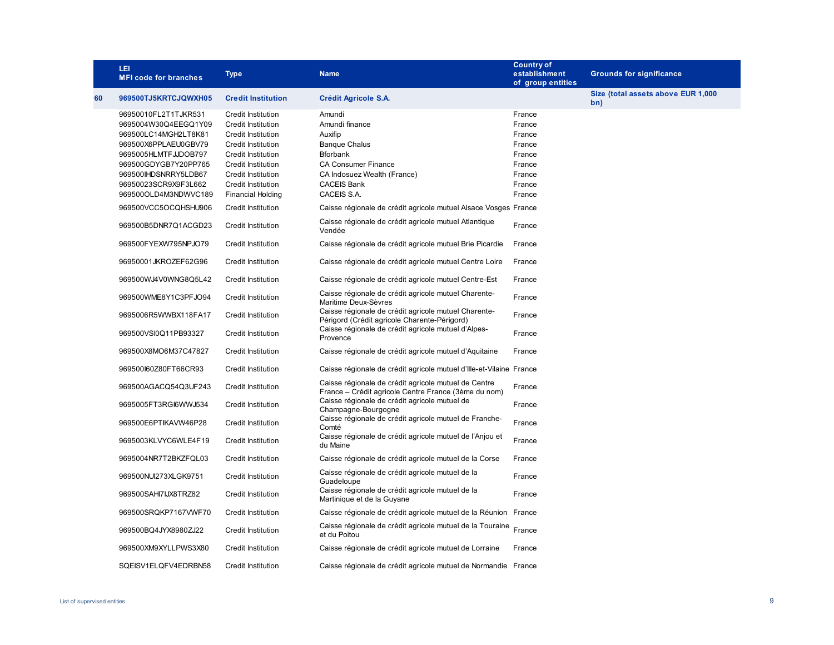|    | LEI<br><b>MFI code for branches</b>                                  | <b>Type</b>                                                                         | <b>Name</b>                                                                                                  | <b>Country of</b><br>establishment<br>of group entities | <b>Grounds for significance</b>           |
|----|----------------------------------------------------------------------|-------------------------------------------------------------------------------------|--------------------------------------------------------------------------------------------------------------|---------------------------------------------------------|-------------------------------------------|
| 60 | 969500TJ5KRTCJQWXH05                                                 | <b>Credit Institution</b>                                                           | Crédit Agricole S.A.                                                                                         |                                                         | Size (total assets above EUR 1,000<br>bn) |
|    | 96950010FL2T1TJKR531<br>9695004W30Q4EEGQ1Y09<br>969500LC14MGH2LT8K81 | <b>Credit Institution</b><br><b>Credit Institution</b><br><b>Credit Institution</b> | Amundi<br>Amundi finance<br>Auxifip                                                                          | France<br>France<br>France                              |                                           |
|    | 969500X6PPLAEU0GBV79<br>9695005HLMTFJJDOB797                         | <b>Credit Institution</b><br><b>Credit Institution</b>                              | <b>Banque Chalus</b><br><b>Bforbank</b>                                                                      | France<br>France                                        |                                           |
|    | 969500GDYGB7Y20PP765<br>969500IHDSNRRY5LDB67                         | <b>Credit Institution</b><br>Credit Institution                                     | <b>CA Consumer Finance</b><br>CA Indosuez Wealth (France)                                                    | France<br>France                                        |                                           |
|    | 96950023SCR9X9F3L662<br>969500OLD4M3NDWVC189                         | Credit Institution<br><b>Financial Holding</b>                                      | <b>CACEIS Bank</b><br>CACEIS S.A.                                                                            | France<br>France                                        |                                           |
|    | 969500VCC5OCQHSHU906                                                 | <b>Credit Institution</b>                                                           | Caisse régionale de crédit agricole mutuel Alsace Vosges France                                              |                                                         |                                           |
|    | 969500B5DNR7Q1ACGD23                                                 | Credit Institution                                                                  | Caisse régionale de crédit agricole mutuel Atlantique<br>Vendée                                              | France                                                  |                                           |
|    | 969500FYEXW795NPJO79                                                 | Credit Institution                                                                  | Caisse régionale de crédit agricole mutuel Brie Picardie                                                     | France                                                  |                                           |
|    | 96950001JKROZEF62G96                                                 | <b>Credit Institution</b>                                                           | Caisse régionale de crédit agricole mutuel Centre Loire                                                      | France                                                  |                                           |
|    | 969500WJ4V0WNG8Q5L42                                                 | <b>Credit Institution</b>                                                           | Caisse régionale de crédit agricole mutuel Centre-Est                                                        | France                                                  |                                           |
|    | 969500WME8Y1C3PFJO94                                                 | <b>Credit Institution</b>                                                           | Caisse régionale de crédit agricole mutuel Charente-<br>Maritime Deux-Sèvres                                 | France                                                  |                                           |
|    | 9695006R5WWBX118FA17                                                 | Credit Institution                                                                  | Caisse régionale de crédit agricole mutuel Charente-<br>Périgord (Crédit agricole Charente-Périgord)         | France                                                  |                                           |
|    | 969500VSl0Q11PB93327                                                 | Credit Institution                                                                  | Caisse régionale de crédit agricole mutuel d'Alpes-<br>Provence                                              | France                                                  |                                           |
|    | 969500X8MO6M37C47827                                                 | <b>Credit Institution</b>                                                           | Caisse régionale de crédit agricole mutuel d'Aguitaine                                                       | France                                                  |                                           |
|    | 969500l60Z80FT66CR93                                                 | Credit Institution                                                                  | Caisse régionale de crédit agricole mutuel d'Ille-et-Vilaine France                                          |                                                         |                                           |
|    | 969500AGACQ54Q3UF243                                                 | <b>Credit Institution</b>                                                           | Caisse régionale de crédit agricole mutuel de Centre<br>France - Crédit agricole Centre France (3ème du nom) | France                                                  |                                           |
|    | 9695005FT3RGI6WWJ534                                                 | Credit Institution                                                                  | Caisse régionale de crédit agricole mutuel de<br>Champagne-Bourgogne                                         | France                                                  |                                           |
|    | 969500E6PTIKAVW46P28                                                 | Credit Institution                                                                  | Caisse régionale de crédit agricole mutuel de Franche-<br>Comté                                              | France                                                  |                                           |
|    | 9695003KLVYC6WLE4F19                                                 | Credit Institution                                                                  | Caisse régionale de crédit agricole mutuel de l'Anjou et<br>du Maine                                         | France                                                  |                                           |
|    | 9695004NR7T2BKZFQL03                                                 | <b>Credit Institution</b>                                                           | Caisse régionale de crédit agricole mutuel de la Corse                                                       | France                                                  |                                           |
|    | 969500NUl273XLGK9751                                                 | <b>Credit Institution</b>                                                           | Caisse régionale de crédit agricole mutuel de la<br>Guadeloupe                                               | France                                                  |                                           |
|    | 969500SAHI7IJX8TRZ82                                                 | <b>Credit Institution</b>                                                           | Caisse régionale de crédit agricole mutuel de la<br>Martinique et de la Guyane                               | France                                                  |                                           |
|    | 969500SRQKP7167VWF70                                                 | <b>Credit Institution</b>                                                           | Caisse régionale de crédit agricole mutuel de la Réunion France                                              |                                                         |                                           |
|    | 969500BQ4JYX8980ZJ22                                                 | <b>Credit Institution</b>                                                           | Caisse régionale de crédit agricole mutuel de la Touraine France<br>et du Poitou                             |                                                         |                                           |
|    | 969500XM9XYLLPWS3X80                                                 | Credit Institution                                                                  | Caisse régionale de crédit agricole mutuel de Lorraine                                                       | France                                                  |                                           |
|    | SQEISV1ELQFV4EDRBN58                                                 | <b>Credit Institution</b>                                                           | Caisse régionale de crédit agricole mutuel de Normandie France                                               |                                                         |                                           |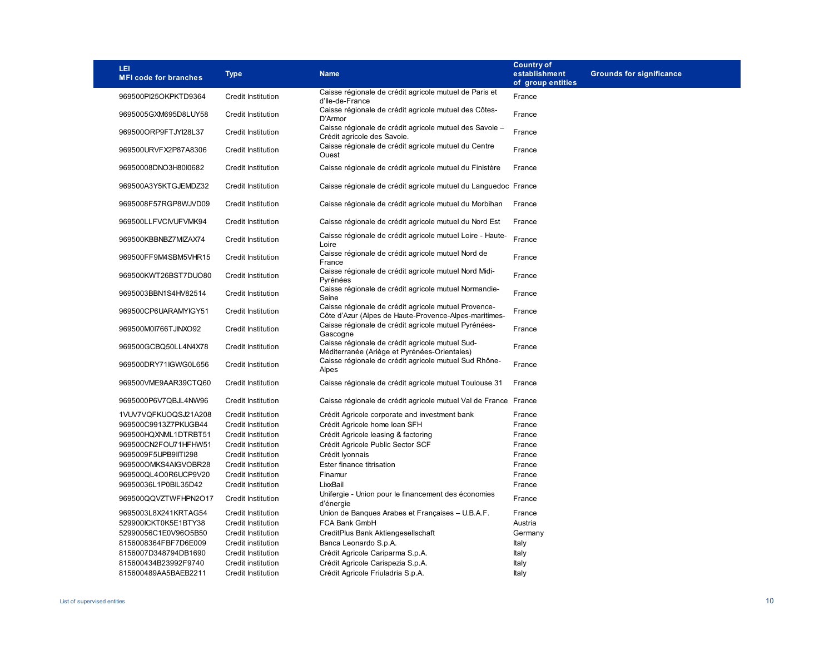| LEI<br><b>MFI code for branches</b> | <b>Type</b>               | <b>Name</b>                                                                                                   | <b>Country of</b><br>establishment<br>of group entities | <b>Grounds for significance</b> |
|-------------------------------------|---------------------------|---------------------------------------------------------------------------------------------------------------|---------------------------------------------------------|---------------------------------|
| 969500Pl25OKPKTD9364                | <b>Credit Institution</b> | Caisse régionale de crédit agricole mutuel de Paris et<br>d'Ile-de-France                                     | France                                                  |                                 |
| 9695005GXM695D8LUY58                | <b>Credit Institution</b> | Caisse régionale de crédit agricole mutuel des Côtes-<br>D'Armor                                              | France                                                  |                                 |
| 969500ORP9FTJYI28L37                | <b>Credit Institution</b> | Caisse régionale de crédit agricole mutuel des Savoie -<br>Crédit agricole des Savoie.                        | France                                                  |                                 |
| 969500URVFX2P87A8306                | Credit Institution        | Caisse régionale de crédit agricole mutuel du Centre<br>Ouest                                                 | France                                                  |                                 |
| 96950008DNO3H80l0682                | <b>Credit Institution</b> | Caisse régionale de crédit agricole mutuel du Finistère                                                       | France                                                  |                                 |
| 969500A3Y5KTGJEMDZ32                | <b>Credit Institution</b> | Caisse régionale de crédit agricole mutuel du Languedoc France                                                |                                                         |                                 |
| 9695008F57RGP8WJVD09                | <b>Credit Institution</b> | Caisse régionale de crédit agricole mutuel du Morbihan                                                        | France                                                  |                                 |
| 969500LLFVCIVUFVMK94                | <b>Credit Institution</b> | Caisse régionale de crédit agricole mutuel du Nord Est                                                        | France                                                  |                                 |
| 969500KBBNBZ7MIZAX74                | <b>Credit Institution</b> | Caisse régionale de crédit agricole mutuel Loire - Haute-<br>Loire                                            | France                                                  |                                 |
| 969500FF9M4SBM5VHR15                | <b>Credit Institution</b> | Caisse régionale de crédit agricole mutuel Nord de<br>France                                                  | France                                                  |                                 |
| 969500KWT26BST7DUO80                | <b>Credit Institution</b> | Caisse régionale de crédit agricole mutuel Nord Midi-<br>Pyrénées                                             | France                                                  |                                 |
| 9695003BBN1S4HV82514                | <b>Credit Institution</b> | Caisse régionale de crédit agricole mutuel Normandie-<br>Seine                                                | France                                                  |                                 |
| 969500CP6UARAMYIGY51                | <b>Credit Institution</b> | Caisse régionale de crédit agricole mutuel Provence-<br>Côte d'Azur (Alpes de Haute-Provence-Alpes-maritimes- | France                                                  |                                 |
| 969500M0I766TJINXO92                | Credit Institution        | Caisse régionale de crédit agricole mutuel Pyrénées-<br>Gascogne                                              | France                                                  |                                 |
| 969500GCBQ50LL4N4X78                | <b>Credit Institution</b> | Caisse régionale de crédit agricole mutuel Sud-<br>Méditerranée (Ariège et Pyrénées-Orientales)               | France                                                  |                                 |
| 969500DRY71IGWG0L656                | Credit Institution        | Caisse régionale de crédit agricole mutuel Sud Rhône-<br>Alpes                                                | France                                                  |                                 |
| 969500VME9AAR39CTQ60                | <b>Credit Institution</b> | Caisse régionale de crédit agricole mutuel Toulouse 31                                                        | France                                                  |                                 |
| 9695000P6V7QBJL4NW96                | <b>Credit Institution</b> | Caisse régionale de crédit agricole mutuel Val de France France                                               |                                                         |                                 |
| 1VUV7VQFKUOQSJ21A208                | <b>Credit Institution</b> | Crédit Agricole corporate and investment bank                                                                 | France                                                  |                                 |
| 969500C9913Z7PKUGB44                | <b>Credit Institution</b> | Crédit Agricole home loan SFH                                                                                 | France                                                  |                                 |
| 969500HQXNML1DTRBT51                | <b>Credit Institution</b> | Crédit Agricole leasing & factoring                                                                           | France                                                  |                                 |
| 969500CN2FOU71HFHW51                | <b>Credit Institution</b> | Crédit Agricole Public Sector SCF                                                                             | France                                                  |                                 |
| 9695009F5UPB9IITI298                | <b>Credit Institution</b> | Crédit Iyonnais                                                                                               | France                                                  |                                 |
| 969500OMKS4AlGVOBR28                | <b>Credit Institution</b> | Ester finance titrisation                                                                                     | France                                                  |                                 |
| 969500QL4O0R6UCP9V20                | <b>Credit Institution</b> | Finamur                                                                                                       | France                                                  |                                 |
| 96950036L1P0BIL35D42                | <b>Credit Institution</b> | LixxBail                                                                                                      | France                                                  |                                 |
| 969500QQVZTWFHPN2O17                | <b>Credit Institution</b> | Unifergie - Union pour le financement des économies<br>d'énergie                                              | France                                                  |                                 |
| 9695003L8X241KRTAG54                | <b>Credit Institution</b> | Union de Banques Arabes et Françaises - U.B.A.F.                                                              | France                                                  |                                 |
| 529900ICKT0K5E1BTY38                | <b>Credit Institution</b> | FCA Bank GmbH                                                                                                 | Austria                                                 |                                 |
| 52990056C1E0V96O5B50                | <b>Credit Institution</b> | CreditPlus Bank Aktiengesellschaft                                                                            | Germany                                                 |                                 |
| 8156008364FBF7D6E009                | Credit institution        | Banca Leonardo S.p.A.                                                                                         | Italy                                                   |                                 |
| 8156007D348794DB1690                | <b>Credit Institution</b> | Crédit Agricole Cariparma S.p.A.                                                                              | Italy                                                   |                                 |
| 815600434B23992F9740                | Credit institution        | Crédit Agricole Carispezia S.p.A.                                                                             | Italy                                                   |                                 |
| 815600489AA5BAEB2211                | <b>Credit Institution</b> | Crédit Agricole Friuladria S.p.A.                                                                             | Italy                                                   |                                 |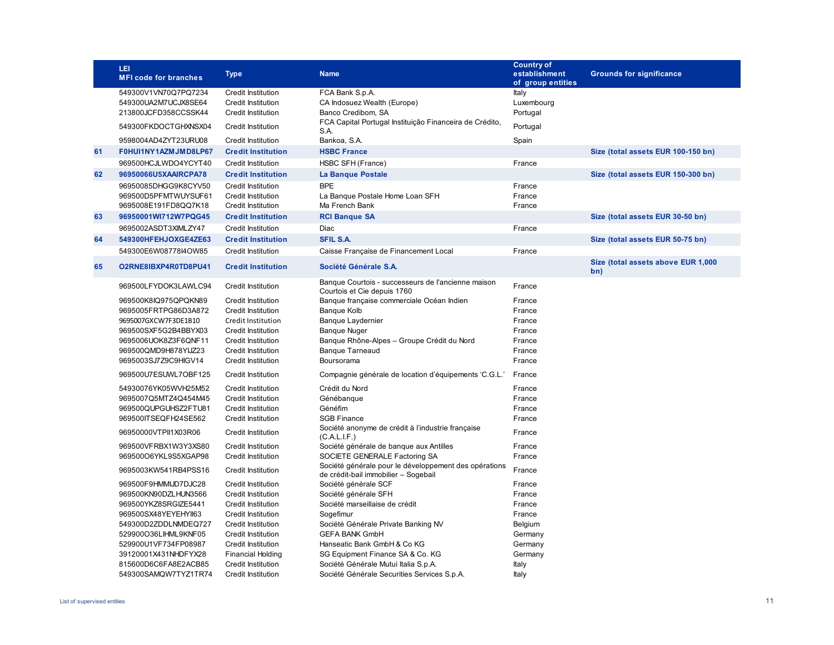|    | LEI<br><b>MFI code for branches</b>          | <b>Type</b>                                           | <b>Name</b>                                                                                   | <b>Country of</b><br>establishment<br>of group entities | <b>Grounds for significance</b>           |
|----|----------------------------------------------|-------------------------------------------------------|-----------------------------------------------------------------------------------------------|---------------------------------------------------------|-------------------------------------------|
|    | 549300V1VN70Q7PQ7234                         | <b>Credit Institution</b>                             | FCA Bank S.p.A.                                                                               | Italy                                                   |                                           |
|    | 549300UA2M7UCJX8SE64                         | <b>Credit Institution</b>                             | CA Indosuez Wealth (Europe)                                                                   | Luxembourg                                              |                                           |
|    | 213800JCFD358CCSSK44                         | <b>Credit Institution</b>                             | Banco Credibom, SA                                                                            | Portugal                                                |                                           |
|    | 549300FKDOCTGHXNSX04                         | <b>Credit Institution</b>                             | FCA Capital Portugal Instituição Financeira de Crédito,<br>S.A.                               | Portugal                                                |                                           |
|    | 9598004AD4ZYT23URU08                         | <b>Credit Institution</b>                             | Bankoa, S.A.                                                                                  | Spain                                                   |                                           |
| 61 | F0HUI1NY1AZMJMD8LP67                         | <b>Credit Institution</b>                             | <b>HSBC France</b>                                                                            |                                                         | Size (total assets EUR 100-150 bn)        |
|    | 969500HCJLWDO4YCYT40                         | Credit Institution                                    | HSBC SFH (France)                                                                             | France                                                  |                                           |
| 62 | 96950066U5XAAIRCPA78                         | <b>Credit Institution</b>                             | La Banque Postale                                                                             |                                                         | Size (total assets EUR 150-300 bn)        |
|    | 96950085DHGG9K8CYV50                         | <b>Credit Institution</b>                             | <b>BPE</b>                                                                                    | France                                                  |                                           |
|    | 969500D5PFMTWUYSUF61                         | <b>Credit Institution</b>                             | La Banque Postale Home Loan SFH                                                               | France                                                  |                                           |
|    | 9695008E191FD8QQ7K18                         | <b>Credit Institution</b>                             | Ma French Bank                                                                                | France                                                  |                                           |
| 63 | 96950001WI712W7PQG45                         | <b>Credit Institution</b>                             | <b>RCI Banque SA</b>                                                                          |                                                         | Size (total assets EUR 30-50 bn)          |
|    | 9695002ASDT3XIMLZY47                         | <b>Credit Institution</b>                             | Diac                                                                                          | France                                                  |                                           |
| 64 | 549300HFEHJOXGE4ZE63                         | <b>Credit Institution</b>                             | <b>SFIL S.A.</b>                                                                              |                                                         | Size (total assets EUR 50-75 bn)          |
|    | 549300E6W08778I4OW85                         | <b>Credit Institution</b>                             | Caisse Française de Financement Local                                                         | France                                                  |                                           |
| 65 | O2RNE8IBXP4R0TD8PU41                         | <b>Credit Institution</b>                             | Société Générale S.A.                                                                         |                                                         | Size (total assets above EUR 1,000<br>bn) |
|    | 969500LFYDOK3LAWLC94                         | <b>Credit Institution</b>                             | Banque Courtois - successeurs de l'ancienne maison<br>Courtois et Cie depuis 1760             | France                                                  |                                           |
|    | 969500K8IQ975QPQKN89                         | <b>Credit Institution</b>                             | Banque française commerciale Océan Indien                                                     | France                                                  |                                           |
|    | 9695005FRTPG86D3A872                         | <b>Credit Institution</b>                             | <b>Banque Kolb</b>                                                                            | France                                                  |                                           |
|    | 9695007GXCW7F3DE1B10                         | Credit Institution                                    | Banque Laydernier                                                                             | France                                                  |                                           |
|    | 969500SXF5G2B4BBYX03                         | <b>Credit Institution</b>                             | <b>Banque Nuger</b>                                                                           | France                                                  |                                           |
|    | 9695006UOK8Z3F6QNF11                         | Credit Institution                                    | Banque Rhône-Alpes - Groupe Crédit du Nord                                                    | France                                                  |                                           |
|    | 969500QMD9H878YIJZ23                         | <b>Credit Institution</b>                             | <b>Banque Tarneaud</b>                                                                        | France                                                  |                                           |
|    | 9695003SJ7Z9C9HIGV14                         | <b>Credit Institution</b>                             | Boursorama                                                                                    | France                                                  |                                           |
|    | 969500U7ESUWL7OBF125                         | <b>Credit Institution</b>                             | Compagnie générale de location d'équipements 'C.G.L.'                                         | France                                                  |                                           |
|    | 54930076YK05WVH25M52                         | <b>Credit Institution</b>                             | Crédit du Nord                                                                                | France                                                  |                                           |
|    | 9695007Q5MTZ4Q454M45                         | <b>Credit Institution</b>                             | Génébanque                                                                                    | France                                                  |                                           |
|    | 969500QUPGUHSZ2FTU81                         | <b>Credit Institution</b>                             | Généfim                                                                                       | France                                                  |                                           |
|    | 969500ITSEQFH24SE562                         | <b>Credit Institution</b>                             | <b>SGB Finance</b><br>Société anonyme de crédit à l'industrie française                       | France                                                  |                                           |
|    | 96950000VTPII1X03R06                         | <b>Credit Institution</b>                             | (C.A.L.I.F.)                                                                                  | France                                                  |                                           |
|    | 969500VFRBX1W3Y3XS80                         | <b>Credit Institution</b>                             | Société générale de banque aux Antilles                                                       | France                                                  |                                           |
|    | 969500O6YKL9S5XGAP98                         | <b>Credit Institution</b>                             | SOCIETE GENERALE Factoring SA                                                                 | France                                                  |                                           |
|    | 9695003KW541RB4PSS16                         | <b>Credit Institution</b>                             | Société générale pour le développement des opérations<br>de crédit-bail immobilier - Sogebail | France                                                  |                                           |
|    | 969500F9HMMIJD7DJC28                         | <b>Credit Institution</b>                             | Société générale SCF                                                                          | France                                                  |                                           |
|    | 969500KN90DZLHUN3566                         | <b>Credit Institution</b>                             | Société générale SFH                                                                          | France                                                  |                                           |
|    | 969500YKZ8SRGIZE5441                         | Credit Institution                                    | Société marseillaise de crédit                                                                | France                                                  |                                           |
|    | 969500SX48YEYEHYII63                         | <b>Credit Institution</b>                             | Sogefimur                                                                                     | France                                                  |                                           |
|    | 549300D2ZDDLNMDEQ727                         | <b>Credit Institution</b>                             | Société Générale Private Banking NV                                                           | Belgium                                                 |                                           |
|    | 529900O36LIHML9KNF05<br>529900U1VF734FP08987 | <b>Credit Institution</b>                             | <b>GEFA BANK GmbH</b><br>Hanseatic Bank GmbH & Co KG                                          | Germany                                                 |                                           |
|    | 39120001X431NHDFYX28                         | <b>Credit Institution</b><br><b>Financial Holding</b> | SG Equipment Finance SA & Co. KG                                                              | Germany<br>Germany                                      |                                           |
|    | 815600D6C6FA8E2ACB85                         | Credit Institution                                    | Société Générale Mutui Italia S.p.A.                                                          | Italy                                                   |                                           |
|    | 549300SAMQW7TYZ1TR74                         | <b>Credit Institution</b>                             | Société Générale Securities Services S.p.A.                                                   | Italy                                                   |                                           |
|    |                                              |                                                       |                                                                                               |                                                         |                                           |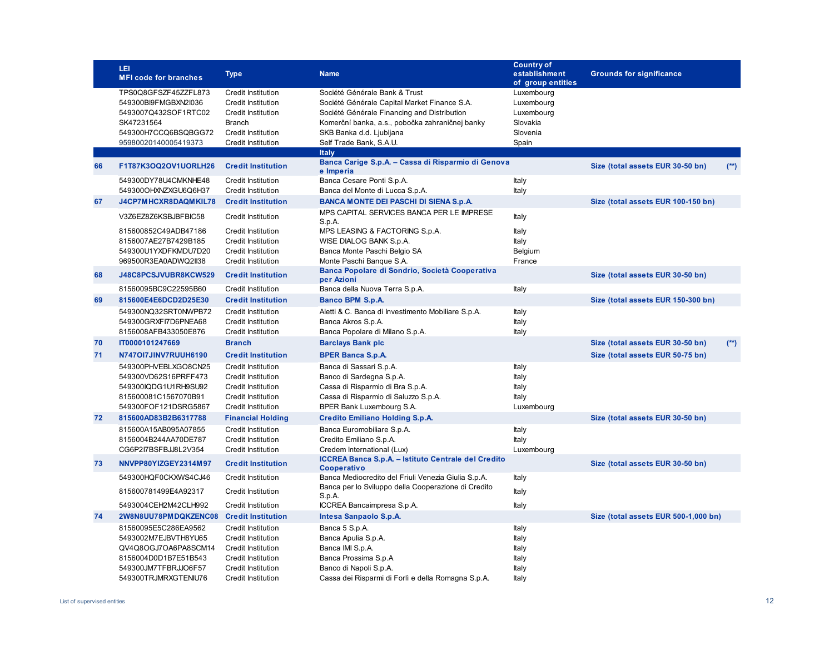|    | LEI<br><b>MFI code for branches</b>                                                                                                          | <b>Type</b>                                                                                                                                                         | <b>Name</b>                                                                                                                                                                                                                                            | <b>Country of</b><br>establishment<br>of group entities                 | <b>Grounds for significance</b>      |        |
|----|----------------------------------------------------------------------------------------------------------------------------------------------|---------------------------------------------------------------------------------------------------------------------------------------------------------------------|--------------------------------------------------------------------------------------------------------------------------------------------------------------------------------------------------------------------------------------------------------|-------------------------------------------------------------------------|--------------------------------------|--------|
|    | TPS0Q8GFSZF45ZZFL873<br>549300BI9FMGBXN2I036<br>5493007Q432SOF1RTC02<br>SK47231564<br>549300H7CCQ6BSQBGG72<br>95980020140005419373           | <b>Credit Institution</b><br><b>Credit Institution</b><br><b>Credit Institution</b><br><b>Branch</b><br><b>Credit Institution</b><br>Credit Institution             | Société Générale Bank & Trust<br>Société Générale Capital Market Finance S.A.<br>Société Générale Financing and Distribution<br>Komerční banka, a.s., pobočka zahraničnej banky<br>SKB Banka d.d. Ljubljana<br>Self Trade Bank, S.A.U.<br><b>Italy</b> | Luxembourg<br>Luxembourg<br>Luxembourg<br>Slovakia<br>Slovenia<br>Spain |                                      |        |
| 66 | F1T87K3OQ2OV1UORLH26                                                                                                                         | <b>Credit Institution</b>                                                                                                                                           | Banca Carige S.p.A. - Cassa di Risparmio di Genova<br>e Imperia                                                                                                                                                                                        |                                                                         | Size (total assets EUR 30-50 bn)     | $(**)$ |
|    | 549300DY78U4CMKNHE48<br>549300OHXNZXGU6Q6H37                                                                                                 | <b>Credit Institution</b><br><b>Credit Institution</b>                                                                                                              | Banca Cesare Ponti S.p.A.<br>Banca del Monte di Lucca S.p.A.                                                                                                                                                                                           | Italy<br>Italy                                                          |                                      |        |
| 67 | J4CP7MHCXR8DAQMKIL78                                                                                                                         | <b>Credit Institution</b>                                                                                                                                           | <b>BANCA MONTE DEI PASCHI DI SIENA S.p.A.</b>                                                                                                                                                                                                          |                                                                         | Size (total assets EUR 100-150 bn)   |        |
|    | V3Z6EZ8Z6KSBJBFBIC58                                                                                                                         | <b>Credit Institution</b>                                                                                                                                           | MPS CAPITAL SERVICES BANCA PER LE IMPRESE<br>S.p.A.                                                                                                                                                                                                    | Italy                                                                   |                                      |        |
|    | 815600852C49ADB47186<br>8156007AE27B7429B185<br>549300U1YXDFKMDU7D20<br>969500R3EA0ADWQ2II38                                                 | <b>Credit Institution</b><br><b>Credit Institution</b><br><b>Credit Institution</b><br><b>Credit Institution</b>                                                    | MPS LEASING & FACTORING S.p.A.<br>WISE DIALOG BANK S.p.A.<br>Banca Monte Paschi Belgio SA<br>Monte Paschi Banque S.A.                                                                                                                                  | Italy<br>Italy<br>Belgium<br>France                                     |                                      |        |
| 68 | J48C8PCSJVUBR8KCW529                                                                                                                         | <b>Credit Institution</b>                                                                                                                                           | Banca Popolare di Sondrio, Società Cooperativa<br>per Azioni                                                                                                                                                                                           |                                                                         | Size (total assets EUR 30-50 bn)     |        |
|    | 81560095BC9C22595B60                                                                                                                         | <b>Credit Institution</b>                                                                                                                                           | Banca della Nuova Terra S.p.A.                                                                                                                                                                                                                         | Italy                                                                   |                                      |        |
| 69 | 815600E4E6DCD2D25E30                                                                                                                         | <b>Credit Institution</b>                                                                                                                                           | <b>Banco BPM S.p.A.</b>                                                                                                                                                                                                                                |                                                                         | Size (total assets EUR 150-300 bn)   |        |
|    | 549300NQ32SRT0NWPB72<br>549300GRXFI7D6PNEA68<br>8156008AFB433050E876                                                                         | <b>Credit Institution</b><br><b>Credit Institution</b><br><b>Credit Institution</b>                                                                                 | Aletti & C. Banca di Investimento Mobiliare S.p.A.<br>Banca Akros S.p.A.<br>Banca Popolare di Milano S.p.A.                                                                                                                                            | Italy<br>Italy<br>Italy                                                 |                                      |        |
| 70 | IT0000101247669                                                                                                                              | <b>Branch</b>                                                                                                                                                       | <b>Barclays Bank plc</b>                                                                                                                                                                                                                               |                                                                         | Size (total assets EUR 30-50 bn)     | $(**)$ |
| 71 | N747OI7JINV7RUUH6190                                                                                                                         | <b>Credit Institution</b>                                                                                                                                           | <b>BPER Banca S.p.A.</b>                                                                                                                                                                                                                               |                                                                         | Size (total assets EUR 50-75 bn)     |        |
|    | 549300PHVEBLXGO8CN25<br>549300VD62S16PRFF473<br>549300IQDG1U1RH9SU92<br>815600081C1567070B91<br>549300FOF121DSRG5867                         | <b>Credit Institution</b><br><b>Credit Institution</b><br><b>Credit Institution</b><br><b>Credit Institution</b><br><b>Credit Institution</b>                       | Banca di Sassari S.p.A.<br>Banco di Sardegna S.p.A.<br>Cassa di Risparmio di Bra S.p.A.<br>Cassa di Risparmio di Saluzzo S.p.A.<br>BPER Bank Luxembourg S.A.                                                                                           | Italy<br>Italy<br>Italy<br>Italy<br>Luxembourg                          |                                      |        |
| 72 | 815600AD83B2B6317788                                                                                                                         | <b>Financial Holding</b>                                                                                                                                            | <b>Credito Emiliano Holding S.p.A.</b>                                                                                                                                                                                                                 |                                                                         | Size (total assets EUR 30-50 bn)     |        |
|    | 815600A15AB095A07855<br>8156004B244AA70DE787<br>CG6P2I7BSFBJJ8L2V354                                                                         | <b>Credit Institution</b><br><b>Credit Institution</b><br><b>Credit Institution</b>                                                                                 | Banca Euromobiliare S.p.A.<br>Credito Emiliano S.p.A.<br>Credem International (Lux)                                                                                                                                                                    | Italy<br>Italy<br>Luxembourg                                            |                                      |        |
| 73 | NNVPP80YIZGEY2314M97                                                                                                                         | <b>Credit Institution</b>                                                                                                                                           | ICCREA Banca S.p.A. - Istituto Centrale del Credito<br><b>Cooperativo</b>                                                                                                                                                                              |                                                                         | Size (total assets EUR 30-50 bn)     |        |
|    | 549300HQF0CKXWS4CJ46                                                                                                                         | <b>Credit Institution</b>                                                                                                                                           | Banca Mediocredito del Friuli Venezia Giulia S.p.A.                                                                                                                                                                                                    | Italy                                                                   |                                      |        |
|    | 815600781499E4A92317                                                                                                                         | <b>Credit Institution</b>                                                                                                                                           | Banca per lo Sviluppo della Cooperazione di Credito<br>S.p.A.                                                                                                                                                                                          | Italy                                                                   |                                      |        |
|    | 5493004CEH2M42CLH992                                                                                                                         | <b>Credit Institution</b>                                                                                                                                           | ICCREA Bancaimpresa S.p.A.                                                                                                                                                                                                                             | Italy                                                                   |                                      |        |
| 74 | 2W8N8UU78PMDQKZENC08 Credit Institution                                                                                                      |                                                                                                                                                                     | Intesa Sanpaolo S.p.A.                                                                                                                                                                                                                                 |                                                                         | Size (total assets EUR 500-1,000 bn) |        |
|    | 81560095E5C286EA9562<br>5493002M7EJBVTH8YU65<br>QV4Q8OGJ7OA6PA8SCM14<br>8156004D0D1B7E51B543<br>549300JM7TFBRJJO6F57<br>549300TRJMRXGTENIU76 | <b>Credit Institution</b><br><b>Credit Institution</b><br>Credit Institution<br><b>Credit Institution</b><br><b>Credit Institution</b><br><b>Credit Institution</b> | Banca 5 S.p.A.<br>Banca Apulia S.p.A.<br>Banca IMI S.p.A.<br>Banca Prossima S.p.A<br>Banco di Napoli S.p.A.<br>Cassa dei Risparmi di Forlì e della Romagna S.p.A.                                                                                      | Italy<br>Italy<br>Italy<br>Italy<br>Italy<br>Italy                      |                                      |        |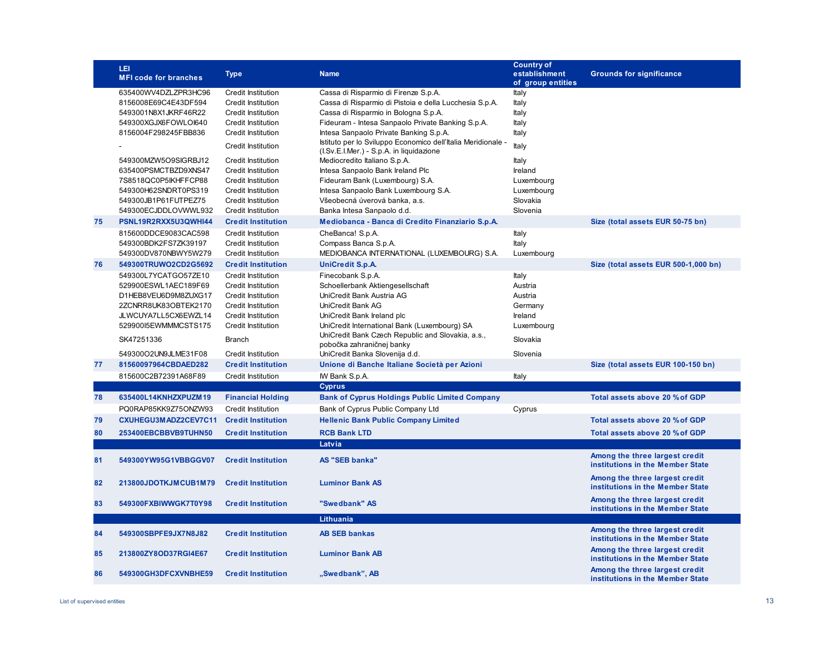|    | LEI<br><b>MFI code for branches</b>          | <b>Type</b>                                            | <b>Name</b>                                                                                 | <b>Country of</b><br>establishment<br>of group entities | <b>Grounds for significance</b>                                    |
|----|----------------------------------------------|--------------------------------------------------------|---------------------------------------------------------------------------------------------|---------------------------------------------------------|--------------------------------------------------------------------|
|    | 635400WV4DZLZPR3HC96                         | <b>Credit Institution</b>                              | Cassa di Risparmio di Firenze S.p.A.                                                        | Italy                                                   |                                                                    |
|    | 8156008E69C4E43DF594                         | <b>Credit Institution</b>                              | Cassa di Risparmio di Pistoia e della Lucchesia S.p.A.                                      | Italy                                                   |                                                                    |
|    | 5493001N8X1JKRF46R22                         | <b>Credit Institution</b>                              | Cassa di Risparmio in Bologna S.p.A.                                                        | Italy                                                   |                                                                    |
|    | 549300XGJX6FOWLOI640<br>8156004F298245FBB836 | <b>Credit Institution</b><br><b>Credit Institution</b> | Fideuram - Intesa Sanpaolo Private Banking S.p.A.<br>Intesa Sanpaolo Private Banking S.p.A. | Italy<br>Italy                                          |                                                                    |
|    |                                              |                                                        | Istituto per lo Sviluppo Economico dell'Italia Meridionale -                                |                                                         |                                                                    |
|    |                                              | <b>Credit Institution</b>                              | (I.Sv.E.I.Mer.) - S.p.A. in liquidazione                                                    | Italy                                                   |                                                                    |
|    | 549300MZW5O9SIGRBJ12                         | <b>Credit Institution</b>                              | Mediocredito Italiano S.p.A.                                                                | Italy                                                   |                                                                    |
|    | 635400PSMCTBZD9XNS47                         | <b>Credit Institution</b>                              | Intesa Sanpaolo Bank Ireland Plc                                                            | Ireland                                                 |                                                                    |
|    | 7S8518QC0P5IKHFFCP88<br>549300H62SNDRT0PS319 | <b>Credit Institution</b>                              | Fideuram Bank (Luxembourg) S.A.                                                             | Luxembourg                                              |                                                                    |
|    | 549300JB1P61FUTPEZ75                         | <b>Credit Institution</b><br><b>Credit Institution</b> | Intesa Sanpaolo Bank Luxembourg S.A.<br>Všeobecná úverová banka, a.s.                       | Luxembourg<br>Slovakia                                  |                                                                    |
|    | 549300ECJDDLOVWWL932                         | <b>Credit Institution</b>                              | Banka Intesa Sanpaolo d.d.                                                                  | Slovenia                                                |                                                                    |
| 75 | PSNL19R2RXX5U3QWHI44                         | <b>Credit Institution</b>                              | Mediobanca - Banca di Credito Finanziario S.p.A.                                            |                                                         | Size (total assets EUR 50-75 bn)                                   |
|    | 815600DDCE9083CAC598                         | <b>Credit Institution</b>                              | CheBanca! S.p.A.                                                                            | Italy                                                   |                                                                    |
|    | 549300BDK2FS7ZK39197                         | <b>Credit Institution</b>                              | Compass Banca S.p.A.                                                                        | Italy                                                   |                                                                    |
|    | 549300DV870NBWY5W279                         | <b>Credit Institution</b>                              | MEDIOBANCA INTERNATIONAL (LUXEMBOURG) S.A.                                                  | Luxembourg                                              |                                                                    |
| 76 | 549300TRUWO2CD2G5692                         | <b>Credit Institution</b>                              | <b>UniCredit S.p.A.</b>                                                                     |                                                         | Size (total assets EUR 500-1,000 bn)                               |
|    | 549300L7YCATGO57ZE10                         | <b>Credit Institution</b>                              | Finecobank S.p.A.                                                                           | Italy                                                   |                                                                    |
|    | 529900ESWL1AEC189F69                         | <b>Credit Institution</b>                              | Schoellerbank Aktiengesellschaft                                                            | Austria                                                 |                                                                    |
|    | D1HEB8VEU6D9M8ZUXG17<br>2ZCNRR8UK83OBTEK2170 | <b>Credit Institution</b><br><b>Credit Institution</b> | UniCredit Bank Austria AG<br>UniCredit Bank AG                                              | Austria<br>Germany                                      |                                                                    |
|    | JLWCUYA7LL5CX6EWZL14                         | <b>Credit Institution</b>                              | UniCredit Bank Ireland plc                                                                  | Ireland                                                 |                                                                    |
|    | 52990015EWMMMCSTS175                         | <b>Credit Institution</b>                              | UniCredit International Bank (Luxembourg) SA                                                | Luxembourg                                              |                                                                    |
|    | SK47251336                                   | Branch                                                 | UniCredit Bank Czech Republic and Slovakia, a.s.,                                           | Slovakia                                                |                                                                    |
|    | 549300O2UN9JLME31F08                         | <b>Credit Institution</b>                              | pobočka zahraničnej banky<br>UniCredit Banka Slovenija d.d.                                 | Slovenia                                                |                                                                    |
| 77 | 81560097964CBDAED282                         | <b>Credit Institution</b>                              | Unione di Banche Italiane Società per Azioni                                                |                                                         | Size (total assets EUR 100-150 bn)                                 |
|    | 815600C2B72391A68F89                         | <b>Credit Institution</b>                              | IW Bank S.p.A.                                                                              | Italy                                                   |                                                                    |
|    |                                              |                                                        | <b>Cyprus</b>                                                                               |                                                         |                                                                    |
| 78 | 635400L14KNHZXPUZM19                         | <b>Financial Holding</b>                               | <b>Bank of Cyprus Holdings Public Limited Company</b>                                       |                                                         | Total assets above 20 % of GDP                                     |
|    | PQ0RAP85KK9Z75ONZW93                         | <b>Credit Institution</b>                              | Bank of Cyprus Public Company Ltd                                                           | Cyprus                                                  |                                                                    |
| 79 | CXUHEGU3MADZ2CEV7C11                         | <b>Credit Institution</b>                              | <b>Hellenic Bank Public Company Limited</b>                                                 |                                                         | Total assets above 20 % of GDP                                     |
| 80 | 253400EBCBBVB9TUHN50                         | <b>Credit Institution</b>                              | <b>RCB Bank LTD</b>                                                                         |                                                         | Total assets above 20 % of GDP                                     |
|    |                                              |                                                        | Latvia                                                                                      |                                                         |                                                                    |
| 81 | 549300YW95G1VBBGGV07                         | <b>Credit Institution</b>                              | <b>AS "SEB banka"</b>                                                                       |                                                         | Among the three largest credit<br>institutions in the Member State |
| 82 | 213800JDOTKJMCUB1M79                         | <b>Credit Institution</b>                              | <b>Luminor Bank AS</b>                                                                      |                                                         | Among the three largest credit<br>institutions in the Member State |
| 83 | 549300FXBIWWGK7T0Y98                         | <b>Credit Institution</b>                              | "Swedbank" AS                                                                               |                                                         | Among the three largest credit<br>institutions in the Member State |
|    |                                              |                                                        | <b>Lithuania</b>                                                                            |                                                         |                                                                    |
| 84 | 549300SBPFE9JX7N8J82                         | <b>Credit Institution</b>                              | <b>AB SEB bankas</b>                                                                        |                                                         | Among the three largest credit<br>institutions in the Member State |
| 85 | 213800ZY8OD37RGI4E67                         | <b>Credit Institution</b>                              | <b>Luminor Bank AB</b>                                                                      |                                                         | Among the three largest credit<br>institutions in the Member State |
| 86 | 549300GH3DFCXVNBHE59                         | <b>Credit Institution</b>                              | "Swedbank", AB                                                                              |                                                         | Among the three largest credit<br>institutions in the Member State |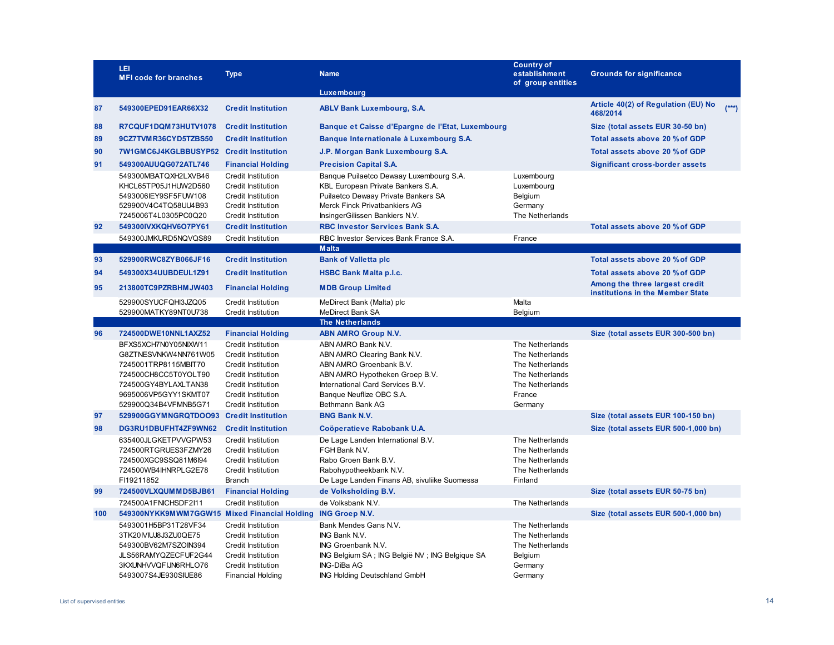|     | LEI<br><b>MFI code for branches</b>                                                                                                                                  | <b>Type</b>                                                                                                                                                                                      | <b>Name</b>                                                                                                                                                                                        | <b>Country of</b><br>establishment<br>of group entities                                                          | <b>Grounds for significance</b>                                    |
|-----|----------------------------------------------------------------------------------------------------------------------------------------------------------------------|--------------------------------------------------------------------------------------------------------------------------------------------------------------------------------------------------|----------------------------------------------------------------------------------------------------------------------------------------------------------------------------------------------------|------------------------------------------------------------------------------------------------------------------|--------------------------------------------------------------------|
|     |                                                                                                                                                                      |                                                                                                                                                                                                  | Luxembourg                                                                                                                                                                                         |                                                                                                                  |                                                                    |
| 87  | 549300EPED91EAR66X32                                                                                                                                                 | <b>Credit Institution</b>                                                                                                                                                                        | <b>ABLV Bank Luxembourg, S.A.</b>                                                                                                                                                                  |                                                                                                                  | Article 40(2) of Regulation (EU) No<br>$(***)$<br>468/2014         |
| 88  | R7CQUF1DQM73HUTV1078                                                                                                                                                 | <b>Credit Institution</b>                                                                                                                                                                        | Banque et Caisse d'Epargne de l'Etat, Luxembourg                                                                                                                                                   |                                                                                                                  | Size (total assets EUR 30-50 bn)                                   |
| 89  | 9CZ7TVMR36CYD5TZBS50                                                                                                                                                 | <b>Credit Institution</b>                                                                                                                                                                        | Banque Internationale à Luxembourg S.A.                                                                                                                                                            |                                                                                                                  | Total assets above 20 % of GDP                                     |
| 90  | 7W1GMC6J4KGLBBUSYP52 Credit Institution                                                                                                                              |                                                                                                                                                                                                  | J.P. Morgan Bank Luxembourg S.A.                                                                                                                                                                   |                                                                                                                  | Total assets above 20 % of GDP                                     |
| 91  | 549300AUUQG072ATL746                                                                                                                                                 | <b>Financial Holding</b>                                                                                                                                                                         | <b>Precision Capital S.A.</b>                                                                                                                                                                      |                                                                                                                  | <b>Significant cross-border assets</b>                             |
|     | 549300MBATQXH2LXVB46<br>KHCL65TP05J1HUW2D560<br>5493006IEY9SF5FUW108<br>529900V4C4TQ58UU4B93<br>7245006T4L0305PC0Q20                                                 | <b>Credit Institution</b><br><b>Credit Institution</b><br><b>Credit Institution</b><br><b>Credit Institution</b><br><b>Credit Institution</b>                                                    | Banque Puilaetco Dewaay Luxembourg S.A.<br>KBL European Private Bankers S.A.<br>Puilaetco Dewaay Private Bankers SA<br>Merck Finck Privatbankiers AG<br>InsingerGilissen Bankiers N.V.             | Luxembourg<br>Luxembourg<br><b>Belgium</b><br>Germany<br>The Netherlands                                         |                                                                    |
| 92  | 549300IVXKQHV6O7PY61                                                                                                                                                 | <b>Credit Institution</b>                                                                                                                                                                        | <b>RBC Investor Services Bank S.A.</b>                                                                                                                                                             |                                                                                                                  | Total assets above 20 % of GDP                                     |
|     | 549300JMKURD5NQVQS89                                                                                                                                                 | <b>Credit Institution</b>                                                                                                                                                                        | RBC Investor Services Bank France S.A.                                                                                                                                                             | France                                                                                                           |                                                                    |
|     |                                                                                                                                                                      |                                                                                                                                                                                                  | <b>Malta</b>                                                                                                                                                                                       |                                                                                                                  |                                                                    |
| 93  | 529900RWC8ZYB066JF16                                                                                                                                                 | <b>Credit Institution</b>                                                                                                                                                                        | <b>Bank of Valletta plc</b>                                                                                                                                                                        |                                                                                                                  | Total assets above 20 % of GDP                                     |
| 94  | 549300X34UUBDEUL1Z91                                                                                                                                                 | <b>Credit Institution</b>                                                                                                                                                                        | <b>HSBC Bank Malta p.l.c.</b>                                                                                                                                                                      |                                                                                                                  | Total assets above 20 % of GDP                                     |
| 95  | 213800TC9PZRBHMJW403                                                                                                                                                 | <b>Financial Holding</b>                                                                                                                                                                         | <b>MDB Group Limited</b>                                                                                                                                                                           |                                                                                                                  | Among the three largest credit<br>institutions in the Member State |
|     | 529900SYUCFQHI3JZQ05                                                                                                                                                 | <b>Credit Institution</b>                                                                                                                                                                        | MeDirect Bank (Malta) plc                                                                                                                                                                          | Malta                                                                                                            |                                                                    |
|     | 529900MATKY89NT0U738                                                                                                                                                 | <b>Credit Institution</b>                                                                                                                                                                        | <b>MeDirect Bank SA</b><br><b>The Netherlands</b>                                                                                                                                                  | Belgium                                                                                                          |                                                                    |
| 96  | 724500DWE10NNL1AXZ52                                                                                                                                                 | <b>Financial Holding</b>                                                                                                                                                                         | <b>ABN AMRO Group N.V.</b>                                                                                                                                                                         |                                                                                                                  | Size (total assets EUR 300-500 bn)                                 |
|     | BFXS5XCH7N0Y05NIXW11<br>G8ZTNESVNKW4NN761W05<br>7245001TRP8115MBIT70<br>724500CH8CC5T0YOLT90<br>724500GY4BYLAXLTAN38<br>9695006VP5GYY1SKMT07<br>529900Q34B4VFMNB5G71 | <b>Credit Institution</b><br><b>Credit Institution</b><br><b>Credit Institution</b><br><b>Credit Institution</b><br><b>Credit Institution</b><br><b>Credit Institution</b><br>Credit Institution | ABN AMRO Bank N.V.<br>ABN AMRO Clearing Bank N.V.<br>ABN AMRO Groenbank B.V.<br>ABN AMRO Hypotheken Groep B.V.<br>International Card Services B.V.<br>Banque Neuflize OBC S.A.<br>Bethmann Bank AG | The Netherlands<br>The Netherlands<br>The Netherlands<br>The Netherlands<br>The Netherlands<br>France<br>Germany |                                                                    |
| 97  | 529900GGYMNGRQTDOO93 Credit Institution                                                                                                                              |                                                                                                                                                                                                  | <b>BNG Bank N.V.</b>                                                                                                                                                                               |                                                                                                                  | Size (total assets EUR 100-150 bn)                                 |
| 98  | DG3RU1DBUFHT4ZF9WN62                                                                                                                                                 | <b>Credit Institution</b>                                                                                                                                                                        | Coöperatieve Rabobank U.A.                                                                                                                                                                         |                                                                                                                  | Size (total assets EUR 500-1,000 bn)                               |
|     | 635400JLGKETPVVGPW53<br>724500RTGRUES3FZMY26<br>724500XGC9SSQ81M6l94<br>724500WB4IHNRPLG2E78<br>FI19211852                                                           | <b>Credit Institution</b><br><b>Credit Institution</b><br><b>Credit Institution</b><br><b>Credit Institution</b><br><b>Branch</b>                                                                | De Lage Landen International B.V.<br>FGH Bank N.V.<br>Rabo Groen Bank B.V.<br>Rabohypotheekbank N.V.<br>De Lage Landen Finans AB, sivuliike Suomessa                                               | The Netherlands<br>The Netherlands<br>The Netherlands<br>The Netherlands<br>Finland                              |                                                                    |
| 99  | 724500VLXQUMMD5BJB61                                                                                                                                                 | <b>Financial Holding</b>                                                                                                                                                                         | de Volksholding B.V.                                                                                                                                                                               |                                                                                                                  | Size (total assets EUR 50-75 bn)                                   |
|     | 724500A1FNICHSDF2I11                                                                                                                                                 | <b>Credit Institution</b>                                                                                                                                                                        | de Volksbank N.V.                                                                                                                                                                                  | The Netherlands                                                                                                  |                                                                    |
| 100 | 549300NYKK9MWM7GGW15 Mixed Financial Holding                                                                                                                         |                                                                                                                                                                                                  | <b>ING Groep N.V.</b>                                                                                                                                                                              |                                                                                                                  | Size (total assets EUR 500-1,000 bn)                               |
|     | 5493001H5BP31T28VF34<br>3TK20IVIUJ8J3ZU0QE75<br>549300BV62M7SZOIN394<br>JLS56RAMYQZECFUF2G44<br>3KXUNHVVQFIJN6RHLO76<br>5493007S4JE930SIUE86                         | <b>Credit Institution</b><br><b>Credit Institution</b><br><b>Credit Institution</b><br><b>Credit Institution</b><br><b>Credit Institution</b><br><b>Financial Holding</b>                        | Bank Mendes Gans N.V.<br>ING Bank N.V.<br>ING Groenbank N.V.<br>ING Belgium SA; ING België NV; ING Belgique SA<br>ING-DiBa AG<br>ING Holding Deutschland GmbH                                      | The Netherlands<br>The Netherlands<br>The Netherlands<br>Belgium<br>Germany<br>Germany                           |                                                                    |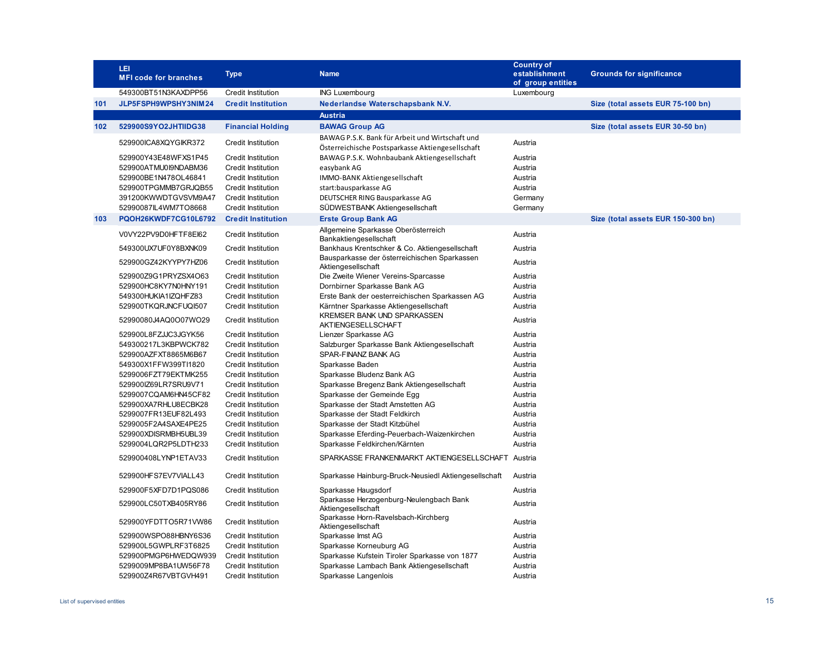|     | LEI<br><b>MFI code for branches</b>                                                                                                          | <b>Type</b>                                                                                                                                                                | <b>Name</b>                                                                                                                                                                             | <b>Country of</b><br>establishment<br>of group entities        | <b>Grounds for significance</b>    |
|-----|----------------------------------------------------------------------------------------------------------------------------------------------|----------------------------------------------------------------------------------------------------------------------------------------------------------------------------|-----------------------------------------------------------------------------------------------------------------------------------------------------------------------------------------|----------------------------------------------------------------|------------------------------------|
|     | 549300BT51N3KAXDPP56                                                                                                                         | Credit Institution                                                                                                                                                         | <b>ING Luxembourg</b>                                                                                                                                                                   | Luxembourg                                                     |                                    |
| 101 | JLP5FSPH9WPSHY3NIM24                                                                                                                         | <b>Credit Institution</b>                                                                                                                                                  | Nederlandse Waterschapsbank N.V.                                                                                                                                                        |                                                                | Size (total assets EUR 75-100 bn)  |
|     |                                                                                                                                              |                                                                                                                                                                            | <b>Austria</b>                                                                                                                                                                          |                                                                |                                    |
| 102 | 529900S9YO2JHTIIDG38                                                                                                                         | <b>Financial Holding</b>                                                                                                                                                   | <b>BAWAG Group AG</b>                                                                                                                                                                   |                                                                | Size (total assets EUR 30-50 bn)   |
|     | 529900ICA8XQYGIKR372                                                                                                                         | <b>Credit Institution</b>                                                                                                                                                  | BAWAG P.S.K. Bank für Arbeit und Wirtschaft und<br>Österreichische Postsparkasse Aktiengesellschaft                                                                                     | Austria                                                        |                                    |
|     | 529900Y43E48WFXS1P45<br>529900ATMU0I9NDABM36<br>529900BE1N478OL46841<br>529900TPGMMB7GRJQB55<br>391200KWWDTGVSVM9A47<br>52990087IL4WM7TO8668 | <b>Credit Institution</b><br><b>Credit Institution</b><br><b>Credit Institution</b><br><b>Credit Institution</b><br><b>Credit Institution</b><br><b>Credit Institution</b> | BAWAG P.S.K. Wohnbaubank Aktiengesellschaft<br>easybank AG<br>IMMO-BANK Aktiengesellschaft<br>start:bausparkasse AG<br>DEUTSCHER RING Bausparkasse AG<br>SÜDWESTBANK Aktiengesellschaft | Austria<br>Austria<br>Austria<br>Austria<br>Germany<br>Germany |                                    |
| 103 | PQOH26KWDF7CG10L6792                                                                                                                         | <b>Credit Institution</b>                                                                                                                                                  | <b>Erste Group Bank AG</b>                                                                                                                                                              |                                                                | Size (total assets EUR 150-300 bn) |
|     | V0VY22PV9D0HFTF8El62                                                                                                                         | Credit Institution                                                                                                                                                         | Allgemeine Sparkasse Oberösterreich<br>Bankaktiengesellschaft                                                                                                                           | Austria                                                        |                                    |
|     | 549300UX7UF0Y8BXNK09                                                                                                                         | <b>Credit Institution</b>                                                                                                                                                  | Bankhaus Krentschker & Co. Aktiengesellschaft                                                                                                                                           | Austria                                                        |                                    |
|     | 529900GZ42KYYPY7HZ06                                                                                                                         | <b>Credit Institution</b>                                                                                                                                                  | Bausparkasse der österreichischen Sparkassen<br>Aktiengesellschaft                                                                                                                      | Austria                                                        |                                    |
|     | 529900Z9G1PRYZSX4O63                                                                                                                         | <b>Credit Institution</b>                                                                                                                                                  | Die Zweite Wiener Vereins-Sparcasse                                                                                                                                                     | Austria                                                        |                                    |
|     | 529900HC8KY7N0HNY191                                                                                                                         | <b>Credit Institution</b>                                                                                                                                                  | Dornbirner Sparkasse Bank AG                                                                                                                                                            | Austria                                                        |                                    |
|     | 549300HUKIA1IZQHFZ83                                                                                                                         | <b>Credit Institution</b>                                                                                                                                                  | Erste Bank der oesterreichischen Sparkassen AG                                                                                                                                          | Austria                                                        |                                    |
|     | 529900TKQRJNCFUQI507                                                                                                                         | <b>Credit Institution</b>                                                                                                                                                  | Kärntner Sparkasse Aktiengesellschaft                                                                                                                                                   | Austria                                                        |                                    |
|     | 52990080J4AQ0O07WO29                                                                                                                         | <b>Credit Institution</b>                                                                                                                                                  | <b>KREMSER BANK UND SPARKASSEN</b><br>AKTIENGESELLSCHAFT                                                                                                                                | Austria                                                        |                                    |
|     | 529900L8FZJJC3JGYK56                                                                                                                         | <b>Credit Institution</b>                                                                                                                                                  | Lienzer Sparkasse AG                                                                                                                                                                    | Austria                                                        |                                    |
|     | 549300217L3KBPWCK782                                                                                                                         | <b>Credit Institution</b>                                                                                                                                                  | Salzburger Sparkasse Bank Aktiengesellschaft                                                                                                                                            | Austria                                                        |                                    |
|     | 529900AZFXT8865M6B67                                                                                                                         | <b>Credit Institution</b>                                                                                                                                                  | SPAR-FINANZ BANK AG                                                                                                                                                                     | Austria                                                        |                                    |
|     | 549300X1FFW399TI1820                                                                                                                         | <b>Credit Institution</b>                                                                                                                                                  | Sparkasse Baden                                                                                                                                                                         | Austria                                                        |                                    |
|     | 5299006FZT79EKTMK255                                                                                                                         | <b>Credit Institution</b>                                                                                                                                                  | Sparkasse Bludenz Bank AG                                                                                                                                                               | Austria                                                        |                                    |
|     | 529900IZ69LR7SRU9V71                                                                                                                         | <b>Credit Institution</b>                                                                                                                                                  | Sparkasse Bregenz Bank Aktiengesellschaft                                                                                                                                               | Austria                                                        |                                    |
|     | 5299007CQAM6HN45CF82                                                                                                                         | <b>Credit Institution</b>                                                                                                                                                  | Sparkasse der Gemeinde Egg                                                                                                                                                              | Austria                                                        |                                    |
|     | 529900XA7RHLU8ECBK28                                                                                                                         | Credit Institution                                                                                                                                                         | Sparkasse der Stadt Amstetten AG                                                                                                                                                        | Austria                                                        |                                    |
|     | 5299007FR13EUF82L493                                                                                                                         | <b>Credit Institution</b>                                                                                                                                                  | Sparkasse der Stadt Feldkirch                                                                                                                                                           | Austria                                                        |                                    |
|     | 5299005F2A4SAXE4PE25                                                                                                                         | Credit Institution                                                                                                                                                         | Sparkasse der Stadt Kitzbühel                                                                                                                                                           | Austria                                                        |                                    |
|     | 529900XDISRMBH5UBL39                                                                                                                         | <b>Credit Institution</b>                                                                                                                                                  | Sparkasse Eferding-Peuerbach-Waizenkirchen                                                                                                                                              | Austria                                                        |                                    |
|     | 5299004LQR2P5LDTH233                                                                                                                         | <b>Credit Institution</b>                                                                                                                                                  | Sparkasse Feldkirchen/Kärnten                                                                                                                                                           | Austria                                                        |                                    |
|     | 529900408LYNP1ETAV33                                                                                                                         | <b>Credit Institution</b>                                                                                                                                                  | SPARKASSE FRANKENMARKT AKTIENGESELLSCHAFT Austria                                                                                                                                       |                                                                |                                    |
|     | 529900HFS7EV7VIALL43                                                                                                                         | <b>Credit Institution</b>                                                                                                                                                  | Sparkasse Hainburg-Bruck-Neusiedl Aktiengesellschaft                                                                                                                                    | Austria                                                        |                                    |
|     | 529900F5XFD7D1PQS086                                                                                                                         | <b>Credit Institution</b>                                                                                                                                                  | Sparkasse Haugsdorf                                                                                                                                                                     | Austria                                                        |                                    |
|     | 529900LC50TXB405RY86                                                                                                                         | <b>Credit Institution</b>                                                                                                                                                  | Sparkasse Herzogenburg-Neulengbach Bank<br>Aktiengesellschaft                                                                                                                           | Austria                                                        |                                    |
|     | 529900YFDTTO5R71VW86                                                                                                                         | <b>Credit Institution</b>                                                                                                                                                  | Sparkasse Horn-Ravelsbach-Kirchberg<br>Aktiengesellschaft                                                                                                                               | Austria                                                        |                                    |
|     | 529900WSPO88HBNY6S36                                                                                                                         | Credit Institution                                                                                                                                                         | Sparkasse Imst AG                                                                                                                                                                       | Austria                                                        |                                    |
|     | 529900L5GWPLRF3T6825                                                                                                                         | <b>Credit Institution</b>                                                                                                                                                  | Sparkasse Korneuburg AG                                                                                                                                                                 | Austria                                                        |                                    |
|     | 529900PMGP6HWEDQW939                                                                                                                         | <b>Credit Institution</b>                                                                                                                                                  | Sparkasse Kufstein Tiroler Sparkasse von 1877                                                                                                                                           | Austria                                                        |                                    |
|     | 5299009MP8BA1UW56F78                                                                                                                         | <b>Credit Institution</b>                                                                                                                                                  | Sparkasse Lambach Bank Aktiengesellschaft                                                                                                                                               | Austria                                                        |                                    |
|     | 529900Z4R67VBTGVH491                                                                                                                         | <b>Credit Institution</b>                                                                                                                                                  | Sparkasse Langenlois                                                                                                                                                                    | Austria                                                        |                                    |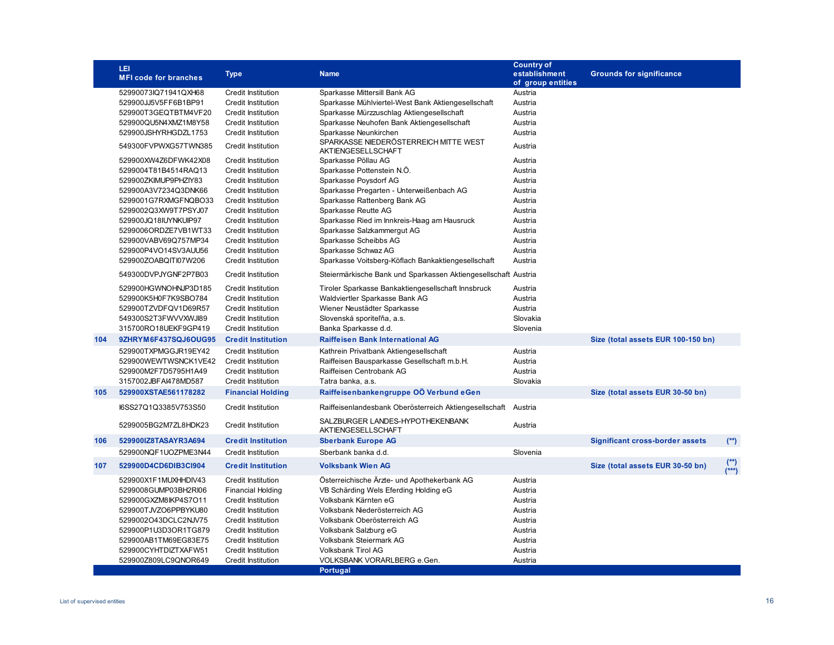|     | LEI<br><b>MFI code for branches</b> | <b>Type</b>               | <b>Name</b>                                                    | <b>Country of</b><br>establishment<br>of group entities | <b>Grounds for significance</b>        |                  |
|-----|-------------------------------------|---------------------------|----------------------------------------------------------------|---------------------------------------------------------|----------------------------------------|------------------|
|     | 52990073lQ71941QXH68                | <b>Credit Institution</b> | Sparkasse Mittersill Bank AG                                   | Austria                                                 |                                        |                  |
|     | 529900JJ5V5FF6B1BP91                | <b>Credit Institution</b> | Sparkasse Mühlviertel-West Bank Aktiengesellschaft             | Austria                                                 |                                        |                  |
|     | 529900T3GEQTBTM4VF20                | <b>Credit Institution</b> | Sparkasse Mürzzuschlag Aktiengesellschaft                      | Austria                                                 |                                        |                  |
|     | 529900QU5N4XMZ1M8Y58                | Credit Institution        | Sparkasse Neuhofen Bank Aktiengesellschaft                     | Austria                                                 |                                        |                  |
|     | 529900JSHYRHGDZL1753                | Credit Institution        | Sparkasse Neunkirchen                                          | Austria                                                 |                                        |                  |
|     | 549300FVPWXG57TWN385                | <b>Credit Institution</b> | SPARKASSE NIEDERÖSTERREICH MITTE WEST<br>AKTIENGESELLSCHAFT    | Austria                                                 |                                        |                  |
|     | 529900XW4Z6DFWK42X08                | Credit Institution        | Sparkasse Pöllau AG                                            | Austria                                                 |                                        |                  |
|     | 5299004T81B4514RAQ13                | <b>Credit Institution</b> | Sparkasse Pottenstein N.Ö.                                     | Austria                                                 |                                        |                  |
|     | 529900ZKIMUP9PHZIY83                | Credit Institution        | Sparkasse Poysdorf AG                                          | Austria                                                 |                                        |                  |
|     | 529900A3V7234Q3DNK66                | <b>Credit Institution</b> | Sparkasse Pregarten - Unterweißenbach AG                       | Austria                                                 |                                        |                  |
|     | 5299001G7RXMGFNQBO33                | <b>Credit Institution</b> | Sparkasse Rattenberg Bank AG                                   | Austria                                                 |                                        |                  |
|     | 5299002Q3XW9T7PSYJ07                | <b>Credit Institution</b> | Sparkasse Reutte AG                                            | Austria                                                 |                                        |                  |
|     | 529900JQ18IUYNKUIP97                | <b>Credit Institution</b> | Sparkasse Ried im Innkreis-Haag am Hausruck                    | Austria                                                 |                                        |                  |
|     | 5299006ORDZE7VB1WT33                | <b>Credit Institution</b> | Sparkasse Salzkammergut AG                                     | Austria                                                 |                                        |                  |
|     | 529900VABV69Q757MP34                | Credit Institution        | Sparkasse Scheibbs AG                                          | Austria                                                 |                                        |                  |
|     | 529900P4VO14SV3AUU56                | Credit Institution        | Sparkasse Schwaz AG                                            | Austria                                                 |                                        |                  |
|     | 529900ZOABQITI07W206                | <b>Credit Institution</b> | Sparkasse Voitsberg-Köflach Bankaktiengesellschaft             | Austria                                                 |                                        |                  |
|     | 549300DVPJYGNF2P7B03                | Credit Institution        | Steiermärkische Bank und Sparkassen Aktiengesellschaft Austria |                                                         |                                        |                  |
|     | 529900HGWNOHNJP3D185                | <b>Credit Institution</b> | Tiroler Sparkasse Bankaktiengesellschaft Innsbruck             | Austria                                                 |                                        |                  |
|     | 529900K5H0F7K9SBO784                | <b>Credit Institution</b> | Waldviertler Sparkasse Bank AG                                 | Austria                                                 |                                        |                  |
|     | 529900TZVDFQV1D69R57                | <b>Credit Institution</b> | Wiener Neustädter Sparkasse                                    | Austria                                                 |                                        |                  |
|     | 549300S2T3FWVVXWJI89                | <b>Credit Institution</b> | Slovenská sporiteľňa, a.s.                                     | Slovakia                                                |                                        |                  |
|     | 315700RO18UEKF9GP419                | <b>Credit Institution</b> | Banka Sparkasse d.d.                                           | Slovenia                                                |                                        |                  |
| 104 | 9ZHRYM6F437SQJ6OUG95                | <b>Credit Institution</b> | <b>Raiffeisen Bank International AG</b>                        |                                                         | Size (total assets EUR 100-150 bn)     |                  |
|     | 529900TXPMGGJR19EY42                | <b>Credit Institution</b> | Kathrein Privatbank Aktiengesellschaft                         | Austria                                                 |                                        |                  |
|     | 529900WEWTWSNCK1VE42                | Credit Institution        | Raiffeisen Bausparkasse Gesellschaft m.b.H.                    | Austria                                                 |                                        |                  |
|     | 529900M2F7D5795H1A49                | <b>Credit Institution</b> | Raiffeisen Centrobank AG                                       | Austria                                                 |                                        |                  |
|     | 3157002JBFAI478MD587                | <b>Credit Institution</b> | Tatra banka, a.s.                                              | Slovakia                                                |                                        |                  |
| 105 | 529900XSTAE561178282                | <b>Financial Holding</b>  | Raiffeisenbankengruppe OÖ Verbund eGen                         |                                                         | Size (total assets EUR 30-50 bn)       |                  |
|     | I6SS27Q1Q3385V753S50                | <b>Credit Institution</b> | Raiffeisenlandesbank Oberösterreich Aktiengesellschaft         | Austria                                                 |                                        |                  |
|     | 5299005BG2M7ZL8HDK23                | <b>Credit Institution</b> | SALZBURGER LANDES-HYPOTHEKENBANK<br>AKTIENGESELLSCHAFT         | Austria                                                 |                                        |                  |
| 106 | 529900IZ8TASAYR3A694                | <b>Credit Institution</b> | <b>Sberbank Europe AG</b>                                      |                                                         | <b>Significant cross-border assets</b> | $(**)$           |
|     | 529900NQF1UOZPME3N44                | <b>Credit Institution</b> | Sberbank banka d.d.                                            | Slovenia                                                |                                        |                  |
| 107 | 529900D4CD6DIB3Cl904                | <b>Credit Institution</b> | <b>Volksbank Wien AG</b>                                       |                                                         | Size (total assets EUR 30-50 bn)       | $\binom{**}{**}$ |
|     | 529900X1F1MUXHHDIV43                | Credit Institution        | Österreichische Ärzte- und Apothekerbank AG                    | Austria                                                 |                                        |                  |
|     | 5299008GUMP03BH2RI06                | <b>Financial Holding</b>  | VB Schärding Wels Eferding Holding eG                          | Austria                                                 |                                        |                  |
|     | 529900GXZM8IKP4S7O11                | Credit Institution        | Volksbank Kärnten eG                                           | Austria                                                 |                                        |                  |
|     | 529900TJVZO6PPBYKU80                | <b>Credit Institution</b> | Volksbank Niederösterreich AG                                  | Austria                                                 |                                        |                  |
|     | 5299002O43DCLC2NJV75                | Credit Institution        | Volksbank Oberösterreich AG                                    | Austria                                                 |                                        |                  |
|     | 529900P1U3D3OR1TG879                | <b>Credit Institution</b> | Volksbank Salzburg eG                                          | Austria                                                 |                                        |                  |
|     | 529900AB1TM69EG83E75                | <b>Credit Institution</b> | <b>Volksbank Steiermark AG</b>                                 | Austria                                                 |                                        |                  |
|     | 529900CYHTDIZTXAFW51                | <b>Credit Institution</b> | <b>Volksbank Tirol AG</b>                                      | Austria                                                 |                                        |                  |
|     | 529900Z809LC9QNOR649                | <b>Credit Institution</b> | VOLKSBANK VORARLBERG e.Gen.                                    | Austria                                                 |                                        |                  |
|     |                                     |                           | <b>Portugal</b>                                                |                                                         |                                        |                  |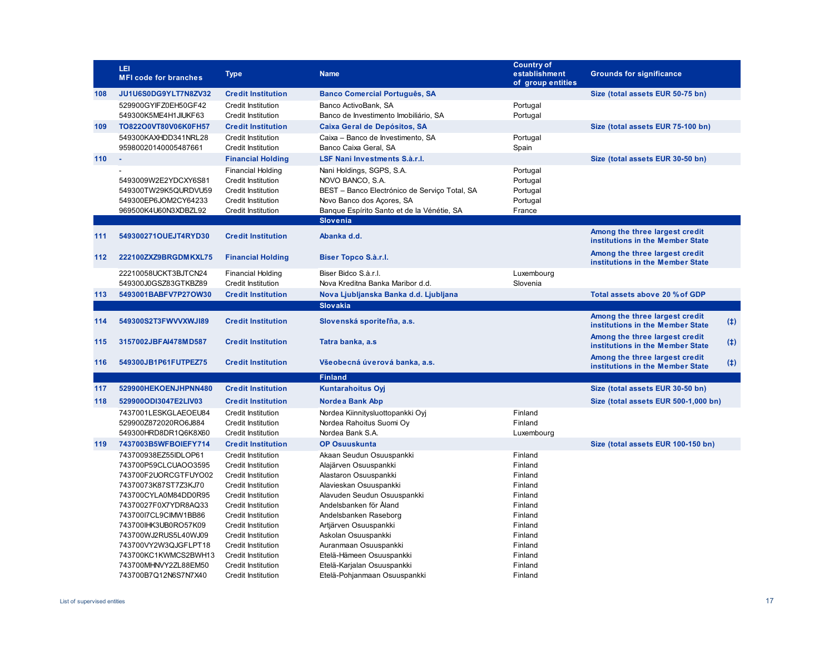|     | LEI<br><b>MFI code for branches</b>                                                          | <b>Type</b>                                                                                                                           | <b>Name</b>                                                                                                                                                                                  | <b>Country of</b><br>establishment<br>of group entities | <b>Grounds for significance</b>                                           |
|-----|----------------------------------------------------------------------------------------------|---------------------------------------------------------------------------------------------------------------------------------------|----------------------------------------------------------------------------------------------------------------------------------------------------------------------------------------------|---------------------------------------------------------|---------------------------------------------------------------------------|
| 108 | JU1U6S0DG9YLT7N8ZV32                                                                         | <b>Credit Institution</b>                                                                                                             | <b>Banco Comercial Português, SA</b>                                                                                                                                                         |                                                         | Size (total assets EUR 50-75 bn)                                          |
|     | 529900GYIFZ0EH50GF42<br>549300K5ME4H1JIUKF63                                                 | <b>Credit Institution</b><br><b>Credit Institution</b>                                                                                | Banco ActivoBank, SA<br>Banco de Investimento Imobiliário, SA                                                                                                                                | Portugal<br>Portugal                                    |                                                                           |
| 109 | TO822O0VT80V06K0FH57                                                                         | <b>Credit Institution</b>                                                                                                             | Caixa Geral de Depósitos, SA                                                                                                                                                                 |                                                         | Size (total assets EUR 75-100 bn)                                         |
|     | 549300KAXHDD341NRL28<br>95980020140005487661                                                 | <b>Credit Institution</b><br><b>Credit Institution</b>                                                                                | Caixa - Banco de Investimento, SA<br>Banco Caixa Geral, SA                                                                                                                                   | Portugal<br>Spain                                       |                                                                           |
| 110 | $\sim$                                                                                       | <b>Financial Holding</b>                                                                                                              | LSF Nani Investments S.à.r.l.                                                                                                                                                                |                                                         | Size (total assets EUR 30-50 bn)                                          |
|     | 5493009W2E2YDCXY6S81<br>549300TW29K5QURDVU59<br>549300EP6JOM2CY64233<br>969500K4U60N3XDBZL92 | <b>Financial Holding</b><br><b>Credit Institution</b><br><b>Credit Institution</b><br><b>Credit Institution</b><br>Credit Institution | Nani Holdings, SGPS, S.A.<br>NOVO BANCO, S.A.<br>BEST - Banco Electrónico de Serviço Total, SA<br>Novo Banco dos Açores, SA<br>Banque Espírito Santo et de la Vénétie, SA<br><b>Slovenia</b> | Portugal<br>Portugal<br>Portugal<br>Portugal<br>France  |                                                                           |
|     |                                                                                              |                                                                                                                                       |                                                                                                                                                                                              |                                                         | Among the three largest credit                                            |
| 111 | 549300271OUEJT4RYD30                                                                         | <b>Credit Institution</b>                                                                                                             | Abanka d.d.                                                                                                                                                                                  |                                                         | institutions in the Member State                                          |
| 112 | 222100ZXZ9BRGDMKXL75                                                                         | <b>Financial Holding</b>                                                                                                              | Biser Topco S.à.r.l.                                                                                                                                                                         |                                                         | Among the three largest credit<br>institutions in the Member State        |
|     | 22210058UCKT3BJTCN24                                                                         | <b>Financial Holding</b>                                                                                                              | Biser Bidco S.à.r.l.                                                                                                                                                                         | Luxembourg                                              |                                                                           |
|     | 549300J0GSZ83GTKBZ89                                                                         | <b>Credit Institution</b>                                                                                                             | Nova Kreditna Banka Maribor d.d.                                                                                                                                                             | Slovenia                                                |                                                                           |
| 113 | 5493001BABFV7P27OW30                                                                         | <b>Credit Institution</b>                                                                                                             | Nova Ljubljanska Banka d.d. Ljubljana                                                                                                                                                        |                                                         | Total assets above 20 % of GDP                                            |
|     |                                                                                              |                                                                                                                                       | <b>Slovakia</b>                                                                                                                                                                              |                                                         |                                                                           |
| 114 | 549300S2T3FWVVXWJI89                                                                         | <b>Credit Institution</b>                                                                                                             | Slovenská sporiteľňa, a.s.                                                                                                                                                                   |                                                         | Among the three largest credit<br>(4)<br>institutions in the Member State |
| 115 | 3157002JBFAI478MD587                                                                         | <b>Credit Institution</b>                                                                                                             | Tatra banka, a.s                                                                                                                                                                             |                                                         | Among the three largest credit<br>(4)<br>institutions in the Member State |
| 116 | 549300JB1P61FUTPEZ75                                                                         | <b>Credit Institution</b>                                                                                                             | Všeobecná úverová banka, a.s.                                                                                                                                                                |                                                         | Among the three largest credit<br>(4)<br>institutions in the Member State |
|     |                                                                                              |                                                                                                                                       | <b>Finland</b>                                                                                                                                                                               |                                                         |                                                                           |
| 117 | 529900HEKOENJHPNN480                                                                         | <b>Credit Institution</b>                                                                                                             | <b>Kuntarahoitus Oyj</b>                                                                                                                                                                     |                                                         | Size (total assets EUR 30-50 bn)                                          |
| 118 | 529900ODI3047E2LIV03                                                                         | <b>Credit Institution</b>                                                                                                             | <b>Nordea Bank Abp</b>                                                                                                                                                                       |                                                         | Size (total assets EUR 500-1,000 bn)                                      |
|     | 7437001LESKGLAEOEU84<br>529900Z872020RO6J884                                                 | <b>Credit Institution</b><br><b>Credit Institution</b>                                                                                | Nordea Kiinnitysluottopankki Oyj<br>Nordea Rahoitus Suomi Oy                                                                                                                                 | Finland<br>Finland                                      |                                                                           |
|     | 549300HRD8DR1Q6K8X60                                                                         | <b>Credit Institution</b>                                                                                                             | Nordea Bank S.A.                                                                                                                                                                             | Luxembourg                                              |                                                                           |
| 119 | 7437003B5WFBOIEFY714                                                                         | <b>Credit Institution</b>                                                                                                             | <b>OP Osuuskunta</b>                                                                                                                                                                         |                                                         | Size (total assets EUR 100-150 bn)                                        |
|     | 743700938EZ55IDLOP61                                                                         | <b>Credit Institution</b>                                                                                                             | Akaan Seudun Osuuspankki                                                                                                                                                                     | Finland                                                 |                                                                           |
|     | 743700P59CLCUAOO3595                                                                         | Credit Institution                                                                                                                    | Alajärven Osuuspankki                                                                                                                                                                        | Finland                                                 |                                                                           |
|     | 743700F2UORCGTFUYO02<br>74370073K87ST7Z3KJ70                                                 | <b>Credit Institution</b><br><b>Credit Institution</b>                                                                                | Alastaron Osuuspankki<br>Alavieskan Osuuspankki                                                                                                                                              | Finland<br>Finland                                      |                                                                           |
|     | 743700CYLA0M84DD0R95                                                                         | Credit Institution                                                                                                                    | Alavuden Seudun Osuuspankki                                                                                                                                                                  | Finland                                                 |                                                                           |
|     | 74370027F0X7YDR8AQ33                                                                         | <b>Credit Institution</b>                                                                                                             | Andelsbanken för Åland                                                                                                                                                                       | Finland                                                 |                                                                           |
|     | 74370017CL9CIMW1BB86                                                                         | <b>Credit Institution</b>                                                                                                             | Andelsbanken Raseborg                                                                                                                                                                        | Finland                                                 |                                                                           |
|     | 743700IHK3UB0RO57K09                                                                         | <b>Credit Institution</b>                                                                                                             | Artjärven Osuuspankki                                                                                                                                                                        | Finland                                                 |                                                                           |
|     | 743700WJ2RUS5L40WJ09                                                                         | <b>Credit Institution</b>                                                                                                             | Askolan Osuuspankki                                                                                                                                                                          | Finland                                                 |                                                                           |
|     | 743700VY2W3QJGFLPT18                                                                         | Credit Institution                                                                                                                    | Auranmaan Osuuspankki                                                                                                                                                                        | Finland                                                 |                                                                           |
|     | 743700KC1KWMCS2BWH13<br>743700MHNVY2ZL88EM50                                                 | Credit Institution<br><b>Credit Institution</b>                                                                                       | Etelä-Hämeen Osuuspankki<br>Etelä-Karjalan Osuuspankki                                                                                                                                       | Finland<br>Finland                                      |                                                                           |
|     | 743700B7Q12N6S7N7X40                                                                         | <b>Credit Institution</b>                                                                                                             | Etelä-Pohjanmaan Osuuspankki                                                                                                                                                                 | Finland                                                 |                                                                           |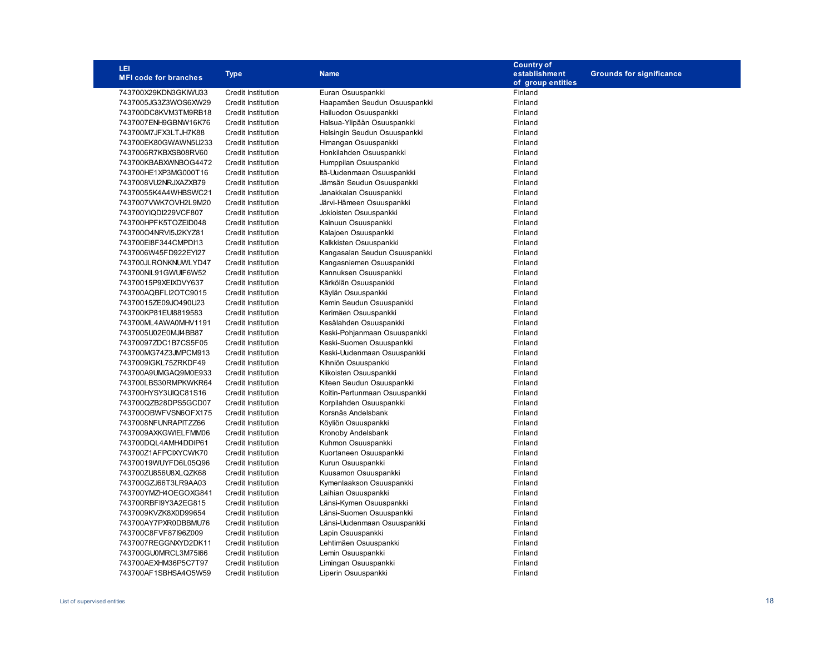| LEI                          |                           |                               | <b>Country of</b> |                                 |
|------------------------------|---------------------------|-------------------------------|-------------------|---------------------------------|
| <b>MFI code for branches</b> | <b>Type</b>               | <b>Name</b>                   | establishment     | <b>Grounds for significance</b> |
|                              |                           |                               | of group entities |                                 |
| 743700X29KDN3GKIWU33         | <b>Credit Institution</b> | Euran Osuuspankki             | Finland           |                                 |
| 7437005JG3Z3WOS6XW29         | <b>Credit Institution</b> | Haapamäen Seudun Osuuspankki  | Finland           |                                 |
| 743700DC8KVM3TM9RB18         | <b>Credit Institution</b> | Hailuodon Osuuspankki         | Finland           |                                 |
| 7437007ENH9GBNW16K76         | <b>Credit Institution</b> | Halsua-Ylipään Osuuspankki    | Finland           |                                 |
| 743700M7JFX3LTJH7K88         | <b>Credit Institution</b> | Helsingin Seudun Osuuspankki  | Finland           |                                 |
| 743700EK80GWAWN5U233         | <b>Credit Institution</b> | Himangan Osuuspankki          | Finland           |                                 |
| 7437006R7KBXSB08RV60         | <b>Credit Institution</b> | Honkilahden Osuuspankki       | Finland           |                                 |
| 743700KBABXWNBOG4472         | <b>Credit Institution</b> | Humppilan Osuuspankki         | Finland           |                                 |
| 743700HE1XP3MG000T16         | <b>Credit Institution</b> | Itä-Uudenmaan Osuuspankki     | Finland           |                                 |
| 7437008VU2NRJXAZXB79         | <b>Credit Institution</b> | Jämsän Seudun Osuuspankki     | Finland           |                                 |
| 74370055K4A4WHBSWC21         | <b>Credit Institution</b> | Janakkalan Osuuspankki        | Finland           |                                 |
| 7437007VWK7OVH2L9M20         | <b>Credit Institution</b> | Järvi-Hämeen Osuuspankki      | Finland           |                                 |
| 743700YIQDI229VCF807         | <b>Credit Institution</b> | Jokioisten Osuuspankki        | Finland           |                                 |
| 743700HPFK5TOZEID048         | <b>Credit Institution</b> | Kainuun Osuuspankki           | Finland           |                                 |
| 743700O4NRVI5J2KYZ81         | Credit Institution        | Kalajoen Osuuspankki          | Finland           |                                 |
| 743700EI8F344CMPDI13         | <b>Credit Institution</b> | Kalkkisten Osuuspankki        | Finland           |                                 |
| 7437006W45FD922EYI27         | <b>Credit Institution</b> | Kangasalan Seudun Osuuspankki | Finland           |                                 |
| 743700JLRONKNUWLYD47         | <b>Credit Institution</b> | Kangasniemen Osuuspankki      | Finland           |                                 |
| 743700NIL91GWUIF6W52         | <b>Credit Institution</b> | Kannuksen Osuuspankki         | Finland           |                                 |
| 74370015P9XEIXDVY637         | <b>Credit Institution</b> | Kärkölän Osuuspankki          | Finland           |                                 |
| 743700AQBFLI2OTC9015         | <b>Credit Institution</b> | Käylän Osuuspankki            | Finland           |                                 |
| 74370015ZE09JO490U23         | Credit Institution        | Kemin Seudun Osuuspankki      | Finland           |                                 |
| 743700KP81EUI8819583         | <b>Credit Institution</b> | Kerimäen Osuuspankki          | Finland           |                                 |
| 743700ML4AWA0MHV1191         | <b>Credit Institution</b> | Kesälahden Osuuspankki        | Finland           |                                 |
| 7437005U02E0MJI4BB87         | <b>Credit Institution</b> | Keski-Pohjanmaan Osuuspankki  | Finland           |                                 |
| 74370097ZDC1B7CS5F05         | <b>Credit Institution</b> | Keski-Suomen Osuuspankki      | Finland           |                                 |
| 743700MG74Z3JMPCM913         | <b>Credit Institution</b> | Keski-Uudenmaan Osuuspankki   | Finland           |                                 |
| 7437009IGKL75ZRKDF49         | Credit Institution        | Kihniön Osuuspankki           | Finland           |                                 |
| 743700A9UMGAQ9M0E933         | Credit Institution        | Kiikoisten Osuuspankki        | Finland           |                                 |
| 743700LBS30RMPKWKR64         | <b>Credit Institution</b> | Kiteen Seudun Osuuspankki     | Finland           |                                 |
| 743700HYSY3UIQC81S16         | <b>Credit Institution</b> | Koitin-Pertunmaan Osuuspankki | Finland           |                                 |
| 743700QZB28DPS5GCD07         | <b>Credit Institution</b> | Korpilahden Osuuspankki       | Finland           |                                 |
| 743700OBWFVSN6OFX175         | Credit Institution        | Korsnäs Andelsbank            | Finland           |                                 |
| 7437008NFUNRAPITZZ66         | <b>Credit Institution</b> | Köyliön Osuuspankki           | Finland           |                                 |
| 7437009AXKGWIELFMM06         | <b>Credit Institution</b> | Kronoby Andelsbank            | Finland           |                                 |
| 743700DQL4AMH4DDIP61         | <b>Credit Institution</b> | Kuhmon Osuuspankki            | Finland           |                                 |
| 743700Z1AFPCIXYCWK70         | <b>Credit Institution</b> | Kuortaneen Osuuspankki        | Finland           |                                 |
| 74370019WUYFD6L05Q96         | <b>Credit Institution</b> | Kurun Osuuspankki             | Finland           |                                 |
| 743700ZU856U8XLQZK68         | <b>Credit Institution</b> | Kuusamon Osuuspankki          | Finland           |                                 |
| 743700GZJ66T3LR9AA03         | <b>Credit Institution</b> | Kymenlaakson Osuuspankki      | Finland           |                                 |
| 743700YMZH4OEGOXG841         | <b>Credit Institution</b> | Laihian Osuuspankki           | Finland           |                                 |
| 743700RBFI9Y3A2EG815         | <b>Credit Institution</b> | Länsi-Kymen Osuuspankki       | Finland           |                                 |
| 7437009KVZK8X0D99654         | <b>Credit Institution</b> | Länsi-Suomen Osuuspankki      | Finland           |                                 |
| 743700AY7PXR0DBBMU76         | <b>Credit Institution</b> | Länsi-Uudenmaan Osuuspankki   | Finland           |                                 |
| 743700C8FVF87l96Z009         | <b>Credit Institution</b> | Lapin Osuuspankki             | Finland           |                                 |
| 7437007REGGNXYD2DK11         | <b>Credit Institution</b> | Lehtimäen Osuuspankki         | Finland           |                                 |
| 743700GU0MRCL3M75l66         | <b>Credit Institution</b> | Lemin Osuuspankki             | Finland           |                                 |
| 743700AEXHM36P5C7T97         | <b>Credit Institution</b> | Limingan Osuuspankki          | Finland           |                                 |
| 743700AF1SBHSA4O5W59         | <b>Credit Institution</b> | Liperin Osuuspankki           | Finland           |                                 |
|                              |                           |                               |                   |                                 |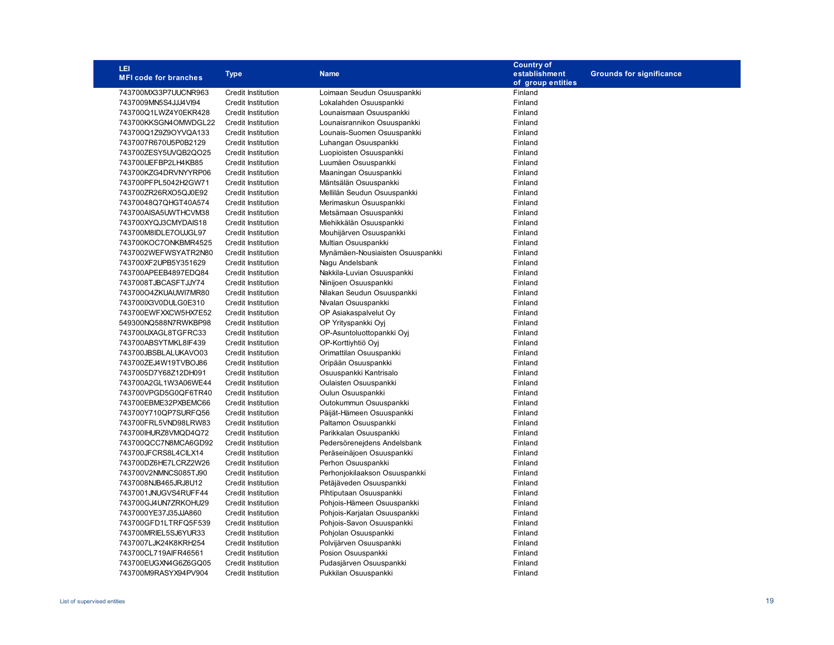| LEI                          |                           |                                  | <b>Country of</b> |                                 |
|------------------------------|---------------------------|----------------------------------|-------------------|---------------------------------|
| <b>MFI code for branches</b> | <b>Type</b>               | <b>Name</b>                      | establishment     | <b>Grounds for significance</b> |
|                              |                           |                                  | of group entities |                                 |
| 743700MX33P7UUCNR963         | <b>Credit Institution</b> | Loimaan Seudun Osuuspankki       | Finland           |                                 |
| 7437009MN5S4JJJ4VI94         | <b>Credit Institution</b> | Lokalahden Osuuspankki           | Finland           |                                 |
| 743700Q1LWZ4Y0EKR428         | <b>Credit Institution</b> | Lounaismaan Osuuspankki          | Finland           |                                 |
| 743700KKSGN4OMWDGL22         | <b>Credit Institution</b> | Lounaisrannikon Osuuspankki      | Finland           |                                 |
| 743700Q1Z9Z9OYVQA133         | <b>Credit Institution</b> | Lounais-Suomen Osuuspankki       | Finland           |                                 |
| 7437007R670U5P0B2129         | <b>Credit Institution</b> | Luhangan Osuuspankki             | Finland           |                                 |
| 743700ZESY5UVQB2QO25         | <b>Credit Institution</b> | Luopioisten Osuuspankki          | Finland           |                                 |
| 743700IJEFBP2LH4KB85         | <b>Credit Institution</b> | Luumäen Osuuspankki              | Finland           |                                 |
| 743700KZG4DRVNYYRP06         | <b>Credit Institution</b> | Maaningan Osuuspankki            | Finland           |                                 |
| 743700PFPL5042H2GW71         | <b>Credit Institution</b> | Mäntsälän Osuuspankki            | Finland           |                                 |
| 743700ZR26RXO5QJ0E92         | <b>Credit Institution</b> | Mellilän Seudun Osuuspankki      | Finland           |                                 |
| 74370048Q7QHGT40A574         | <b>Credit Institution</b> | Merimaskun Osuuspankki           | Finland           |                                 |
| 743700AISA5UWTHCVM38         | <b>Credit Institution</b> | Metsämaan Osuuspankki            | Finland           |                                 |
| 743700XYQJ3CMYDAIS18         | <b>Credit Institution</b> | Miehikkälän Osuuspankki          | Finland           |                                 |
| 743700M8IDLE7OUJGL97         | <b>Credit Institution</b> | Mouhijärven Osuuspankki          | Finland           |                                 |
| 743700KOC7ONKBMR4525         | <b>Credit Institution</b> | Multian Osuuspankki              | Finland           |                                 |
| 7437002WEFWSYATR2N80         | <b>Credit Institution</b> | Mynämäen-Nousiaisten Osuuspankki | Finland           |                                 |
| 743700XF2UPB5Y351629         | <b>Credit Institution</b> | Nagu Andelsbank                  | Finland           |                                 |
| 743700APEEB4897EDQ84         | <b>Credit Institution</b> | Nakkila-Luvian Osuuspankki       | Finland           |                                 |
| 7437008TJBCASFTJJY74         | <b>Credit Institution</b> | Niinijoen Osuuspankki            | Finland           |                                 |
| 743700O4ZKUAUWI7MR80         | <b>Credit Institution</b> | Nilakan Seudun Osuuspankki       | Finland           |                                 |
| 743700IX3V0DULG0E310         | <b>Credit Institution</b> | Nivalan Osuuspankki              | Finland           |                                 |
| 743700EWFXXCW5HX7E52         | <b>Credit Institution</b> | OP Asiakaspalvelut Oy            | Finland           |                                 |
| 549300NQ588N7RWKBP98         | <b>Credit Institution</b> | OP Yrityspankki Oyj              | Finland           |                                 |
| 743700IJXAGL8TGFRC33         | <b>Credit Institution</b> | OP-Asuntoluottopankki Oyj        | Finland           |                                 |
| 743700ABSYTMKL8IF439         | <b>Credit Institution</b> | OP-Korttiyhtiö Oyj               | Finland           |                                 |
| 743700JBSBLALUKAVO03         | <b>Credit Institution</b> | Orimattilan Osuuspankki          | Finland           |                                 |
| 743700ZEJ4W19TVBOJ86         | <b>Credit Institution</b> | Oripään Osuuspankki              | Finland           |                                 |
| 7437005D7Y68Z12DH091         | <b>Credit Institution</b> | Osuuspankki Kantrisalo           | Finland           |                                 |
| 743700A2GL1W3A06WE44         | <b>Credit Institution</b> | Oulaisten Osuuspankki            | Finland           |                                 |
| 743700VPGD5G0QF6TR40         | <b>Credit Institution</b> | Oulun Osuuspankki                | Finland           |                                 |
| 743700EBME32PXBEMC66         | <b>Credit Institution</b> | Outokummun Osuuspankki           | Finland           |                                 |
| 743700Y710QP7SURFQ56         | <b>Credit Institution</b> | Päijät-Hämeen Osuuspankki        | Finland           |                                 |
| 743700FRL5VND98LRW83         | <b>Credit Institution</b> | Paltamon Osuuspankki             | Finland           |                                 |
| 743700IHURZ8VMQD4Q72         | <b>Credit Institution</b> | Parikkalan Osuuspankki           | Finland           |                                 |
| 743700QCC7N8MCA6GD92         | <b>Credit Institution</b> | Pedersörenejdens Andelsbank      | Finland           |                                 |
| 743700JFCRS8L4CILX14         | <b>Credit Institution</b> | Peräseinäjoen Osuuspankki        | Finland           |                                 |
| 743700DZ6HE7LCRZ2W26         | <b>Credit Institution</b> | Perhon Osuuspankki               | Finland           |                                 |
| 743700V2NMNCS085TJ90         | <b>Credit Institution</b> | Perhonjokilaakson Osuuspankki    | Finland           |                                 |
| 7437008NJB465JRJ8U12         | <b>Credit Institution</b> | Petäjäveden Osuuspankki          | Finland           |                                 |
| 7437001JNUGVS4RUFF44         | <b>Credit Institution</b> | Pihtiputaan Osuuspankki          | Finland           |                                 |
| 743700GJ4UN7ZRKOHU29         | <b>Credit Institution</b> | Pohjois-Hämeen Osuuspankki       | Finland           |                                 |
| 7437000YE37J35JJA860         | <b>Credit Institution</b> | Pohjois-Karjalan Osuuspankki     | Finland           |                                 |
| 743700GFD1LTRFQ5F539         | <b>Credit Institution</b> | Pohjois-Savon Osuuspankki        | Finland           |                                 |
| 743700MRIEL5SJ6YUR33         | Credit Institution        | Pohjolan Osuuspankki             | Finland           |                                 |
| 7437007LJK24K8KRH254         | <b>Credit Institution</b> | Polvijärven Osuuspankki          | Finland           |                                 |
| 743700CL719AlFR46561         | <b>Credit Institution</b> | Posion Osuuspankki               | Finland           |                                 |
| 743700EUGXN4G6Z6GQ05         | <b>Credit Institution</b> | Pudasjärven Osuuspankki          | Finland           |                                 |
| 743700M9RASYX94PV904         | <b>Credit Institution</b> | Pukkilan Osuuspankki             | Finland           |                                 |
|                              |                           |                                  |                   |                                 |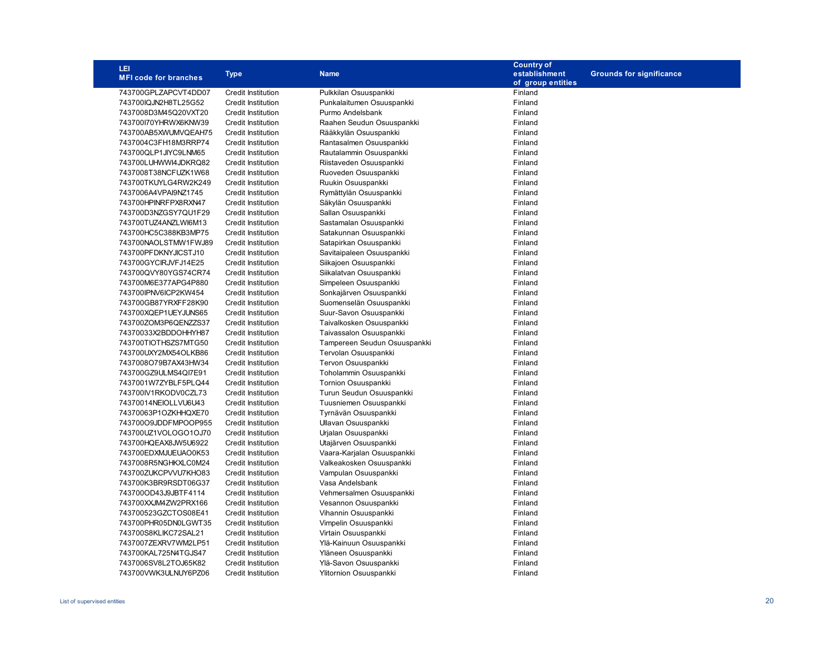| LEI                          |                           |                              | <b>Country of</b> |                                 |
|------------------------------|---------------------------|------------------------------|-------------------|---------------------------------|
| <b>MFI code for branches</b> | <b>Type</b>               | <b>Name</b>                  | establishment     | <b>Grounds for significance</b> |
|                              |                           |                              | of group entities |                                 |
| 743700GPLZAPCVT4DD07         | <b>Credit Institution</b> | Pulkkilan Osuuspankki        | Finland           |                                 |
| 743700IQJN2H8TL25G52         | <b>Credit Institution</b> | Punkalaitumen Osuuspankki    | Finland           |                                 |
| 7437008D3M45Q20VXT20         | <b>Credit Institution</b> | Purmo Andelsbank             | Finland           |                                 |
| 743700170YHRWX6KNW39         | Credit Institution        | Raahen Seudun Osuuspankki    | Finland           |                                 |
| 743700AB5XWUMVQEAH75         | <b>Credit Institution</b> | Rääkkylän Osuuspankki        | Finland           |                                 |
| 7437004C3FH18M3RRP74         | <b>Credit Institution</b> | Rantasalmen Osuuspankki      | Finland           |                                 |
| 743700QLP1JIYC9LNM65         | <b>Credit Institution</b> | Rautalammin Osuuspankki      | Finland           |                                 |
| 743700LUHWWI4JDKRQ82         | <b>Credit Institution</b> | Riistaveden Osuuspankki      | Finland           |                                 |
| 7437008T38NCFUZK1W68         | <b>Credit Institution</b> | Ruoveden Osuuspankki         | Finland           |                                 |
| 743700TKUYLG4RW2K249         | Credit Institution        | Ruukin Osuuspankki           | Finland           |                                 |
| 7437006A4VPAI9NZ1745         | <b>Credit Institution</b> | Rymättylän Osuuspankki       | Finland           |                                 |
| 743700HPINRFPX8RXN47         | <b>Credit Institution</b> | Säkylän Osuuspankki          | Finland           |                                 |
| 743700D3NZGSY7QU1F29         | <b>Credit Institution</b> | Sallan Osuuspankki           | Finland           |                                 |
| 743700TUZ4ANZLWI6M13         | <b>Credit Institution</b> | Sastamalan Osuuspankki       | Finland           |                                 |
| 743700HC5C388KB3MP75         | <b>Credit Institution</b> | Satakunnan Osuuspankki       | Finland           |                                 |
| 743700NAOLSTMW1FWJ89         | <b>Credit Institution</b> | Satapirkan Osuuspankki       | Finland           |                                 |
| 743700PFDKNYJICSTJ10         | <b>Credit Institution</b> | Savitaipaleen Osuuspankki    | Finland           |                                 |
| 743700GYCIRJVFJ14E25         | <b>Credit Institution</b> | Siikajoen Osuuspankki        | Finland           |                                 |
| 743700QVY80YGS74CR74         | <b>Credit Institution</b> | Siikalatvan Osuuspankki      | Finland           |                                 |
| 743700M6E377APG4P880         | <b>Credit Institution</b> | Simpeleen Osuuspankki        | Finland           |                                 |
| 743700IPNV6ICP2KW454         | <b>Credit Institution</b> | Sonkajärven Osuuspankki      | Finland           |                                 |
| 743700GB87YRXFF28K90         | <b>Credit Institution</b> | Suomenselän Osuuspankki      | Finland           |                                 |
| 743700XQEP1UEYJUNS65         | <b>Credit Institution</b> | Suur-Savon Osuuspankki       | Finland           |                                 |
| 743700ZOM3P6QENZZS37         | <b>Credit Institution</b> | Taivalkosken Osuuspankki     | Finland           |                                 |
| 74370033X2BDDOHHYH87         | <b>Credit Institution</b> | Taivassalon Osuuspankki      | Finland           |                                 |
| 743700TIOTHSZS7MTG50         | <b>Credit Institution</b> | Tampereen Seudun Osuuspankki | Finland           |                                 |
| 743700UXY2MX54OLKB86         | <b>Credit Institution</b> | Tervolan Osuuspankki         | Finland           |                                 |
| 7437008O79B7AX43HW34         | <b>Credit Institution</b> | Tervon Osuuspankki           | Finland           |                                 |
| 743700GZ9ULMS4QI7E91         | <b>Credit Institution</b> | Toholammin Osuuspankki       | Finland           |                                 |
| 7437001W7ZYBLF5PLQ44         | <b>Credit Institution</b> | <b>Tornion Osuuspankki</b>   | Finland           |                                 |
| 743700IV1RKODV0CZL73         | <b>Credit Institution</b> | Turun Seudun Osuuspankki     | Finland           |                                 |
| 74370014NEIOLLVU6U43         | <b>Credit Institution</b> | Tuusniemen Osuuspankki       | Finland           |                                 |
| 74370063P1OZKHHQXE70         | <b>Credit Institution</b> | Tyrnävän Osuuspankki         | Finland           |                                 |
| 743700O9JDDFMPOOP955         | <b>Credit Institution</b> | Ullavan Osuuspankki          | Finland           |                                 |
| 743700UZ1VOLOGO1OJ70         | <b>Credit Institution</b> | Urjalan Osuuspankki          | Finland           |                                 |
| 743700HQEAX8JW5U6922         | <b>Credit Institution</b> | Utajärven Osuuspankki        | Finland           |                                 |
| 743700EDXMJUEUAO0K53         | <b>Credit Institution</b> | Vaara-Karjalan Osuuspankki   | Finland           |                                 |
| 7437008R5NGHKXLC0M24         | <b>Credit Institution</b> | Valkeakosken Osuuspankki     | Finland           |                                 |
| 743700ZUKCPVVU7KHO83         | <b>Credit Institution</b> | Vampulan Osuuspankki         | Finland           |                                 |
| 743700K3BR9RSDT06G37         | Credit Institution        | Vasa Andelsbank              | Finland           |                                 |
| 743700OD43J9JBTF4114         | <b>Credit Institution</b> | Vehmersalmen Osuuspankki     | Finland           |                                 |
| 743700XXJM4ZW2PRX166         | <b>Credit Institution</b> | Vesannon Osuuspankki         | Finland           |                                 |
| 743700523GZCTOS08E41         | <b>Credit Institution</b> | Vihannin Osuuspankki         | Finland           |                                 |
| 743700PHR05DN0LGWT35         | <b>Credit Institution</b> | Vimpelin Osuuspankki         | Finland           |                                 |
| 743700S8KLIKC72SAL21         | <b>Credit Institution</b> | Virtain Osuuspankki          | Finland           |                                 |
| 7437007ZEXRV7WM2LP51         | <b>Credit Institution</b> | Ylä-Kainuun Osuuspankki      | Finland           |                                 |
| 743700KAL725N4TGJS47         | <b>Credit Institution</b> | Yläneen Osuuspankki          | Finland           |                                 |
| 7437006SV8L2TOJ65K82         | <b>Credit Institution</b> | Ylä-Savon Osuuspankki        | Finland           |                                 |
| 743700VWK3ULNUY6PZ06         | <b>Credit Institution</b> | Ylitornion Osuuspankki       | Finland           |                                 |
|                              |                           |                              |                   |                                 |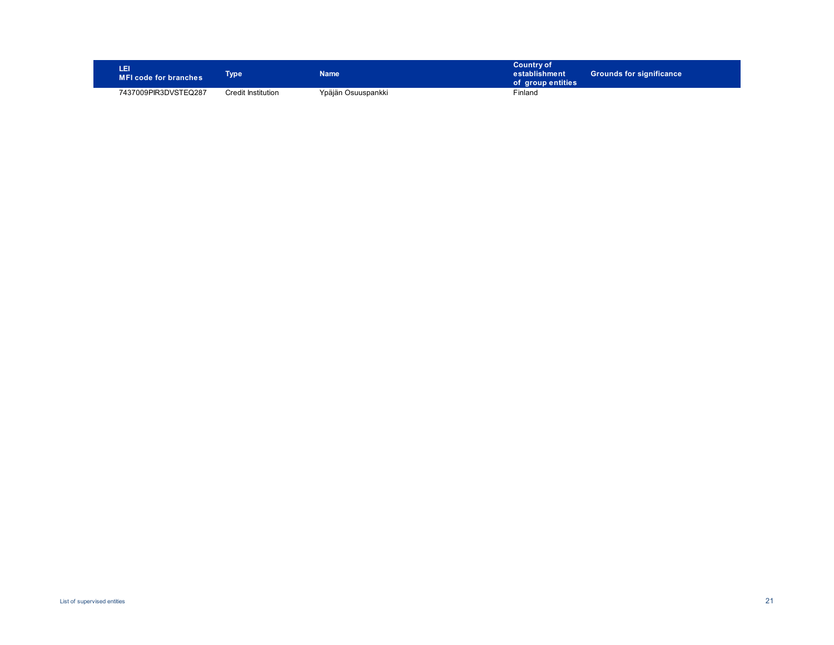| E<br>MFI code for branches | <b>ype</b>         | Name               | <b>Country of</b><br>establishment<br>of group entities | <b>Grounds for significance</b> |
|----------------------------|--------------------|--------------------|---------------------------------------------------------|---------------------------------|
| 7437009PIR3DVSTEQ287       | Credit Institution | Ypäjän Osuuspankki | Finland                                                 |                                 |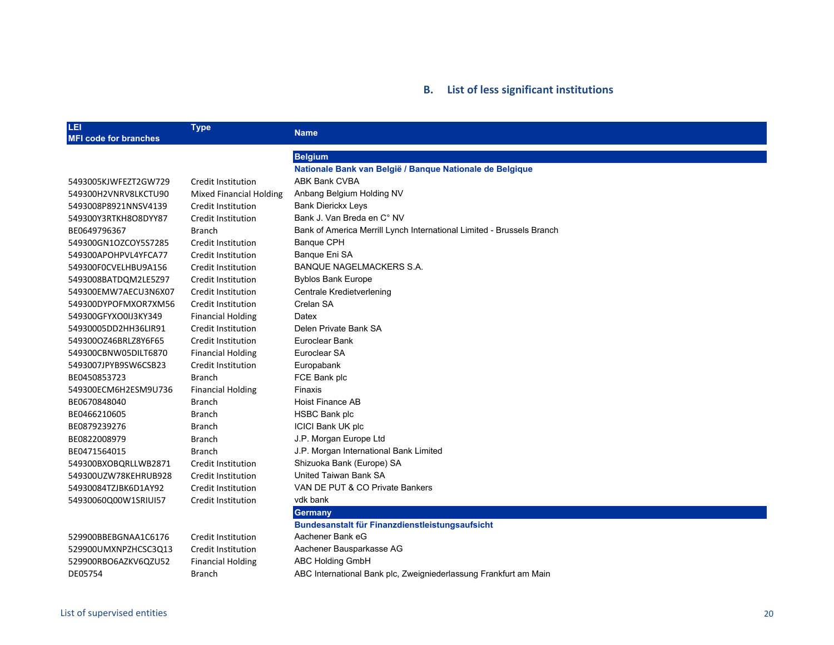## **B. List of less significant institutions**

| LEI<br><b>MFI code for branches</b> | <b>Type</b>                    | <b>Name</b>                                                           |
|-------------------------------------|--------------------------------|-----------------------------------------------------------------------|
|                                     |                                | <b>Belgium</b>                                                        |
|                                     |                                | Nationale Bank van België / Banque Nationale de Belgique              |
| 5493005KJWFEZT2GW729                | <b>Credit Institution</b>      | <b>ABK Bank CVBA</b>                                                  |
| 549300H2VNRV8LKCTU90                | <b>Mixed Financial Holding</b> | Anbang Belgium Holding NV                                             |
| 5493008P8921NNSV4139                | Credit Institution             | <b>Bank Dierickx Leys</b>                                             |
| 549300Y3RTKH8O8DYY87                | Credit Institution             | Bank J. Van Breda en C° NV                                            |
| BE0649796367                        | <b>Branch</b>                  | Bank of America Merrill Lynch International Limited - Brussels Branch |
| 549300GN1OZCOY5S7285                | Credit Institution             | <b>Banque CPH</b>                                                     |
| 549300APOHPVL4YFCA77                | Credit Institution             | Banque Eni SA                                                         |
| 549300F0CVELHBU9A156                | Credit Institution             | <b>BANQUE NAGELMACKERS S.A.</b>                                       |
| 5493008BATDQM2LE5Z97                | Credit Institution             | <b>Byblos Bank Europe</b>                                             |
| 549300EMW7AECU3N6X07                | Credit Institution             | Centrale Kredietverlening                                             |
| 549300DYPOFMXOR7XM56                | Credit Institution             | Crelan SA                                                             |
| 549300GFYXO0IJ3KY349                | <b>Financial Holding</b>       | Datex                                                                 |
| 54930005DD2HH36LIR91                | Credit Institution             | Delen Private Bank SA                                                 |
| 549300OZ46BRLZ8Y6F65                | Credit Institution             | Euroclear Bank                                                        |
| 549300CBNW05DILT6870                | <b>Financial Holding</b>       | Euroclear SA                                                          |
| 5493007JPYB9SW6CSB23                | Credit Institution             | Europabank                                                            |
| BE0450853723                        | <b>Branch</b>                  | FCE Bank plc                                                          |
| 549300ECM6H2ESM9U736                | <b>Financial Holding</b>       | Finaxis                                                               |
| BE0670848040                        | <b>Branch</b>                  | Hoist Finance AB                                                      |
| BE0466210605                        | <b>Branch</b>                  | <b>HSBC Bank plc</b>                                                  |
| BE0879239276                        | Branch                         | <b>ICICI Bank UK plc</b>                                              |
| BE0822008979                        | <b>Branch</b>                  | J.P. Morgan Europe Ltd                                                |
| BE0471564015                        | <b>Branch</b>                  | J.P. Morgan International Bank Limited                                |
| 549300BXOBQRLLWB2871                | Credit Institution             | Shizuoka Bank (Europe) SA                                             |
| 549300UZW78KEHRUB928                | Credit Institution             | United Taiwan Bank SA                                                 |
| 54930084TZJBK6D1AY92                | Credit Institution             | VAN DE PUT & CO Private Bankers                                       |
| 54930060Q00W1SRIUI57                | Credit Institution             | vdk bank                                                              |
|                                     |                                | <b>Germany</b>                                                        |
|                                     |                                | Bundesanstalt für Finanzdienstleistungsaufsicht                       |
| 529900BBEBGNAA1C6176                | Credit Institution             | Aachener Bank eG                                                      |
| 529900UMXNPZHCSC3Q13                | Credit Institution             | Aachener Bausparkasse AG                                              |
| 529900RBO6AZKV6QZU52                | <b>Financial Holding</b>       | <b>ABC Holding GmbH</b>                                               |
| DE05754                             | Branch                         | ABC International Bank plc, Zweigniederlassung Frankfurt am Main      |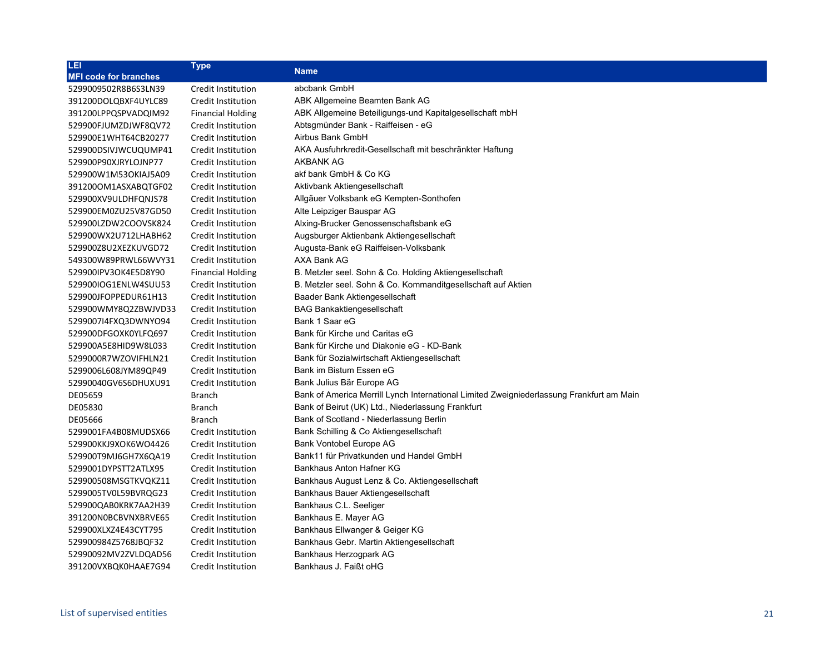| LEI                          | <b>Type</b>              | <b>Name</b>                                                                              |
|------------------------------|--------------------------|------------------------------------------------------------------------------------------|
| <b>MFI code for branches</b> |                          |                                                                                          |
| 5299009502R8B6S3LN39         | Credit Institution       | abcbank GmbH                                                                             |
| 391200DOLQBXF4UYLC89         | Credit Institution       | ABK Allgemeine Beamten Bank AG                                                           |
| 391200LPPQSPVADQIM92         | <b>Financial Holding</b> | ABK Allgemeine Beteiligungs-und Kapitalgesellschaft mbH                                  |
| 529900FJUMZDJWF8QV72         | Credit Institution       | Abtsgmünder Bank - Raiffeisen - eG                                                       |
| 529900E1WHT64CB20277         | Credit Institution       | Airbus Bank GmbH                                                                         |
| 529900DSIVJWCUQUMP41         | Credit Institution       | AKA Ausfuhrkredit-Gesellschaft mit beschränkter Haftung                                  |
| 529900P90XJRYLOJNP77         | Credit Institution       | <b>AKBANK AG</b>                                                                         |
| 529900W1M53OKIAJ5A09         | Credit Institution       | akf bank GmbH & Co KG                                                                    |
| 391200OM1ASXABQTGF02         | Credit Institution       | Aktivbank Aktiengesellschaft                                                             |
| 529900XV9ULDHFQNJS78         | Credit Institution       | Allgäuer Volksbank eG Kempten-Sonthofen                                                  |
| 529900EM0ZU25V87GD50         | Credit Institution       | Alte Leipziger Bauspar AG                                                                |
| 529900LZDW2COOVSK824         | Credit Institution       | Alxing-Brucker Genossenschaftsbank eG                                                    |
| 529900WX2U712LHABH62         | Credit Institution       | Augsburger Aktienbank Aktiengesellschaft                                                 |
| 529900Z8U2XEZKUVGD72         | Credit Institution       | Augusta-Bank eG Raiffeisen-Volksbank                                                     |
| 549300W89PRWL66WVY31         | Credit Institution       | AXA Bank AG                                                                              |
| 529900IPV3OK4E5D8Y90         | <b>Financial Holding</b> | B. Metzler seel. Sohn & Co. Holding Aktiengesellschaft                                   |
| 529900IOG1ENLW4SUU53         | Credit Institution       | B. Metzler seel. Sohn & Co. Kommanditgesellschaft auf Aktien                             |
| 529900JFOPPEDUR61H13         | Credit Institution       | Baader Bank Aktiengesellschaft                                                           |
| 529900WMY8Q2ZBWJVD33         | Credit Institution       | <b>BAG Bankaktiengesellschaft</b>                                                        |
| 5299007I4FXQ3DWNYO94         | Credit Institution       | Bank 1 Saar eG                                                                           |
| 529900DFGOXK0YLFQ697         | Credit Institution       | Bank für Kirche und Caritas eG                                                           |
| 529900A5E8HID9W8L033         | Credit Institution       | Bank für Kirche und Diakonie eG - KD-Bank                                                |
| 5299000R7WZOVIFHLN21         | Credit Institution       | Bank für Sozialwirtschaft Aktiengesellschaft                                             |
| 5299006L608JYM89QP49         | Credit Institution       | Bank im Bistum Essen eG                                                                  |
| 52990040GV6S6DHUXU91         | Credit Institution       | Bank Julius Bär Europe AG                                                                |
| DE05659                      | <b>Branch</b>            | Bank of America Merrill Lynch International Limited Zweigniederlassung Frankfurt am Main |
| DE05830                      | <b>Branch</b>            | Bank of Beirut (UK) Ltd., Niederlassung Frankfurt                                        |
| DE05666                      | <b>Branch</b>            | Bank of Scotland - Niederlassung Berlin                                                  |
| 5299001FA4B08MUDSX66         | Credit Institution       | Bank Schilling & Co Aktiengesellschaft                                                   |
| 529900KKJ9XOK6WO4426         | Credit Institution       | Bank Vontobel Europe AG                                                                  |
| 529900T9MJ6GH7X6QA19         | Credit Institution       | Bank11 für Privatkunden und Handel GmbH                                                  |
| 5299001DYPSTT2ATLX95         | Credit Institution       | Bankhaus Anton Hafner KG                                                                 |
| 529900508MSGTKVQKZ11         | Credit Institution       | Bankhaus August Lenz & Co. Aktiengesellschaft                                            |
| 5299005TV0L59BVRQG23         | Credit Institution       | Bankhaus Bauer Aktiengesellschaft                                                        |
| 529900QAB0KRK7AA2H39         | Credit Institution       | Bankhaus C.L. Seeliger                                                                   |
| 391200N0BCBVNXBRVE65         | Credit Institution       | Bankhaus E. Mayer AG                                                                     |
| 529900XLXZ4E43CYT795         | Credit Institution       | Bankhaus Ellwanger & Geiger KG                                                           |
| 529900984Z5768JBQF32         | Credit Institution       | Bankhaus Gebr. Martin Aktiengesellschaft                                                 |
| 52990092MV2ZVLDQAD56         | Credit Institution       | Bankhaus Herzogpark AG                                                                   |
| 391200VXBQK0HAAE7G94         | Credit Institution       | Bankhaus J. Faißt oHG                                                                    |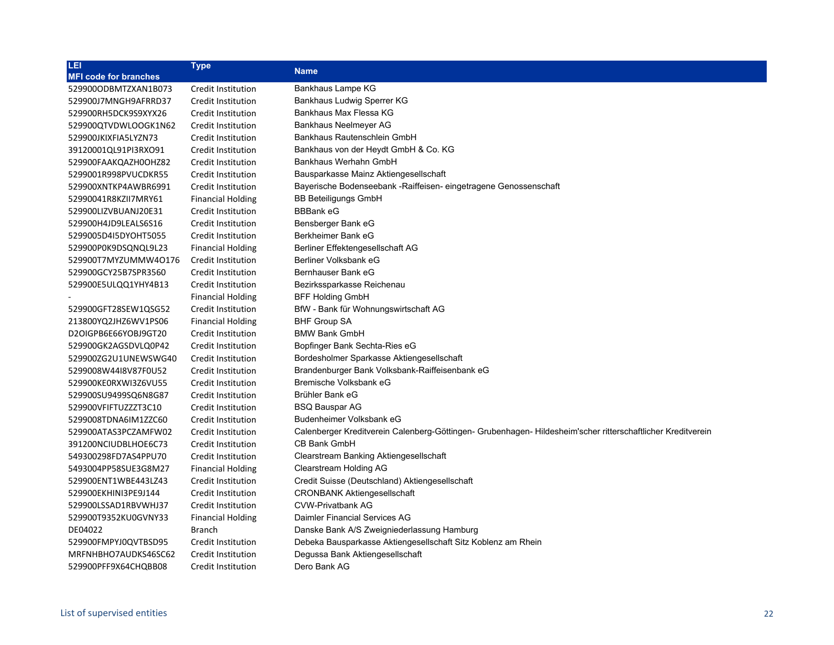| LEI                          | <b>Type</b>              | <b>Name</b>                                                                                                 |
|------------------------------|--------------------------|-------------------------------------------------------------------------------------------------------------|
| <b>MFI code for branches</b> |                          |                                                                                                             |
| 5299000DBMTZXAN1B073         | Credit Institution       | Bankhaus Lampe KG                                                                                           |
| 529900J7MNGH9AFRRD37         | Credit Institution       | Bankhaus Ludwig Sperrer KG                                                                                  |
| 529900RH5DCK9S9XYX26         | Credit Institution       | Bankhaus Max Flessa KG                                                                                      |
| 529900QTVDWLOOGK1N62         | Credit Institution       | Bankhaus Neelmeyer AG                                                                                       |
| 529900JKIXFIA5LYZN73         | Credit Institution       | Bankhaus Rautenschlein GmbH                                                                                 |
| 39120001QL91PI3RXO91         | Credit Institution       | Bankhaus von der Heydt GmbH & Co. KG                                                                        |
| 529900FAAKQAZH0OHZ82         | Credit Institution       | Bankhaus Werhahn GmbH                                                                                       |
| 5299001R998PVUCDKR55         | Credit Institution       | Bausparkasse Mainz Aktiengesellschaft                                                                       |
| 529900XNTKP4AWBR6991         | Credit Institution       | Bayerische Bodenseebank - Raiffeisen- eingetragene Genossenschaft                                           |
| 52990041R8KZII7MRY61         | <b>Financial Holding</b> | <b>BB Beteiligungs GmbH</b>                                                                                 |
| 529900LIZVBUANJ20E31         | Credit Institution       | <b>BBBank eG</b>                                                                                            |
| 529900H4JD9LEALS6S16         | Credit Institution       | Bensberger Bank eG                                                                                          |
| 5299005D4I5DYOHT5055         | Credit Institution       | Berkheimer Bank eG                                                                                          |
| 529900P0K9DSQNQL9L23         | <b>Financial Holding</b> | Berliner Effektengesellschaft AG                                                                            |
| 529900T7MYZUMMW4O176         | Credit Institution       | Berliner Volksbank eG                                                                                       |
| 529900GCY25B7SPR3560         | Credit Institution       | Bernhauser Bank eG                                                                                          |
| 529900E5ULQQ1YHY4B13         | Credit Institution       | Bezirkssparkasse Reichenau                                                                                  |
|                              | <b>Financial Holding</b> | <b>BFF Holding GmbH</b>                                                                                     |
| 529900GFT28SEW1QSG52         | Credit Institution       | BfW - Bank für Wohnungswirtschaft AG                                                                        |
| 213800YQ2JHZ6WV1PS06         | <b>Financial Holding</b> | <b>BHF Group SA</b>                                                                                         |
| D2OIGPB6E66YOBJ9GT20         | Credit Institution       | <b>BMW Bank GmbH</b>                                                                                        |
| 529900GK2AGSDVLQ0P42         | Credit Institution       | Bopfinger Bank Sechta-Ries eG                                                                               |
| 529900ZG2U1UNEWSWG40         | Credit Institution       | Bordesholmer Sparkasse Aktiengesellschaft                                                                   |
| 5299008W44I8V87F0U52         | Credit Institution       | Brandenburger Bank Volksbank-Raiffeisenbank eG                                                              |
| 529900KE0RXWI3Z6VU55         | Credit Institution       | Bremische Volksbank eG                                                                                      |
| 529900SU9499SQ6N8G87         | Credit Institution       | Brühler Bank eG                                                                                             |
| 529900VFIFTUZZZT3C10         | Credit Institution       | <b>BSQ Bauspar AG</b>                                                                                       |
| 5299008TDNA6IM1ZZC60         | Credit Institution       | Budenheimer Volksbank eG                                                                                    |
| 529900ATAS3PCZAMFW02         | Credit Institution       | Calenberger Kreditverein Calenberg-Göttingen- Grubenhagen- Hildesheim'scher ritterschaftlicher Kreditverein |
| 391200NCIUDBLHOE6C73         | Credit Institution       | CB Bank GmbH                                                                                                |
| 549300298FD7AS4PPU70         | Credit Institution       | Clearstream Banking Aktiengesellschaft                                                                      |
| 5493004PP58SUE3G8M27         | <b>Financial Holding</b> | Clearstream Holding AG                                                                                      |
| 529900ENT1WBE443LZ43         | Credit Institution       | Credit Suisse (Deutschland) Aktiengesellschaft                                                              |
| 529900EKHINI3PE9J144         | Credit Institution       | <b>CRONBANK Aktiengesellschaft</b>                                                                          |
| 529900LSSAD1RBVWHJ37         | Credit Institution       | <b>CVW-Privatbank AG</b>                                                                                    |
| 529900T9352KU0GVNY33         | <b>Financial Holding</b> | Daimler Financial Services AG                                                                               |
| DE04022                      | <b>Branch</b>            | Danske Bank A/S Zweigniederlassung Hamburg                                                                  |
| 529900FMPYJ0QVTBSD95         | Credit Institution       | Debeka Bausparkasse Aktiengesellschaft Sitz Koblenz am Rhein                                                |
| MRFNHBHO7AUDKS46SC62         | Credit Institution       | Degussa Bank Aktiengesellschaft                                                                             |
| 529900PFF9X64CHQBB08         | Credit Institution       | Dero Bank AG                                                                                                |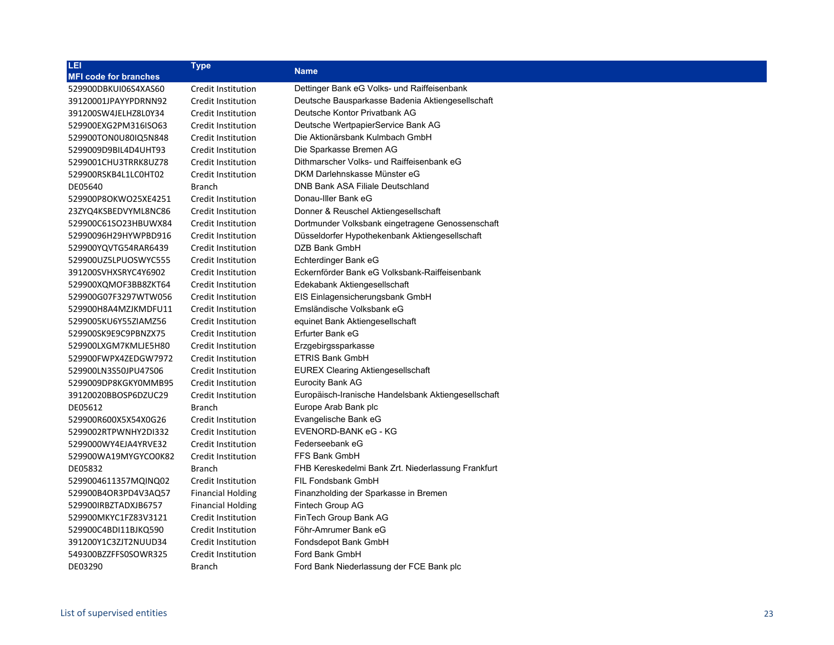| LEI                          | <b>Type</b>              | <b>Name</b>                                         |
|------------------------------|--------------------------|-----------------------------------------------------|
| <b>MFI code for branches</b> |                          |                                                     |
| 529900DBKUI06S4XAS60         | Credit Institution       | Dettinger Bank eG Volks- und Raiffeisenbank         |
| 39120001JPAYYPDRNN92         | Credit Institution       | Deutsche Bausparkasse Badenia Aktiengesellschaft    |
| 391200SW4JELHZ8L0Y34         | Credit Institution       | Deutsche Kontor Privatbank AG                       |
| 529900EXG2PM316ISO63         | Credit Institution       | Deutsche WertpapierService Bank AG                  |
| 529900TON0U80IQ5N848         | Credit Institution       | Die Aktionärsbank Kulmbach GmbH                     |
| 5299009D9BIL4D4UHT93         | Credit Institution       | Die Sparkasse Bremen AG                             |
| 5299001CHU3TRRK8UZ78         | Credit Institution       | Dithmarscher Volks- und Raiffeisenbank eG           |
| 529900RSKB4L1LC0HT02         | Credit Institution       | DKM Darlehnskasse Münster eG                        |
| DE05640                      | <b>Branch</b>            | DNB Bank ASA Filiale Deutschland                    |
| 529900P8OKWO25XE4251         | Credit Institution       | Donau-Iller Bank eG                                 |
| 23ZYQ4KSBEDVYML8NC86         | Credit Institution       | Donner & Reuschel Aktiengesellschaft                |
| 529900C61SO23HBUWX84         | Credit Institution       | Dortmunder Volksbank eingetragene Genossenschaft    |
| 52990096H29HYWPBD916         | Credit Institution       | Düsseldorfer Hypothekenbank Aktiengesellschaft      |
| 529900YQVTG54RAR6439         | Credit Institution       | DZB Bank GmbH                                       |
| 529900UZ5LPUOSWYC555         | Credit Institution       | Echterdinger Bank eG                                |
| 391200SVHXSRYC4Y6902         | Credit Institution       | Eckernförder Bank eG Volksbank-Raiffeisenbank       |
| 529900XQMOF3BB8ZKT64         | Credit Institution       | Edekabank Aktiengesellschaft                        |
| 529900G07F3297WTW056         | Credit Institution       | EIS Einlagensicherungsbank GmbH                     |
| 529900H8A4MZJKMDFU11         | Credit Institution       | Emsländische Volksbank eG                           |
| 5299005KU6Y55ZIAMZ56         | Credit Institution       | equinet Bank Aktiengesellschaft                     |
| 529900SK9E9C9PBNZX75         | Credit Institution       | Erfurter Bank eG                                    |
| 529900LXGM7KMLJE5H80         | Credit Institution       | Erzgebirgssparkasse                                 |
| 529900FWPX4ZEDGW7972         | Credit Institution       | <b>ETRIS Bank GmbH</b>                              |
| 529900LN3S50JPU47S06         | Credit Institution       | <b>EUREX Clearing Aktiengesellschaft</b>            |
| 5299009DP8KGKY0MMB95         | Credit Institution       | <b>Eurocity Bank AG</b>                             |
| 39120020BBOSP6DZUC29         | Credit Institution       | Europäisch-Iranische Handelsbank Aktiengesellschaft |
| DE05612                      | <b>Branch</b>            | Europe Arab Bank plc                                |
| 529900R600X5X54X0G26         | Credit Institution       | Evangelische Bank eG                                |
| 5299002RTPWNHY2DI332         | Credit Institution       | EVENORD-BANK eG - KG                                |
| 5299000WY4EJA4YRVE32         | Credit Institution       | Federseebank eG                                     |
| 529900WA19MYGYCO0K82         | Credit Institution       | FFS Bank GmbH                                       |
| DE05832                      | <b>Branch</b>            | FHB Kereskedelmi Bank Zrt. Niederlassung Frankfurt  |
| 5299004611357MQINQ02         | Credit Institution       | <b>FIL Fondsbank GmbH</b>                           |
| 529900B4OR3PD4V3AQ57         | <b>Financial Holding</b> | Finanzholding der Sparkasse in Bremen               |
| 529900IRBZTADXJB6757         | <b>Financial Holding</b> | Fintech Group AG                                    |
| 529900MKYC1FZ83V3121         | Credit Institution       | FinTech Group Bank AG                               |
| 529900C4BDI11BJKQ590         | Credit Institution       | Föhr-Amrumer Bank eG                                |
| 391200Y1C3ZJT2NUUD34         | Credit Institution       | Fondsdepot Bank GmbH                                |
| 549300BZZFFS0SOWR325         | Credit Institution       | Ford Bank GmbH                                      |
| DE03290                      | <b>Branch</b>            | Ford Bank Niederlassung der FCE Bank plc            |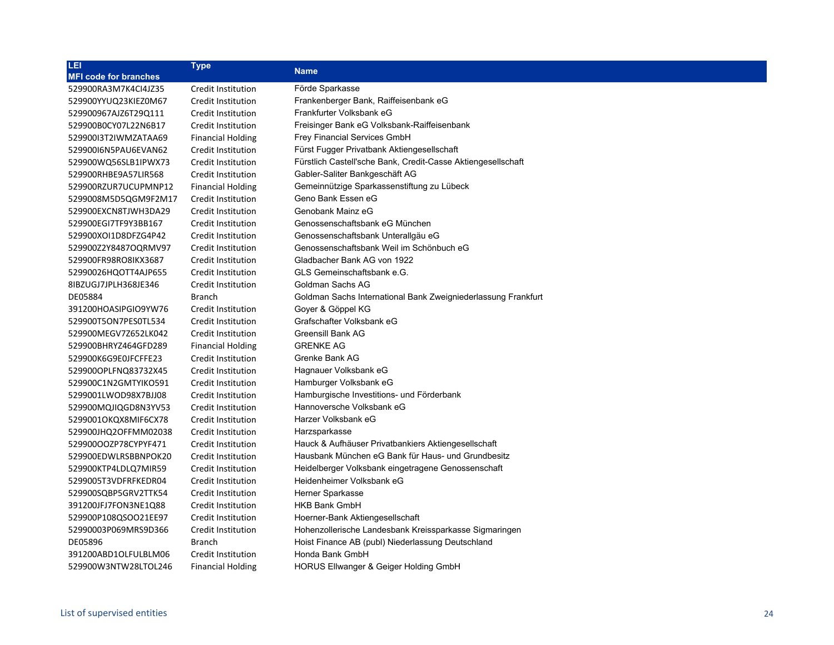| LEI                          | <b>Type</b>               | <b>Name</b>                                                   |
|------------------------------|---------------------------|---------------------------------------------------------------|
| <b>MFI code for branches</b> |                           |                                                               |
| 529900RA3M7K4Cl4JZ35         | Credit Institution        | Förde Sparkasse                                               |
| 529900YYUQ23KIEZ0M67         | Credit Institution        | Frankenberger Bank, Raiffeisenbank eG                         |
| 529900967AJZ6T29Q111         | Credit Institution        | Frankfurter Volksbank eG                                      |
| 529900B0CY07L22N6B17         | Credit Institution        | Freisinger Bank eG Volksbank-Raiffeisenbank                   |
| 52990013T2IWMZATAA69         | <b>Financial Holding</b>  | <b>Frey Financial Services GmbH</b>                           |
| 52990016N5PAU6EVAN62         | Credit Institution        | Fürst Fugger Privatbank Aktiengesellschaft                    |
| 529900WQ56SLB1IPWX73         | Credit Institution        | Fürstlich Castell'sche Bank, Credit-Casse Aktiengesellschaft  |
| 529900RHBE9A57LIR568         | Credit Institution        | Gabler-Saliter Bankgeschäft AG                                |
| 529900RZUR7UCUPMNP12         | <b>Financial Holding</b>  | Gemeinnützige Sparkassenstiftung zu Lübeck                    |
| 5299008M5D5QGM9F2M17         | Credit Institution        | Geno Bank Essen eG                                            |
| 529900EXCN8TJWH3DA29         | Credit Institution        | Genobank Mainz eG                                             |
| 529900EGI7TF9Y3BB167         | Credit Institution        | Genossenschaftsbank eG München                                |
| 529900XOI1D8DFZG4P42         | <b>Credit Institution</b> | Genossenschaftsbank Unterallgäu eG                            |
| 529900Z2Y8487OQRMV97         | Credit Institution        | Genossenschaftsbank Weil im Schönbuch eG                      |
| 529900FR98RO8IKX3687         | Credit Institution        | Gladbacher Bank AG von 1922                                   |
| 52990026HQOTT4AJP655         | Credit Institution        | GLS Gemeinschaftsbank e.G.                                    |
| 8IBZUGJ7JPLH368JE346         | Credit Institution        | Goldman Sachs AG                                              |
| DE05884                      | <b>Branch</b>             | Goldman Sachs International Bank Zweigniederlassung Frankfurt |
| 391200HOASIPGIO9YW76         | Credit Institution        | Goyer & Göppel KG                                             |
| 529900T5ON7PES0TL534         | Credit Institution        | Grafschafter Volksbank eG                                     |
| 529900MEGV7Z652LK042         | Credit Institution        | <b>Greensill Bank AG</b>                                      |
| 529900BHRYZ464GFD289         | <b>Financial Holding</b>  | <b>GRENKE AG</b>                                              |
| 529900K6G9E0JFCFFE23         | Credit Institution        | Grenke Bank AG                                                |
| 529900OPLFNQ83732X45         | Credit Institution        | Hagnauer Volksbank eG                                         |
| 529900C1N2GMTYIKO591         | Credit Institution        | Hamburger Volksbank eG                                        |
| 5299001LWOD98X7BJJ08         | Credit Institution        | Hamburgische Investitions- und Förderbank                     |
| 529900MQJIQGD8N3YV53         | Credit Institution        | Hannoversche Volksbank eG                                     |
| 5299001OKQX8MIF6CX78         | Credit Institution        | Harzer Volksbank eG                                           |
| 529900JHQ2OFFMM02038         | Credit Institution        | Harzsparkasse                                                 |
| 529900OOZP78CYPYF471         | Credit Institution        | Hauck & Aufhäuser Privatbankiers Aktiengesellschaft           |
| 529900EDWLRSBBNPOK20         | Credit Institution        | Hausbank München eG Bank für Haus- und Grundbesitz            |
| 529900KTP4LDLQ7MIR59         | Credit Institution        | Heidelberger Volksbank eingetragene Genossenschaft            |
| 5299005T3VDFRFKEDR04         | Credit Institution        | Heidenheimer Volksbank eG                                     |
| 529900SQBP5GRV2TTK54         | Credit Institution        | <b>Herner Sparkasse</b>                                       |
| 391200JFJ7FON3NE1Q88         | Credit Institution        | <b>HKB Bank GmbH</b>                                          |
| 529900P108QSOO21EE97         | Credit Institution        | Hoerner-Bank Aktiengesellschaft                               |
| 52990003P069MRS9D366         | Credit Institution        | Hohenzollerische Landesbank Kreissparkasse Sigmaringen        |
| DE05896                      | <b>Branch</b>             | Hoist Finance AB (publ) Niederlassung Deutschland             |
| 391200ABD1OLFULBLM06         | Credit Institution        | Honda Bank GmbH                                               |
| 529900W3NTW28LTOL246         | <b>Financial Holding</b>  | HORUS Ellwanger & Geiger Holding GmbH                         |
|                              |                           |                                                               |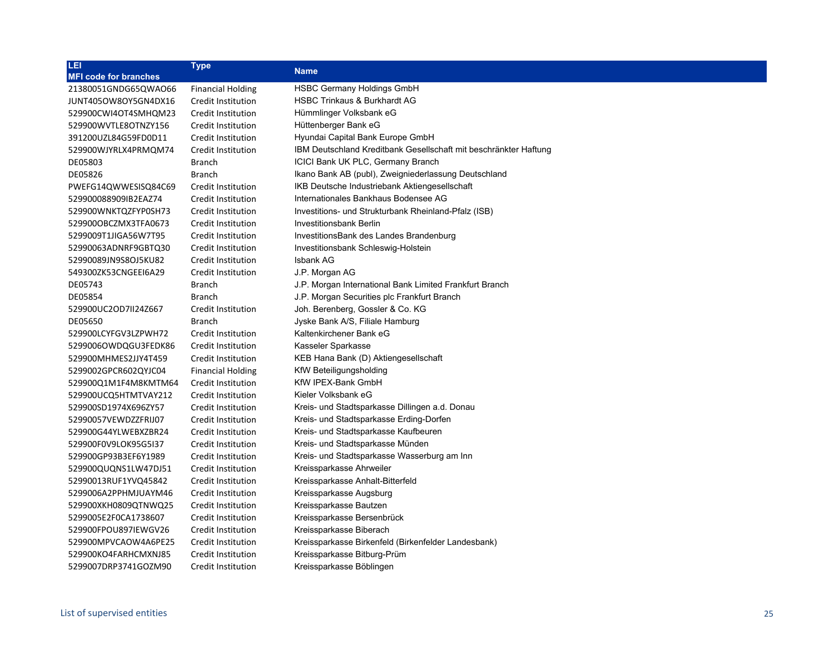| LEI                          | <b>Type</b>              |                                                                  |
|------------------------------|--------------------------|------------------------------------------------------------------|
| <b>MFI code for branches</b> |                          | <b>Name</b>                                                      |
| 21380051GNDG65QWAO66         | <b>Financial Holding</b> | HSBC Germany Holdings GmbH                                       |
| JUNT405OW8OY5GN4DX16         | Credit Institution       | <b>HSBC Trinkaus &amp; Burkhardt AG</b>                          |
| 529900CWI4OT4SMHQM23         | Credit Institution       | Hümmlinger Volksbank eG                                          |
| 529900WVTLE8OTNZY156         | Credit Institution       | Hüttenberger Bank eG                                             |
| 391200UZL84G59FD0D11         | Credit Institution       | Hyundai Capital Bank Europe GmbH                                 |
| 529900WJYRLX4PRMQM74         | Credit Institution       | IBM Deutschland Kreditbank Gesellschaft mit beschränkter Haftung |
| DE05803                      | Branch                   | ICICI Bank UK PLC, Germany Branch                                |
| DE05826                      | <b>Branch</b>            | Ikano Bank AB (publ), Zweigniederlassung Deutschland             |
| PWEFG14QWWESISQ84C69         | Credit Institution       | IKB Deutsche Industriebank Aktiengesellschaft                    |
| 529900088909IB2EAZ74         | Credit Institution       | Internationales Bankhaus Bodensee AG                             |
| 529900WNKTQZFYP0SH73         | Credit Institution       | Investitions- und Strukturbank Rheinland-Pfalz (ISB)             |
| 529900OBCZMX3TFA0673         | Credit Institution       | Investitionsbank Berlin                                          |
| 5299009T1JIGA56W7T95         | Credit Institution       | InvestitionsBank des Landes Brandenburg                          |
| 52990063ADNRF9GBTQ30         | Credit Institution       | Investitionsbank Schleswig-Holstein                              |
| 52990089JN9S8OJ5KU82         | Credit Institution       | <b>Isbank AG</b>                                                 |
| 549300ZK53CNGEEI6A29         | Credit Institution       | J.P. Morgan AG                                                   |
| DE05743                      | <b>Branch</b>            | J.P. Morgan International Bank Limited Frankfurt Branch          |
| DE05854                      | <b>Branch</b>            | J.P. Morgan Securities plc Frankfurt Branch                      |
| 529900UC2OD7II24Z667         | Credit Institution       | Joh. Berenberg, Gossler & Co. KG                                 |
| DE05650                      | Branch                   | Jyske Bank A/S, Filiale Hamburg                                  |
| 529900LCYFGV3LZPWH72         | Credit Institution       | Kaltenkirchener Bank eG                                          |
| 5299006OWDQGU3FEDK86         | Credit Institution       | Kasseler Sparkasse                                               |
| 529900MHMES2JJY4T459         | Credit Institution       | KEB Hana Bank (D) Aktiengesellschaft                             |
| 5299002GPCR602QYJC04         | <b>Financial Holding</b> | KfW Beteiligungsholding                                          |
| 529900Q1M1F4M8KMTM64         | Credit Institution       | KfW IPEX-Bank GmbH                                               |
| 529900UCQ5HTMTVAY212         | Credit Institution       | Kieler Volksbank eG                                              |
| 529900SD1974X696ZY57         | Credit Institution       | Kreis- und Stadtsparkasse Dillingen a.d. Donau                   |
| 52990057VEWDZZFRIJ07         | Credit Institution       | Kreis- und Stadtsparkasse Erding-Dorfen                          |
| 529900G44YLWEBXZBR24         | Credit Institution       | Kreis- und Stadtsparkasse Kaufbeuren                             |
| 529900F0V9LOK95G5I37         | Credit Institution       | Kreis- und Stadtsparkasse Münden                                 |
| 529900GP93B3EF6Y1989         | Credit Institution       | Kreis- und Stadtsparkasse Wasserburg am Inn                      |
| 529900QUQNS1LW47DJ51         | Credit Institution       | Kreissparkasse Ahrweiler                                         |
| 52990013RUF1YVQ45842         | Credit Institution       | Kreissparkasse Anhalt-Bitterfeld                                 |
| 5299006A2PPHMJUAYM46         | Credit Institution       | Kreissparkasse Augsburg                                          |
| 529900XKH0809QTNWQ25         | Credit Institution       | Kreissparkasse Bautzen                                           |
| 5299005E2F0CA1738607         | Credit Institution       | Kreissparkasse Bersenbrück                                       |
| 529900FPOU897IEWGV26         | Credit Institution       | Kreissparkasse Biberach                                          |
| 529900MPVCAOW4A6PE25         | Credit Institution       | Kreissparkasse Birkenfeld (Birkenfelder Landesbank)              |
| 529900KO4FARHCMXNJ85         | Credit Institution       | Kreissparkasse Bitburg-Prüm                                      |
| 5299007DRP3741GOZM90         | Credit Institution       | Kreissparkasse Böblingen                                         |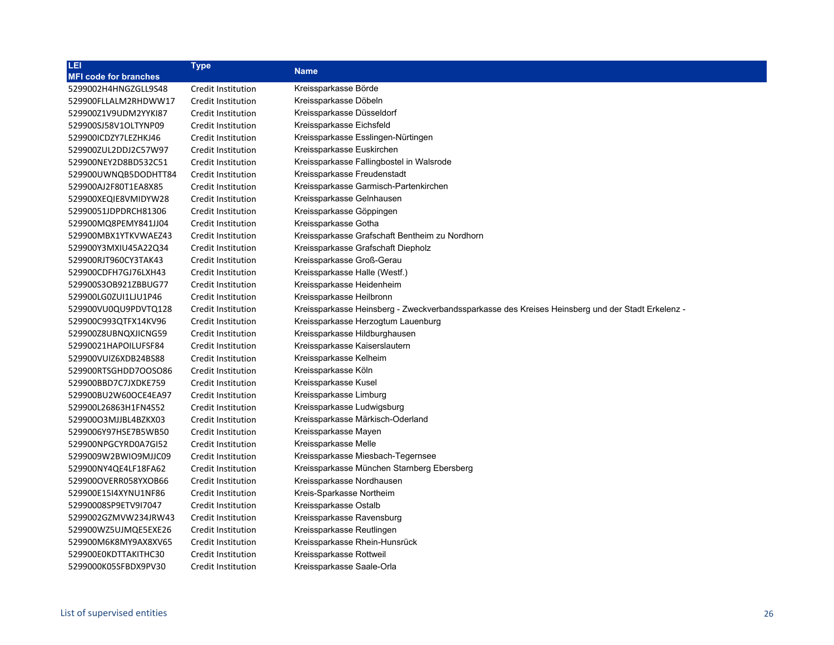| LEI                          | <b>Type</b>        | <b>Name</b>                                                                                      |
|------------------------------|--------------------|--------------------------------------------------------------------------------------------------|
| <b>MFI code for branches</b> |                    |                                                                                                  |
| 5299002H4HNGZGLL9S48         | Credit Institution | Kreissparkasse Börde                                                                             |
| 529900FLLALM2RHDWW17         | Credit Institution | Kreissparkasse Döbeln                                                                            |
| 529900Z1V9UDM2YYKI87         | Credit Institution | Kreissparkasse Düsseldorf                                                                        |
| 529900SJ58V1OLTYNP09         | Credit Institution | Kreissparkasse Eichsfeld                                                                         |
| 529900ICDZY7LEZHKJ46         | Credit Institution | Kreissparkasse Esslingen-Nürtingen                                                               |
| 529900ZUL2DDJ2C57W97         | Credit Institution | Kreissparkasse Euskirchen                                                                        |
| 529900NEY2D8BD532C51         | Credit Institution | Kreissparkasse Fallingbostel in Walsrode                                                         |
| 529900UWNQB5DODHTT84         | Credit Institution | Kreissparkasse Freudenstadt                                                                      |
| 529900AJ2F80T1EA8X85         | Credit Institution | Kreissparkasse Garmisch-Partenkirchen                                                            |
| 529900XEQIE8VMIDYW28         | Credit Institution | Kreissparkasse Gelnhausen                                                                        |
| 52990051JDPDRCH81306         | Credit Institution | Kreissparkasse Göppingen                                                                         |
| 529900MQ8PEMY841JJ04         | Credit Institution | Kreissparkasse Gotha                                                                             |
| 529900MBX1YTKVWAEZ43         | Credit Institution | Kreissparkasse Grafschaft Bentheim zu Nordhorn                                                   |
| 529900Y3MXIU45A22Q34         | Credit Institution | Kreissparkasse Grafschaft Diepholz                                                               |
| 529900RJT960CY3TAK43         | Credit Institution | Kreissparkasse Groß-Gerau                                                                        |
| 529900CDFH7GJ76LXH43         | Credit Institution | Kreissparkasse Halle (Westf.)                                                                    |
| 529900S3OB921ZBBUG77         | Credit Institution | Kreissparkasse Heidenheim                                                                        |
| 529900LG0ZUI1LJU1P46         | Credit Institution | Kreissparkasse Heilbronn                                                                         |
| 529900VU0QU9PDVTQ128         | Credit Institution | Kreissparkasse Heinsberg - Zweckverbandssparkasse des Kreises Heinsberg und der Stadt Erkelenz - |
| 529900C993QTFX14KV96         | Credit Institution | Kreissparkasse Herzogtum Lauenburg                                                               |
| 529900Z8UBNQXJICNG59         | Credit Institution | Kreissparkasse Hildburghausen                                                                    |
| 52990021HAPOILUFSF84         | Credit Institution | Kreissparkasse Kaiserslautern                                                                    |
| 529900VUIZ6XDB24BS88         | Credit Institution | Kreissparkasse Kelheim                                                                           |
| 529900RTSGHDD7OOSO86         | Credit Institution | Kreissparkasse Köln                                                                              |
| 529900BBD7C7JXDKE759         | Credit Institution | Kreissparkasse Kusel                                                                             |
| 529900BU2W60OCE4EA97         | Credit Institution | Kreissparkasse Limburg                                                                           |
| 529900L26863H1FN4S52         | Credit Institution | Kreissparkasse Ludwigsburg                                                                       |
| 52990003MJJBL4BZKX03         | Credit Institution | Kreissparkasse Märkisch-Oderland                                                                 |
| 5299006Y97HSE7B5WB50         | Credit Institution | Kreissparkasse Mayen                                                                             |
| 529900NPGCYRD0A7GI52         | Credit Institution | Kreissparkasse Melle                                                                             |
| 5299009W2BWIO9MJJC09         | Credit Institution | Kreissparkasse Miesbach-Tegernsee                                                                |
| 529900NY4QE4LF18FA62         | Credit Institution | Kreissparkasse München Starnberg Ebersberg                                                       |
| 529900OVERR058YXOB66         | Credit Institution | Kreissparkasse Nordhausen                                                                        |
| 529900E15I4XYNU1NF86         | Credit Institution | Kreis-Sparkasse Northeim                                                                         |
| 52990008SP9ETV9I7047         | Credit Institution | Kreissparkasse Ostalb                                                                            |
| 5299002GZMVW234JRW43         | Credit Institution | Kreissparkasse Ravensburg                                                                        |
| 529900WZ5UJMQE5EXE26         | Credit Institution | Kreissparkasse Reutlingen                                                                        |
| 529900M6K8MY9AX8XV65         | Credit Institution | Kreissparkasse Rhein-Hunsrück                                                                    |
| 529900E0KDTTAKITHC30         | Credit Institution | Kreissparkasse Rottweil                                                                          |
| 5299000K05SFBDX9PV30         | Credit Institution | Kreissparkasse Saale-Orla                                                                        |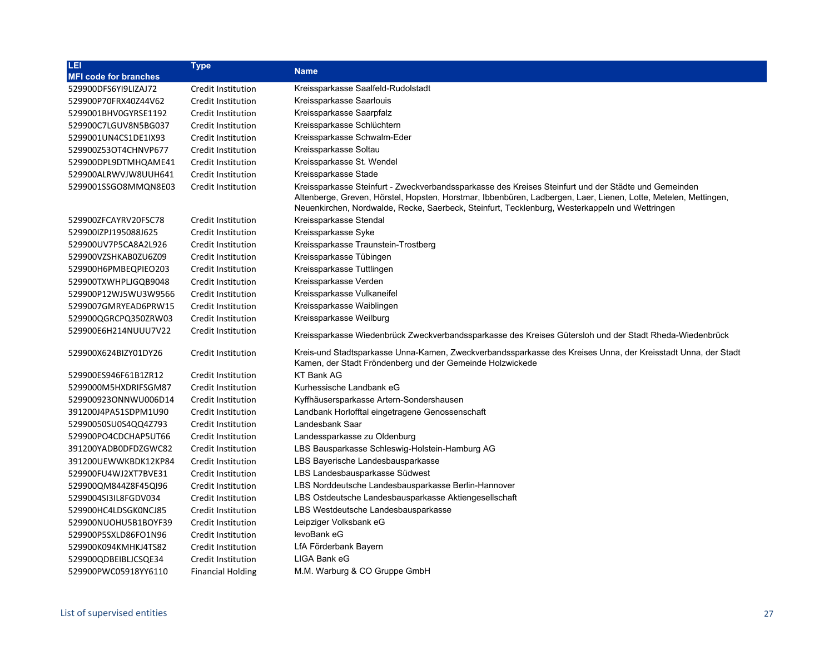| LEI                          | <b>Type</b>               | <b>Name</b>                                                                                                                                                                                                                                                                                                               |
|------------------------------|---------------------------|---------------------------------------------------------------------------------------------------------------------------------------------------------------------------------------------------------------------------------------------------------------------------------------------------------------------------|
| <b>MFI code for branches</b> |                           |                                                                                                                                                                                                                                                                                                                           |
| 529900DFS6YI9LIZAJ72         | Credit Institution        | Kreissparkasse Saalfeld-Rudolstadt                                                                                                                                                                                                                                                                                        |
| 529900P70FRX40Z44V62         | Credit Institution        | Kreissparkasse Saarlouis                                                                                                                                                                                                                                                                                                  |
| 5299001BHV0GYRSE1192         | Credit Institution        | Kreissparkasse Saarpfalz                                                                                                                                                                                                                                                                                                  |
| 529900C7LGUV8N5BG037         | Credit Institution        | Kreissparkasse Schlüchtern                                                                                                                                                                                                                                                                                                |
| 5299001UN4CS1DE1IX93         | Credit Institution        | Kreissparkasse Schwalm-Eder                                                                                                                                                                                                                                                                                               |
| 529900Z53OT4CHNVP677         | Credit Institution        | Kreissparkasse Soltau                                                                                                                                                                                                                                                                                                     |
| 529900DPL9DTMHQAME41         | Credit Institution        | Kreissparkasse St. Wendel                                                                                                                                                                                                                                                                                                 |
| 529900ALRWVJW8UUH641         | Credit Institution        | Kreissparkasse Stade                                                                                                                                                                                                                                                                                                      |
| 5299001SSGO8MMQN8E03         | Credit Institution        | Kreissparkasse Steinfurt - Zweckverbandssparkasse des Kreises Steinfurt und der Städte und Gemeinden<br>Altenberge, Greven, Hörstel, Hopsten, Horstmar, Ibbenbüren, Ladbergen, Laer, Lienen, Lotte, Metelen, Mettingen,<br>Neuenkirchen, Nordwalde, Recke, Saerbeck, Steinfurt, Tecklenburg, Westerkappeln und Wettringen |
| 529900ZFCAYRV20FSC78         | Credit Institution        | Kreissparkasse Stendal                                                                                                                                                                                                                                                                                                    |
| 529900IZPJ195088J625         | Credit Institution        | Kreissparkasse Syke                                                                                                                                                                                                                                                                                                       |
| 529900UV7P5CA8A2L926         | Credit Institution        | Kreissparkasse Traunstein-Trostberg                                                                                                                                                                                                                                                                                       |
| 529900VZSHKAB0ZU6Z09         | Credit Institution        | Kreissparkasse Tübingen                                                                                                                                                                                                                                                                                                   |
| 529900H6PMBEQPIEO203         | Credit Institution        | Kreissparkasse Tuttlingen                                                                                                                                                                                                                                                                                                 |
| 529900TXWHPLJGQB9048         | Credit Institution        | Kreissparkasse Verden                                                                                                                                                                                                                                                                                                     |
| 529900P12WJ5WU3W9566         | Credit Institution        | Kreissparkasse Vulkaneifel                                                                                                                                                                                                                                                                                                |
| 5299007GMRYEAD6PRW15         | Credit Institution        | Kreissparkasse Waiblingen                                                                                                                                                                                                                                                                                                 |
| 529900QGRCPQ350ZRW03         | Credit Institution        | Kreissparkasse Weilburg                                                                                                                                                                                                                                                                                                   |
| 529900E6H214NUUU7V22         | Credit Institution        | Kreissparkasse Wiedenbrück Zweckverbandssparkasse des Kreises Gütersloh und der Stadt Rheda-Wiedenbrück                                                                                                                                                                                                                   |
| 529900X624BIZY01DY26         | Credit Institution        | Kreis-und Stadtsparkasse Unna-Kamen, Zweckverbandssparkasse des Kreises Unna, der Kreisstadt Unna, der Stadt<br>Kamen, der Stadt Fröndenberg und der Gemeinde Holzwickede                                                                                                                                                 |
| 529900ES946F61B1ZR12         | Credit Institution        | <b>KT Bank AG</b>                                                                                                                                                                                                                                                                                                         |
| 5299000M5HXDRIFSGM87         | Credit Institution        | Kurhessische Landbank eG                                                                                                                                                                                                                                                                                                  |
| 529900923ONNWU006D14         | Credit Institution        | Kyffhäusersparkasse Artern-Sondershausen                                                                                                                                                                                                                                                                                  |
| 391200J4PA51SDPM1U90         | Credit Institution        | Landbank Horlofftal eingetragene Genossenschaft                                                                                                                                                                                                                                                                           |
| 52990050SU0S4QQ4Z793         | Credit Institution        | Landesbank Saar                                                                                                                                                                                                                                                                                                           |
| 529900PO4CDCHAP5UT66         | Credit Institution        | Landessparkasse zu Oldenburg                                                                                                                                                                                                                                                                                              |
| 391200YADB0DFDZGWC82         | Credit Institution        | LBS Bausparkasse Schleswig-Holstein-Hamburg AG                                                                                                                                                                                                                                                                            |
| 391200UEWWKBDK12KP84         | <b>Credit Institution</b> | LBS Bayerische Landesbausparkasse                                                                                                                                                                                                                                                                                         |
| 529900FU4WJ2XT7BVE31         | Credit Institution        | LBS Landesbausparkasse Südwest                                                                                                                                                                                                                                                                                            |
| 529900QM844Z8F45QI96         | Credit Institution        | LBS Norddeutsche Landesbausparkasse Berlin-Hannover                                                                                                                                                                                                                                                                       |
| 5299004SI3IL8FGDV034         | Credit Institution        | LBS Ostdeutsche Landesbausparkasse Aktiengesellschaft                                                                                                                                                                                                                                                                     |
| 529900HC4LDSGK0NCJ85         | Credit Institution        | LBS Westdeutsche Landesbausparkasse                                                                                                                                                                                                                                                                                       |
| 529900NUOHU5B1BOYF39         | Credit Institution        | Leipziger Volksbank eG                                                                                                                                                                                                                                                                                                    |
| 529900P5SXLD86FO1N96         | Credit Institution        | levoBank eG                                                                                                                                                                                                                                                                                                               |
| 529900K094KMHKJ4TS82         | Credit Institution        | LfA Förderbank Bayern                                                                                                                                                                                                                                                                                                     |
| 529900QDBEIBLJCSQE34         | Credit Institution        | LIGA Bank eG                                                                                                                                                                                                                                                                                                              |
| 529900PWC05918YY6110         | <b>Financial Holding</b>  | M.M. Warburg & CO Gruppe GmbH                                                                                                                                                                                                                                                                                             |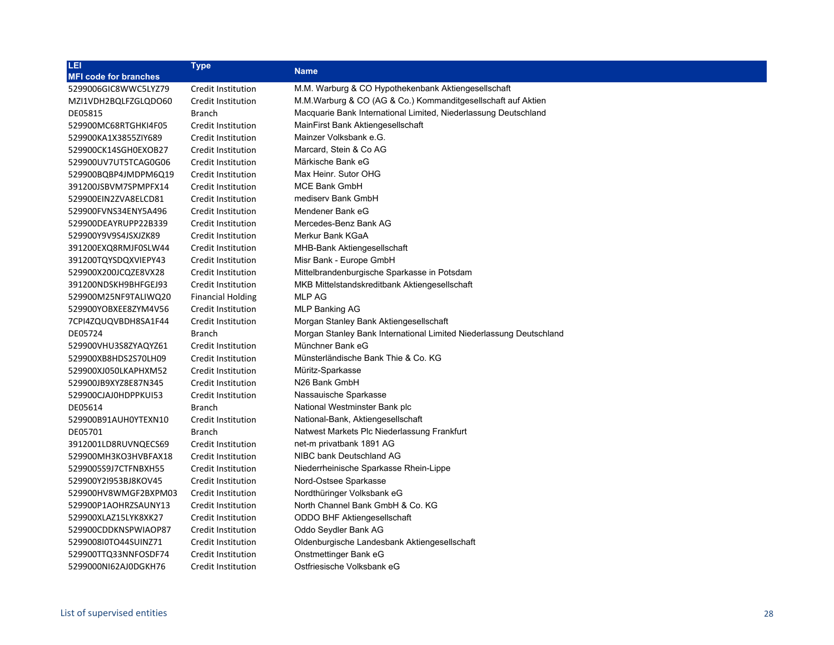| LEI                          | <b>Type</b>               | <b>Name</b>                                                         |
|------------------------------|---------------------------|---------------------------------------------------------------------|
| <b>MFI code for branches</b> |                           |                                                                     |
| 5299006GIC8WWC5LYZ79         | Credit Institution        | M.M. Warburg & CO Hypothekenbank Aktiengesellschaft                 |
| MZI1VDH2BQLFZGLQDO60         | Credit Institution        | M.M.Warburg & CO (AG & Co.) Kommanditgesellschaft auf Aktien        |
| DE05815                      | Branch                    | Macquarie Bank International Limited, Niederlassung Deutschland     |
| 529900MC68RTGHKI4F05         | Credit Institution        | MainFirst Bank Aktiengesellschaft                                   |
| 529900KA1X3855ZIY689         | Credit Institution        | Mainzer Volksbank e.G.                                              |
| 529900CK14SGH0EXOB27         | Credit Institution        | Marcard, Stein & Co AG                                              |
| 529900UV7UT5TCAG0G06         | Credit Institution        | Märkische Bank eG                                                   |
| 529900BQBP4JMDPM6Q19         | Credit Institution        | Max Heinr, Sutor OHG                                                |
| 391200JSBVM7SPMPFX14         | Credit Institution        | <b>MCE Bank GmbH</b>                                                |
| 529900EIN2ZVA8ELCD81         | Credit Institution        | medisery Bank GmbH                                                  |
| 529900FVNS34ENY5A496         | Credit Institution        | Mendener Bank eG                                                    |
| 529900DEAYRUPP22B339         | Credit Institution        | Mercedes-Benz Bank AG                                               |
| 529900Y9V9S4JSXJZK89         | Credit Institution        | Merkur Bank KGaA                                                    |
| 391200EXQ8RMJF0SLW44         | Credit Institution        | <b>MHB-Bank Aktiengesellschaft</b>                                  |
| 391200TQYSDQXVIEPY43         | Credit Institution        | Misr Bank - Europe GmbH                                             |
| 529900X200JCQZE8VX28         | Credit Institution        | Mittelbrandenburgische Sparkasse in Potsdam                         |
| 391200NDSKH9BHFGEJ93         | Credit Institution        | MKB Mittelstandskreditbank Aktiengesellschaft                       |
| 529900M25NF9TALIWQ20         | <b>Financial Holding</b>  | <b>MLP AG</b>                                                       |
| 529900YOBXEE8ZYM4V56         | Credit Institution        | MLP Banking AG                                                      |
| 7CPI4ZQUQVBDH8SA1F44         | <b>Credit Institution</b> | Morgan Stanley Bank Aktiengesellschaft                              |
| DE05724                      | Branch                    | Morgan Stanley Bank International Limited Niederlassung Deutschland |
| 529900VHU3S8ZYAQYZ61         | Credit Institution        | Münchner Bank eG                                                    |
| 529900XB8HDS2S70LH09         | Credit Institution        | Münsterländische Bank Thie & Co. KG                                 |
| 529900XJ050LKAPHXM52         | Credit Institution        | Müritz-Sparkasse                                                    |
| 529900JB9XYZ8E87N345         | <b>Credit Institution</b> | N26 Bank GmbH                                                       |
| 529900CJAJ0HDPPKUI53         | Credit Institution        | Nassauische Sparkasse                                               |
| DE05614                      | <b>Branch</b>             | National Westminster Bank plc                                       |
| 529900B91AUH0YTEXN10         | Credit Institution        | National-Bank, Aktiengesellschaft                                   |
| DE05701                      | <b>Branch</b>             | Natwest Markets Plc Niederlassung Frankfurt                         |
| 3912001LD8RUVNQECS69         | Credit Institution        | net-m privatbank 1891 AG                                            |
| 529900MH3KO3HVBFAX18         | Credit Institution        | NIBC bank Deutschland AG                                            |
| 5299005S9J7CTFNBXH55         | Credit Institution        | Niederrheinische Sparkasse Rhein-Lippe                              |
| 529900Y2I953BJ8KOV45         | Credit Institution        | Nord-Ostsee Sparkasse                                               |
| 529900HV8WMGF2BXPM03         | Credit Institution        | Nordthüringer Volksbank eG                                          |
| 529900P1AOHRZSAUNY13         | Credit Institution        | North Channel Bank GmbH & Co. KG                                    |
| 529900XLAZ15LYK8XK27         | Credit Institution        | ODDO BHF Aktiengesellschaft                                         |
| 529900CDDKNSPWIAOP87         | <b>Credit Institution</b> | Oddo Seydler Bank AG                                                |
| 5299008I0TO44SUINZ71         | Credit Institution        | Oldenburgische Landesbank Aktiengesellschaft                        |
| 529900TTQ33NNFOSDF74         | Credit Institution        | Onstmettinger Bank eG                                               |
| 5299000NI62AJ0DGKH76         | <b>Credit Institution</b> | Ostfriesische Volksbank eG                                          |
|                              |                           |                                                                     |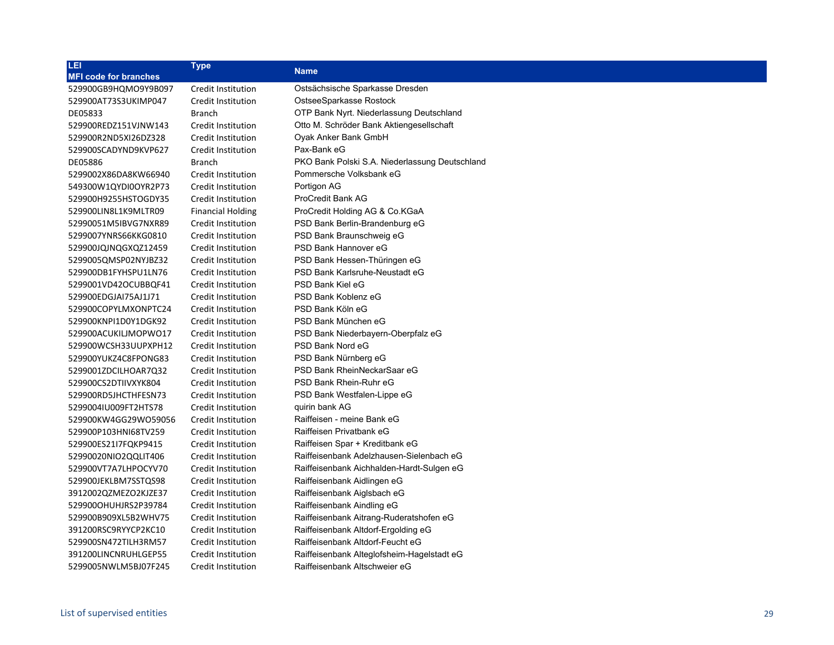| LEI                          | <b>Type</b>               | <b>Name</b>                                    |
|------------------------------|---------------------------|------------------------------------------------|
| <b>MFI code for branches</b> |                           |                                                |
| 529900GB9HQMO9Y9B097         | Credit Institution        | Ostsächsische Sparkasse Dresden                |
| 529900AT73S3UKIMP047         | <b>Credit Institution</b> | OstseeSparkasse Rostock                        |
| DE05833                      | Branch                    | OTP Bank Nyrt. Niederlassung Deutschland       |
| 529900REDZ151VJNW143         | <b>Credit Institution</b> | Otto M. Schröder Bank Aktiengesellschaft       |
| 529900R2ND5XI26DZ328         | Credit Institution        | Oyak Anker Bank GmbH                           |
| 529900SCADYND9KVP627         | Credit Institution        | Pax-Bank eG                                    |
| DE05886                      | <b>Branch</b>             | PKO Bank Polski S.A. Niederlassung Deutschland |
| 5299002X86DA8KW66940         | Credit Institution        | Pommersche Volksbank eG                        |
| 549300W1QYDI0OYR2P73         | Credit Institution        | Portigon AG                                    |
| 529900H9255HSTOGDY35         | Credit Institution        | ProCredit Bank AG                              |
| 529900LIN8L1K9MLTR09         | <b>Financial Holding</b>  | ProCredit Holding AG & Co.KGaA                 |
| 52990051M5IBVG7NXR89         | Credit Institution        | PSD Bank Berlin-Brandenburg eG                 |
| 5299007YNRS66KKG0810         | Credit Institution        | PSD Bank Braunschweig eG                       |
| 529900JQJNQGXQZ12459         | Credit Institution        | PSD Bank Hannover eG                           |
| 5299005QMSP02NYJBZ32         | Credit Institution        | PSD Bank Hessen-Thüringen eG                   |
| 529900DB1FYHSPU1LN76         | Credit Institution        | PSD Bank Karlsruhe-Neustadt eG                 |
| 5299001VD42OCUBBQF41         | <b>Credit Institution</b> | PSD Bank Kiel eG                               |
| 529900EDGJAI75AJ1J71         | Credit Institution        | PSD Bank Koblenz eG                            |
| 529900COPYLMXONPTC24         | Credit Institution        | PSD Bank Köln eG                               |
| 529900KNPI1D0Y1DGK92         | Credit Institution        | PSD Bank München eG                            |
| 529900ACUKILJMOPWO17         | Credit Institution        | PSD Bank Niederbayern-Oberpfalz eG             |
| 529900WCSH33UUPXPH12         | <b>Credit Institution</b> | PSD Bank Nord eG                               |
| 529900YUKZ4C8FPONG83         | Credit Institution        | PSD Bank Nürnberg eG                           |
| 5299001ZDCILHOAR7Q32         | Credit Institution        | PSD Bank RheinNeckarSaar eG                    |
| 529900CS2DTIIVXYK804         | Credit Institution        | PSD Bank Rhein-Ruhr eG                         |
| 529900RD5JHCTHFESN73         | Credit Institution        | PSD Bank Westfalen-Lippe eG                    |
| 5299004IU009FT2HTS78         | Credit Institution        | quirin bank AG                                 |
| 529900KW4GG29WO59056         | Credit Institution        | Raiffeisen - meine Bank eG                     |
| 529900P103HNI68TV259         | Credit Institution        | Raiffeisen Privatbank eG                       |
| 529900ES21I7FQKP9415         | Credit Institution        | Raiffeisen Spar + Kreditbank eG                |
| 52990020NIO2QQLIT406         | Credit Institution        | Raiffeisenbank Adelzhausen-Sielenbach eG       |
| 529900VT7A7LHPOCYV70         | Credit Institution        | Raiffeisenbank Aichhalden-Hardt-Sulgen eG      |
| 529900JEKLBM7SSTQS98         | Credit Institution        | Raiffeisenbank Aidlingen eG                    |
| 3912002QZMEZO2KJZE37         | Credit Institution        | Raiffeisenbank Aiglsbach eG                    |
| 529900OHUHJRS2P39784         | Credit Institution        | Raiffeisenbank Aindling eG                     |
| 529900B909XL5B2WHV75         | Credit Institution        | Raiffeisenbank Aitrang-Ruderatshofen eG        |
| 391200RSC9RYYCP2KC10         | Credit Institution        | Raiffeisenbank Altdorf-Ergolding eG            |
| 529900SN472TILH3RM57         | Credit Institution        | Raiffeisenbank Altdorf-Feucht eG               |
| 391200LINCNRUHLGEP55         | Credit Institution        | Raiffeisenbank Alteglofsheim-Hagelstadt eG     |
| 5299005NWLM5BJ07F245         | <b>Credit Institution</b> | Raiffeisenbank Altschweier eG                  |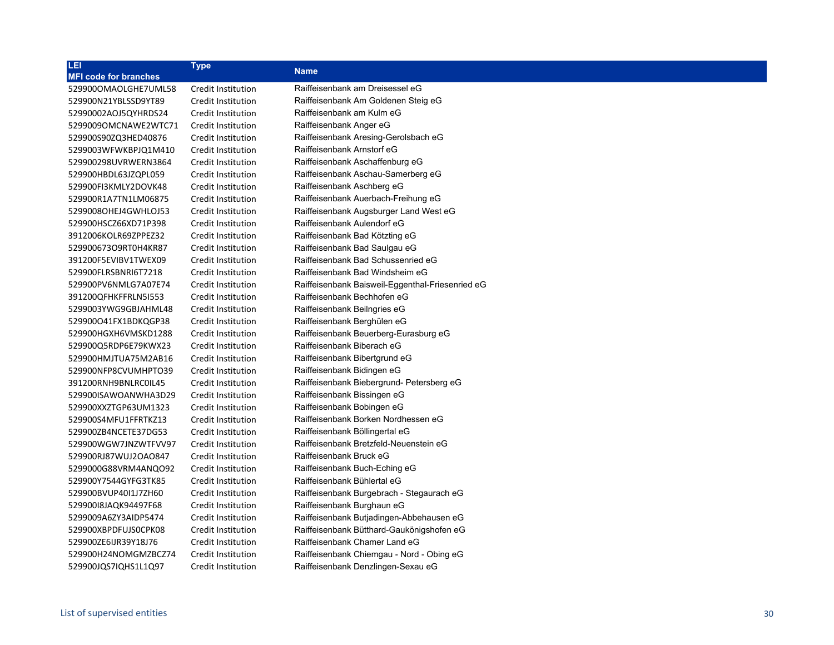| LEI                          | <b>Type</b>               | <b>Name</b>                                      |
|------------------------------|---------------------------|--------------------------------------------------|
| <b>MFI code for branches</b> |                           |                                                  |
| 529900OMAOLGHE7UML58         | Credit Institution        | Raiffeisenbank am Dreisessel eG                  |
| 529900N21YBLSSD9YT89         | Credit Institution        | Raiffeisenbank Am Goldenen Steig eG              |
| 52990002AOJ5QYHRDS24         | Credit Institution        | Raiffeisenbank am Kulm eG                        |
| 5299009OMCNAWE2WTC71         | Credit Institution        | Raiffeisenbank Anger eG                          |
| 529900S90ZQ3HED40876         | Credit Institution        | Raiffeisenbank Aresing-Gerolsbach eG             |
| 5299003WFWKBPJQ1M410         | Credit Institution        | Raiffeisenbank Arnstorf eG                       |
| 529900298UVRWERN3864         | Credit Institution        | Raiffeisenbank Aschaffenburg eG                  |
| 529900HBDL63JZQPL059         | Credit Institution        | Raiffeisenbank Aschau-Samerberg eG               |
| 529900FI3KMLY2DOVK48         | Credit Institution        | Raiffeisenbank Aschberg eG                       |
| 529900R1A7TN1LM06875         | Credit Institution        | Raiffeisenbank Auerbach-Freihung eG              |
| 5299008OHEJ4GWHLOJ53         | Credit Institution        | Raiffeisenbank Augsburger Land West eG           |
| 529900HSCZ66XD71P398         | Credit Institution        | Raiffeisenbank Aulendorf eG                      |
| 3912006KOLR69ZPPEZ32         | Credit Institution        | Raiffeisenbank Bad Kötzting eG                   |
| 529900673O9RT0H4KR87         | Credit Institution        | Raiffeisenbank Bad Saulgau eG                    |
| 391200F5EVIBV1TWEX09         | Credit Institution        | Raiffeisenbank Bad Schussenried eG               |
| 529900FLRSBNRI6T7218         | Credit Institution        | Raiffeisenbank Bad Windsheim eG                  |
| 529900PV6NMLG7A07E74         | Credit Institution        | Raiffeisenbank Baisweil-Eggenthal-Friesenried eG |
| 391200QFHKFFRLN5I553         | Credit Institution        | Raiffeisenbank Bechhofen eG                      |
| 5299003YWG9GBJAHML48         | Credit Institution        | Raiffeisenbank Beilngries eG                     |
| 529900O41FX1BDKQGP38         | Credit Institution        | Raiffeisenbank Berghülen eG                      |
| 529900HGXH6VMSKD1288         | Credit Institution        | Raiffeisenbank Beuerberg-Eurasburg eG            |
| 529900Q5RDP6E79KWX23         | Credit Institution        | Raiffeisenbank Biberach eG                       |
| 529900HMJTUA75M2AB16         | Credit Institution        | Raiffeisenbank Bibertgrund eG                    |
| 529900NFP8CVUMHPTO39         | Credit Institution        | Raiffeisenbank Bidingen eG                       |
| 391200RNH9BNLRC0IL45         | Credit Institution        | Raiffeisenbank Biebergrund- Petersberg eG        |
| 529900ISAWOANWHA3D29         | Credit Institution        | Raiffeisenbank Bissingen eG                      |
| 529900XXZTGP63UM1323         | Credit Institution        | Raiffeisenbank Bobingen eG                       |
| 529900S4MFU1FFRTKZ13         | Credit Institution        | Raiffeisenbank Borken Nordhessen eG              |
| 529900ZB4NCETE37DG53         | Credit Institution        | Raiffeisenbank Böllingertal eG                   |
| 529900WGW7JNZWTFVV97         | Credit Institution        | Raiffeisenbank Bretzfeld-Neuenstein eG           |
| 529900RJ87WUJ2OAO847         | Credit Institution        | Raiffeisenbank Bruck eG                          |
| 5299000G88VRM4ANQO92         | Credit Institution        | Raiffeisenbank Buch-Eching eG                    |
| 529900Y7544GYFG3TK85         | Credit Institution        | Raiffeisenbank Bühlertal eG                      |
| 529900BVUP40I1J7ZH60         | Credit Institution        | Raiffeisenbank Burgebrach - Stegaurach eG        |
| 52990018JAQK94497F68         | Credit Institution        | Raiffeisenbank Burghaun eG                       |
| 5299009A6ZY3AIDP5474         | Credit Institution        | Raiffeisenbank Butjadingen-Abbehausen eG         |
| 529900XBPDFUJS0CPK08         | Credit Institution        | Raiffeisenbank Bütthard-Gaukönigshofen eG        |
| 529900ZE6IJR39Y18J76         | Credit Institution        | Raiffeisenbank Chamer Land eG                    |
| 529900H24NOMGMZBCZ74         | Credit Institution        | Raiffeisenbank Chiemgau - Nord - Obing eG        |
| 529900JQS7IQHS1L1Q97         | <b>Credit Institution</b> | Raiffeisenbank Denzlingen-Sexau eG               |
|                              |                           |                                                  |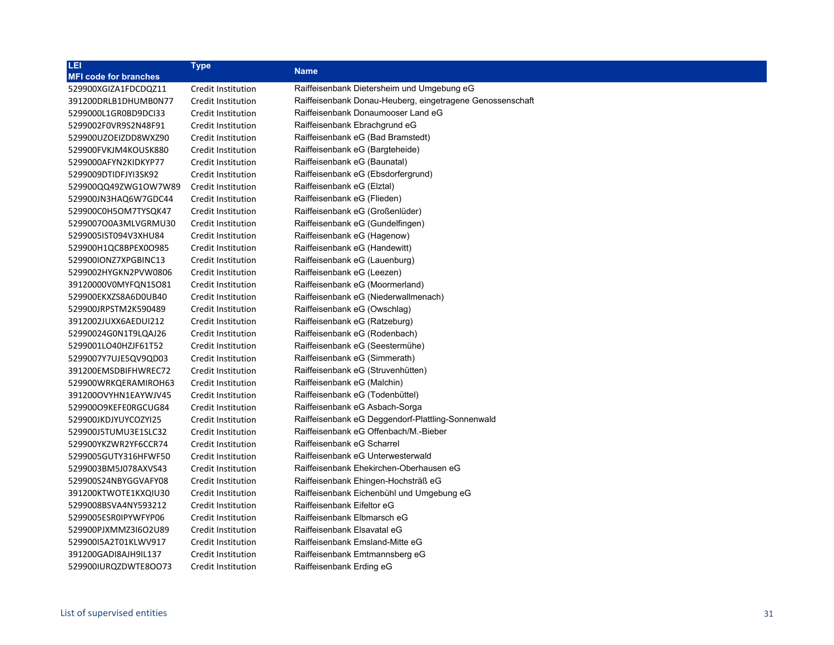| LEI                          | Type               | <b>Name</b>                                               |
|------------------------------|--------------------|-----------------------------------------------------------|
| <b>MFI code for branches</b> |                    |                                                           |
| 529900XGIZA1FDCDQZ11         | Credit Institution | Raiffeisenbank Dietersheim und Umgebung eG                |
| 391200DRLB1DHUMB0N77         | Credit Institution | Raiffeisenbank Donau-Heuberg, eingetragene Genossenschaft |
| 5299000L1GR0BD9DCI33         | Credit Institution | Raiffeisenbank Donaumooser Land eG                        |
| 5299002F0VR9S2N48F91         | Credit Institution | Raiffeisenbank Ebrachgrund eG                             |
| 529900UZOEIZDD8WXZ90         | Credit Institution | Raiffeisenbank eG (Bad Bramstedt)                         |
| 529900FVKJM4KOUSK880         | Credit Institution | Raiffeisenbank eG (Bargteheide)                           |
| 5299000AFYN2KIDKYP77         | Credit Institution | Raiffeisenbank eG (Baunatal)                              |
| 5299009DTIDFJYI3SK92         | Credit Institution | Raiffeisenbank eG (Ebsdorfergrund)                        |
| 529900QQ49ZWG1OW7W89         | Credit Institution | Raiffeisenbank eG (Elztal)                                |
| 529900JN3HAQ6W7GDC44         | Credit Institution | Raiffeisenbank eG (Flieden)                               |
| 529900C0H5OM7TYSQK47         | Credit Institution | Raiffeisenbank eG (Großenlüder)                           |
| 5299007O0A3MLVGRMU30         | Credit Institution | Raiffeisenbank eG (Gundelfingen)                          |
| 5299005IST094V3XHU84         | Credit Institution | Raiffeisenbank eG (Hagenow)                               |
| 529900H1QC8BPEX0O985         | Credit Institution | Raiffeisenbank eG (Handewitt)                             |
| 529900IONZ7XPGBINC13         | Credit Institution | Raiffeisenbank eG (Lauenburg)                             |
| 5299002HYGKN2PVW0806         | Credit Institution | Raiffeisenbank eG (Leezen)                                |
| 39120000V0MYFQN1SO81         | Credit Institution | Raiffeisenbank eG (Moormerland)                           |
| 529900EKXZS8A6D0UB40         | Credit Institution | Raiffeisenbank eG (Niederwallmenach)                      |
| 529900JRPSTM2K590489         | Credit Institution | Raiffeisenbank eG (Owschlag)                              |
| 3912002JUXX6AEDUI212         | Credit Institution | Raiffeisenbank eG (Ratzeburg)                             |
| 52990024G0N1T9LQAJ26         | Credit Institution | Raiffeisenbank eG (Rodenbach)                             |
| 5299001LO40HZJF61T52         | Credit Institution | Raiffeisenbank eG (Seestermühe)                           |
| 5299007Y7UJE5QV9QD03         | Credit Institution | Raiffeisenbank eG (Simmerath)                             |
| 391200EMSDBIFHWREC72         | Credit Institution | Raiffeisenbank eG (Struvenhütten)                         |
| 529900WRKQERAMIROH63         | Credit Institution | Raiffeisenbank eG (Malchin)                               |
| 391200OVYHN1EAYWJV45         | Credit Institution | Raiffeisenbank eG (Todenbüttel)                           |
| 529900O9KEFE0RGCUG84         | Credit Institution | Raiffeisenbank eG Asbach-Sorga                            |
| 529900JKDJYUYCOZYI25         | Credit Institution | Raiffeisenbank eG Deggendorf-Plattling-Sonnenwald         |
| 529900J5TUMU3E1SLC32         | Credit Institution | Raiffeisenbank eG Offenbach/M.-Bieber                     |
| 529900YKZWR2YF6CCR74         | Credit Institution | Raiffeisenbank eG Scharrel                                |
| 5299005GUTY316HFWF50         | Credit Institution | Raiffeisenbank eG Unterwesterwald                         |
| 5299003BM5J078AXVS43         | Credit Institution | Raiffeisenbank Ehekirchen-Oberhausen eG                   |
| 529900S24NBYGGVAFY08         | Credit Institution | Raiffeisenbank Ehingen-Hochsträß eG                       |
| 391200KTWOTE1KXQIU30         | Credit Institution | Raiffeisenbank Eichenbühl und Umgebung eG                 |
| 5299008BSVA4NY593212         | Credit Institution | Raiffeisenbank Eifeltor eG                                |
| 5299005ESR0IPYWFYP06         | Credit Institution | Raiffeisenbank Elbmarsch eG                               |
| 529900PJXMMZ3I6O2U89         | Credit Institution | Raiffeisenbank Elsavatal eG                               |
| 52990015A2T01KLWV917         | Credit Institution | Raiffeisenbank Emsland-Mitte eG                           |
| 391200GADI8AJH9IL137         | Credit Institution | Raiffeisenbank Emtmannsberg eG                            |
| 529900IURQZDWTE8OO73         | Credit Institution | Raiffeisenbank Erding eG                                  |
|                              |                    |                                                           |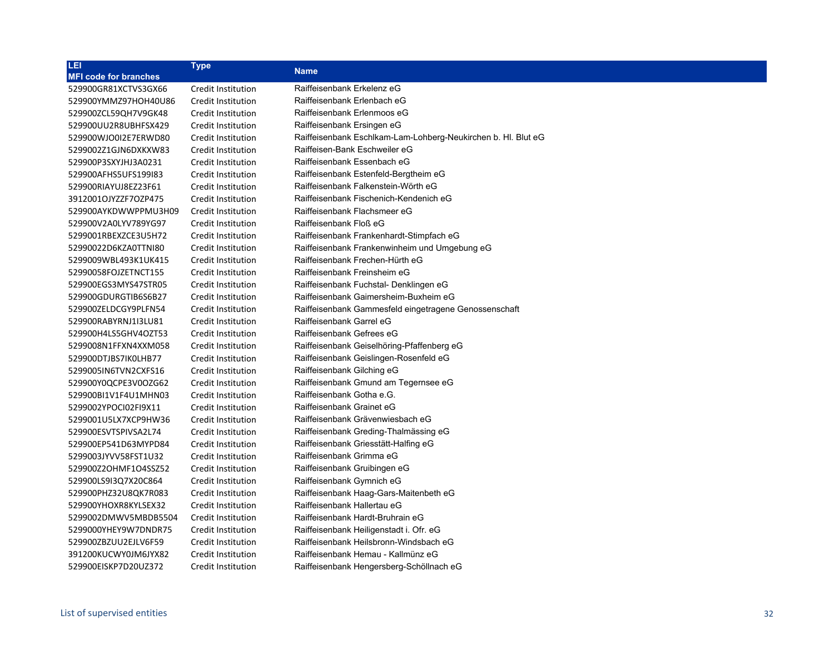| LET.                         | <b>Type</b>        |                                                               |
|------------------------------|--------------------|---------------------------------------------------------------|
| <b>MFI code for branches</b> |                    | <b>Name</b>                                                   |
| 529900GR81XCTVS3GX66         | Credit Institution | Raiffeisenbank Erkelenz eG                                    |
| 529900YMMZ97HOH40U86         | Credit Institution | Raiffeisenbank Erlenbach eG                                   |
| 529900ZCL59QH7V9GK48         | Credit Institution | Raiffeisenbank Erlenmoos eG                                   |
| 529900UU2R8UBHFSX429         | Credit Institution | Raiffeisenbank Ersingen eG                                    |
| 529900WJO0I2E7ERWD80         | Credit Institution | Raiffeisenbank Eschlkam-Lam-Lohberg-Neukirchen b. Hl. Blut eG |
| 5299002Z1GJN6DXKXW83         | Credit Institution | Raiffeisen-Bank Eschweiler eG                                 |
| 529900P3SXYJHJ3A0231         | Credit Institution | Raiffeisenbank Essenbach eG                                   |
| 529900AFHS5UFS199I83         | Credit Institution | Raiffeisenbank Estenfeld-Bergtheim eG                         |
| 529900RIAYUJ8EZ23F61         | Credit Institution | Raiffeisenbank Falkenstein-Wörth eG                           |
| 3912001OJYZZF7OZP475         | Credit Institution | Raiffeisenbank Fischenich-Kendenich eG                        |
| 529900AYKDWWPPMU3H09         | Credit Institution | Raiffeisenbank Flachsmeer eG                                  |
| 529900V2A0LYV789YG97         | Credit Institution | Raiffeisenbank Floß eG                                        |
| 5299001RBEXZCE3U5H72         | Credit Institution | Raiffeisenbank Frankenhardt-Stimpfach eG                      |
| 52990022D6KZA0TTNI80         | Credit Institution | Raiffeisenbank Frankenwinheim und Umgebung eG                 |
| 5299009WBL493K1UK415         | Credit Institution | Raiffeisenbank Frechen-Hürth eG                               |
| 52990058FOJZETNCT155         | Credit Institution | Raiffeisenbank Freinsheim eG                                  |
| 529900EGS3MYS47STR05         | Credit Institution | Raiffeisenbank Fuchstal- Denklingen eG                        |
| 529900GDURGTIB6S6B27         | Credit Institution | Raiffeisenbank Gaimersheim-Buxheim eG                         |
| 529900ZELDCGY9PLFN54         | Credit Institution | Raiffeisenbank Gammesfeld eingetragene Genossenschaft         |
| 529900RABYRNJ1I3LU81         | Credit Institution | Raiffeisenbank Garrel eG                                      |
| 529900H4LS5GHV4OZT53         | Credit Institution | Raiffeisenbank Gefrees eG                                     |
| 5299008N1FFXN4XXM058         | Credit Institution | Raiffeisenbank Geiselhöring-Pfaffenberg eG                    |
| 529900DTJBS7IK0LHB77         | Credit Institution | Raiffeisenbank Geislingen-Rosenfeld eG                        |
| 5299005IN6TVN2CXFS16         | Credit Institution | Raiffeisenbank Gilching eG                                    |
| 529900Y0QCPE3V0OZG62         | Credit Institution | Raiffeisenbank Gmund am Tegernsee eG                          |
| 529900BI1V1F4U1MHN03         | Credit Institution | Raiffeisenbank Gotha e.G.                                     |
| 5299002YPOCI02FI9X11         | Credit Institution | Raiffeisenbank Grainet eG                                     |
| 5299001U5LX7XCP9HW36         | Credit Institution | Raiffeisenbank Grävenwiesbach eG                              |
| 529900ESVTSPIVSA2L74         | Credit Institution | Raiffeisenbank Greding-Thalmässing eG                         |
| 529900EP541D63MYPD84         | Credit Institution | Raiffeisenbank Griesstätt-Halfing eG                          |
| 5299003JYVV58FST1U32         | Credit Institution | Raiffeisenbank Grimma eG                                      |
| 529900Z2OHMF1O4SSZ52         | Credit Institution | Raiffeisenbank Gruibingen eG                                  |
| 529900LS9I3Q7X20C864         | Credit Institution | Raiffeisenbank Gymnich eG                                     |
| 529900PHZ32U8QK7R083         | Credit Institution | Raiffeisenbank Haag-Gars-Maitenbeth eG                        |
| 529900YHOXR8KYLSEX32         | Credit Institution | Raiffeisenbank Hallertau eG                                   |
| 5299002DMWV5MBDB5504         | Credit Institution | Raiffeisenbank Hardt-Bruhrain eG                              |
| 5299000YHEY9W7DNDR75         | Credit Institution | Raiffeisenbank Heiligenstadt i. Ofr. eG                       |
| 529900ZBZUU2EJLV6F59         | Credit Institution | Raiffeisenbank Heilsbronn-Windsbach eG                        |
| 391200KUCWY0JM6JYX82         | Credit Institution | Raiffeisenbank Hemau - Kallmünz eG                            |
| 529900EISKP7D20UZ372         | Credit Institution | Raiffeisenbank Hengersberg-Schöllnach eG                      |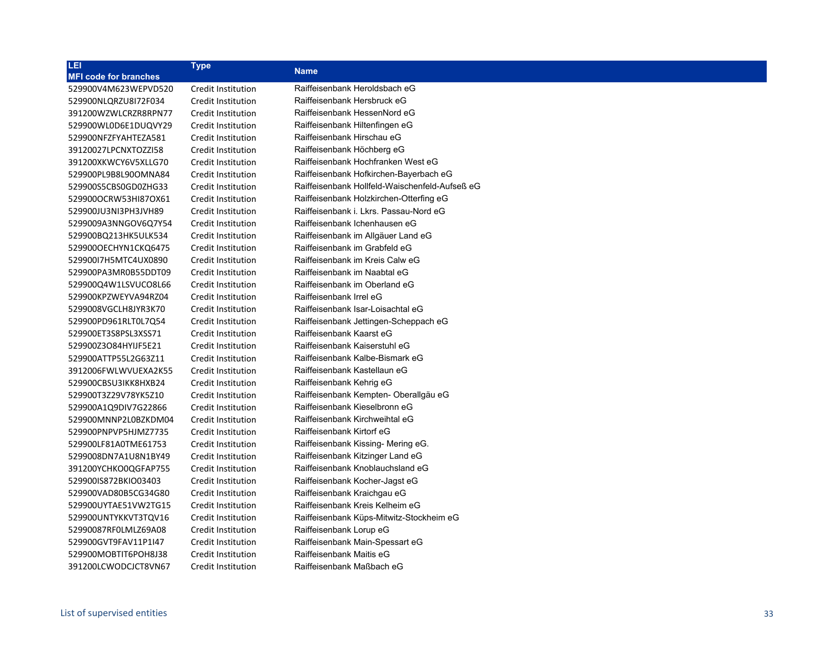| LEI                          | <b>Type</b>        | <b>Name</b>                                    |
|------------------------------|--------------------|------------------------------------------------|
| <b>MFI code for branches</b> |                    |                                                |
| 529900V4M623WEPVD520         | Credit Institution | Raiffeisenbank Heroldsbach eG                  |
| 529900NLQRZU8I72F034         | Credit Institution | Raiffeisenbank Hersbruck eG                    |
| 391200WZWLCRZR8RPN77         | Credit Institution | Raiffeisenbank HessenNord eG                   |
| 529900WL0D6E1DUQVY29         | Credit Institution | Raiffeisenbank Hiltenfingen eG                 |
| 529900NFZFYAHTEZA581         | Credit Institution | Raiffeisenbank Hirschau eG                     |
| 39120027LPCNXTOZZI58         | Credit Institution | Raiffeisenbank Höchberg eG                     |
| 391200XKWCY6V5XLLG70         | Credit Institution | Raiffeisenbank Hochfranken West eG             |
| 529900PL9B8L90OMNA84         | Credit Institution | Raiffeisenbank Hofkirchen-Bayerbach eG         |
| 529900S5CBS0GD0ZHG33         | Credit Institution | Raiffeisenbank Hollfeld-Waischenfeld-Aufseß eG |
| 529900OCRW53HI87OX61         | Credit Institution | Raiffeisenbank Holzkirchen-Otterfing eG        |
| 529900JU3NI3PH3JVH89         | Credit Institution | Raiffeisenbank i. Lkrs. Passau-Nord eG         |
| 5299009A3NNGOV6Q7Y54         | Credit Institution | Raiffeisenbank Ichenhausen eG                  |
| 529900BQ213HK5ULK534         | Credit Institution | Raiffeisenbank im Allgäuer Land eG             |
| 529900OECHYN1CKQ6475         | Credit Institution | Raiffeisenbank im Grabfeld eG                  |
| 52990017H5MTC4UX0890         | Credit Institution | Raiffeisenbank im Kreis Calw eG                |
| 529900PA3MR0B55DDT09         | Credit Institution | Raiffeisenbank im Naabtal eG                   |
| 529900Q4W1LSVUCO8L66         | Credit Institution | Raiffeisenbank im Oberland eG                  |
| 529900KPZWEYVA94RZ04         | Credit Institution | Raiffeisenbank Irrel eG                        |
| 5299008VGCLH8JYR3K70         | Credit Institution | Raiffeisenbank Isar-Loisachtal eG              |
| 529900PD961RLT0L7Q54         | Credit Institution | Raiffeisenbank Jettingen-Scheppach eG          |
| 529900ET3S8PSL3XSS71         | Credit Institution | Raiffeisenbank Kaarst eG                       |
| 529900Z3O84HYIJF5E21         | Credit Institution | Raiffeisenbank Kaiserstuhl eG                  |
| 529900ATTP55L2G63Z11         | Credit Institution | Raiffeisenbank Kalbe-Bismark eG                |
| 3912006FWLWVUEXA2K55         | Credit Institution | Raiffeisenbank Kastellaun eG                   |
| 529900CBSU3IKK8HXB24         | Credit Institution | Raiffeisenbank Kehrig eG                       |
| 529900T3Z29V78YK5Z10         | Credit Institution | Raiffeisenbank Kempten- Oberallgäu eG          |
| 529900A1Q9DIV7G22866         | Credit Institution | Raiffeisenbank Kieselbronn eG                  |
| 529900MNNP2L0BZKDM04         | Credit Institution | Raiffeisenbank Kirchweihtal eG                 |
| 529900PNPVP5HJMZ7735         | Credit Institution | Raiffeisenbank Kirtorf eG                      |
| 529900LF81A0TME61753         | Credit Institution | Raiffeisenbank Kissing- Mering eG.             |
| 5299008DN7A1U8N1BY49         | Credit Institution | Raiffeisenbank Kitzinger Land eG               |
| 391200YCHKO0QGFAP755         | Credit Institution | Raiffeisenbank Knoblauchsland eG               |
| 529900IS872BKIO03403         | Credit Institution | Raiffeisenbank Kocher-Jagst eG                 |
| 529900VAD80B5CG34G80         | Credit Institution | Raiffeisenbank Kraichgau eG                    |
| 529900UYTAE51VW2TG15         | Credit Institution | Raiffeisenbank Kreis Kelheim eG                |
| 529900UNTYKKVT3TQV16         | Credit Institution | Raiffeisenbank Küps-Mitwitz-Stockheim eG       |
| 52990087RF0LMLZ69A08         | Credit Institution | Raiffeisenbank Lorup eG                        |
| 529900GVT9FAV11P1I47         | Credit Institution | Raiffeisenbank Main-Spessart eG                |
| 529900MOBTIT6POH8J38         | Credit Institution | Raiffeisenbank Maitis eG                       |
| 391200LCWODCJCT8VN67         | Credit Institution | Raiffeisenbank Maßbach eG                      |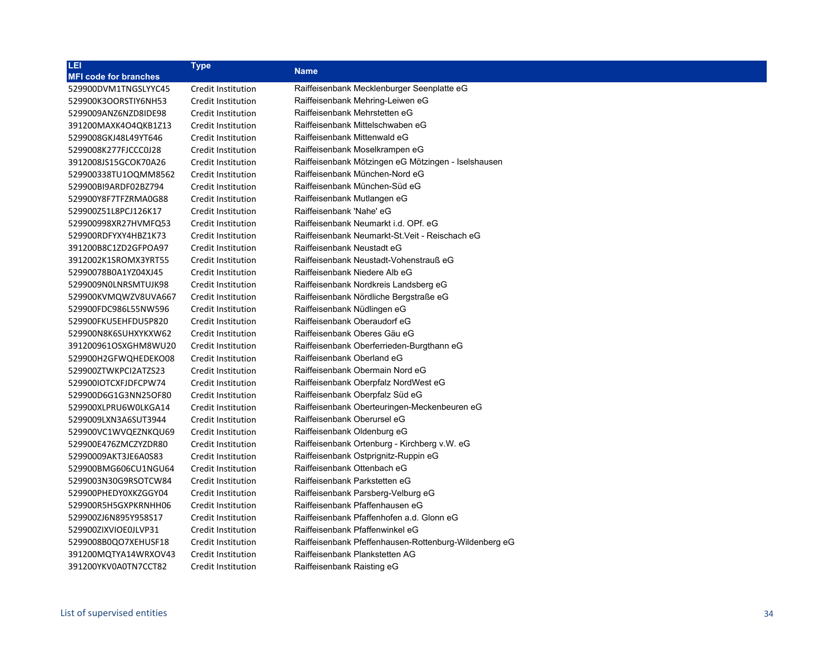| Credit Institution<br>Raiffeisenbank Mecklenburger Seenplatte eG<br>Raiffeisenbank Mehring-Leiwen eG<br>Credit Institution<br>Raiffeisenbank Mehrstetten eG<br>Credit Institution<br>Raiffeisenbank Mittelschwaben eG<br>Credit Institution<br>Raiffeisenbank Mittenwald eG<br>Credit Institution<br>Raiffeisenbank Moselkrampen eG<br>Credit Institution<br>Raiffeisenbank Mötzingen eG Mötzingen - Iselshausen<br>Credit Institution<br>Raiffeisenbank München-Nord eG<br>Credit Institution<br>Raiffeisenbank München-Süd eG<br>Credit Institution<br>Raiffeisenbank Mutlangen eG<br>Credit Institution<br>Raiffeisenbank 'Nahe' eG<br>Credit Institution<br>Raiffeisenbank Neumarkt i.d. OPf. eG<br>Credit Institution<br>Raiffeisenbank Neumarkt-St. Veit - Reischach eG<br>Credit Institution | LEI                          | <b>Type</b>        | <b>Name</b>                |
|-----------------------------------------------------------------------------------------------------------------------------------------------------------------------------------------------------------------------------------------------------------------------------------------------------------------------------------------------------------------------------------------------------------------------------------------------------------------------------------------------------------------------------------------------------------------------------------------------------------------------------------------------------------------------------------------------------------------------------------------------------------------------------------------------------|------------------------------|--------------------|----------------------------|
|                                                                                                                                                                                                                                                                                                                                                                                                                                                                                                                                                                                                                                                                                                                                                                                                     | <b>MFI code for branches</b> |                    |                            |
|                                                                                                                                                                                                                                                                                                                                                                                                                                                                                                                                                                                                                                                                                                                                                                                                     | 529900DVM1TNGSLYYC45         |                    |                            |
|                                                                                                                                                                                                                                                                                                                                                                                                                                                                                                                                                                                                                                                                                                                                                                                                     | 529900K3OORSTIY6NH53         |                    |                            |
|                                                                                                                                                                                                                                                                                                                                                                                                                                                                                                                                                                                                                                                                                                                                                                                                     | 5299009ANZ6NZD8IDE98         |                    |                            |
|                                                                                                                                                                                                                                                                                                                                                                                                                                                                                                                                                                                                                                                                                                                                                                                                     | 391200MAXK4O4QKB1Z13         |                    |                            |
|                                                                                                                                                                                                                                                                                                                                                                                                                                                                                                                                                                                                                                                                                                                                                                                                     | 5299008GKJ48L49YT646         |                    |                            |
|                                                                                                                                                                                                                                                                                                                                                                                                                                                                                                                                                                                                                                                                                                                                                                                                     | 5299008K277FJCCC0J28         |                    |                            |
|                                                                                                                                                                                                                                                                                                                                                                                                                                                                                                                                                                                                                                                                                                                                                                                                     | 3912008JS15GCOK70A26         |                    |                            |
|                                                                                                                                                                                                                                                                                                                                                                                                                                                                                                                                                                                                                                                                                                                                                                                                     | 529900338TU1OQMM8562         |                    |                            |
|                                                                                                                                                                                                                                                                                                                                                                                                                                                                                                                                                                                                                                                                                                                                                                                                     | 529900BI9ARDF02BZ794         |                    |                            |
|                                                                                                                                                                                                                                                                                                                                                                                                                                                                                                                                                                                                                                                                                                                                                                                                     | 529900Y8F7TFZRMA0G88         |                    |                            |
|                                                                                                                                                                                                                                                                                                                                                                                                                                                                                                                                                                                                                                                                                                                                                                                                     | 529900Z51L8PCJ126K17         |                    |                            |
|                                                                                                                                                                                                                                                                                                                                                                                                                                                                                                                                                                                                                                                                                                                                                                                                     | 529900998XR27HVMFQ53         |                    |                            |
|                                                                                                                                                                                                                                                                                                                                                                                                                                                                                                                                                                                                                                                                                                                                                                                                     | 529900RDFYXY4HBZ1K73         |                    |                            |
|                                                                                                                                                                                                                                                                                                                                                                                                                                                                                                                                                                                                                                                                                                                                                                                                     | 391200B8C1ZD2GFPOA97         | Credit Institution | Raiffeisenbank Neustadt eG |
| Raiffeisenbank Neustadt-Vohenstrauß eG<br>Credit Institution                                                                                                                                                                                                                                                                                                                                                                                                                                                                                                                                                                                                                                                                                                                                        | 3912002K1SROMX3YRT55         |                    |                            |
| Raiffeisenbank Niedere Alb eG<br>Credit Institution                                                                                                                                                                                                                                                                                                                                                                                                                                                                                                                                                                                                                                                                                                                                                 | 52990078B0A1YZ04XJ45         |                    |                            |
| Raiffeisenbank Nordkreis Landsberg eG<br>Credit Institution                                                                                                                                                                                                                                                                                                                                                                                                                                                                                                                                                                                                                                                                                                                                         | 5299009NOLNRSMTUJK98         |                    |                            |
| Raiffeisenbank Nördliche Bergstraße eG<br>Credit Institution                                                                                                                                                                                                                                                                                                                                                                                                                                                                                                                                                                                                                                                                                                                                        | 529900KVMQWZV8UVA667         |                    |                            |
| Raiffeisenbank Nüdlingen eG<br>Credit Institution                                                                                                                                                                                                                                                                                                                                                                                                                                                                                                                                                                                                                                                                                                                                                   | 529900FDC986L55NW596         |                    |                            |
| Raiffeisenbank Oberaudorf eG<br>Credit Institution                                                                                                                                                                                                                                                                                                                                                                                                                                                                                                                                                                                                                                                                                                                                                  | 529900FKU5EHFDU5P820         |                    |                            |
| Raiffeisenbank Oberes Gäu eG<br>Credit Institution                                                                                                                                                                                                                                                                                                                                                                                                                                                                                                                                                                                                                                                                                                                                                  | 529900N8K6SUHXYKXW62         |                    |                            |
| Raiffeisenbank Oberferrieden-Burgthann eG<br>Credit Institution                                                                                                                                                                                                                                                                                                                                                                                                                                                                                                                                                                                                                                                                                                                                     | 391200961OSXGHM8WU20         |                    |                            |
| Raiffeisenbank Oberland eG<br>Credit Institution                                                                                                                                                                                                                                                                                                                                                                                                                                                                                                                                                                                                                                                                                                                                                    | 529900H2GFWQHEDEKO08         |                    |                            |
| Raiffeisenbank Obermain Nord eG<br>Credit Institution                                                                                                                                                                                                                                                                                                                                                                                                                                                                                                                                                                                                                                                                                                                                               | 529900ZTWKPCI2ATZS23         |                    |                            |
| Credit Institution<br>Raiffeisenbank Oberpfalz NordWest eG                                                                                                                                                                                                                                                                                                                                                                                                                                                                                                                                                                                                                                                                                                                                          | 529900IOTCXFJDFCPW74         |                    |                            |
| Raiffeisenbank Oberpfalz Süd eG<br>Credit Institution                                                                                                                                                                                                                                                                                                                                                                                                                                                                                                                                                                                                                                                                                                                                               | 529900D6G1G3NN25OF80         |                    |                            |
| Raiffeisenbank Oberteuringen-Meckenbeuren eG<br>Credit Institution                                                                                                                                                                                                                                                                                                                                                                                                                                                                                                                                                                                                                                                                                                                                  | 529900XLPRU6W0LKGA14         |                    |                            |
| Raiffeisenbank Oberursel eG<br>Credit Institution                                                                                                                                                                                                                                                                                                                                                                                                                                                                                                                                                                                                                                                                                                                                                   | 5299009LXN3A6SUT3944         |                    |                            |
| Raiffeisenbank Oldenburg eG<br>Credit Institution                                                                                                                                                                                                                                                                                                                                                                                                                                                                                                                                                                                                                                                                                                                                                   | 529900VC1WVQEZNKQU69         |                    |                            |
| Raiffeisenbank Ortenburg - Kirchberg v.W. eG<br>Credit Institution                                                                                                                                                                                                                                                                                                                                                                                                                                                                                                                                                                                                                                                                                                                                  | 529900E476ZMCZYZDR80         |                    |                            |
| Raiffeisenbank Ostprignitz-Ruppin eG<br>Credit Institution                                                                                                                                                                                                                                                                                                                                                                                                                                                                                                                                                                                                                                                                                                                                          | 52990009AKT3JE6A0S83         |                    |                            |
| Raiffeisenbank Ottenbach eG<br>Credit Institution                                                                                                                                                                                                                                                                                                                                                                                                                                                                                                                                                                                                                                                                                                                                                   | 529900BMG606CU1NGU64         |                    |                            |
| Raiffeisenbank Parkstetten eG<br>Credit Institution                                                                                                                                                                                                                                                                                                                                                                                                                                                                                                                                                                                                                                                                                                                                                 | 5299003N30G9RSOTCW84         |                    |                            |
| Raiffeisenbank Parsberg-Velburg eG<br>Credit Institution                                                                                                                                                                                                                                                                                                                                                                                                                                                                                                                                                                                                                                                                                                                                            | 529900PHEDY0XKZGGY04         |                    |                            |
| Raiffeisenbank Pfaffenhausen eG<br>Credit Institution                                                                                                                                                                                                                                                                                                                                                                                                                                                                                                                                                                                                                                                                                                                                               | 529900R5H5GXPKRNHH06         |                    |                            |
| Raiffeisenbank Pfaffenhofen a.d. Glonn eG<br>Credit Institution                                                                                                                                                                                                                                                                                                                                                                                                                                                                                                                                                                                                                                                                                                                                     | 529900ZJ6N895Y958S17         |                    |                            |
| Raiffeisenbank Pfaffenwinkel eG<br>Credit Institution                                                                                                                                                                                                                                                                                                                                                                                                                                                                                                                                                                                                                                                                                                                                               | 529900ZIXVIOE0JLVP31         |                    |                            |
| Raiffeisenbank Pfeffenhausen-Rottenburg-Wildenberg eG<br>Credit Institution                                                                                                                                                                                                                                                                                                                                                                                                                                                                                                                                                                                                                                                                                                                         | 5299008B0QO7XEHUSF18         |                    |                            |
| Raiffeisenbank Plankstetten AG<br>Credit Institution                                                                                                                                                                                                                                                                                                                                                                                                                                                                                                                                                                                                                                                                                                                                                | 391200MQTYA14WRXOV43         |                    |                            |
| Raiffeisenbank Raisting eG<br>Credit Institution                                                                                                                                                                                                                                                                                                                                                                                                                                                                                                                                                                                                                                                                                                                                                    | 391200YKV0A0TN7CCT82         |                    |                            |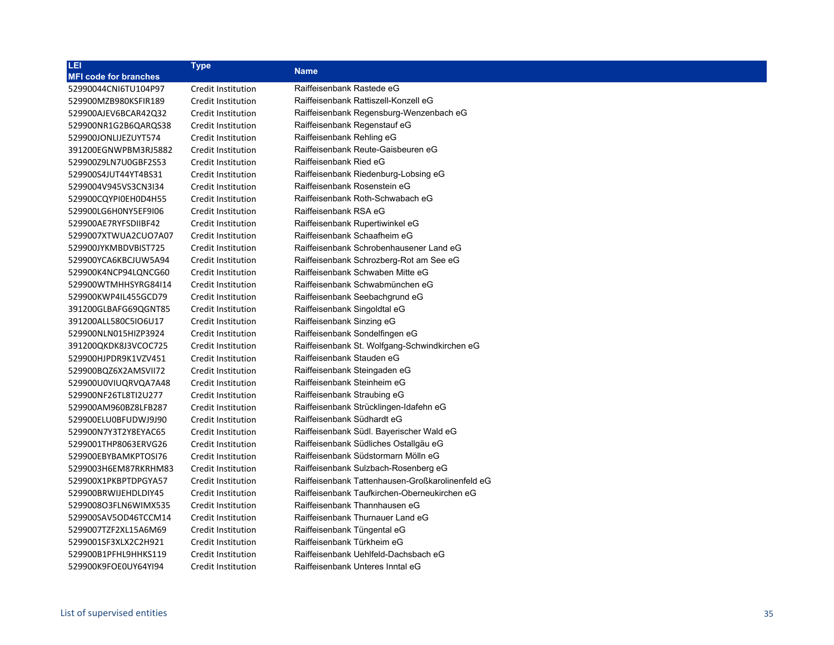| LEI,                         | <b>Type</b>               | <b>Name</b>                                      |
|------------------------------|---------------------------|--------------------------------------------------|
| <b>MFI code for branches</b> |                           |                                                  |
| 52990044CNI6TU104P97         | Credit Institution        | Raiffeisenbank Rastede eG                        |
| 529900MZB980KSFIR189         | Credit Institution        | Raiffeisenbank Rattiszell-Konzell eG             |
| 529900AJEV6BCAR42Q32         | Credit Institution        | Raiffeisenbank Regensburg-Wenzenbach eG          |
| 529900NR1G2B6QARQS38         | Credit Institution        | Raiffeisenbank Regenstauf eG                     |
| 529900JONLIJEZUYT574         | Credit Institution        | Raiffeisenbank Rehling eG                        |
| 391200EGNWPBM3RJ5882         | Credit Institution        | Raiffeisenbank Reute-Gaisbeuren eG               |
| 529900Z9LN7U0GBF2S53         | Credit Institution        | Raiffeisenbank Ried eG                           |
| 529900S4JUT44YT4BS31         | Credit Institution        | Raiffeisenbank Riedenburg-Lobsing eG             |
| 5299004V945VS3CN3I34         | Credit Institution        | Raiffeisenbank Rosenstein eG                     |
| 529900CQYPI0EH0D4H55         | Credit Institution        | Raiffeisenbank Roth-Schwabach eG                 |
| 529900LG6H0NY5EF9I06         | Credit Institution        | Raiffeisenbank RSA eG                            |
| 529900AE7RYFSDIIBF42         | Credit Institution        | Raiffeisenbank Rupertiwinkel eG                  |
| 5299007XTWUA2CUO7A07         | Credit Institution        | Raiffeisenbank Schaafheim eG                     |
| 529900JYKMBDVBIST725         | Credit Institution        | Raiffeisenbank Schrobenhausener Land eG          |
| 529900YCA6KBCJUW5A94         | Credit Institution        | Raiffeisenbank Schrozberg-Rot am See eG          |
| 529900K4NCP94LQNCG60         | Credit Institution        | Raiffeisenbank Schwaben Mitte eG                 |
| 529900WTMHHSYRG84I14         | Credit Institution        | Raiffeisenbank Schwabmünchen eG                  |
| 529900KWP4IL455GCD79         | Credit Institution        | Raiffeisenbank Seebachgrund eG                   |
| 391200GLBAFG69QGNT85         | Credit Institution        | Raiffeisenbank Singoldtal eG                     |
| 391200ALL580C5IO6U17         | Credit Institution        | Raiffeisenbank Sinzing eG                        |
| 529900NLN015HIZP3924         | Credit Institution        | Raiffeisenbank Sondelfingen eG                   |
| 391200QKDK8J3VCOC725         | Credit Institution        | Raiffeisenbank St. Wolfgang-Schwindkirchen eG    |
| 529900HJPDR9K1VZV451         | Credit Institution        | Raiffeisenbank Stauden eG                        |
| 529900BQZ6X2AMSVII72         | Credit Institution        | Raiffeisenbank Steingaden eG                     |
| 529900U0VIUQRVQA7A48         | Credit Institution        | Raiffeisenbank Steinheim eG                      |
| 529900NF26TL8TI2U277         | Credit Institution        | Raiffeisenbank Straubing eG                      |
| 529900AM960BZ8LFB287         | Credit Institution        | Raiffeisenbank Strücklingen-Idafehn eG           |
| 529900ELU0BFUDWJ9J90         | Credit Institution        | Raiffeisenbank Südhardt eG                       |
| 529900N7Y3T2Y8EYAC65         | Credit Institution        | Raiffeisenbank Südl. Bayerischer Wald eG         |
| 5299001THP8063ERVG26         | Credit Institution        | Raiffeisenbank Südliches Ostallgäu eG            |
| 529900EBYBAMKPTOSI76         | Credit Institution        | Raiffeisenbank Südstormarn Mölln eG              |
| 5299003H6EM87RKRHM83         | Credit Institution        | Raiffeisenbank Sulzbach-Rosenberg eG             |
| 529900X1PKBPTDPGYA57         | Credit Institution        | Raiffeisenbank Tattenhausen-Großkarolinenfeld eG |
| 529900BRWIJEHDLDIY45         | Credit Institution        | Raiffeisenbank Taufkirchen-Oberneukirchen eG     |
| 529900803FLN6WIMX535         | Credit Institution        | Raiffeisenbank Thannhausen eG                    |
| 529900SAV5OD46TCCM14         | Credit Institution        | Raiffeisenbank Thurnauer Land eG                 |
| 5299007TZF2XL15A6M69         | Credit Institution        | Raiffeisenbank Tüngental eG                      |
| 5299001SF3XLX2C2H921         | <b>Credit Institution</b> | Raiffeisenbank Türkheim eG                       |
| 529900B1PFHL9HHKS119         | Credit Institution        | Raiffeisenbank Uehlfeld-Dachsbach eG             |
| 529900K9FOE0UY64YI94         | Credit Institution        | Raiffeisenbank Unteres Inntal eG                 |
|                              |                           |                                                  |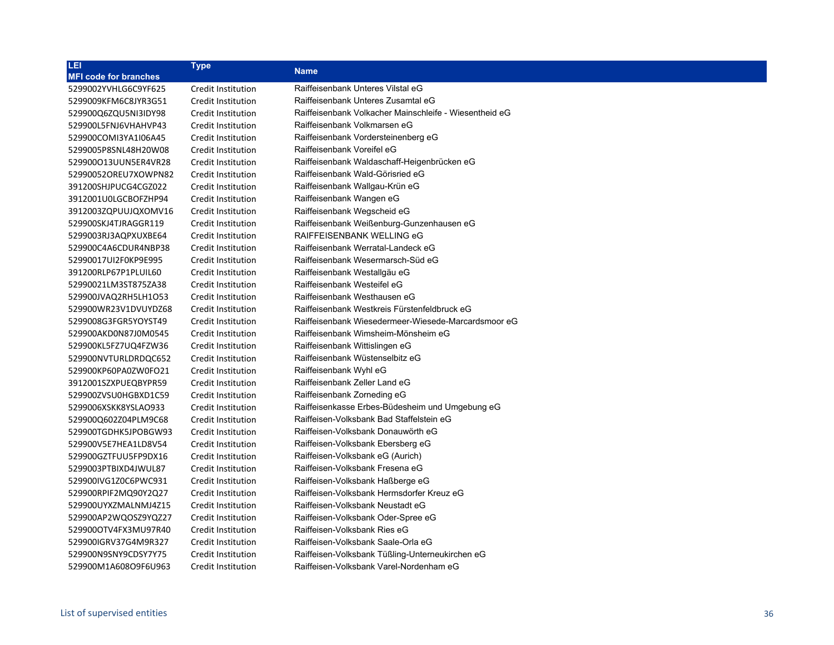| LEI                          | <b>Type</b>               | <b>Name</b>                                            |
|------------------------------|---------------------------|--------------------------------------------------------|
| <b>MFI code for branches</b> |                           |                                                        |
| 5299002YVHLG6C9YF625         | Credit Institution        | Raiffeisenbank Unteres Vilstal eG                      |
| 5299009KFM6C8JYR3G51         | Credit Institution        | Raiffeisenbank Unteres Zusamtal eG                     |
| 529900Q6ZQU5NI3IDY98         | Credit Institution        | Raiffeisenbank Volkacher Mainschleife - Wiesentheid eG |
| 529900L5FNJ6VHAHVP43         | Credit Institution        | Raiffeisenbank Volkmarsen eG                           |
| 529900COMI3YA1I06A45         | Credit Institution        | Raiffeisenbank Vordersteinenberg eG                    |
| 5299005P8SNL48H20W08         | Credit Institution        | Raiffeisenbank Voreifel eG                             |
| 529900013UUN5ER4VR28         | Credit Institution        | Raiffeisenbank Waldaschaff-Heigenbrücken eG            |
| 52990052OREU7XOWPN82         | Credit Institution        | Raiffeisenbank Wald-Görisried eG                       |
| 391200SHJPUCG4CGZ022         | Credit Institution        | Raiffeisenbank Wallgau-Krün eG                         |
| 3912001U0LGCBOFZHP94         | Credit Institution        | Raiffeisenbank Wangen eG                               |
| 3912003ZQPUUJQXOMV16         | <b>Credit Institution</b> | Raiffeisenbank Wegscheid eG                            |
| 529900SKJ4TJRAGGR119         | Credit Institution        | Raiffeisenbank Weißenburg-Gunzenhausen eG              |
| 5299003RJ3AQPXUXBE64         | Credit Institution        | RAIFFEISENBANK WELLING eG                              |
| 529900C4A6CDUR4NBP38         | Credit Institution        | Raiffeisenbank Werratal-Landeck eG                     |
| 52990017UI2F0KP9E995         | <b>Credit Institution</b> | Raiffeisenbank Wesermarsch-Süd eG                      |
| 391200RLP67P1PLUIL60         | Credit Institution        | Raiffeisenbank Westallgäu eG                           |
| 52990021LM3ST875ZA38         | Credit Institution        | Raiffeisenbank Westeifel eG                            |
| 529900JVAQ2RH5LH1O53         | Credit Institution        | Raiffeisenbank Westhausen eG                           |
| 529900WR23V1DVUYDZ68         | Credit Institution        | Raiffeisenbank Westkreis Fürstenfeldbruck eG           |
| 5299008G3FGR5YOYST49         | Credit Institution        | Raiffeisenbank Wiesedermeer-Wiesede-Marcardsmoor eG    |
| 529900AKD0N87J0M0545         | Credit Institution        | Raiffeisenbank Wimsheim-Mönsheim eG                    |
| 529900KL5FZ7UQ4FZW36         | Credit Institution        | Raiffeisenbank Wittislingen eG                         |
| 529900NVTURLDRDQC652         | Credit Institution        | Raiffeisenbank Wüstenselbitz eG                        |
| 529900KP60PA0ZW0FO21         | Credit Institution        | Raiffeisenbank Wyhl eG                                 |
| 3912001SZXPUEQBYPR59         | Credit Institution        | Raiffeisenbank Zeller Land eG                          |
| 529900ZVSU0HGBXD1C59         | Credit Institution        | Raiffeisenbank Zorneding eG                            |
| 5299006XSKK8YSLAO933         | Credit Institution        | Raiffeisenkasse Erbes-Büdesheim und Umgebung eG        |
| 529900Q602Z04PLM9C68         | Credit Institution        | Raiffeisen-Volksbank Bad Staffelstein eG               |
| 529900TGDHK5JPOBGW93         | Credit Institution        | Raiffeisen-Volksbank Donauwörth eG                     |
| 529900V5E7HEA1LD8V54         | Credit Institution        | Raiffeisen-Volksbank Ebersberg eG                      |
| 529900GZTFUU5FP9DX16         | Credit Institution        | Raiffeisen-Volksbank eG (Aurich)                       |
| 5299003PTBIXD4JWUL87         | Credit Institution        | Raiffeisen-Volksbank Fresena eG                        |
| 529900IVG1Z0C6PWC931         | Credit Institution        | Raiffeisen-Volksbank Haßberge eG                       |
| 529900RPIF2MQ90Y2Q27         | Credit Institution        | Raiffeisen-Volksbank Hermsdorfer Kreuz eG              |
| 529900UYXZMALNMJ4Z15         | Credit Institution        | Raiffeisen-Volksbank Neustadt eG                       |
| 529900AP2WQOSZ9YQZ27         | Credit Institution        | Raiffeisen-Volksbank Oder-Spree eG                     |
| 529900OTV4FX3MU97R40         | Credit Institution        | Raiffeisen-Volksbank Ries eG                           |
| 529900IGRV37G4M9R327         | Credit Institution        | Raiffeisen-Volksbank Saale-Orla eG                     |
| 529900N9SNY9CDSY7Y75         | <b>Credit Institution</b> | Raiffeisen-Volksbank Tüßling-Unterneukirchen eG        |
| 529900M1A608O9F6U963         | Credit Institution        | Raiffeisen-Volksbank Varel-Nordenham eG                |
|                              |                           |                                                        |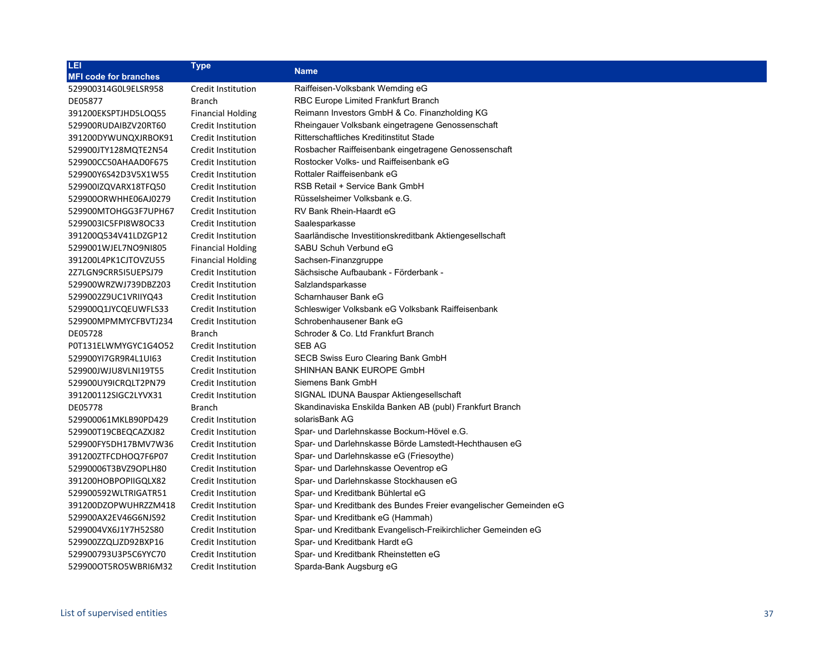| <b>LEI</b>                   | <b>Type</b>               | <b>Name</b>                                                       |
|------------------------------|---------------------------|-------------------------------------------------------------------|
| <b>MFI code for branches</b> |                           |                                                                   |
| 529900314G0L9ELSR958         | <b>Credit Institution</b> | Raiffeisen-Volksbank Wemding eG                                   |
| DE05877                      | Branch                    | RBC Europe Limited Frankfurt Branch                               |
| 391200EKSPTJHD5LOQ55         | <b>Financial Holding</b>  | Reimann Investors GmbH & Co. Finanzholding KG                     |
| 529900RUDAIBZV20RT60         | Credit Institution        | Rheingauer Volksbank eingetragene Genossenschaft                  |
| 391200DYWUNQXJRBOK91         | Credit Institution        | Ritterschaftliches Kreditinstitut Stade                           |
| 529900JTY128MQTE2N54         | Credit Institution        | Rosbacher Raiffeisenbank eingetragene Genossenschaft              |
| 529900CC50AHAAD0F675         | <b>Credit Institution</b> | Rostocker Volks- und Raiffeisenbank eG                            |
| 529900Y6S42D3V5X1W55         | Credit Institution        | Rottaler Raiffeisenbank eG                                        |
| 529900IZQVARX18TFQ50         | <b>Credit Institution</b> | RSB Retail + Service Bank GmbH                                    |
| 529900ORWHHE06AJ0279         | Credit Institution        | Rüsselsheimer Volksbank e.G.                                      |
| 529900MTOHGG3F7UPH67         | Credit Institution        | RV Bank Rhein-Haardt eG                                           |
| 5299003IC5FPI8W8OC33         | Credit Institution        | Saalesparkasse                                                    |
| 391200Q534V41LDZGP12         | <b>Credit Institution</b> | Saarländische Investitionskreditbank Aktiengesellschaft           |
| 5299001WJEL7NO9NI805         | <b>Financial Holding</b>  | SABU Schuh Verbund eG                                             |
| 391200L4PK1CJTOVZU55         | <b>Financial Holding</b>  | Sachsen-Finanzgruppe                                              |
| 2Z7LGN9CRR5I5UEPSJ79         | Credit Institution        | Sächsische Aufbaubank - Förderbank -                              |
| 529900WRZWJ739DBZ203         | <b>Credit Institution</b> | Salzlandsparkasse                                                 |
| 5299002Z9UC1VRIIYQ43         | Credit Institution        | Scharnhauser Bank eG                                              |
| 529900Q1JYCQEUWFLS33         | Credit Institution        | Schleswiger Volksbank eG Volksbank Raiffeisenbank                 |
| 529900MPMMYCFBVTJ234         | Credit Institution        | Schrobenhausener Bank eG                                          |
| DE05728                      | <b>Branch</b>             | Schroder & Co. Ltd Frankfurt Branch                               |
| P0T131ELWMYGYC1G4O52         | Credit Institution        | SEB AG                                                            |
| 529900YI7GR9R4L1UI63         | <b>Credit Institution</b> | SECB Swiss Euro Clearing Bank GmbH                                |
| 529900JWJU8VLNI19T55         | Credit Institution        | SHINHAN BANK EUROPE GmbH                                          |
| 529900UY9ICRQLT2PN79         | Credit Institution        | Siemens Bank GmbH                                                 |
| 391200112SIGC2LYVX31         | Credit Institution        | SIGNAL IDUNA Bauspar Aktiengesellschaft                           |
| DE05778                      | <b>Branch</b>             | Skandinaviska Enskilda Banken AB (publ) Frankfurt Branch          |
| 529900061MKLB90PD429         | Credit Institution        | solarisBank AG                                                    |
| 529900T19CBEQCAZXJ82         | Credit Institution        | Spar- und Darlehnskasse Bockum-Hövel e.G.                         |
| 529900FY5DH17BMV7W36         | Credit Institution        | Spar- und Darlehnskasse Börde Lamstedt-Hechthausen eG             |
| 391200ZTFCDHOQ7F6P07         | <b>Credit Institution</b> | Spar- und Darlehnskasse eG (Friesoythe)                           |
| 52990006T3BVZ9OPLH80         | Credit Institution        | Spar- und Darlehnskasse Oeventrop eG                              |
| 391200HOBPOPIIGQLX82         | <b>Credit Institution</b> | Spar- und Darlehnskasse Stockhausen eG                            |
| 529900592WLTRIGATR51         | Credit Institution        | Spar- und Kreditbank Bühlertal eG                                 |
| 391200DZOPWUHRZZM418         | <b>Credit Institution</b> | Spar- und Kreditbank des Bundes Freier evangelischer Gemeinden eG |
| 529900AX2EV46G6NJS92         | Credit Institution        | Spar- und Kreditbank eG (Hammah)                                  |
| 5299004VX6J1Y7H52S80         | <b>Credit Institution</b> | Spar- und Kreditbank Evangelisch-Freikirchlicher Gemeinden eG     |
| 529900ZZQLJZD92BXP16         | Credit Institution        | Spar- und Kreditbank Hardt eG                                     |
| 529900793U3P5C6YYC70         | <b>Credit Institution</b> | Spar- und Kreditbank Rheinstetten eG                              |
| 5299000T5RO5WBRI6M32         | Credit Institution        | Sparda-Bank Augsburg eG                                           |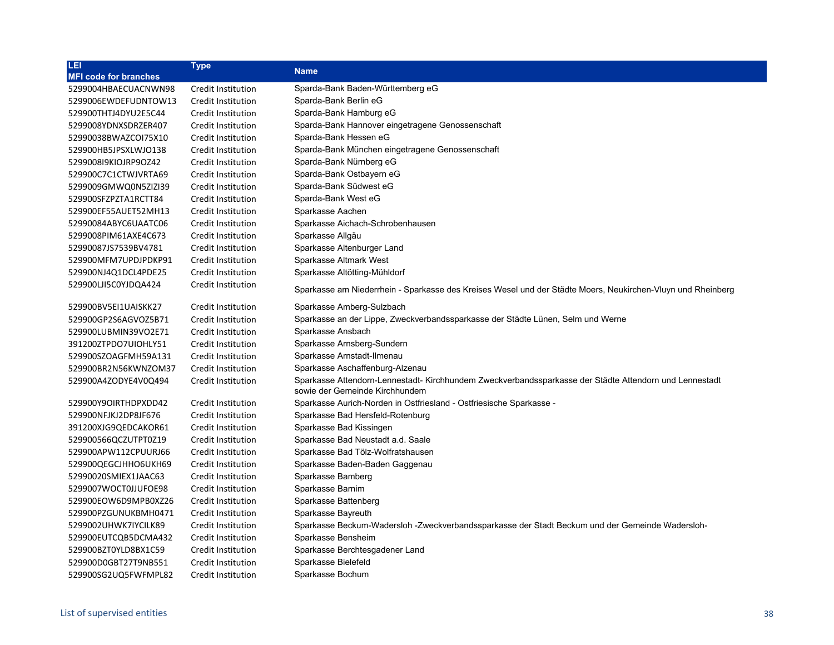| LEI                          | <b>Type</b>               | <b>Name</b>                                                                                                                             |
|------------------------------|---------------------------|-----------------------------------------------------------------------------------------------------------------------------------------|
| <b>MFI code for branches</b> |                           |                                                                                                                                         |
| 5299004HBAECUACNWN98         | Credit Institution        | Sparda-Bank Baden-Württemberg eG                                                                                                        |
| 5299006EWDEFUDNTOW13         | Credit Institution        | Sparda-Bank Berlin eG                                                                                                                   |
| 529900THTJ4DYU2E5C44         | Credit Institution        | Sparda-Bank Hamburg eG                                                                                                                  |
| 5299008YDNXSDRZER407         | Credit Institution        | Sparda-Bank Hannover eingetragene Genossenschaft                                                                                        |
| 52990038BWAZCOI75X10         | Credit Institution        | Sparda-Bank Hessen eG                                                                                                                   |
| 529900HB5JPSXLWJO138         | Credit Institution        | Sparda-Bank München eingetragene Genossenschaft                                                                                         |
| 529900819KIOJRP9OZ42         | Credit Institution        | Sparda-Bank Nürnberg eG                                                                                                                 |
| 529900C7C1CTWJVRTA69         | Credit Institution        | Sparda-Bank Ostbayern eG                                                                                                                |
| 5299009GMWQ0N5ZIZI39         | Credit Institution        | Sparda-Bank Südwest eG                                                                                                                  |
| 529900SFZPZTA1RCTT84         | Credit Institution        | Sparda-Bank West eG                                                                                                                     |
| 529900EF55AUET52MH13         | Credit Institution        | Sparkasse Aachen                                                                                                                        |
| 52990084ABYC6UAATC06         | Credit Institution        | Sparkasse Aichach-Schrobenhausen                                                                                                        |
| 5299008PIM61AXE4C673         | Credit Institution        | Sparkasse Allgäu                                                                                                                        |
| 52990087JS7539BV4781         | Credit Institution        | Sparkasse Altenburger Land                                                                                                              |
| 529900MFM7UPDJPDKP91         | Credit Institution        | Sparkasse Altmark West                                                                                                                  |
| 529900NJ4Q1DCL4PDE25         | Credit Institution        | Sparkasse Altötting-Mühldorf                                                                                                            |
| 529900LJI5C0YJDQA424         | Credit Institution        | Sparkasse am Niederrhein - Sparkasse des Kreises Wesel und der Städte Moers, Neukirchen-Vluyn und Rheinberg                             |
| 529900BV5EI1UAISKK27         | Credit Institution        | Sparkasse Amberg-Sulzbach                                                                                                               |
| 529900GP2S6AGVOZ5B71         | Credit Institution        | Sparkasse an der Lippe, Zweckverbandssparkasse der Städte Lünen, Selm und Werne                                                         |
| 529900LUBMIN39VO2E71         | Credit Institution        | Sparkasse Ansbach                                                                                                                       |
| 391200ZTPDO7UIOHLY51         | Credit Institution        | Sparkasse Arnsberg-Sundern                                                                                                              |
| 529900SZOAGFMH59A131         | Credit Institution        | Sparkasse Arnstadt-Ilmenau                                                                                                              |
| 529900BR2N56KWNZOM37         | Credit Institution        | Sparkasse Aschaffenburg-Alzenau                                                                                                         |
| 529900A4ZODYE4V0Q494         | Credit Institution        | Sparkasse Attendorn-Lennestadt-Kirchhundem Zweckverbandssparkasse der Städte Attendorn und Lennestadt<br>sowie der Gemeinde Kirchhundem |
| 529900Y9OIRTHDPXDD42         | Credit Institution        | Sparkasse Aurich-Norden in Ostfriesland - Ostfriesische Sparkasse -                                                                     |
| 529900NFJKJ2DP8JF676         | Credit Institution        | Sparkasse Bad Hersfeld-Rotenburg                                                                                                        |
| 391200XJG9QEDCAKOR61         | Credit Institution        | Sparkasse Bad Kissingen                                                                                                                 |
| 529900566QCZUTPT0Z19         | Credit Institution        | Sparkasse Bad Neustadt a.d. Saale                                                                                                       |
| 529900APW112CPUURJ66         | Credit Institution        | Sparkasse Bad Tölz-Wolfratshausen                                                                                                       |
| 529900QEGCJHHO6UKH69         | Credit Institution        | Sparkasse Baden-Baden Gaggenau                                                                                                          |
| 52990020SMIEX1JAAC63         | Credit Institution        | Sparkasse Bamberg                                                                                                                       |
| 5299007WOCT0JJUFOE98         | <b>Credit Institution</b> | Sparkasse Barnim                                                                                                                        |
| 529900EOW6D9MPB0XZ26         | Credit Institution        | Sparkasse Battenberg                                                                                                                    |
| 529900PZGUNUKBMH0471         | Credit Institution        | Sparkasse Bayreuth                                                                                                                      |
| 5299002UHWK7IYCILK89         | Credit Institution        | Sparkasse Beckum-Wadersloh -Zweckverbandssparkasse der Stadt Beckum und der Gemeinde Wadersloh-                                         |
| 529900EUTCQB5DCMA432         | Credit Institution        | Sparkasse Bensheim                                                                                                                      |
| 529900BZT0YLD8BX1C59         | Credit Institution        | Sparkasse Berchtesgadener Land                                                                                                          |
| 529900D0GBT27T9NB551         | Credit Institution        | Sparkasse Bielefeld                                                                                                                     |
| 529900SG2UQ5FWFMPL82         | Credit Institution        | Sparkasse Bochum                                                                                                                        |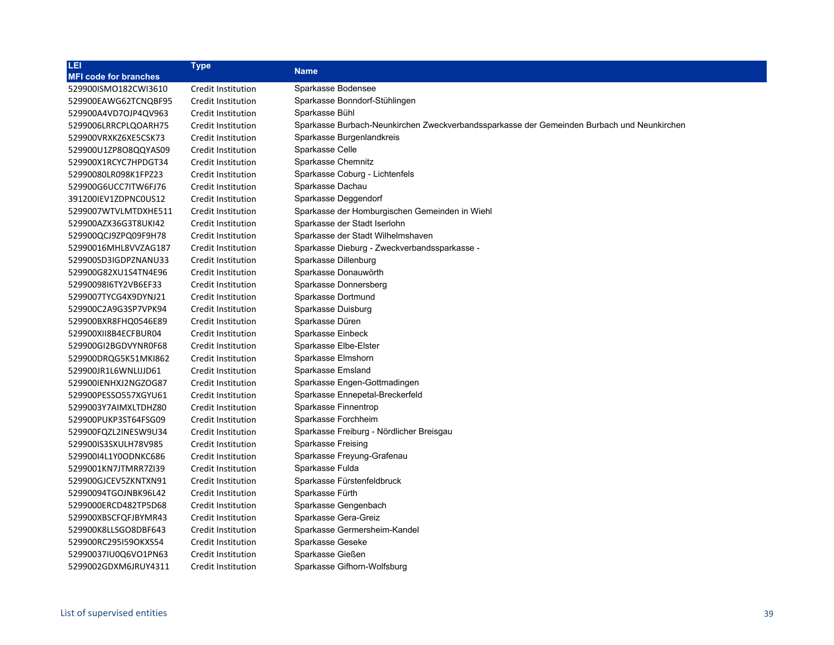| LEI                          | <b>Type</b>        | <b>Name</b>                                                                                |
|------------------------------|--------------------|--------------------------------------------------------------------------------------------|
| <b>MFI code for branches</b> |                    |                                                                                            |
| 529900ISMO182CWI3610         | Credit Institution | Sparkasse Bodensee                                                                         |
| 529900EAWG62TCNQBF95         | Credit Institution | Sparkasse Bonndorf-Stühlingen                                                              |
| 529900A4VD7OJP4QV963         | Credit Institution | Sparkasse Bühl                                                                             |
| 5299006LRRCPLQOARH75         | Credit Institution | Sparkasse Burbach-Neunkirchen Zweckverbandssparkasse der Gemeinden Burbach und Neunkirchen |
| 529900VRXKZ6XE5CSK73         | Credit Institution | Sparkasse Burgenlandkreis                                                                  |
| 529900U1ZP8O8QQYAS09         | Credit Institution | Sparkasse Celle                                                                            |
| 529900X1RCYC7HPDGT34         | Credit Institution | Sparkasse Chemnitz                                                                         |
| 52990080LR098K1FPZ23         | Credit Institution | Sparkasse Coburg - Lichtenfels                                                             |
| 529900G6UCC7ITW6FJ76         | Credit Institution | Sparkasse Dachau                                                                           |
| 391200IEV1ZDPNC0US12         | Credit Institution | Sparkasse Deggendorf                                                                       |
| 5299007WTVLMTDXHE511         | Credit Institution | Sparkasse der Homburgischen Gemeinden in Wiehl                                             |
| 529900AZX36G3T8UKI42         | Credit Institution | Sparkasse der Stadt Iserlohn                                                               |
| 529900QCJ9ZPQ09F9H78         | Credit Institution | Sparkasse der Stadt Wilhelmshaven                                                          |
| 52990016MHL8VVZAG187         | Credit Institution | Sparkasse Dieburg - Zweckverbandssparkasse -                                               |
| 529900SD3IGDPZNANU33         | Credit Institution | Sparkasse Dillenburg                                                                       |
| 529900G82XU1S4TN4E96         | Credit Institution | Sparkasse Donauwörth                                                                       |
| 5299009816TY2VB6EF33         | Credit Institution | Sparkasse Donnersberg                                                                      |
| 5299007TYCG4X9DYNJ21         | Credit Institution | Sparkasse Dortmund                                                                         |
| 529900C2A9G3SP7VPK94         | Credit Institution | Sparkasse Duisburg                                                                         |
| 529900BXR8FHQ0546E89         | Credit Institution | Sparkasse Düren                                                                            |
| 529900XII8B4ECFBUR04         | Credit Institution | Sparkasse Einbeck                                                                          |
| 529900GI2BGDVYNR0F68         | Credit Institution | Sparkasse Elbe-Elster                                                                      |
| 529900DRQG5K51MKI862         | Credit Institution | Sparkasse Elmshorn                                                                         |
| 529900JR1L6WNLIJJD61         | Credit Institution | Sparkasse Emsland                                                                          |
| 529900IENHXJ2NGZOG87         | Credit Institution | Sparkasse Engen-Gottmadingen                                                               |
| 529900PESSO557XGYU61         | Credit Institution | Sparkasse Ennepetal-Breckerfeld                                                            |
| 5299003Y7AIMXLTDHZ80         | Credit Institution | Sparkasse Finnentrop                                                                       |
| 529900PUKP3ST64FSG09         | Credit Institution | Sparkasse Forchheim                                                                        |
| 529900FQZL2INESW9U34         | Credit Institution | Sparkasse Freiburg - Nördlicher Breisgau                                                   |
| 529900IS3SXULH78V985         | Credit Institution | Sparkasse Freising                                                                         |
| 52990014L1Y0ODNKC686         | Credit Institution | Sparkasse Freyung-Grafenau                                                                 |
| 5299001KN7JTMRR7ZI39         | Credit Institution | Sparkasse Fulda                                                                            |
| 529900GJCEV5ZKNTXN91         | Credit Institution | Sparkasse Fürstenfeldbruck                                                                 |
| 52990094TGOJNBK96L42         | Credit Institution | Sparkasse Fürth                                                                            |
| 5299000ERCD482TP5D68         | Credit Institution | Sparkasse Gengenbach                                                                       |
| 529900XBSCFQFJBYMR43         | Credit Institution | Sparkasse Gera-Greiz                                                                       |
| 529900K8LLSGO8DBF643         | Credit Institution | Sparkasse Germersheim-Kandel                                                               |
| 529900RC295I59OKXS54         | Credit Institution | Sparkasse Geseke                                                                           |
| 52990037IU0Q6VO1PN63         | Credit Institution | Sparkasse Gießen                                                                           |
| 5299002GDXM6JRUY4311         | Credit Institution | Sparkasse Gifhorn-Wolfsburg                                                                |
|                              |                    |                                                                                            |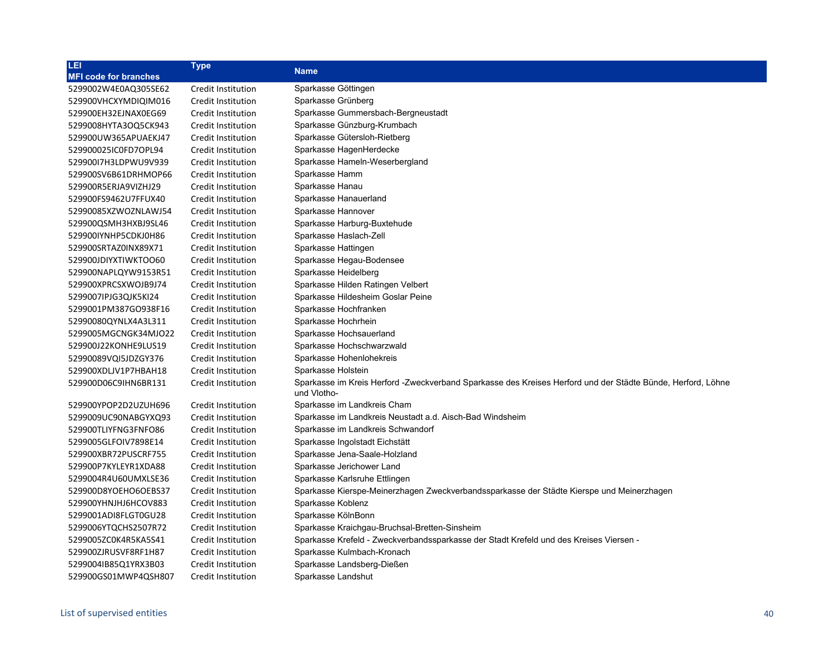| LEI                          | <b>Type</b>        | <b>Name</b>                                                                                                                |
|------------------------------|--------------------|----------------------------------------------------------------------------------------------------------------------------|
| <b>MFI code for branches</b> |                    |                                                                                                                            |
| 5299002W4E0AQ305SE62         | Credit Institution | Sparkasse Göttingen                                                                                                        |
| 529900VHCXYMDIQIM016         | Credit Institution | Sparkasse Grünberg                                                                                                         |
| 529900EH32EJNAX0EG69         | Credit Institution | Sparkasse Gummersbach-Bergneustadt                                                                                         |
| 5299008HYTA3OQ5CK943         | Credit Institution | Sparkasse Günzburg-Krumbach                                                                                                |
| 529900UW365APUAEKJ47         | Credit Institution | Sparkasse Gütersloh-Rietberg                                                                                               |
| 529900025IC0FD7OPL94         | Credit Institution | Sparkasse HagenHerdecke                                                                                                    |
| 52990017H3LDPWU9V939         | Credit Institution | Sparkasse Hameln-Weserbergland                                                                                             |
| 529900SV6B61DRHMOP66         | Credit Institution | Sparkasse Hamm                                                                                                             |
| 529900R5ERJA9VIZHJ29         | Credit Institution | Sparkasse Hanau                                                                                                            |
| 529900FS9462U7FFUX40         | Credit Institution | Sparkasse Hanauerland                                                                                                      |
| 52990085XZWOZNLAWJ54         | Credit Institution | Sparkasse Hannover                                                                                                         |
| 529900QSMH3HXBJ9SL46         | Credit Institution | Sparkasse Harburg-Buxtehude                                                                                                |
| 529900IYNHP5CDKJ0H86         | Credit Institution | Sparkasse Haslach-Zell                                                                                                     |
| 529900SRTAZ0INX89X71         | Credit Institution | Sparkasse Hattingen                                                                                                        |
| 529900JDIYXTIWKTOO60         | Credit Institution | Sparkasse Hegau-Bodensee                                                                                                   |
| 529900NAPLQYW9153R51         | Credit Institution | Sparkasse Heidelberg                                                                                                       |
| 529900XPRCSXWOJB9J74         | Credit Institution | Sparkasse Hilden Ratingen Velbert                                                                                          |
| 5299007IPJG3QJK5KI24         | Credit Institution | Sparkasse Hildesheim Goslar Peine                                                                                          |
| 5299001PM387GO938F16         | Credit Institution | Sparkasse Hochfranken                                                                                                      |
| 52990080QYNLX4A3L311         | Credit Institution | Sparkasse Hochrhein                                                                                                        |
| 5299005MGCNGK34MJO22         | Credit Institution | Sparkasse Hochsauerland                                                                                                    |
| 529900J22KONHE9LUS19         | Credit Institution | Sparkasse Hochschwarzwald                                                                                                  |
| 52990089VQI5JDZGY376         | Credit Institution | Sparkasse Hohenlohekreis                                                                                                   |
| 529900XDLJV1P7HBAH18         | Credit Institution | Sparkasse Holstein                                                                                                         |
| 529900D06C9IHN6BR131         | Credit Institution | Sparkasse im Kreis Herford -Zweckverband Sparkasse des Kreises Herford und der Städte Bünde, Herford, Löhne<br>und Vlotho- |
| 529900YPOP2D2UZUH696         | Credit Institution | Sparkasse im Landkreis Cham                                                                                                |
| 5299009UC90NABGYXQ93         | Credit Institution | Sparkasse im Landkreis Neustadt a.d. Aisch-Bad Windsheim                                                                   |
| 529900TLIYFNG3FNFO86         | Credit Institution | Sparkasse im Landkreis Schwandorf                                                                                          |
| 5299005GLFOIV7898E14         | Credit Institution | Sparkasse Ingolstadt Eichstätt                                                                                             |
| 529900XBR72PUSCRF755         | Credit Institution | Sparkasse Jena-Saale-Holzland                                                                                              |
| 529900P7KYLEYR1XDA88         | Credit Institution | Sparkasse Jerichower Land                                                                                                  |
| 5299004R4U60UMXLSE36         | Credit Institution | Sparkasse Karlsruhe Ettlingen                                                                                              |
| 529900D8YOEHO6OEBS37         | Credit Institution | Sparkasse Kierspe-Meinerzhagen Zweckverbandssparkasse der Städte Kierspe und Meinerzhagen                                  |
| 529900YHNJHJ6HCOV883         | Credit Institution | Sparkasse Koblenz                                                                                                          |
| 5299001ADI8FLGT0GU28         | Credit Institution | Sparkasse KölnBonn                                                                                                         |
| 5299006YTQCHS2507R72         | Credit Institution | Sparkasse Kraichgau-Bruchsal-Bretten-Sinsheim                                                                              |
| 5299005ZC0K4R5KA5S41         | Credit Institution | Sparkasse Krefeld - Zweckverbandssparkasse der Stadt Krefeld und des Kreises Viersen -                                     |
| 529900ZJRUSVF8RF1H87         | Credit Institution | Sparkasse Kulmbach-Kronach                                                                                                 |
| 5299004IB85Q1YRX3B03         | Credit Institution | Sparkasse Landsberg-Dießen                                                                                                 |
| 529900GS01MWP4QSH807         | Credit Institution | Sparkasse Landshut                                                                                                         |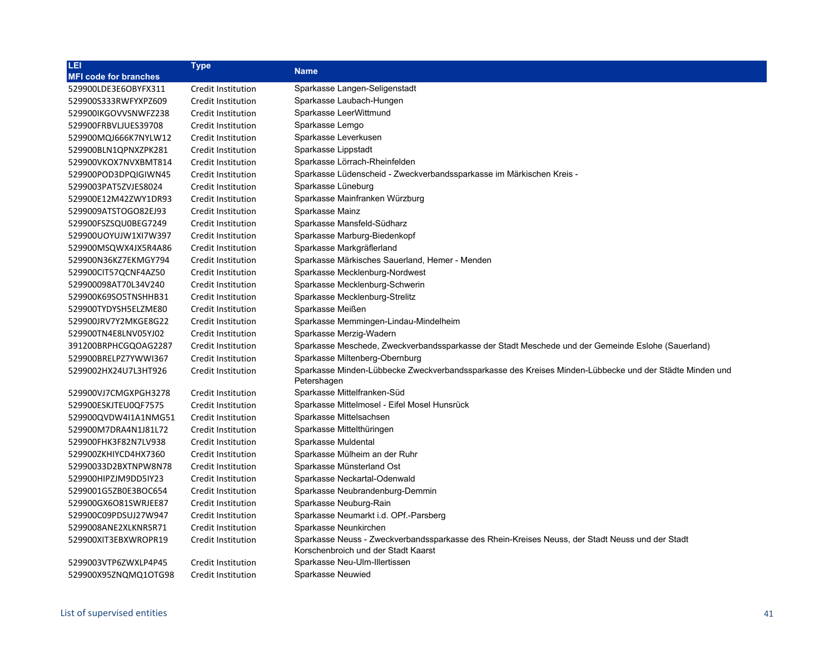| LEI                          | <b>Type</b>        | <b>Name</b>                                                                                                                            |
|------------------------------|--------------------|----------------------------------------------------------------------------------------------------------------------------------------|
| <b>MFI code for branches</b> |                    |                                                                                                                                        |
| 529900LDE3E6OBYFX311         | Credit Institution | Sparkasse Langen-Seligenstadt                                                                                                          |
| 529900S333RWFYXPZ609         | Credit Institution | Sparkasse Laubach-Hungen                                                                                                               |
| 529900IKGOVVSNWFZ238         | Credit Institution | Sparkasse LeerWittmund                                                                                                                 |
| 529900FRBVLJUES39708         | Credit Institution | Sparkasse Lemgo                                                                                                                        |
| 529900MQJ666K7NYLW12         | Credit Institution | Sparkasse Leverkusen                                                                                                                   |
| 529900BLN1QPNXZPK281         | Credit Institution | Sparkasse Lippstadt                                                                                                                    |
| 529900VKOX7NVXBMT814         | Credit Institution | Sparkasse Lörrach-Rheinfelden                                                                                                          |
| 529900POD3DPQIGIWN45         | Credit Institution | Sparkasse Lüdenscheid - Zweckverbandssparkasse im Märkischen Kreis -                                                                   |
| 5299003PAT5ZVJES8024         | Credit Institution | Sparkasse Lüneburg                                                                                                                     |
| 529900E12M42ZWY1DR93         | Credit Institution | Sparkasse Mainfranken Würzburg                                                                                                         |
| 5299009ATSTOGO82EJ93         | Credit Institution | Sparkasse Mainz                                                                                                                        |
| 529900FSZSQU0BEG7249         | Credit Institution | Sparkasse Mansfeld-Südharz                                                                                                             |
| 529900UOYUJW1XI7W397         | Credit Institution | Sparkasse Marburg-Biedenkopf                                                                                                           |
| 529900MSQWX4JX5R4A86         | Credit Institution | Sparkasse Markgräflerland                                                                                                              |
| 529900N36KZ7EKMGY794         | Credit Institution | Sparkasse Märkisches Sauerland, Hemer - Menden                                                                                         |
| 529900CIT57QCNF4AZ50         | Credit Institution | Sparkasse Mecklenburg-Nordwest                                                                                                         |
| 529900098AT70L34V240         | Credit Institution | Sparkasse Mecklenburg-Schwerin                                                                                                         |
| 529900K69SO5TNSHHB31         | Credit Institution | Sparkasse Mecklenburg-Strelitz                                                                                                         |
| 529900TYDYSH5ELZME80         | Credit Institution | Sparkasse Meißen                                                                                                                       |
| 529900JRV7Y2MKGE8G22         | Credit Institution | Sparkasse Memmingen-Lindau-Mindelheim                                                                                                  |
| 529900TN4E8LNV05YJ02         | Credit Institution | Sparkasse Merzig-Wadern                                                                                                                |
| 391200BRPHCGQOAG2287         | Credit Institution | Sparkasse Meschede, Zweckverbandssparkasse der Stadt Meschede und der Gemeinde Eslohe (Sauerland)                                      |
| 529900BRELPZ7YWWI367         | Credit Institution | Sparkasse Miltenberg-Obernburg                                                                                                         |
| 5299002HX24U7L3HT926         | Credit Institution | Sparkasse Minden-Lübbecke Zweckverbandssparkasse des Kreises Minden-Lübbecke und der Städte Minden und<br>Petershagen                  |
| 529900VJ7CMGXPGH3278         | Credit Institution | Sparkasse Mittelfranken-Süd                                                                                                            |
| 529900ESKJTEU0QF7575         | Credit Institution | Sparkasse Mittelmosel - Eifel Mosel Hunsrück                                                                                           |
| 529900QVDW4I1A1NMG51         | Credit Institution | Sparkasse Mittelsachsen                                                                                                                |
| 529900M7DRA4N1J81L72         | Credit Institution | Sparkasse Mittelthüringen                                                                                                              |
| 529900FHK3F82N7LV938         | Credit Institution | Sparkasse Muldental                                                                                                                    |
| 529900ZKHIYCD4HX7360         | Credit Institution | Sparkasse Mülheim an der Ruhr                                                                                                          |
| 52990033D2BXTNPW8N78         | Credit Institution | Sparkasse Münsterland Ost                                                                                                              |
| 529900HIPZJM9DD5IY23         | Credit Institution | Sparkasse Neckartal-Odenwald                                                                                                           |
| 5299001G5ZB0E3BOC654         | Credit Institution | Sparkasse Neubrandenburg-Demmin                                                                                                        |
| 529900GX6O81SWRJEE87         | Credit Institution | Sparkasse Neuburg-Rain                                                                                                                 |
| 529900C09PDSUJ27W947         | Credit Institution | Sparkasse Neumarkt i.d. OPf.-Parsberg                                                                                                  |
| 5299008ANE2XLKNRSR71         | Credit Institution | Sparkasse Neunkirchen                                                                                                                  |
| 529900XIT3EBXWROPR19         | Credit Institution | Sparkasse Neuss - Zweckverbandssparkasse des Rhein-Kreises Neuss, der Stadt Neuss und der Stadt<br>Korschenbroich und der Stadt Kaarst |
| 5299003VTP6ZWXLP4P45         | Credit Institution | Sparkasse Neu-Ulm-Illertissen                                                                                                          |
| 529900X95ZNQMQ1OTG98         | Credit Institution | Sparkasse Neuwied                                                                                                                      |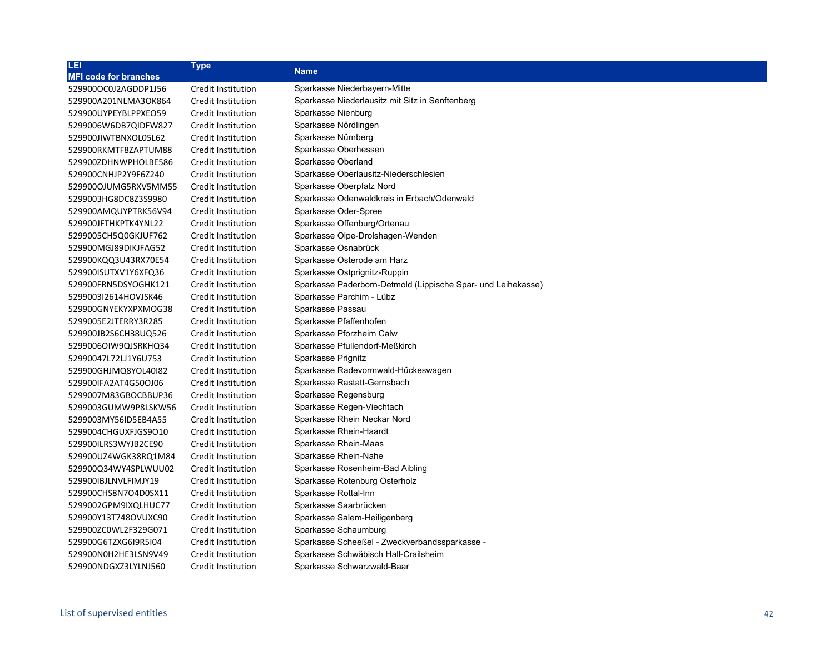| LEI                          | <b>Type</b>        | <b>Name</b>                                                  |
|------------------------------|--------------------|--------------------------------------------------------------|
| <b>MFI code for branches</b> |                    |                                                              |
| 529900OC0J2AGDDP1J56         | Credit Institution | Sparkasse Niederbayern-Mitte                                 |
| 529900A201NLMA3OK864         | Credit Institution | Sparkasse Niederlausitz mit Sitz in Senftenberg              |
| 529900UYPEYBLPPXEO59         | Credit Institution | Sparkasse Nienburg                                           |
| 5299006W6DB7QIDFW827         | Credit Institution | Sparkasse Nördlingen                                         |
| 529900JIWTBNXOL05L62         | Credit Institution | Sparkasse Nürnberg                                           |
| 529900RKMTF8ZAPTUM88         | Credit Institution | Sparkasse Oberhessen                                         |
| 529900ZDHNWPHOLBE586         | Credit Institution | Sparkasse Oberland                                           |
| 529900CNHJP2Y9F6Z240         | Credit Institution | Sparkasse Oberlausitz-Niederschlesien                        |
| 529900OJUMG5RXV5MM55         | Credit Institution | Sparkasse Oberpfalz Nord                                     |
| 5299003HG8DC8Z3S9980         | Credit Institution | Sparkasse Odenwaldkreis in Erbach/Odenwald                   |
| 529900AMQUYPTRK56V94         | Credit Institution | Sparkasse Oder-Spree                                         |
| 529900JFTHKPTK4YNL22         | Credit Institution | Sparkasse Offenburg/Ortenau                                  |
| 5299005CH5Q0GKJUF762         | Credit Institution | Sparkasse Olpe-Drolshagen-Wenden                             |
| 529900MGJ89DIKJFAG52         | Credit Institution | Sparkasse Osnabrück                                          |
| 529900KQQ3U43RX70E54         | Credit Institution | Sparkasse Osterode am Harz                                   |
| 529900ISUTXV1Y6XFQ36         | Credit Institution | Sparkasse Ostprignitz-Ruppin                                 |
| 529900FRN5DSYOGHK121         | Credit Institution | Sparkasse Paderborn-Detmold (Lippische Spar- und Leihekasse) |
| 5299003I2614HOVJSK46         | Credit Institution | Sparkasse Parchim - Lübz                                     |
| 529900GNYEKYXPXMOG38         | Credit Institution | Sparkasse Passau                                             |
| 5299005E2JTERRY3R285         | Credit Institution | Sparkasse Pfaffenhofen                                       |
| 529900JB2S6CH38UQ526         | Credit Institution | Sparkasse Pforzheim Calw                                     |
| 5299006OIW9QJSRKHQ34         | Credit Institution | Sparkasse Pfullendorf-Meßkirch                               |
| 52990047L72LJ1Y6U753         | Credit Institution | Sparkasse Prignitz                                           |
| 529900GHJMQ8YOL40I82         | Credit Institution | Sparkasse Radevormwald-Hückeswagen                           |
| 529900IFA2AT4G50OJ06         | Credit Institution | Sparkasse Rastatt-Gernsbach                                  |
| 5299007M83GBOCBBUP36         | Credit Institution | Sparkasse Regensburg                                         |
| 5299003GUMW9P8LSKW56         | Credit Institution | Sparkasse Regen-Viechtach                                    |
| 5299003MY56ID5EB4A55         | Credit Institution | Sparkasse Rhein Neckar Nord                                  |
| 5299004CHGUXFJGS9O10         | Credit Institution | Sparkasse Rhein-Haardt                                       |
| 529900ILRS3WYJB2CE90         | Credit Institution | Sparkasse Rhein-Maas                                         |
| 529900UZ4WGK38RQ1M84         | Credit Institution | Sparkasse Rhein-Nahe                                         |
| 529900Q34WY4SPLWUU02         | Credit Institution | Sparkasse Rosenheim-Bad Aibling                              |
| 529900IBJLNVLFIMJY19         | Credit Institution | Sparkasse Rotenburg Osterholz                                |
| 529900CHS8N7O4D0SX11         | Credit Institution | Sparkasse Rottal-Inn                                         |
| 5299002GPM9IXQLHUC77         | Credit Institution | Sparkasse Saarbrücken                                        |
| 529900Y13T748OVUXC90         | Credit Institution | Sparkasse Salem-Heiligenberg                                 |
| 529900ZC0WL2F329G071         | Credit Institution | Sparkasse Schaumburg                                         |
| 529900G6TZXG6I9R5I04         | Credit Institution | Sparkasse Scheeßel - Zweckverbandssparkasse -                |
| 529900N0H2HE3LSN9V49         | Credit Institution | Sparkasse Schwäbisch Hall-Crailsheim                         |
| 529900NDGXZ3LYLNJ560         | Credit Institution | Sparkasse Schwarzwald-Baar                                   |
|                              |                    |                                                              |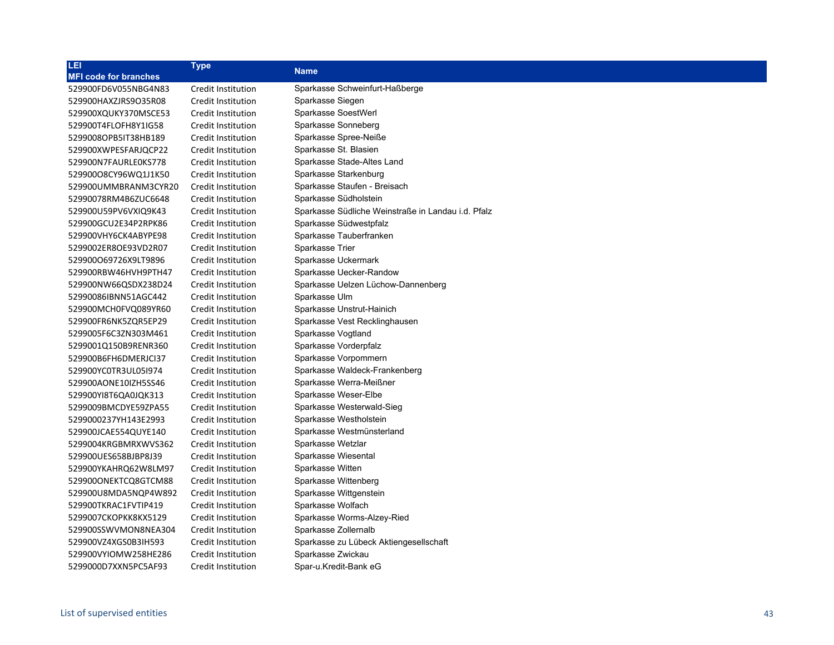| LEI                          | <b>Type</b>        | <b>Name</b>                                        |
|------------------------------|--------------------|----------------------------------------------------|
| <b>MFI code for branches</b> |                    |                                                    |
| 529900FD6V055NBG4N83         | Credit Institution | Sparkasse Schweinfurt-Haßberge                     |
| 529900HAXZJRS9O35R08         | Credit Institution | Sparkasse Siegen                                   |
| 529900XQUKY370MSCE53         | Credit Institution | Sparkasse SoestWerl                                |
| 529900T4FLOFH8Y1IG58         | Credit Institution | Sparkasse Sonneberg                                |
| 5299008OPB5IT38HB189         | Credit Institution | Sparkasse Spree-Neiße                              |
| 529900XWPESFARJQCP22         | Credit Institution | Sparkasse St. Blasien                              |
| 529900N7FAURLE0KS778         | Credit Institution | Sparkasse Stade-Altes Land                         |
| 52990008CY96WQ1J1K50         | Credit Institution | Sparkasse Starkenburg                              |
| 529900UMMBRANM3CYR20         | Credit Institution | Sparkasse Staufen - Breisach                       |
| 52990078RM4B6ZUC6648         | Credit Institution | Sparkasse Südholstein                              |
| 529900U59PV6VXIQ9K43         | Credit Institution | Sparkasse Südliche Weinstraße in Landau i.d. Pfalz |
| 529900GCU2E34P2RPK86         | Credit Institution | Sparkasse Südwestpfalz                             |
| 529900VHY6CK4ABYPE98         | Credit Institution | Sparkasse Tauberfranken                            |
| 5299002ER8OE93VD2R07         | Credit Institution | Sparkasse Trier                                    |
| 529900O69726X9LT9896         | Credit Institution | Sparkasse Uckermark                                |
| 529900RBW46HVH9PTH47         | Credit Institution | Sparkasse Uecker-Randow                            |
| 529900NW66QSDX238D24         | Credit Institution | Sparkasse Uelzen Lüchow-Dannenberg                 |
| 52990086IBNN51AGC442         | Credit Institution | Sparkasse Ulm                                      |
| 529900MCH0FVQ089YR60         | Credit Institution | Sparkasse Unstrut-Hainich                          |
| 529900FR6NK5ZQR5EP29         | Credit Institution | Sparkasse Vest Recklinghausen                      |
| 5299005F6C3ZN303M461         | Credit Institution | Sparkasse Vogtland                                 |
| 5299001Q150B9RENR360         | Credit Institution | Sparkasse Vorderpfalz                              |
| 529900B6FH6DMERJCI37         | Credit Institution | Sparkasse Vorpommern                               |
| 529900YC0TR3UL05I974         | Credit Institution | Sparkasse Waldeck-Frankenberg                      |
| 529900AONE10IZH5SS46         | Credit Institution | Sparkasse Werra-Meißner                            |
| 529900YI8T6QA0JQK313         | Credit Institution | Sparkasse Weser-Elbe                               |
| 5299009BMCDYE59ZPA55         | Credit Institution | Sparkasse Westerwald-Sieg                          |
| 5299000237YH143E2993         | Credit Institution | Sparkasse Westholstein                             |
| 529900JCAE554QUYE140         | Credit Institution | Sparkasse Westmünsterland                          |
| 5299004KRGBMRXWVS362         | Credit Institution | Sparkasse Wetzlar                                  |
| 529900UES658BJBP8J39         | Credit Institution | Sparkasse Wiesental                                |
| 529900YKAHRQ62W8LM97         | Credit Institution | Sparkasse Witten                                   |
| 529900ONEKTCQ8GTCM88         | Credit Institution | Sparkasse Wittenberg                               |
| 529900U8MDA5NQP4W892         | Credit Institution | Sparkasse Wittgenstein                             |
| 529900TKRAC1FVTIP419         | Credit Institution | Sparkasse Wolfach                                  |
| 5299007CKOPKK8KX5129         | Credit Institution | Sparkasse Worms-Alzey-Ried                         |
| 529900SSWVMON8NEA304         | Credit Institution | Sparkasse Zollernalb                               |
| 529900VZ4XGS0B3IH593         | Credit Institution | Sparkasse zu Lübeck Aktiengesellschaft             |
| 529900VYIOMW258HE286         | Credit Institution | Sparkasse Zwickau                                  |
| 5299000D7XXN5PC5AF93         | Credit Institution | Spar-u Kredit-Bank eG                              |
|                              |                    |                                                    |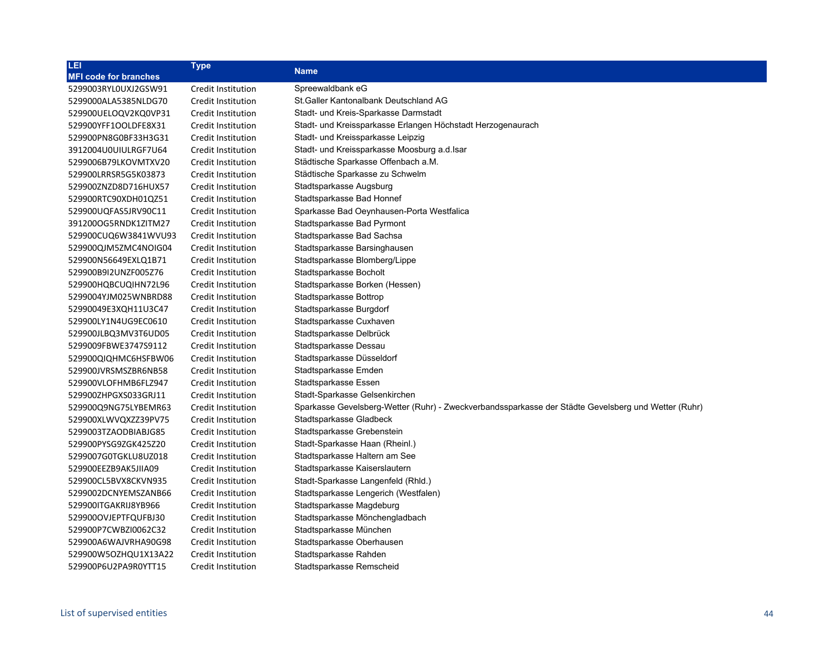| LEI                          | <b>Type</b>        | <b>Name</b>                                                                                         |
|------------------------------|--------------------|-----------------------------------------------------------------------------------------------------|
| <b>MFI code for branches</b> |                    |                                                                                                     |
| 5299003RYL0UXJ2GSW91         | Credit Institution | Spreewaldbank eG                                                                                    |
| 5299000ALA5385NLDG70         | Credit Institution | St.Galler Kantonalbank Deutschland AG                                                               |
| 529900UELOQV2KQ0VP31         | Credit Institution | Stadt- und Kreis-Sparkasse Darmstadt                                                                |
| 529900YFF1OOLDFE8X31         | Credit Institution | Stadt- und Kreissparkasse Erlangen Höchstadt Herzogenaurach                                         |
| 529900PN8G0BF33H3G31         | Credit Institution | Stadt- und Kreissparkasse Leipzig                                                                   |
| 3912004U0UIULRGF7U64         | Credit Institution | Stadt- und Kreissparkasse Moosburg a.d.Isar                                                         |
| 5299006B79LKOVMTXV20         | Credit Institution | Städtische Sparkasse Offenbach a.M.                                                                 |
| 529900LRRSR5G5K03873         | Credit Institution | Städtische Sparkasse zu Schwelm                                                                     |
| 529900ZNZD8D716HUX57         | Credit Institution | Stadtsparkasse Augsburg                                                                             |
| 529900RTC90XDH01QZ51         | Credit Institution | Stadtsparkasse Bad Honnef                                                                           |
| 529900UQFAS5JRV90C11         | Credit Institution | Sparkasse Bad Oeynhausen-Porta Westfalica                                                           |
| 391200OG5RNDK1ZITM27         | Credit Institution | Stadtsparkasse Bad Pyrmont                                                                          |
| 529900CUQ6W3841WVU93         | Credit Institution | Stadtsparkasse Bad Sachsa                                                                           |
| 529900QJM5ZMC4NOIG04         | Credit Institution | Stadtsparkasse Barsinghausen                                                                        |
| 529900N56649EXLQ1B71         | Credit Institution | Stadtsparkasse Blomberg/Lippe                                                                       |
| 529900B9I2UNZF005Z76         | Credit Institution | Stadtsparkasse Bocholt                                                                              |
| 529900HQBCUQIHN72L96         | Credit Institution | Stadtsparkasse Borken (Hessen)                                                                      |
| 5299004YJM025WNBRD88         | Credit Institution | Stadtsparkasse Bottrop                                                                              |
| 52990049E3XQH11U3C47         | Credit Institution | Stadtsparkasse Burgdorf                                                                             |
| 529900LY1N4UG9EC0610         | Credit Institution | Stadtsparkasse Cuxhaven                                                                             |
| 529900JLBQ3MV3T6UD05         | Credit Institution | Stadtsparkasse Delbrück                                                                             |
| 5299009FBWE3747S9112         | Credit Institution | Stadtsparkasse Dessau                                                                               |
| 529900QIQHMC6HSFBW06         | Credit Institution | Stadtsparkasse Düsseldorf                                                                           |
| 529900JVRSMSZBR6NB58         | Credit Institution | Stadtsparkasse Emden                                                                                |
| 529900VLOFHMB6FLZ947         | Credit Institution | Stadtsparkasse Essen                                                                                |
| 529900ZHPGXS033GRJ11         | Credit Institution | Stadt-Sparkasse Gelsenkirchen                                                                       |
| 529900Q9NG75LYBEMR63         | Credit Institution | Sparkasse Gevelsberg-Wetter (Ruhr) - Zweckverbandssparkasse der Städte Gevelsberg und Wetter (Ruhr) |
| 529900XLWVQXZZ39PV75         | Credit Institution | Stadtsparkasse Gladbeck                                                                             |
| 5299003TZAODBIABJG85         | Credit Institution | Stadtsparkasse Grebenstein                                                                          |
| 529900PYSG9ZGK425Z20         | Credit Institution | Stadt-Sparkasse Haan (Rheinl.)                                                                      |
| 5299007G0TGKLU8UZ018         | Credit Institution | Stadtsparkasse Haltern am See                                                                       |
| 529900EEZB9AK5JIIA09         | Credit Institution | Stadtsparkasse Kaiserslautern                                                                       |
| 529900CL5BVX8CKVN935         | Credit Institution | Stadt-Sparkasse Langenfeld (Rhld.)                                                                  |
| 5299002DCNYEMSZANB66         | Credit Institution | Stadtsparkasse Lengerich (Westfalen)                                                                |
| 529900ITGAKRIJ8YB966         | Credit Institution | Stadtsparkasse Magdeburg                                                                            |
| 529900OVJEPTFQUFBJ30         | Credit Institution | Stadtsparkasse Mönchengladbach                                                                      |
| 529900P7CWBZI0062C32         | Credit Institution | Stadtsparkasse München                                                                              |
| 529900A6WAJVRHA90G98         | Credit Institution | Stadtsparkasse Oberhausen                                                                           |
| 529900W5OZHQU1X13A22         | Credit Institution | Stadtsparkasse Rahden                                                                               |
| 529900P6U2PA9R0YTT15         | Credit Institution | Stadtsparkasse Remscheid                                                                            |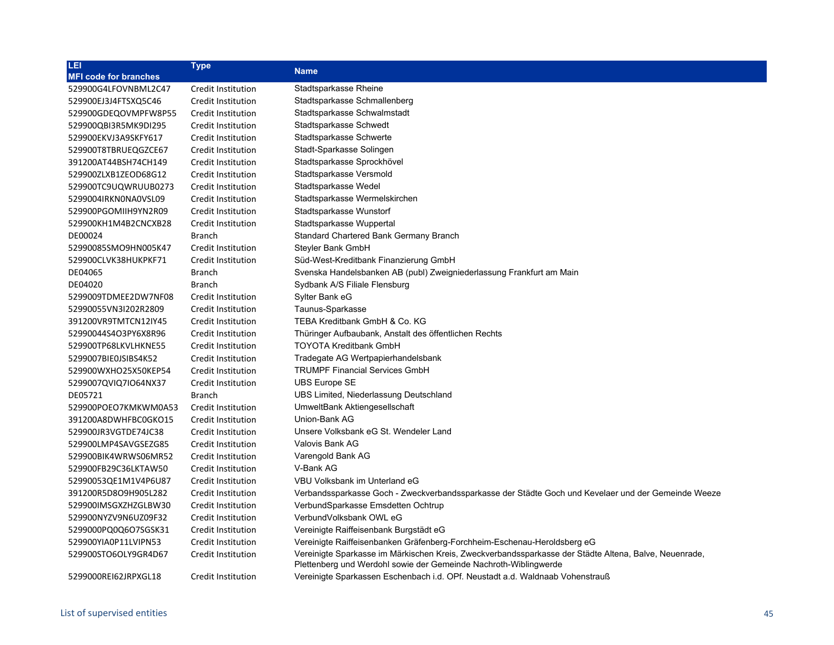| LEI                          | <b>Type</b>        |                                                                                                                                                                           |
|------------------------------|--------------------|---------------------------------------------------------------------------------------------------------------------------------------------------------------------------|
| <b>MFI code for branches</b> |                    | <b>Name</b>                                                                                                                                                               |
| 529900G4LFOVNBML2C47         | Credit Institution | Stadtsparkasse Rheine                                                                                                                                                     |
| 529900EJ3J4FTSXQ5C46         | Credit Institution | Stadtsparkasse Schmallenberg                                                                                                                                              |
| 529900GDEQOVMPFW8P55         | Credit Institution | Stadtsparkasse Schwalmstadt                                                                                                                                               |
| 529900QBI3R5MK9DI295         | Credit Institution | Stadtsparkasse Schwedt                                                                                                                                                    |
| 529900EKVJ3A9SKFY617         | Credit Institution | Stadtsparkasse Schwerte                                                                                                                                                   |
| 529900T8TBRUEQGZCE67         | Credit Institution | Stadt-Sparkasse Solingen                                                                                                                                                  |
| 391200AT44BSH74CH149         | Credit Institution | Stadtsparkasse Sprockhövel                                                                                                                                                |
| 529900ZLXB1ZEOD68G12         | Credit Institution | Stadtsparkasse Versmold                                                                                                                                                   |
| 529900TC9UQWRUUB0273         | Credit Institution | Stadtsparkasse Wedel                                                                                                                                                      |
| 5299004IRKN0NA0VSL09         | Credit Institution | Stadtsparkasse Wermelskirchen                                                                                                                                             |
| 529900PGOMIIH9YN2R09         | Credit Institution | Stadtsparkasse Wunstorf                                                                                                                                                   |
| 529900KH1M4B2CNCXB28         | Credit Institution | Stadtsparkasse Wuppertal                                                                                                                                                  |
| DE00024                      | <b>Branch</b>      | Standard Chartered Bank Germany Branch                                                                                                                                    |
| 52990085SMO9HN005K47         | Credit Institution | Steyler Bank GmbH                                                                                                                                                         |
| 529900CLVK38HUKPKF71         | Credit Institution | Süd-West-Kreditbank Finanzierung GmbH                                                                                                                                     |
| DE04065                      | <b>Branch</b>      | Svenska Handelsbanken AB (publ) Zweigniederlassung Frankfurt am Main                                                                                                      |
| DE04020                      | <b>Branch</b>      | Sydbank A/S Filiale Flensburg                                                                                                                                             |
| 5299009TDMEE2DW7NF08         | Credit Institution | Sylter Bank eG                                                                                                                                                            |
| 52990055VN3I202R2809         | Credit Institution | Taunus-Sparkasse                                                                                                                                                          |
| 391200VR9TMTCN12IY45         | Credit Institution | TEBA Kreditbank GmbH & Co. KG                                                                                                                                             |
| 52990044S4O3PY6X8R96         | Credit Institution | Thüringer Aufbaubank, Anstalt des öffentlichen Rechts                                                                                                                     |
| 529900TP68LKVLHKNE55         | Credit Institution | <b>TOYOTA Kreditbank GmbH</b>                                                                                                                                             |
| 5299007BIE0JSIBS4K52         | Credit Institution | Tradegate AG Wertpapierhandelsbank                                                                                                                                        |
| 529900WXHO25X50KEP54         | Credit Institution | <b>TRUMPF Financial Services GmbH</b>                                                                                                                                     |
| 5299007QVIQ7IO64NX37         | Credit Institution | <b>UBS Europe SE</b>                                                                                                                                                      |
| DE05721                      | <b>Branch</b>      | UBS Limited, Niederlassung Deutschland                                                                                                                                    |
| 529900POEO7KMKWM0A53         | Credit Institution | UmweltBank Aktiengesellschaft                                                                                                                                             |
| 391200A8DWHFBC0GKO15         | Credit Institution | Union-Bank AG                                                                                                                                                             |
| 529900JR3VGTDE74JC38         | Credit Institution | Unsere Volksbank eG St. Wendeler Land                                                                                                                                     |
| 529900LMP4SAVGSEZG85         | Credit Institution | Valovis Bank AG                                                                                                                                                           |
| 529900BIK4WRWS06MR52         | Credit Institution | Varengold Bank AG                                                                                                                                                         |
| 529900FB29C36LKTAW50         | Credit Institution | V-Bank AG                                                                                                                                                                 |
| 52990053QE1M1V4P6U87         | Credit Institution | VBU Volksbank im Unterland eG                                                                                                                                             |
| 391200R5D8O9H905L282         | Credit Institution | Verbandssparkasse Goch - Zweckverbandssparkasse der Städte Goch und Kevelaer und der Gemeinde Weeze                                                                       |
| 529900IMSGXZHZGLBW30         | Credit Institution | VerbundSparkasse Emsdetten Ochtrup                                                                                                                                        |
| 529900NYZV9N6UZ09F32         | Credit Institution | VerbundVolksbank OWL eG                                                                                                                                                   |
| 5299000PQ0Q6O7SGSK31         | Credit Institution | Vereinigte Raiffeisenbank Burgstädt eG                                                                                                                                    |
| 529900YIA0P11LVIPN53         | Credit Institution | Vereinigte Raiffeisenbanken Gräfenberg-Forchheim-Eschenau-Heroldsberg eG                                                                                                  |
| 529900STO6OLY9GR4D67         | Credit Institution | Vereinigte Sparkasse im Märkischen Kreis, Zweckverbandssparkasse der Städte Altena, Balve, Neuenrade,<br>Plettenberg und Werdohl sowie der Gemeinde Nachroth-Wiblingwerde |
| 5299000REI62JRPXGL18         | Credit Institution | Vereinigte Sparkassen Eschenbach i.d. OPf. Neustadt a.d. Waldnaab Vohenstrauß                                                                                             |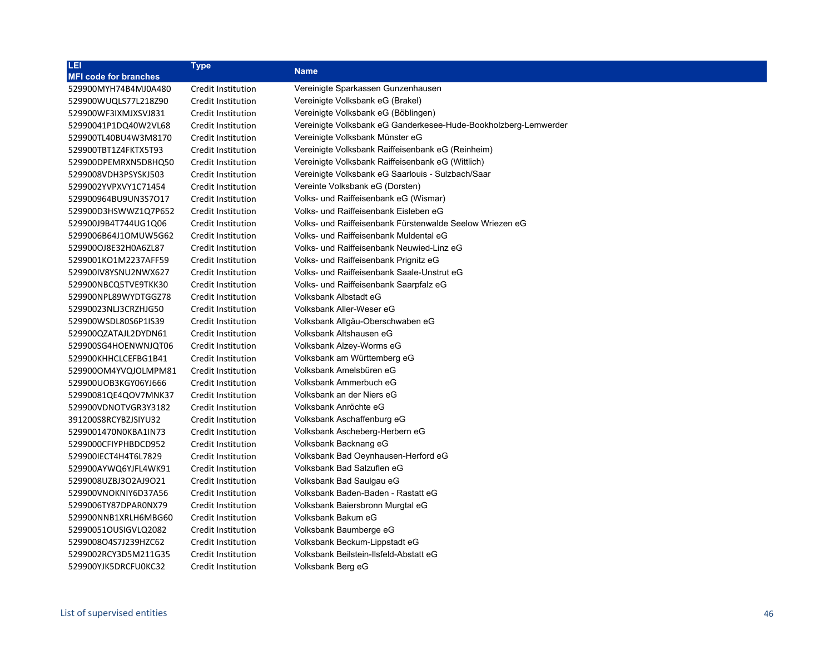| LEI                          | <b>Type</b>        | <b>Name</b>                                                     |
|------------------------------|--------------------|-----------------------------------------------------------------|
| <b>MFI code for branches</b> |                    |                                                                 |
| 529900MYH74B4MJ0A480         | Credit Institution | Vereinigte Sparkassen Gunzenhausen                              |
| 529900WUQLS77L218Z90         | Credit Institution | Vereinigte Volksbank eG (Brakel)                                |
| 529900WF3IXMJXSVJ831         | Credit Institution | Vereinigte Volksbank eG (Böblingen)                             |
| 52990041P1DQ40W2VL68         | Credit Institution | Vereinigte Volksbank eG Ganderkesee-Hude-Bookholzberg-Lemwerder |
| 529900TL40BU4W3M8170         | Credit Institution | Vereinigte Volksbank Münster eG                                 |
| 529900TBT1Z4FKTX5T93         | Credit Institution | Vereinigte Volksbank Raiffeisenbank eG (Reinheim)               |
| 529900DPEMRXN5D8HQ50         | Credit Institution | Vereinigte Volksbank Raiffeisenbank eG (Wittlich)               |
| 5299008VDH3PSYSKJ503         | Credit Institution | Vereinigte Volksbank eG Saarlouis - Sulzbach/Saar               |
| 5299002YVPXVY1C71454         | Credit Institution | Vereinte Volksbank eG (Dorsten)                                 |
| 529900964BU9UN3S7O17         | Credit Institution | Volks- und Raiffeisenbank eG (Wismar)                           |
| 529900D3HSWWZ1Q7P652         | Credit Institution | Volks- und Raiffeisenbank Eisleben eG                           |
| 529900J9B4T744UG1Q06         | Credit Institution | Volks- und Raiffeisenbank Fürstenwalde Seelow Wriezen eG        |
| 5299006B64J1OMUW5G62         | Credit Institution | Volks- und Raiffeisenbank Muldental eG                          |
| 529900OJ8E32H0A6ZL87         | Credit Institution | Volks- und Raiffeisenbank Neuwied-Linz eG                       |
| 5299001KO1M2237AFF59         | Credit Institution | Volks- und Raiffeisenbank Prignitz eG                           |
| 529900IV8YSNU2NWX627         | Credit Institution | Volks- und Raiffeisenbank Saale-Unstrut eG                      |
| 529900NBCQ5TVE9TKK30         | Credit Institution | Volks- und Raiffeisenbank Saarpfalz eG                          |
| 529900NPL89WYDTGGZ78         | Credit Institution | Volksbank Albstadt eG                                           |
| 52990023NLJ3CRZHJG50         | Credit Institution | Volksbank Aller-Weser eG                                        |
| 529900WSDL80S6P1IS39         | Credit Institution | Volksbank Allgäu-Oberschwaben eG                                |
| 529900QZATAJL2DYDN61         | Credit Institution | Volksbank Altshausen eG                                         |
| 529900SG4HOENWNJQT06         | Credit Institution | Volksbank Alzey-Worms eG                                        |
| 529900KHHCLCEFBG1B41         | Credit Institution | Volksbank am Württemberg eG                                     |
| 529900OM4YVQJOLMPM81         | Credit Institution | Volksbank Amelsbüren eG                                         |
| 529900UOB3KGY06YJ666         | Credit Institution | Volksbank Ammerbuch eG                                          |
| 52990081QE4QOV7MNK37         | Credit Institution | Volksbank an der Niers eG                                       |
| 529900VDNOTVGR3Y3182         | Credit Institution | Volksbank Anröchte eG                                           |
| 391200S8RCYBZJSIYU32         | Credit Institution | Volksbank Aschaffenburg eG                                      |
| 5299001470N0KBA1IN73         | Credit Institution | Volksbank Ascheberg-Herbern eG                                  |
| 5299000CFIYPHBDCD952         | Credit Institution | Volksbank Backnang eG                                           |
| 529900IECT4H4T6L7829         | Credit Institution | Volksbank Bad Oeynhausen-Herford eG                             |
| 529900AYWQ6YJFL4WK91         | Credit Institution | Volksbank Bad Salzuflen eG                                      |
| 5299008UZBJ3O2AJ9O21         | Credit Institution | Volksbank Bad Saulgau eG                                        |
| 529900VNOKNIY6D37A56         | Credit Institution | Volksbank Baden-Baden - Rastatt eG                              |
| 5299006TY87DPAR0NX79         | Credit Institution | Volksbank Baiersbronn Murgtal eG                                |
| 529900NNB1XRLH6MBG60         | Credit Institution | Volksbank Bakum eG                                              |
| 52990051OUSIGVLQ2082         | Credit Institution | Volksbank Baumberge eG                                          |
| 5299008O4S7J239HZC62         | Credit Institution | Volksbank Beckum-Lippstadt eG                                   |
| 5299002RCY3D5M211G35         | Credit Institution | Volksbank Beilstein-Ilsfeld-Abstatt eG                          |
| 529900YJK5DRCFU0KC32         | Credit Institution | Volksbank Berg eG                                               |
|                              |                    |                                                                 |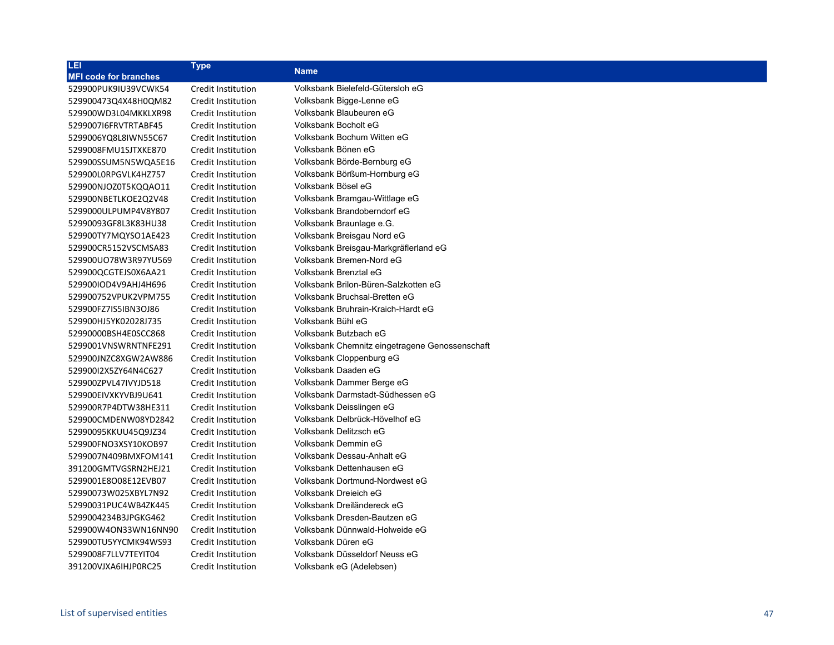| LEI                          | <b>Type</b>               | <b>Name</b>                                    |
|------------------------------|---------------------------|------------------------------------------------|
| <b>MFI code for branches</b> |                           |                                                |
| 529900PUK9IU39VCWK54         | <b>Credit Institution</b> | Volksbank Bielefeld-Gütersloh eG               |
| 529900473Q4X48H0QM82         | Credit Institution        | Volksbank Bigge-Lenne eG                       |
| 529900WD3L04MKKLXR98         | Credit Institution        | Volksbank Blaubeuren eG                        |
| 529900716FRVTRTABF45         | Credit Institution        | Volksbank Bocholt eG                           |
| 5299006YQ8L8IWN55C67         | Credit Institution        | Volksbank Bochum Witten eG                     |
| 5299008FMU1SJTXKE870         | <b>Credit Institution</b> | Volksbank Bönen eG                             |
| 529900SSUM5N5WQA5E16         | <b>Credit Institution</b> | Volksbank Börde-Bernburg eG                    |
| 529900L0RPGVLK4HZ757         | Credit Institution        | Volksbank Börßum-Hornburg eG                   |
| 529900NJOZ0T5KQQAO11         | <b>Credit Institution</b> | Volksbank Bösel eG                             |
| 529900NBETLKOE2Q2V48         | <b>Credit Institution</b> | Volksbank Bramgau-Wittlage eG                  |
| 5299000ULPUMP4V8Y807         | <b>Credit Institution</b> | Volksbank Brandoberndorf eG                    |
| 52990093GF8L3K83HU38         | Credit Institution        | Volksbank Braunlage e.G.                       |
| 529900TY7MQYSO1AE423         | <b>Credit Institution</b> | Volksbank Breisgau Nord eG                     |
| 529900CR5152VSCMSA83         | <b>Credit Institution</b> | Volksbank Breisgau-Markgräflerland eG          |
| 529900UO78W3R97YU569         | <b>Credit Institution</b> | Volksbank Bremen-Nord eG                       |
| 529900QCGTEJS0X6AA21         | Credit Institution        | Volksbank Brenztal eG                          |
| 529900IOD4V9AHJ4H696         | Credit Institution        | Volksbank Brilon-Büren-Salzkotten eG           |
| 529900752VPUK2VPM755         | Credit Institution        | Volksbank Bruchsal-Bretten eG                  |
| 529900FZ7IS5IBN3OJ86         | Credit Institution        | Volksbank Bruhrain-Kraich-Hardt eG             |
| 529900HJ5YK02028J735         | Credit Institution        | Volksbank Bühl eG                              |
| 52990000BSH4E0SCC868         | Credit Institution        | Volksbank Butzbach eG                          |
| 5299001VNSWRNTNFE291         | Credit Institution        | Volksbank Chemnitz eingetragene Genossenschaft |
| 529900JNZC8XGW2AW886         | Credit Institution        | Volksbank Cloppenburg eG                       |
| 529900I2X5ZY64N4C627         | Credit Institution        | Volksbank Daaden eG                            |
| 529900ZPVL47IVYJD518         | Credit Institution        | Volksbank Dammer Berge eG                      |
| 529900EIVXKYVBJ9U641         | Credit Institution        | Volksbank Darmstadt-Südhessen eG               |
| 529900R7P4DTW38HE311         | Credit Institution        | Volksbank Deisslingen eG                       |
| 529900CMDENW08YD2842         | Credit Institution        | Volksbank Delbrück-Hövelhof eG                 |
| 52990095KKUU45Q9JZ34         | Credit Institution        | Volksbank Delitzsch eG                         |
| 529900FNO3XSY10KOB97         | Credit Institution        | Volksbank Demmin eG                            |
| 5299007N409BMXFOM141         | Credit Institution        | Volksbank Dessau-Anhalt eG                     |
| 391200GMTVGSRN2HEJ21         | Credit Institution        | Volksbank Dettenhausen eG                      |
| 5299001E8O08E12EVB07         | Credit Institution        | Volksbank Dortmund-Nordwest eG                 |
| 52990073W025XBYL7N92         | Credit Institution        | Volksbank Dreieich eG                          |
| 52990031PUC4WB4ZK445         | Credit Institution        | Volksbank Dreiländereck eG                     |
| 5299004234B3JPGKG462         | Credit Institution        | Volksbank Dresden-Bautzen eG                   |
| 529900W4ON33WN16NN90         | Credit Institution        | Volksbank Dünnwald-Holweide eG                 |
| 529900TU5YYCMK94WS93         | Credit Institution        | Volksbank Düren eG                             |
| 5299008F7LLV7TEYIT04         | Credit Institution        | Volksbank Düsseldorf Neuss eG                  |
| 391200VJXA6IHJP0RC25         | Credit Institution        | Volksbank eG (Adelebsen)                       |
|                              |                           |                                                |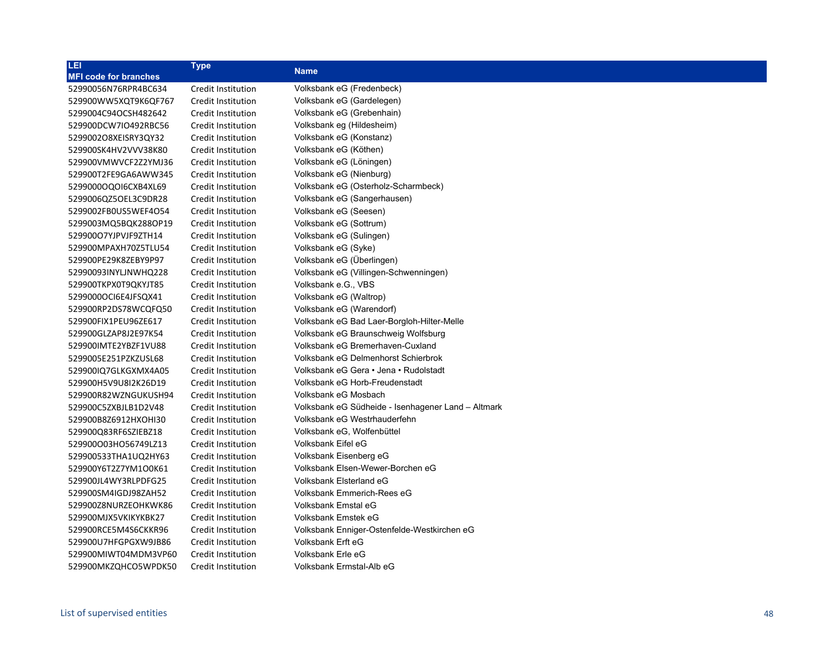| LEI                          | <b>Type</b>               | <b>Name</b>                                        |
|------------------------------|---------------------------|----------------------------------------------------|
| <b>MFI code for branches</b> |                           |                                                    |
| 52990056N76RPR4BC634         | Credit Institution        | Volksbank eG (Fredenbeck)                          |
| 529900WW5XQT9K6QF767         | Credit Institution        | Volksbank eG (Gardelegen)                          |
| 5299004C94OCSH482642         | Credit Institution        | Volksbank eG (Grebenhain)                          |
| 529900DCW7IO492RBC56         | Credit Institution        | Volksbank eg (Hildesheim)                          |
| 5299002O8XEISRY3QY32         | Credit Institution        | Volksbank eG (Konstanz)                            |
| 529900SK4HV2VVV38K80         | Credit Institution        | Volksbank eG (Köthen)                              |
| 529900VMWVCF2Z2YMJ36         | Credit Institution        | Volksbank eG (Löningen)                            |
| 529900T2FE9GA6AWW345         | Credit Institution        | Volksbank eG (Nienburg)                            |
| 5299000OQOI6CXB4XL69         | Credit Institution        | Volksbank eG (Osterholz-Scharmbeck)                |
| 5299006QZ5OEL3C9DR28         | Credit Institution        | Volksbank eG (Sangerhausen)                        |
| 5299002FB0US5WEF4O54         | Credit Institution        | Volksbank eG (Seesen)                              |
| 5299003MQ5BQK288OP19         | Credit Institution        | Volksbank eG (Sottrum)                             |
| 529900O7YJPVJF9ZTH14         | Credit Institution        | Volksbank eG (Sulingen)                            |
| 529900MPAXH70Z5TLU54         | Credit Institution        | Volksbank eG (Syke)                                |
| 529900PE29K8ZEBY9P97         | Credit Institution        | Volksbank eG (Überlingen)                          |
| 52990093INYLJNWHQ228         | Credit Institution        | Volksbank eG (Villingen-Schwenningen)              |
| 529900TKPX0T9QKYJT85         | Credit Institution        | Volksbank e.G., VBS                                |
| 5299000OCI6E4JFSQX41         | Credit Institution        | Volksbank eG (Waltrop)                             |
| 529900RP2DS78WCQFQ50         | Credit Institution        | Volksbank eG (Warendorf)                           |
| 529900FIX1PEU96ZE617         | Credit Institution        | Volksbank eG Bad Laer-Borgloh-Hilter-Melle         |
| 529900GLZAP8J2E97K54         | Credit Institution        | Volksbank eG Braunschweig Wolfsburg                |
| 529900IMTE2YBZF1VU88         | Credit Institution        | Volksbank eG Bremerhaven-Cuxland                   |
| 5299005E251PZKZUSL68         | Credit Institution        | Volksbank eG Delmenhorst Schierbrok                |
| 529900IQ7GLKGXMX4A05         | Credit Institution        | Volksbank eG Gera • Jena • Rudolstadt              |
| 529900H5V9U8I2K26D19         | Credit Institution        | Volksbank eG Horb-Freudenstadt                     |
| 529900R82WZNGUKUSH94         | Credit Institution        | Volksbank eG Mosbach                               |
| 529900C5ZXBJLB1D2V48         | Credit Institution        | Volksbank eG Südheide - Isenhagener Land - Altmark |
| 529900B8Z6912HXOHI30         | Credit Institution        | Volksbank eG Westrhauderfehn                       |
| 529900Q83RF6SZIEBZ18         | Credit Institution        | Volksbank eG, Wolfenbüttel                         |
| 529900003H056749LZ13         | Credit Institution        | Volksbank Eifel eG                                 |
| 529900533THA1UQ2HY63         | Credit Institution        | Volksbank Eisenberg eG                             |
| 529900Y6T2Z7YM1O0K61         | Credit Institution        | Volksbank Elsen-Wewer-Borchen eG                   |
| 529900JL4WY3RLPDFG25         | Credit Institution        | Volksbank Elsterland eG                            |
| 529900SM4IGDJ98ZAH52         | Credit Institution        | <b>Volksbank Emmerich-Rees eG</b>                  |
| 529900Z8NURZEOHKWK86         | Credit Institution        | Volksbank Emstal eG                                |
| 529900MJX5VKIKYKBK27         | Credit Institution        | Volksbank Emstek eG                                |
| 529900RCE5M4S6CKKR96         | Credit Institution        | Volksbank Enniger-Ostenfelde-Westkirchen eG        |
| 529900U7HFGPGXW9JB86         | <b>Credit Institution</b> | Volksbank Erft eG                                  |
| 529900MIWT04MDM3VP60         | Credit Institution        | Volksbank Erle eG                                  |
| 529900MKZQHCO5WPDK50         | Credit Institution        | Volksbank Ermstal-Alb eG                           |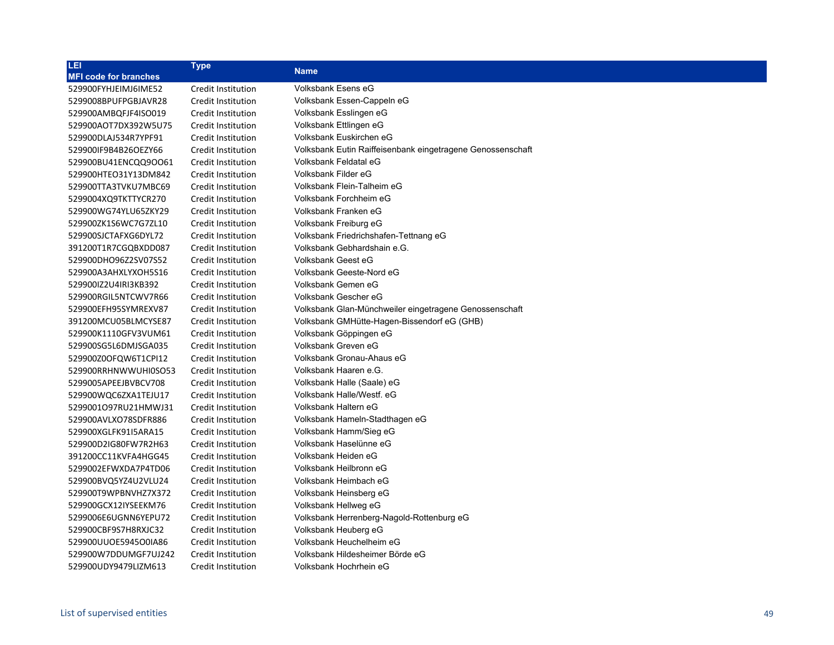| LEI                          | <b>Type</b>               |                                                            |
|------------------------------|---------------------------|------------------------------------------------------------|
| <b>MFI code for branches</b> |                           | <b>Name</b>                                                |
| 529900FYHJEIMJ6IME52         | Credit Institution        | Volksbank Esens eG                                         |
| 5299008BPUFPGBJAVR28         | Credit Institution        | Volksbank Essen-Cappeln eG                                 |
| 529900AMBQFJF4ISO019         | Credit Institution        | Volksbank Esslingen eG                                     |
| 529900AOT7DX392W5U75         | Credit Institution        | Volksbank Ettlingen eG                                     |
| 529900DLAJ534R7YPF91         | Credit Institution        | Volksbank Euskirchen eG                                    |
| 529900IF9B4B26OEZY66         | Credit Institution        | Volksbank Eutin Raiffeisenbank eingetragene Genossenschaft |
| 529900BU41ENCQQ9OO61         | Credit Institution        | Volksbank Feldatal eG                                      |
| 529900HTEO31Y13DM842         | <b>Credit Institution</b> | Volksbank Filder eG                                        |
| 529900TTA3TVKU7MBC69         | Credit Institution        | Volksbank Flein-Talheim eG                                 |
| 5299004XQ9TKTTYCR270         | Credit Institution        | Volksbank Forchheim eG                                     |
| 529900WG74YLU65ZKY29         | Credit Institution        | Volksbank Franken eG                                       |
| 529900ZK1S6WC7G7ZL10         | Credit Institution        | Volksbank Freiburg eG                                      |
| 529900SJCTAFXG6DYL72         | Credit Institution        | Volksbank Friedrichshafen-Tettnang eG                      |
| 391200T1R7CGQBXDD087         | Credit Institution        | Volksbank Gebhardshain e.G.                                |
| 529900DHO96Z2SV07S52         | Credit Institution        | <b>Volksbank Geest eG</b>                                  |
| 529900A3AHXLYXOH5S16         | Credit Institution        | Volksbank Geeste-Nord eG                                   |
| 529900IZ2U4IRI3KB392         | Credit Institution        | Volksbank Gemen eG                                         |
| 529900RGIL5NTCWV7R66         | Credit Institution        | Volksbank Gescher eG                                       |
| 529900EFH95SYMREXV87         | Credit Institution        | Volksbank Glan-Münchweiler eingetragene Genossenschaft     |
| 391200MCU05BLMCYSE87         | Credit Institution        | Volksbank GMHütte-Hagen-Bissendorf eG (GHB)                |
| 529900K1110GFV3VUM61         | Credit Institution        | Volksbank Göppingen eG                                     |
| 529900SG5L6DMJSGA035         | Credit Institution        | Volksbank Greven eG                                        |
| 529900Z0OFQW6T1CPI12         | Credit Institution        | Volksbank Gronau-Ahaus eG                                  |
| 529900RRHNWWUHI0SO53         | Credit Institution        | Volksbank Haaren e.G.                                      |
| 5299005APEEJBVBCV708         | Credit Institution        | Volksbank Halle (Saale) eG                                 |
| 529900WQC6ZXA1TEJU17         | Credit Institution        | Volksbank Halle/Westf. eG                                  |
| 5299001097RU21HMWJ31         | Credit Institution        | Volksbank Haltern eG                                       |
| 529900AVLXO78SDFR886         | Credit Institution        | Volksbank Hameln-Stadthagen eG                             |
| 529900XGLFK91I5ARA15         | Credit Institution        | Volksbank Hamm/Sieg eG                                     |
| 529900D2IG80FW7R2H63         | Credit Institution        | Volksbank Haselünne eG                                     |
| 391200CC11KVFA4HGG45         | Credit Institution        | Volksbank Heiden eG                                        |
| 5299002EFWXDA7P4TD06         | Credit Institution        | Volksbank Heilbronn eG                                     |
| 529900BVQ5YZ4U2VLU24         | Credit Institution        | Volksbank Heimbach eG                                      |
| 529900T9WPBNVHZ7X372         | Credit Institution        | Volksbank Heinsberg eG                                     |
| 529900GCX12IYSEEKM76         | Credit Institution        | Volksbank Hellweg eG                                       |
| 5299006E6UGNN6YEPU72         | Credit Institution        | Volksbank Herrenberg-Nagold-Rottenburg eG                  |
| 529900CBF9S7H8RXJC32         | Credit Institution        | Volksbank Heuberg eG                                       |
| 529900UUOE5945O0IA86         | Credit Institution        | Volksbank Heuchelheim eG                                   |
| 529900W7DDUMGF7UJ242         | Credit Institution        | Volksbank Hildesheimer Börde eG                            |
| 529900UDY9479LIZM613         | Credit Institution        | Volksbank Hochrhein eG                                     |
|                              |                           |                                                            |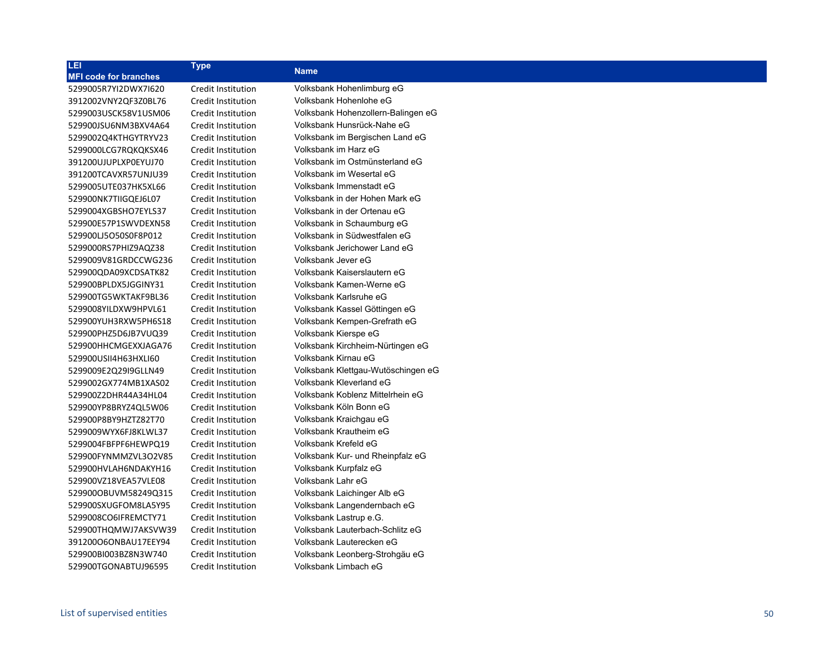| LEI                          | <b>Type</b>               | <b>Name</b>                        |
|------------------------------|---------------------------|------------------------------------|
| <b>MFI code for branches</b> |                           |                                    |
| 5299005R7YI2DWX7I620         | Credit Institution        | Volksbank Hohenlimburg eG          |
| 3912002VNY2QF3Z0BL76         | Credit Institution        | Volksbank Hohenlohe eG             |
| 5299003USCK58V1USM06         | Credit Institution        | Volksbank Hohenzollern-Balingen eG |
| 529900JSU6NM3BXV4A64         | Credit Institution        | Volksbank Hunsrück-Nahe eG         |
| 5299002Q4KTHGYTRYV23         | Credit Institution        | Volksbank im Bergischen Land eG    |
| 5299000LCG7RQKQKSX46         | Credit Institution        | Volksbank im Harz eG               |
| 391200UJUPLXP0EYUJ70         | Credit Institution        | Volksbank im Ostmünsterland eG     |
| 391200TCAVXR57UNJU39         | Credit Institution        | Volksbank im Wesertal eG           |
| 5299005UTE037HK5XL66         | Credit Institution        | Volksbank Immenstadt eG            |
| 529900NK7TIIGQEJ6L07         | Credit Institution        | Volksbank in der Hohen Mark eG     |
| 5299004XGBSHO7EYLS37         | Credit Institution        | Volksbank in der Ortenau eG        |
| 529900E57P1SWVDEXN58         | Credit Institution        | Volksbank in Schaumburg eG         |
| 529900LJ5O50S0F8P012         | Credit Institution        | Volksbank in Südwestfalen eG       |
| 5299000RS7PHIZ9AQZ38         | Credit Institution        | Volksbank Jerichower Land eG       |
| 5299009V81GRDCCWG236         | Credit Institution        | Volksbank Jever eG                 |
| 529900QDA09XCDSATK82         | <b>Credit Institution</b> | Volksbank Kaiserslautern eG        |
| 529900BPLDX5JGGINY31         | Credit Institution        | Volksbank Kamen-Werne eG           |
| 529900TG5WKTAKF9BL36         | Credit Institution        | Volksbank Karlsruhe eG             |
| 5299008YILDXW9HPVL61         | Credit Institution        | Volksbank Kassel Göttingen eG      |
| 529900YUH3RXW5PH6S18         | Credit Institution        | Volksbank Kempen-Grefrath eG       |
| 529900PHZ5D6JB7VUQ39         | <b>Credit Institution</b> | Volksbank Kierspe eG               |
| 529900HHCMGEXXJAGA76         | Credit Institution        | Volksbank Kirchheim-Nürtingen eG   |
| 529900USII4H63HXLI60         | Credit Institution        | Volksbank Kirnau eG                |
| 5299009E2Q29I9GLLN49         | Credit Institution        | Volksbank Klettgau-Wutöschingen eG |
| 5299002GX774MB1XAS02         | Credit Institution        | Volksbank Kleverland eG            |
| 529900Z2DHR44A34HL04         | Credit Institution        | Volksbank Koblenz Mittelrhein eG   |
| 529900YP8BRYZ4QL5W06         | Credit Institution        | Volksbank Köln Bonn eG             |
| 529900P8BY9HZTZ82T70         | Credit Institution        | Volksbank Kraichgau eG             |
| 5299009WYX6FJ8KLWL37         | Credit Institution        | Volksbank Krautheim eG             |
| 5299004FBFPF6HEWPQ19         | Credit Institution        | Volksbank Krefeld eG               |
| 529900FYNMMZVL3O2V85         | Credit Institution        | Volksbank Kur- und Rheinpfalz eG   |
| 529900HVLAH6NDAKYH16         | Credit Institution        | Volksbank Kurpfalz eG              |
| 529900VZ18VEA57VLE08         | <b>Credit Institution</b> | Volksbank Lahr eG                  |
| 529900OBUVM58249Q315         | Credit Institution        | Volksbank Laichinger Alb eG        |
| 529900SXUGFOM8LA5Y95         | Credit Institution        | Volksbank Langendernbach eG        |
| 5299008CO6IFREMCTY71         | Credit Institution        | Volksbank Lastrup e.G.             |
| 529900THQMWJ7AKSVW39         | Credit Institution        | Volksbank Lauterbach-Schlitz eG    |
| 39120006ONBAU17EEY94         | <b>Credit Institution</b> | Volksbank Lauterecken eG           |
| 529900BI003BZ8N3W740         | Credit Institution        | Volksbank Leonberg-Strohgäu eG     |
| 529900TGONABTUJ96595         | Credit Institution        | Volksbank Limbach eG               |
|                              |                           |                                    |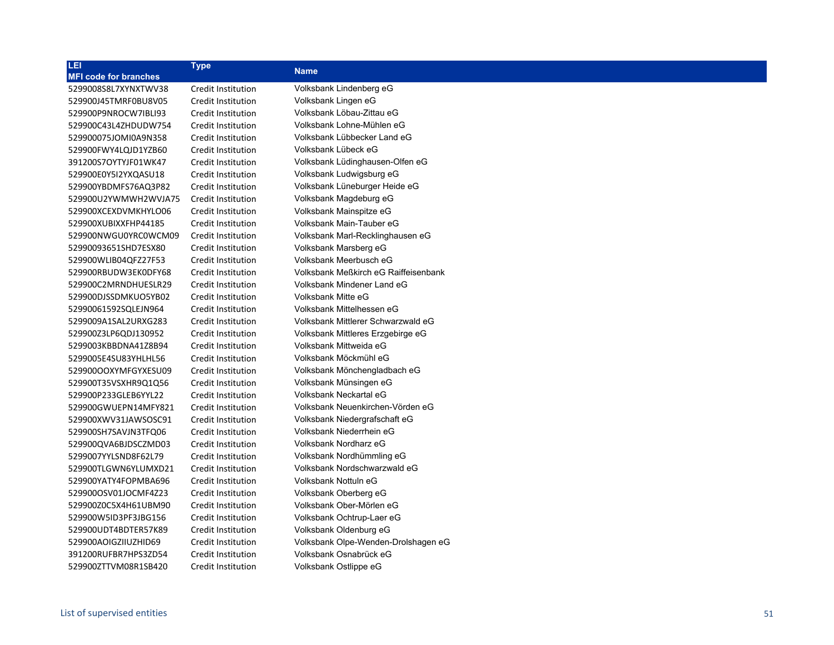| Credit Institution<br>Volksbank Lindenberg eG<br>Volksbank Lingen eG<br>Credit Institution<br>Volksbank Löbau-Zittau eG<br>Credit Institution<br>Volksbank Lohne-Mühlen eG<br>Credit Institution<br>Volksbank Lübbecker Land eG<br>Credit Institution<br>Volksbank Lübeck eG<br>Credit Institution<br>Volksbank Lüdinghausen-Olfen eG<br><b>Credit Institution</b><br>Volksbank Ludwigsburg eG<br>Credit Institution<br>Volksbank Lüneburger Heide eG<br>Credit Institution<br>Volksbank Magdeburg eG<br>Credit Institution<br>Volksbank Mainspitze eG<br>Credit Institution<br>Volksbank Main-Tauber eG<br>Credit Institution<br>Volksbank Marl-Recklinghausen eG<br>Credit Institution<br>Volksbank Marsberg eG<br>Credit Institution<br>Volksbank Meerbusch eG<br>Credit Institution<br>Volksbank Meßkirch eG Raiffeisenbank<br>Credit Institution<br>Volksbank Mindener Land eG<br>Credit Institution<br>Volksbank Mitte eG<br>Credit Institution<br>Volksbank Mittelhessen eG<br>Credit Institution<br>Volksbank Mittlerer Schwarzwald eG<br>Credit Institution<br>Volksbank Mittleres Erzgebirge eG<br>Credit Institution<br>Volksbank Mittweida eG<br>Credit Institution<br>Volksbank Möckmühl eG<br>Credit Institution<br>Volksbank Mönchengladbach eG<br>Credit Institution<br>Volksbank Münsingen eG<br>Credit Institution<br>Volksbank Neckartal eG<br>Credit Institution<br>Volksbank Neuenkirchen-Vörden eG<br>Credit Institution<br>Credit Institution<br>Volksbank Niedergrafschaft eG<br>Volksbank Niederrhein eG<br>Credit Institution<br>Volksbank Nordharz eG<br>Credit Institution<br>Volksbank Nordhümmling eG<br>Credit Institution<br>Volksbank Nordschwarzwald eG<br>Credit Institution<br>Volksbank Nottuln eG<br>Credit Institution<br>Volksbank Oberberg eG<br>Credit Institution<br>Volksbank Ober-Mörlen eG<br>Credit Institution<br>Volksbank Ochtrup-Laer eG<br>Credit Institution<br>Volksbank Oldenburg eG<br>Credit Institution<br>Volksbank Olpe-Wenden-Drolshagen eG<br>Credit Institution<br>Volksbank Osnabrück eG<br>Credit Institution<br>Volksbank Ostlippe eG<br>Credit Institution | LEI                          | <b>Type</b> | <b>Name</b> |
|-------------------------------------------------------------------------------------------------------------------------------------------------------------------------------------------------------------------------------------------------------------------------------------------------------------------------------------------------------------------------------------------------------------------------------------------------------------------------------------------------------------------------------------------------------------------------------------------------------------------------------------------------------------------------------------------------------------------------------------------------------------------------------------------------------------------------------------------------------------------------------------------------------------------------------------------------------------------------------------------------------------------------------------------------------------------------------------------------------------------------------------------------------------------------------------------------------------------------------------------------------------------------------------------------------------------------------------------------------------------------------------------------------------------------------------------------------------------------------------------------------------------------------------------------------------------------------------------------------------------------------------------------------------------------------------------------------------------------------------------------------------------------------------------------------------------------------------------------------------------------------------------------------------------------------------------------------------------------------------------------------------------------------------------------------------------------------------------------------------------------------|------------------------------|-------------|-------------|
|                                                                                                                                                                                                                                                                                                                                                                                                                                                                                                                                                                                                                                                                                                                                                                                                                                                                                                                                                                                                                                                                                                                                                                                                                                                                                                                                                                                                                                                                                                                                                                                                                                                                                                                                                                                                                                                                                                                                                                                                                                                                                                                               | <b>MFI code for branches</b> |             |             |
|                                                                                                                                                                                                                                                                                                                                                                                                                                                                                                                                                                                                                                                                                                                                                                                                                                                                                                                                                                                                                                                                                                                                                                                                                                                                                                                                                                                                                                                                                                                                                                                                                                                                                                                                                                                                                                                                                                                                                                                                                                                                                                                               | 5299008S8L7XYNXTWV38         |             |             |
|                                                                                                                                                                                                                                                                                                                                                                                                                                                                                                                                                                                                                                                                                                                                                                                                                                                                                                                                                                                                                                                                                                                                                                                                                                                                                                                                                                                                                                                                                                                                                                                                                                                                                                                                                                                                                                                                                                                                                                                                                                                                                                                               | 529900J45TMRF0BU8V05         |             |             |
|                                                                                                                                                                                                                                                                                                                                                                                                                                                                                                                                                                                                                                                                                                                                                                                                                                                                                                                                                                                                                                                                                                                                                                                                                                                                                                                                                                                                                                                                                                                                                                                                                                                                                                                                                                                                                                                                                                                                                                                                                                                                                                                               | 529900P9NROCW7IBLI93         |             |             |
|                                                                                                                                                                                                                                                                                                                                                                                                                                                                                                                                                                                                                                                                                                                                                                                                                                                                                                                                                                                                                                                                                                                                                                                                                                                                                                                                                                                                                                                                                                                                                                                                                                                                                                                                                                                                                                                                                                                                                                                                                                                                                                                               | 529900C43L4ZHDUDW754         |             |             |
|                                                                                                                                                                                                                                                                                                                                                                                                                                                                                                                                                                                                                                                                                                                                                                                                                                                                                                                                                                                                                                                                                                                                                                                                                                                                                                                                                                                                                                                                                                                                                                                                                                                                                                                                                                                                                                                                                                                                                                                                                                                                                                                               | 529900075JOMI0A9N358         |             |             |
|                                                                                                                                                                                                                                                                                                                                                                                                                                                                                                                                                                                                                                                                                                                                                                                                                                                                                                                                                                                                                                                                                                                                                                                                                                                                                                                                                                                                                                                                                                                                                                                                                                                                                                                                                                                                                                                                                                                                                                                                                                                                                                                               | 529900FWY4LQJD1YZB60         |             |             |
|                                                                                                                                                                                                                                                                                                                                                                                                                                                                                                                                                                                                                                                                                                                                                                                                                                                                                                                                                                                                                                                                                                                                                                                                                                                                                                                                                                                                                                                                                                                                                                                                                                                                                                                                                                                                                                                                                                                                                                                                                                                                                                                               | 391200S7OYTYJF01WK47         |             |             |
|                                                                                                                                                                                                                                                                                                                                                                                                                                                                                                                                                                                                                                                                                                                                                                                                                                                                                                                                                                                                                                                                                                                                                                                                                                                                                                                                                                                                                                                                                                                                                                                                                                                                                                                                                                                                                                                                                                                                                                                                                                                                                                                               | 529900E0Y5I2YXQASU18         |             |             |
|                                                                                                                                                                                                                                                                                                                                                                                                                                                                                                                                                                                                                                                                                                                                                                                                                                                                                                                                                                                                                                                                                                                                                                                                                                                                                                                                                                                                                                                                                                                                                                                                                                                                                                                                                                                                                                                                                                                                                                                                                                                                                                                               | 529900YBDMFS76AQ3P82         |             |             |
|                                                                                                                                                                                                                                                                                                                                                                                                                                                                                                                                                                                                                                                                                                                                                                                                                                                                                                                                                                                                                                                                                                                                                                                                                                                                                                                                                                                                                                                                                                                                                                                                                                                                                                                                                                                                                                                                                                                                                                                                                                                                                                                               | 529900U2YWMWH2WVJA75         |             |             |
|                                                                                                                                                                                                                                                                                                                                                                                                                                                                                                                                                                                                                                                                                                                                                                                                                                                                                                                                                                                                                                                                                                                                                                                                                                                                                                                                                                                                                                                                                                                                                                                                                                                                                                                                                                                                                                                                                                                                                                                                                                                                                                                               | 529900XCEXDVMKHYLO06         |             |             |
|                                                                                                                                                                                                                                                                                                                                                                                                                                                                                                                                                                                                                                                                                                                                                                                                                                                                                                                                                                                                                                                                                                                                                                                                                                                                                                                                                                                                                                                                                                                                                                                                                                                                                                                                                                                                                                                                                                                                                                                                                                                                                                                               | 529900XUBIXXFHP44185         |             |             |
|                                                                                                                                                                                                                                                                                                                                                                                                                                                                                                                                                                                                                                                                                                                                                                                                                                                                                                                                                                                                                                                                                                                                                                                                                                                                                                                                                                                                                                                                                                                                                                                                                                                                                                                                                                                                                                                                                                                                                                                                                                                                                                                               | 529900NWGU0YRC0WCM09         |             |             |
|                                                                                                                                                                                                                                                                                                                                                                                                                                                                                                                                                                                                                                                                                                                                                                                                                                                                                                                                                                                                                                                                                                                                                                                                                                                                                                                                                                                                                                                                                                                                                                                                                                                                                                                                                                                                                                                                                                                                                                                                                                                                                                                               | 52990093651SHD7ESX80         |             |             |
|                                                                                                                                                                                                                                                                                                                                                                                                                                                                                                                                                                                                                                                                                                                                                                                                                                                                                                                                                                                                                                                                                                                                                                                                                                                                                                                                                                                                                                                                                                                                                                                                                                                                                                                                                                                                                                                                                                                                                                                                                                                                                                                               | 529900WLIB04QFZ27F53         |             |             |
|                                                                                                                                                                                                                                                                                                                                                                                                                                                                                                                                                                                                                                                                                                                                                                                                                                                                                                                                                                                                                                                                                                                                                                                                                                                                                                                                                                                                                                                                                                                                                                                                                                                                                                                                                                                                                                                                                                                                                                                                                                                                                                                               | 529900RBUDW3EK0DFY68         |             |             |
|                                                                                                                                                                                                                                                                                                                                                                                                                                                                                                                                                                                                                                                                                                                                                                                                                                                                                                                                                                                                                                                                                                                                                                                                                                                                                                                                                                                                                                                                                                                                                                                                                                                                                                                                                                                                                                                                                                                                                                                                                                                                                                                               | 529900C2MRNDHUESLR29         |             |             |
|                                                                                                                                                                                                                                                                                                                                                                                                                                                                                                                                                                                                                                                                                                                                                                                                                                                                                                                                                                                                                                                                                                                                                                                                                                                                                                                                                                                                                                                                                                                                                                                                                                                                                                                                                                                                                                                                                                                                                                                                                                                                                                                               | 529900DJSSDMKUO5YB02         |             |             |
|                                                                                                                                                                                                                                                                                                                                                                                                                                                                                                                                                                                                                                                                                                                                                                                                                                                                                                                                                                                                                                                                                                                                                                                                                                                                                                                                                                                                                                                                                                                                                                                                                                                                                                                                                                                                                                                                                                                                                                                                                                                                                                                               | 52990061592SQLEJN964         |             |             |
|                                                                                                                                                                                                                                                                                                                                                                                                                                                                                                                                                                                                                                                                                                                                                                                                                                                                                                                                                                                                                                                                                                                                                                                                                                                                                                                                                                                                                                                                                                                                                                                                                                                                                                                                                                                                                                                                                                                                                                                                                                                                                                                               | 5299009A1SAL2URXG283         |             |             |
|                                                                                                                                                                                                                                                                                                                                                                                                                                                                                                                                                                                                                                                                                                                                                                                                                                                                                                                                                                                                                                                                                                                                                                                                                                                                                                                                                                                                                                                                                                                                                                                                                                                                                                                                                                                                                                                                                                                                                                                                                                                                                                                               | 529900Z3LP6QDJ130952         |             |             |
|                                                                                                                                                                                                                                                                                                                                                                                                                                                                                                                                                                                                                                                                                                                                                                                                                                                                                                                                                                                                                                                                                                                                                                                                                                                                                                                                                                                                                                                                                                                                                                                                                                                                                                                                                                                                                                                                                                                                                                                                                                                                                                                               | 5299003KBBDNA41Z8B94         |             |             |
|                                                                                                                                                                                                                                                                                                                                                                                                                                                                                                                                                                                                                                                                                                                                                                                                                                                                                                                                                                                                                                                                                                                                                                                                                                                                                                                                                                                                                                                                                                                                                                                                                                                                                                                                                                                                                                                                                                                                                                                                                                                                                                                               | 5299005E4SU83YHLHL56         |             |             |
|                                                                                                                                                                                                                                                                                                                                                                                                                                                                                                                                                                                                                                                                                                                                                                                                                                                                                                                                                                                                                                                                                                                                                                                                                                                                                                                                                                                                                                                                                                                                                                                                                                                                                                                                                                                                                                                                                                                                                                                                                                                                                                                               | 529900OOXYMFGYXESU09         |             |             |
|                                                                                                                                                                                                                                                                                                                                                                                                                                                                                                                                                                                                                                                                                                                                                                                                                                                                                                                                                                                                                                                                                                                                                                                                                                                                                                                                                                                                                                                                                                                                                                                                                                                                                                                                                                                                                                                                                                                                                                                                                                                                                                                               | 529900T35VSXHR9Q1Q56         |             |             |
|                                                                                                                                                                                                                                                                                                                                                                                                                                                                                                                                                                                                                                                                                                                                                                                                                                                                                                                                                                                                                                                                                                                                                                                                                                                                                                                                                                                                                                                                                                                                                                                                                                                                                                                                                                                                                                                                                                                                                                                                                                                                                                                               | 529900P233GLEB6YYL22         |             |             |
|                                                                                                                                                                                                                                                                                                                                                                                                                                                                                                                                                                                                                                                                                                                                                                                                                                                                                                                                                                                                                                                                                                                                                                                                                                                                                                                                                                                                                                                                                                                                                                                                                                                                                                                                                                                                                                                                                                                                                                                                                                                                                                                               | 529900GWUEPN14MFY821         |             |             |
|                                                                                                                                                                                                                                                                                                                                                                                                                                                                                                                                                                                                                                                                                                                                                                                                                                                                                                                                                                                                                                                                                                                                                                                                                                                                                                                                                                                                                                                                                                                                                                                                                                                                                                                                                                                                                                                                                                                                                                                                                                                                                                                               | 529900XWV31JAWSOSC91         |             |             |
|                                                                                                                                                                                                                                                                                                                                                                                                                                                                                                                                                                                                                                                                                                                                                                                                                                                                                                                                                                                                                                                                                                                                                                                                                                                                                                                                                                                                                                                                                                                                                                                                                                                                                                                                                                                                                                                                                                                                                                                                                                                                                                                               | 529900SH7SAVJN3TFQ06         |             |             |
|                                                                                                                                                                                                                                                                                                                                                                                                                                                                                                                                                                                                                                                                                                                                                                                                                                                                                                                                                                                                                                                                                                                                                                                                                                                                                                                                                                                                                                                                                                                                                                                                                                                                                                                                                                                                                                                                                                                                                                                                                                                                                                                               | 529900QVA6BJDSCZMD03         |             |             |
|                                                                                                                                                                                                                                                                                                                                                                                                                                                                                                                                                                                                                                                                                                                                                                                                                                                                                                                                                                                                                                                                                                                                                                                                                                                                                                                                                                                                                                                                                                                                                                                                                                                                                                                                                                                                                                                                                                                                                                                                                                                                                                                               | 5299007YYLSND8F62L79         |             |             |
|                                                                                                                                                                                                                                                                                                                                                                                                                                                                                                                                                                                                                                                                                                                                                                                                                                                                                                                                                                                                                                                                                                                                                                                                                                                                                                                                                                                                                                                                                                                                                                                                                                                                                                                                                                                                                                                                                                                                                                                                                                                                                                                               | 529900TLGWN6YLUMXD21         |             |             |
|                                                                                                                                                                                                                                                                                                                                                                                                                                                                                                                                                                                                                                                                                                                                                                                                                                                                                                                                                                                                                                                                                                                                                                                                                                                                                                                                                                                                                                                                                                                                                                                                                                                                                                                                                                                                                                                                                                                                                                                                                                                                                                                               | 529900YATY4FOPMBA696         |             |             |
|                                                                                                                                                                                                                                                                                                                                                                                                                                                                                                                                                                                                                                                                                                                                                                                                                                                                                                                                                                                                                                                                                                                                                                                                                                                                                                                                                                                                                                                                                                                                                                                                                                                                                                                                                                                                                                                                                                                                                                                                                                                                                                                               | 529900OSV01JOCMF4Z23         |             |             |
|                                                                                                                                                                                                                                                                                                                                                                                                                                                                                                                                                                                                                                                                                                                                                                                                                                                                                                                                                                                                                                                                                                                                                                                                                                                                                                                                                                                                                                                                                                                                                                                                                                                                                                                                                                                                                                                                                                                                                                                                                                                                                                                               | 529900Z0C5X4H61UBM90         |             |             |
|                                                                                                                                                                                                                                                                                                                                                                                                                                                                                                                                                                                                                                                                                                                                                                                                                                                                                                                                                                                                                                                                                                                                                                                                                                                                                                                                                                                                                                                                                                                                                                                                                                                                                                                                                                                                                                                                                                                                                                                                                                                                                                                               | 529900W5ID3PF3JBG156         |             |             |
|                                                                                                                                                                                                                                                                                                                                                                                                                                                                                                                                                                                                                                                                                                                                                                                                                                                                                                                                                                                                                                                                                                                                                                                                                                                                                                                                                                                                                                                                                                                                                                                                                                                                                                                                                                                                                                                                                                                                                                                                                                                                                                                               | 529900UDT4BDTER57K89         |             |             |
|                                                                                                                                                                                                                                                                                                                                                                                                                                                                                                                                                                                                                                                                                                                                                                                                                                                                                                                                                                                                                                                                                                                                                                                                                                                                                                                                                                                                                                                                                                                                                                                                                                                                                                                                                                                                                                                                                                                                                                                                                                                                                                                               | 529900AOIGZIIUZHID69         |             |             |
|                                                                                                                                                                                                                                                                                                                                                                                                                                                                                                                                                                                                                                                                                                                                                                                                                                                                                                                                                                                                                                                                                                                                                                                                                                                                                                                                                                                                                                                                                                                                                                                                                                                                                                                                                                                                                                                                                                                                                                                                                                                                                                                               | 391200RUFBR7HPS3ZD54         |             |             |
|                                                                                                                                                                                                                                                                                                                                                                                                                                                                                                                                                                                                                                                                                                                                                                                                                                                                                                                                                                                                                                                                                                                                                                                                                                                                                                                                                                                                                                                                                                                                                                                                                                                                                                                                                                                                                                                                                                                                                                                                                                                                                                                               | 529900ZTTVM08R1SB420         |             |             |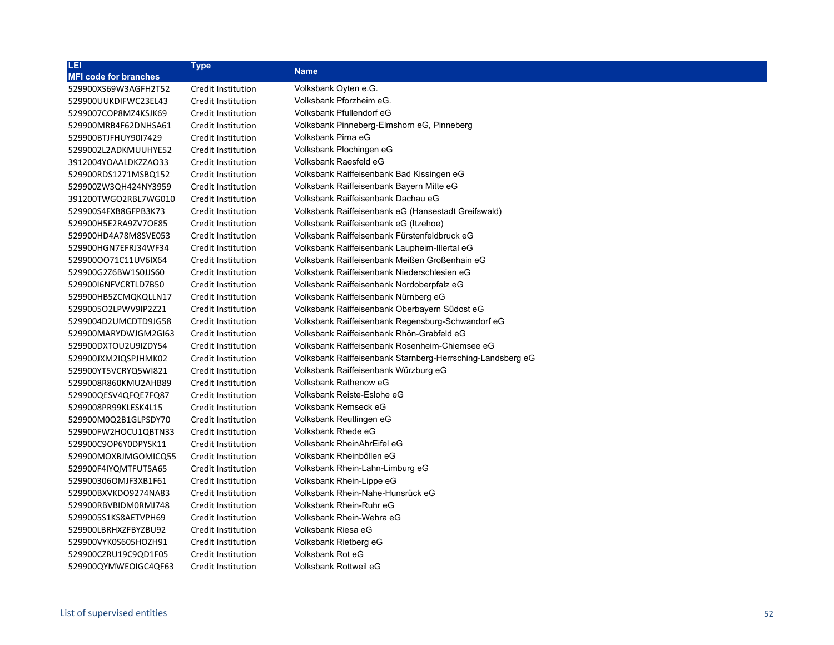| LEI                          | <b>Type</b>        |                                                            |
|------------------------------|--------------------|------------------------------------------------------------|
| <b>MFI code for branches</b> |                    | <b>Name</b>                                                |
| 529900XS69W3AGFH2T52         | Credit Institution | Volksbank Oyten e.G.                                       |
| 529900UUKDIFWC23EL43         | Credit Institution | Volksbank Pforzheim eG.                                    |
| 5299007COP8MZ4KSJK69         | Credit Institution | Volksbank Pfullendorf eG                                   |
| 529900MRB4F62DNHSA61         | Credit Institution | Volksbank Pinneberg-Elmshorn eG, Pinneberg                 |
| 529900BTJFHUY90I7429         | Credit Institution | Volksbank Pirna eG                                         |
| 5299002L2ADKMUUHYE52         | Credit Institution | Volksbank Plochingen eG                                    |
| 3912004YOAALDKZZAO33         | Credit Institution | Volksbank Raesfeld eG                                      |
| 529900RDS1271MSBQ152         | Credit Institution | Volksbank Raiffeisenbank Bad Kissingen eG                  |
| 529900ZW3QH424NY3959         | Credit Institution | Volksbank Raiffeisenbank Bayern Mitte eG                   |
| 391200TWGO2RBL7WG010         | Credit Institution | Volksbank Raiffeisenbank Dachau eG                         |
| 529900S4FXB8GFPB3K73         | Credit Institution | Volksbank Raiffeisenbank eG (Hansestadt Greifswald)        |
| 529900H5E2RA9ZV7OE85         | Credit Institution | Volksbank Raiffeisenbank eG (Itzehoe)                      |
| 529900HD4A78M8SVE053         | Credit Institution | Volksbank Raiffeisenbank Fürstenfeldbruck eG               |
| 529900HGN7EFRJ34WF34         | Credit Institution | Volksbank Raiffeisenbank Laupheim-Illertal eG              |
| 529900OO71C11UV6IX64         | Credit Institution | Volksbank Raiffeisenbank Meißen Großenhain eG              |
| 529900G2Z6BW1S0JJS60         | Credit Institution | Volksbank Raiffeisenbank Niederschlesien eG                |
| 52990016NFVCRTLD7B50         | Credit Institution | Volksbank Raiffeisenbank Nordoberpfalz eG                  |
| 529900HB5ZCMQKQLLN17         | Credit Institution | Volksbank Raiffeisenbank Nürnberg eG                       |
| 5299005O2LPWV9IP2Z21         | Credit Institution | Volksbank Raiffeisenbank Oberbayern Südost eG              |
| 5299004D2UMCDTD9JG58         | Credit Institution | Volksbank Raiffeisenbank Regensburg-Schwandorf eG          |
| 529900MARYDWJGM2GI63         | Credit Institution | Volksbank Raiffeisenbank Rhön-Grabfeld eG                  |
| 529900DXTOU2U9IZDY54         | Credit Institution | Volksbank Raiffeisenbank Rosenheim-Chiemsee eG             |
| 529900JXM2IQSPJHMK02         | Credit Institution | Volksbank Raiffeisenbank Starnberg-Herrsching-Landsberg eG |
| 529900YT5VCRYQ5WI821         | Credit Institution | Volksbank Raiffeisenbank Würzburg eG                       |
| 5299008R860KMU2AHB89         | Credit Institution | Volksbank Rathenow eG                                      |
| 529900QESV4QFQE7FQ87         | Credit Institution | Volksbank Reiste-Eslohe eG                                 |
| 5299008PR99KLESK4L15         | Credit Institution | Volksbank Remseck eG                                       |
| 529900M0Q2B1GLPSDY70         | Credit Institution | Volksbank Reutlingen eG                                    |
| 529900FW2HOCU1QBTN33         | Credit Institution | Volksbank Rhede eG                                         |
| 529900C9OP6Y0DPYSK11         | Credit Institution | Volksbank RheinAhrEifel eG                                 |
| 529900MOXBJMGOMICQ55         | Credit Institution | Volksbank Rheinböllen eG                                   |
| 529900F4IYQMTFUT5A65         | Credit Institution | Volksbank Rhein-Lahn-Limburg eG                            |
| 529900306OMJF3XB1F61         | Credit Institution | Volksbank Rhein-Lippe eG                                   |
| 529900BXVKDO9274NA83         | Credit Institution | Volksbank Rhein-Nahe-Hunsrück eG                           |
| 529900RBVBIDM0RMJ748         | Credit Institution | Volksbank Rhein-Ruhr eG                                    |
| 5299005S1KS8AETVPH69         | Credit Institution | Volksbank Rhein-Wehra eG                                   |
| 529900LBRHXZFBYZBU92         | Credit Institution | Volksbank Riesa eG                                         |
| 529900VYK0S605HOZH91         | Credit Institution | Volksbank Rietberg eG                                      |
| 529900CZRU19C9QD1F05         | Credit Institution | Volksbank Rot eG                                           |
| 529900QYMWEOIGC4QF63         | Credit Institution | Volksbank Rottweil eG                                      |
|                              |                    |                                                            |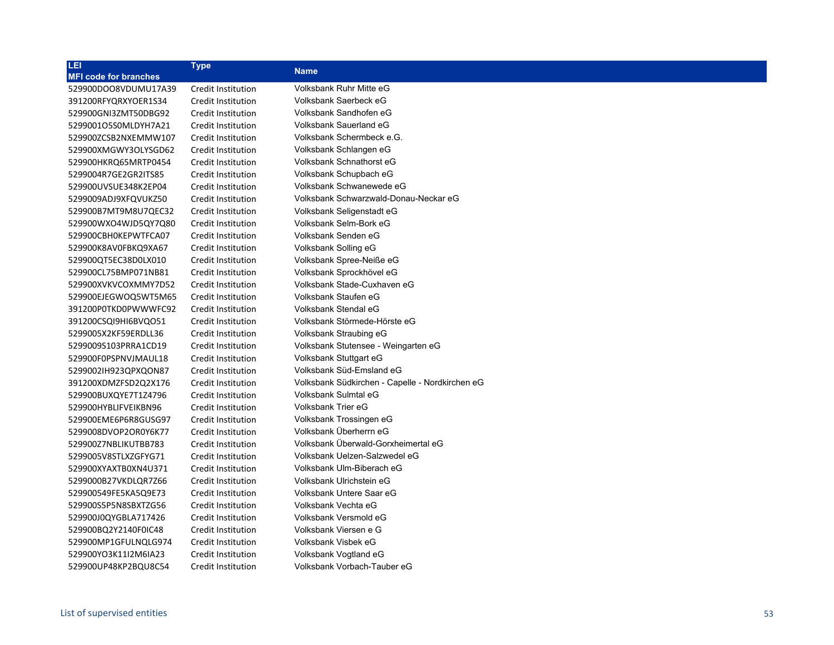| LEI                          | <b>Type</b>        | <b>Name</b>                                     |
|------------------------------|--------------------|-------------------------------------------------|
| <b>MFI code for branches</b> |                    |                                                 |
| 529900DOO8VDUMU17A39         | Credit Institution | Volksbank Ruhr Mitte eG                         |
| 391200RFYQRXYOER1S34         | Credit Institution | Volksbank Saerbeck eG                           |
| 529900GNI3ZMT50DBG92         | Credit Institution | Volksbank Sandhofen eG                          |
| 5299001O5S0MLDYH7A21         | Credit Institution | Volksbank Sauerland eG                          |
| 529900ZCSB2NXEMMW107         | Credit Institution | Volksbank Schermbeck e.G.                       |
| 529900XMGWY3OLYSGD62         | Credit Institution | Volksbank Schlangen eG                          |
| 529900HKRQ65MRTP0454         | Credit Institution | Volksbank Schnathorst eG                        |
| 5299004R7GE2GR2ITS85         | Credit Institution | Volksbank Schupbach eG                          |
| 529900UVSUE348K2EP04         | Credit Institution | Volksbank Schwanewede eG                        |
| 5299009ADJ9XFQVUKZ50         | Credit Institution | Volksbank Schwarzwald-Donau-Neckar eG           |
| 529900B7MT9M8U7QEC32         | Credit Institution | Volksbank Seligenstadt eG                       |
| 529900WXO4WJD5QY7Q80         | Credit Institution | Volksbank Selm-Bork eG                          |
| 529900CBH0KEPWTFCA07         | Credit Institution | Volksbank Senden eG                             |
| 529900K8AV0FBKQ9XA67         | Credit Institution | Volksbank Solling eG                            |
| 529900QT5EC38D0LX010         | Credit Institution | Volksbank Spree-Neiße eG                        |
| 529900CL75BMP071NB81         | Credit Institution | Volksbank Sprockhövel eG                        |
| 529900XVKVCOXMMY7D52         | Credit Institution | Volksbank Stade-Cuxhaven eG                     |
| 529900EJEGWOQ5WT5M65         | Credit Institution | Volksbank Staufen eG                            |
| 391200P0TKD0PWWWFC92         | Credit Institution | Volksbank Stendal eG                            |
| 391200CSQI9HI6BVQO51         | Credit Institution | Volksbank Störmede-Hörste eG                    |
| 5299005X2KF59ERDLL36         | Credit Institution | Volksbank Straubing eG                          |
| 5299009S103PRRA1CD19         | Credit Institution | Volksbank Stutensee - Weingarten eG             |
| 529900F0PSPNVJMAUL18         | Credit Institution | Volksbank Stuttgart eG                          |
| 52990021H923QPXQON87         | Credit Institution | Volksbank Süd-Emsland eG                        |
| 391200XDMZFSD2Q2X176         | Credit Institution | Volksbank Südkirchen - Capelle - Nordkirchen eG |
| 529900BUXQYE7T1Z4796         | Credit Institution | Volksbank Sulmtal eG                            |
| 529900HYBLIFVEIKBN96         | Credit Institution | Volksbank Trier eG                              |
| 529900EME6P6R8GUSG97         | Credit Institution | Volksbank Trossingen eG                         |
| 5299008DVOP2OR0Y6K77         | Credit Institution | Volksbank Überherrn eG                          |
| 529900Z7NBLIKUTBB783         | Credit Institution | Volksbank Überwald-Gorxheimertal eG             |
| 5299005V8STLXZGFYG71         | Credit Institution | Volksbank Uelzen-Salzwedel eG                   |
| 529900XYAXTB0XN4U371         | Credit Institution | Volksbank Ulm-Biberach eG                       |
| 5299000B27VKDLQR7Z66         | Credit Institution | Volksbank Ulrichstein eG                        |
| 529900549FE5KA5Q9E73         | Credit Institution | Volksbank Untere Saar eG                        |
| 529900S5P5N8SBXTZG56         | Credit Institution | Volksbank Vechta eG                             |
| 529900J0QYGBLA717426         | Credit Institution | Volksbank Versmold eG                           |
| 529900BQ2Y2140F0IC48         | Credit Institution | Volksbank Viersen e G                           |
| 529900MP1GFULNQLG974         | Credit Institution | Volksbank Visbek eG                             |
| 529900YO3K11I2M6IA23         | Credit Institution | Volksbank Vogtland eG                           |
| 529900UP48KP2BQU8C54         | Credit Institution | Volksbank Vorbach-Tauber eG                     |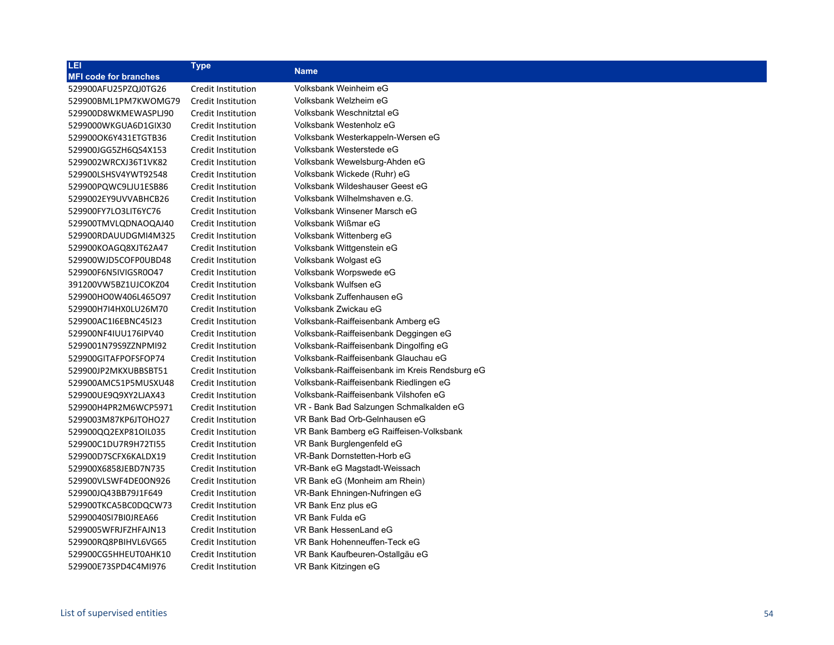| LEI                          | <b>Type</b>        | <b>Name</b>                                    |
|------------------------------|--------------------|------------------------------------------------|
| <b>MFI code for branches</b> |                    |                                                |
| 529900AFU25PZQJ0TG26         | Credit Institution | Volksbank Weinheim eG                          |
| 529900BML1PM7KWOMG79         | Credit Institution | Volksbank Welzheim eG                          |
| 529900D8WKMEWASPLJ90         | Credit Institution | Volksbank Weschnitztal eG                      |
| 5299000WKGUA6D1GIX30         | Credit Institution | Volksbank Westenholz eG                        |
| 529900OK6Y431ETGTB36         | Credit Institution | Volksbank Westerkappeln-Wersen eG              |
| 529900JGG5ZH6QS4X153         | Credit Institution | Volksbank Westerstede eG                       |
| 5299002WRCXJ36T1VK82         | Credit Institution | Volksbank Wewelsburg-Ahden eG                  |
| 529900LSHSV4YWT92548         | Credit Institution | Volksbank Wickede (Ruhr) eG                    |
| 529900PQWC9LJU1ESB86         | Credit Institution | Volksbank Wildeshauser Geest eG                |
| 5299002EY9UVVABHCB26         | Credit Institution | Volksbank Wilhelmshaven e.G.                   |
| 529900FY7LO3LIT6YC76         | Credit Institution | Volksbank Winsener Marsch eG                   |
| 529900TMVLQDNAOQAJ40         | Credit Institution | Volksbank Wißmar eG                            |
| 529900RDAUUDGMI4M325         | Credit Institution | Volksbank Wittenberg eG                        |
| 529900KOAGQ8XJT62A47         | Credit Institution | Volksbank Wittgenstein eG                      |
| 529900WJD5COFP0UBD48         | Credit Institution | Volksbank Wolgast eG                           |
| 529900F6N5IVIGSR0O47         | Credit Institution | Volksbank Worpswede eG                         |
| 391200VW5BZ1UJCOKZ04         | Credit Institution | Volksbank Wulfsen eG                           |
| 529900HO0W406L465O97         | Credit Institution | Volksbank Zuffenhausen eG                      |
| 529900H7I4HX0LU26M70         | Credit Institution | Volksbank Zwickau eG                           |
| 529900AC1I6EBNC45I23         | Credit Institution | Volksbank-Raiffeisenbank Amberg eG             |
| 529900NF4IUU176IPV40         | Credit Institution | Volksbank-Raiffeisenbank Deggingen eG          |
| 5299001N79S9ZZNPMI92         | Credit Institution | Volksbank-Raiffeisenbank Dingolfing eG         |
| 529900GITAFPOFSFOP74         | Credit Institution | Volksbank-Raiffeisenbank Glauchau eG           |
| 529900JP2MKXUBBSBT51         | Credit Institution | Volksbank-Raiffeisenbank im Kreis Rendsburg eG |
| 529900AMC51P5MUSXU48         | Credit Institution | Volksbank-Raiffeisenbank Riedlingen eG         |
| 529900UE9Q9XY2LJAX43         | Credit Institution | Volksbank-Raiffeisenbank Vilshofen eG          |
| 529900H4PR2M6WCP5971         | Credit Institution | VR - Bank Bad Salzungen Schmalkalden eG        |
| 5299003M87KP6JTOHO27         | Credit Institution | VR Bank Bad Orb-Gelnhausen eG                  |
| 529900QQ2EXP81OIL035         | Credit Institution | VR Bank Bamberg eG Raiffeisen-Volksbank        |
| 529900C1DU7R9H72TI55         | Credit Institution | VR Bank Burglengenfeld eG                      |
| 529900D7SCFX6KALDX19         | Credit Institution | VR-Bank Dornstetten-Horb eG                    |
| 529900X6858JEBD7N735         | Credit Institution | VR-Bank eG Magstadt-Weissach                   |
| 529900VLSWF4DE0ON926         | Credit Institution | VR Bank eG (Monheim am Rhein)                  |
| 529900JQ43BB79J1F649         | Credit Institution | VR-Bank Ehningen-Nufringen eG                  |
| 529900TKCA5BC0DQCW73         | Credit Institution | VR Bank Enz plus eG                            |
| 52990040SI7BI0JREA66         | Credit Institution | VR Bank Fulda eG                               |
| 5299005WFRJFZHFAJN13         | Credit Institution | VR Bank HessenLand eG                          |
| 529900RQ8PBIHVL6VG65         | Credit Institution | VR Bank Hohenneuffen-Teck eG                   |
| 529900CG5HHEUT0AHK10         | Credit Institution | VR Bank Kaufbeuren-Ostallgäu eG                |
| 529900E73SPD4C4MI976         | Credit Institution | VR Bank Kitzingen eG                           |
|                              |                    |                                                |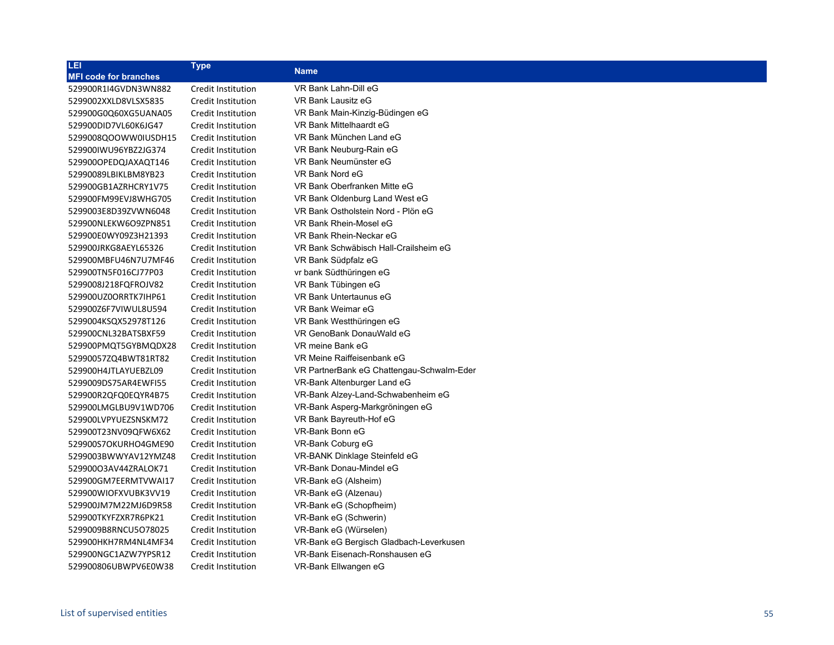| LEI                          | <b>Type</b>               | <b>Name</b>                               |
|------------------------------|---------------------------|-------------------------------------------|
| <b>MFI code for branches</b> |                           |                                           |
| 529900R1I4GVDN3WN882         | Credit Institution        | VR Bank Lahn-Dill eG                      |
| 5299002XXLD8VLSX5835         | Credit Institution        | VR Bank Lausitz eG                        |
| 529900G0Q60XG5UANA05         | Credit Institution        | VR Bank Main-Kinzig-Büdingen eG           |
| 529900DID7VL60K6JG47         | Credit Institution        | VR Bank Mittelhaardt eG                   |
| 5299008QOOWW0IUSDH15         | Credit Institution        | VR Bank München Land eG                   |
| 529900IWU96YBZ2JG374         | Credit Institution        | VR Bank Neuburg-Rain eG                   |
| 529900OPEDQJAXAQT146         | <b>Credit Institution</b> | VR Bank Neumünster eG                     |
| 52990089LBIKLBM8YB23         | Credit Institution        | VR Bank Nord eG                           |
| 529900GB1AZRHCRY1V75         | Credit Institution        | VR Bank Oberfranken Mitte eG              |
| 529900FM99EVJ8WHG705         | Credit Institution        | VR Bank Oldenburg Land West eG            |
| 5299003E8D39ZVWN6048         | Credit Institution        | VR Bank Ostholstein Nord - Plön eG        |
| 529900NLEKW6O9ZPN851         | Credit Institution        | VR Bank Rhein-Mosel eG                    |
| 529900E0WY09Z3H21393         | Credit Institution        | VR Bank Rhein-Neckar eG                   |
| 529900JRKG8AEYL65326         | Credit Institution        | VR Bank Schwäbisch Hall-Crailsheim eG     |
| 529900MBFU46N7U7MF46         | Credit Institution        | VR Bank Südpfalz eG                       |
| 529900TN5F016CJ77P03         | Credit Institution        | vr bank Südthüringen eG                   |
| 5299008J218FQFROJV82         | Credit Institution        | VR Bank Tübingen eG                       |
| 529900UZ0ORRTK7IHP61         | Credit Institution        | VR Bank Untertaunus eG                    |
| 529900Z6F7VIWUL8U594         | Credit Institution        | VR Bank Weimar eG                         |
| 5299004KSQX52978T126         | Credit Institution        | VR Bank Westthüringen eG                  |
| 529900CNL32BATSBXF59         | Credit Institution        | VR GenoBank DonauWald eG                  |
| 529900PMQT5GYBMQDX28         | Credit Institution        | VR meine Bank eG                          |
| 52990057ZQ4BWT81RT82         | Credit Institution        | VR Meine Raiffeisenbank eG                |
| 529900H4JTLAYUEBZL09         | Credit Institution        | VR PartnerBank eG Chattengau-Schwalm-Eder |
| 5299009DS75AR4EWFI55         | Credit Institution        | VR-Bank Altenburger Land eG               |
| 529900R2QFQ0EQYR4B75         | Credit Institution        | VR-Bank Alzey-Land-Schwabenheim eG        |
| 529900LMGLBU9V1WD706         | Credit Institution        | VR-Bank Asperg-Markgröningen eG           |
| 529900LVPYUEZSNSKM72         | Credit Institution        | VR Bank Bayreuth-Hof eG                   |
| 529900T23NV09QFW6X62         | Credit Institution        | VR-Bank Bonn eG                           |
| 529900S7OKURHO4GME90         | Credit Institution        | VR-Bank Coburg eG                         |
| 5299003BWWYAV12YMZ48         | Credit Institution        | VR-BANK Dinklage Steinfeld eG             |
| 52990003AV44ZRALOK71         | Credit Institution        | VR-Bank Donau-Mindel eG                   |
| 529900GM7EERMTVWAI17         | Credit Institution        | VR-Bank eG (Alsheim)                      |
| 529900WIOFXVUBK3VV19         | Credit Institution        | VR-Bank eG (Alzenau)                      |
| 529900JM7M22MJ6D9R58         | Credit Institution        | VR-Bank eG (Schopfheim)                   |
| 529900TKYFZXR7R6PK21         | Credit Institution        | VR-Bank eG (Schwerin)                     |
| 5299009B8RNCU5O78025         | Credit Institution        | VR-Bank eG (Würselen)                     |
| 529900HKH7RM4NL4MF34         | Credit Institution        | VR-Bank eG Bergisch Gladbach-Leverkusen   |
| 529900NGC1AZW7YPSR12         | <b>Credit Institution</b> | VR-Bank Eisenach-Ronshausen eG            |
| 529900806UBWPV6E0W38         | Credit Institution        | VR-Bank Ellwangen eG                      |
|                              |                           |                                           |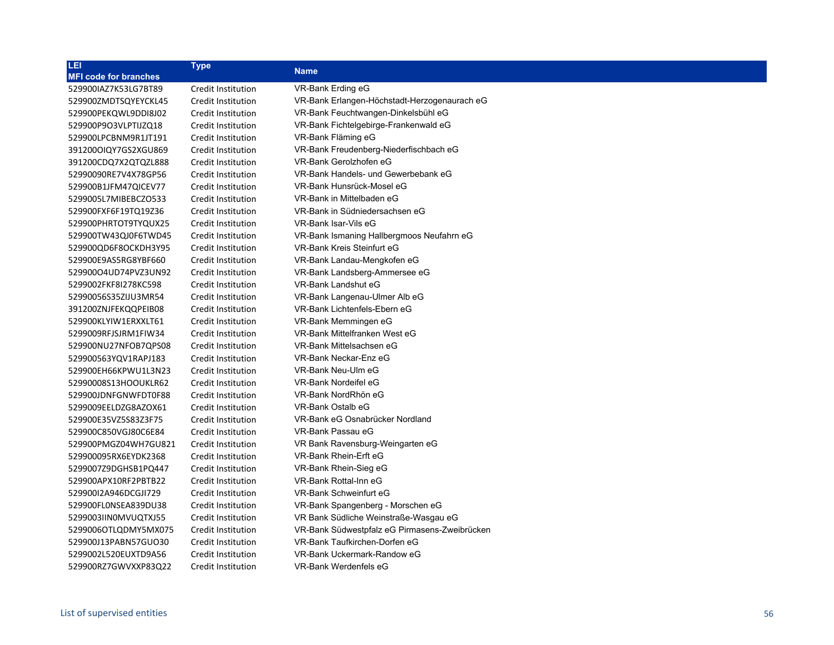| 咀                            | Type               | <b>Name</b>                                   |
|------------------------------|--------------------|-----------------------------------------------|
| <b>MFI code for branches</b> |                    |                                               |
| 529900IAZ7K53LG7BT89         | Credit Institution | VR-Bank Erding eG                             |
| 529900ZMDTSQYEYCKL45         | Credit Institution | VR-Bank Erlangen-Höchstadt-Herzogenaurach eG  |
| 529900PEKQWL9DDI8J02         | Credit Institution | VR-Bank Feuchtwangen-Dinkelsbühl eG           |
| 529900P9O3VLPTIJZQ18         | Credit Institution | VR-Bank Fichtelgebirge-Frankenwald eG         |
| 529900LPCBNM9R1JT191         | Credit Institution | VR-Bank Fläming eG                            |
| 391200OIQY7GS2XGU869         | Credit Institution | VR-Bank Freudenberg-Niederfischbach eG        |
| 391200CDQ7X2QTQZL888         | Credit Institution | VR-Bank Gerolzhofen eG                        |
| 52990090RE7V4X78GP56         | Credit Institution | VR-Bank Handels- und Gewerbebank eG           |
| 529900B1JFM47QICEV77         | Credit Institution | VR-Bank Hunsrück-Mosel eG                     |
| 5299005L7MIBEBCZO533         | Credit Institution | VR-Bank in Mittelbaden eG                     |
| 529900FXF6F19TQ19Z36         | Credit Institution | VR-Bank in Südniedersachsen eG                |
| 529900PHRTOT9TYQUX25         | Credit Institution | VR-Bank Isar-Vils eG                          |
| 529900TW43QJ0F6TWD45         | Credit Institution | VR-Bank Ismaning Hallbergmoos Neufahrn eG     |
| 529900QD6F8OCKDH3Y95         | Credit Institution | VR-Bank Kreis Steinfurt eG                    |
| 529900E9AS5RG8YBF660         | Credit Institution | VR-Bank Landau-Mengkofen eG                   |
| 529900O4UD74PVZ3UN92         | Credit Institution | VR-Bank Landsberg-Ammersee eG                 |
| 5299002FKF8I278KC598         | Credit Institution | VR-Bank Landshut eG                           |
| 52990056S35ZIJU3MR54         | Credit Institution | VR-Bank Langenau-Ulmer Alb eG                 |
| 391200ZNJFEKQQPEIB08         | Credit Institution | VR-Bank Lichtenfels-Ebern eG                  |
| 529900KLYIW1ERXXLT61         | Credit Institution | VR-Bank Memmingen eG                          |
| 5299009RFJSJRM1FIW34         | Credit Institution | VR-Bank Mittelfranken West eG                 |
| 529900NU27NFOB7QPS08         | Credit Institution | VR-Bank Mittelsachsen eG                      |
| 529900563YQV1RAPJ183         | Credit Institution | VR-Bank Neckar-Enz eG                         |
| 529900EH66KPWU1L3N23         | Credit Institution | VR-Bank Neu-Ulm eG                            |
| 52990008S13HOOUKLR62         | Credit Institution | VR-Bank Nordeifel eG                          |
| 529900JDNFGNWFDT0F88         | Credit Institution | VR-Bank NordRhön eG                           |
| 5299009EELDZG8AZOX61         | Credit Institution | VR-Bank Ostalb eG                             |
| 529900E35VZ5S83Z3F75         | Credit Institution | VR-Bank eG Osnabrücker Nordland               |
| 529900C850VGJ80C6E84         | Credit Institution | VR-Bank Passau eG                             |
| 529900PMGZ04WH7GU821         | Credit Institution | VR Bank Ravensburg-Weingarten eG              |
| 529900095RX6EYDK2368         | Credit Institution | VR-Bank Rhein-Erft eG                         |
| 5299007Z9DGHSB1PQ447         | Credit Institution | VR-Bank Rhein-Sieg eG                         |
| 529900APX10RF2PBTB22         | Credit Institution | VR-Bank Rottal-Inn eG                         |
| 529900I2A946DCGJI729         | Credit Institution | VR-Bank Schweinfurt eG                        |
| 529900FL0NSEA839DU38         | Credit Institution | VR-Bank Spangenberg - Morschen eG             |
| 5299003IIN0MVUQTXJ55         | Credit Institution | VR Bank Südliche Weinstraße-Wasgau eG         |
| 5299006OTLQDMY5MX075         | Credit Institution | VR-Bank Südwestpfalz eG Pirmasens-Zweibrücken |
| 529900J13PABN57GUO30         | Credit Institution | VR-Bank Taufkirchen-Dorfen eG                 |
| 5299002L520EUXTD9A56         | Credit Institution | VR-Bank Uckermark-Randow eG                   |
| 529900RZ7GWVXXP83Q22         | Credit Institution | VR-Bank Werdenfels eG                         |
|                              |                    |                                               |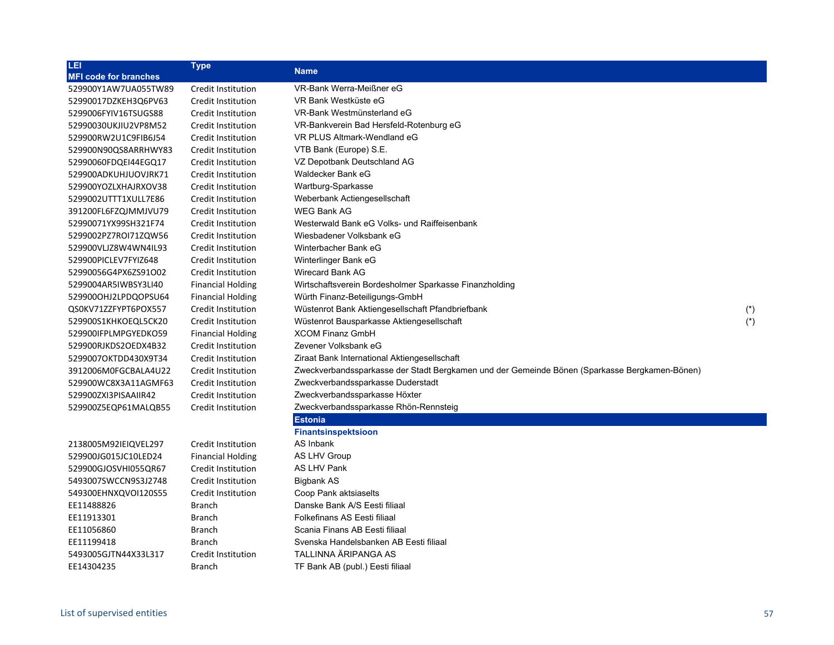| LEI                          | <b>Type</b>               | <b>Name</b>                                                                                   |       |
|------------------------------|---------------------------|-----------------------------------------------------------------------------------------------|-------|
| <b>MFI code for branches</b> |                           |                                                                                               |       |
| 529900Y1AW7UA055TW89         | Credit Institution        | VR-Bank Werra-Meißner eG                                                                      |       |
| 52990017DZKEH3Q6PV63         | Credit Institution        | VR Bank Westküste eG                                                                          |       |
| 5299006FYIV16TSUGS88         | Credit Institution        | VR-Bank Westmünsterland eG                                                                    |       |
| 52990030UKJIU2VP8M52         | Credit Institution        | VR-Bankverein Bad Hersfeld-Rotenburg eG                                                       |       |
| 529900RW2U1C9FIB6J54         | Credit Institution        | VR PLUS Altmark-Wendland eG                                                                   |       |
| 529900N90QS8ARRHWY83         | Credit Institution        | VTB Bank (Europe) S.E.                                                                        |       |
| 52990060FDQEI44EGQ17         | Credit Institution        | VZ Depotbank Deutschland AG                                                                   |       |
| 529900ADKUHJUOVJRK71         | Credit Institution        | Waldecker Bank eG                                                                             |       |
| 529900YOZLXHAJRXOV38         | Credit Institution        | Wartburg-Sparkasse                                                                            |       |
| 5299002UTTT1XULL7E86         | Credit Institution        | Weberbank Actiengesellschaft                                                                  |       |
| 391200FL6FZQJMMJVU79         | Credit Institution        | <b>WEG Bank AG</b>                                                                            |       |
| 52990071YX99SH321F74         | Credit Institution        | Westerwald Bank eG Volks- und Raiffeisenbank                                                  |       |
| 5299002PZ7ROI71ZQW56         | Credit Institution        | Wiesbadener Volksbank eG                                                                      |       |
| 529900VLJZ8W4WN4IL93         | Credit Institution        | Winterbacher Bank eG                                                                          |       |
| 529900PICLEV7FYIZ648         | Credit Institution        | Winterlinger Bank eG                                                                          |       |
| 52990056G4PX6ZS91O02         | Credit Institution        | Wirecard Bank AG                                                                              |       |
| 5299004AR5IWBSY3LI40         | <b>Financial Holding</b>  | Wirtschaftsverein Bordesholmer Sparkasse Finanzholding                                        |       |
| 529900OHJ2LPDQOPSU64         | <b>Financial Holding</b>  | Würth Finanz-Beteiligungs-GmbH                                                                |       |
| QS0KV71ZZFYPT6POX557         | Credit Institution        | Wüstenrot Bank Aktiengesellschaft Pfandbriefbank                                              | $(*)$ |
| 529900S1KHKOEQL5CK20         | Credit Institution        | Wüstenrot Bausparkasse Aktiengesellschaft                                                     | $(*)$ |
| 529900IFPLMPGYEDKO59         | <b>Financial Holding</b>  | <b>XCOM Finanz GmbH</b>                                                                       |       |
| 529900RJKDS2OEDX4B32         | Credit Institution        | Zevener Volksbank eG                                                                          |       |
| 5299007OKTDD430X9T34         | Credit Institution        | Ziraat Bank International Aktiengesellschaft                                                  |       |
| 3912006M0FGCBALA4U22         | Credit Institution        | Zweckverbandssparkasse der Stadt Bergkamen und der Gemeinde Bönen (Sparkasse Bergkamen-Bönen) |       |
| 529900WC8X3A11AGMF63         | Credit Institution        | Zweckverbandssparkasse Duderstadt                                                             |       |
| 529900ZXI3PISAAIIR42         | Credit Institution        | Zweckverbandssparkasse Höxter                                                                 |       |
| 529900Z5EQP61MALQB55         | Credit Institution        | Zweckverbandssparkasse Rhön-Rennsteig                                                         |       |
|                              |                           | <b>Estonia</b>                                                                                |       |
|                              |                           | <b>Finantsinspektsioon</b>                                                                    |       |
| 2138005M92IEIQVEL297         | Credit Institution        | AS Inbank                                                                                     |       |
| 529900JG015JC10LED24         | <b>Financial Holding</b>  | <b>AS LHV Group</b>                                                                           |       |
| 529900GJOSVHI055QR67         | Credit Institution        | <b>AS LHV Pank</b>                                                                            |       |
| 5493007SWCCN9S3J2748         | Credit Institution        | <b>Bigbank AS</b>                                                                             |       |
| 549300EHNXQVOI120S55         | <b>Credit Institution</b> | Coop Pank aktsiaselts                                                                         |       |
| EE11488826                   | <b>Branch</b>             | Danske Bank A/S Eesti filiaal                                                                 |       |
| EE11913301                   | <b>Branch</b>             | Folkefinans AS Eesti filiaal                                                                  |       |
| EE11056860                   | Branch                    | Scania Finans AB Eesti filiaal                                                                |       |
| EE11199418                   | <b>Branch</b>             | Svenska Handelsbanken AB Eesti filiaal                                                        |       |
| 5493005GJTN44X33L317         | Credit Institution        | TALLINNA ÄRIPANGA AS                                                                          |       |
| EE14304235                   | <b>Branch</b>             | TF Bank AB (publ.) Eesti filiaal                                                              |       |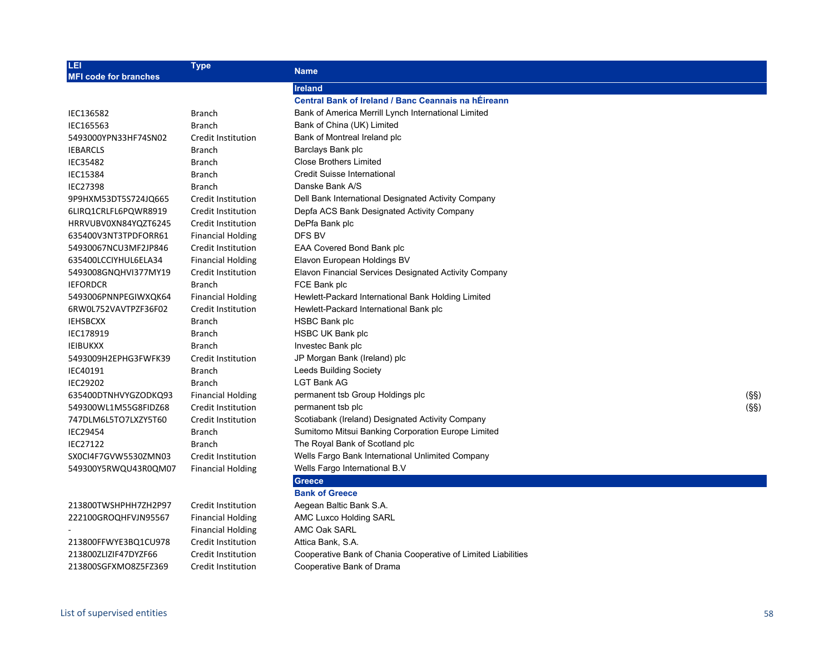| LEI<br><b>MFI code for branches</b> | <b>Type</b>              | <b>Name</b>                                                   |      |
|-------------------------------------|--------------------------|---------------------------------------------------------------|------|
|                                     |                          | <b>Ireland</b>                                                |      |
|                                     |                          | <b>Central Bank of Ireland / Banc Ceannais na hÉireann</b>    |      |
| IEC136582                           | <b>Branch</b>            | Bank of America Merrill Lynch International Limited           |      |
| IEC165563                           | <b>Branch</b>            | Bank of China (UK) Limited                                    |      |
| 5493000YPN33HF74SN02                | Credit Institution       | Bank of Montreal Ireland plc                                  |      |
| <b>IEBARCLS</b>                     | Branch                   | Barclays Bank plc                                             |      |
| IEC35482                            | <b>Branch</b>            | <b>Close Brothers Limited</b>                                 |      |
| <b>IEC15384</b>                     | <b>Branch</b>            | Credit Suisse International                                   |      |
| <b>IEC27398</b>                     | <b>Branch</b>            | Danske Bank A/S                                               |      |
| 9P9HXM53DT5S724JQ665                | Credit Institution       | Dell Bank International Designated Activity Company           |      |
| 6LIRQ1CRLFL6PQWR8919                | Credit Institution       | Depfa ACS Bank Designated Activity Company                    |      |
| HRRVUBV0XN84YQZT6245                | Credit Institution       | DePfa Bank plc                                                |      |
| 635400V3NT3TPDFORR61                | <b>Financial Holding</b> | DFS BV                                                        |      |
| 54930067NCU3MF2JP846                | Credit Institution       | EAA Covered Bond Bank plc                                     |      |
| 635400LCCIYHUL6ELA34                | <b>Financial Holding</b> | Elavon European Holdings BV                                   |      |
| 5493008GNQHVI377MY19                | Credit Institution       | Elavon Financial Services Designated Activity Company         |      |
| <b>IEFORDCR</b>                     | <b>Branch</b>            | FCE Bank plc                                                  |      |
| 5493006PNNPEGIWXQK64                | <b>Financial Holding</b> | Hewlett-Packard International Bank Holding Limited            |      |
| 6RW0L752VAVTPZF36F02                | Credit Institution       | Hewlett-Packard International Bank plc                        |      |
| <b>IEHSBCXX</b>                     | <b>Branch</b>            | HSBC Bank plc                                                 |      |
| IEC178919                           | <b>Branch</b>            | HSBC UK Bank plc                                              |      |
| <b>IEIBUKXX</b>                     | <b>Branch</b>            | Investec Bank plc                                             |      |
| 5493009H2EPHG3FWFK39                | Credit Institution       | JP Morgan Bank (Ireland) plc                                  |      |
| IEC40191                            | <b>Branch</b>            | <b>Leeds Building Society</b>                                 |      |
| <b>IEC29202</b>                     | <b>Branch</b>            | <b>LGT Bank AG</b>                                            |      |
| 635400DTNHVYGZODKQ93                | <b>Financial Holding</b> | permanent tsb Group Holdings plc                              | (SS) |
| 549300WL1M55G8FIDZ68                | Credit Institution       | permanent tsb plc                                             | (SS) |
| 747DLM6L5TO7LXZY5T60                | Credit Institution       | Scotiabank (Ireland) Designated Activity Company              |      |
| <b>IEC29454</b>                     | <b>Branch</b>            | Sumitomo Mitsui Banking Corporation Europe Limited            |      |
| <b>IEC27122</b>                     | <b>Branch</b>            | The Royal Bank of Scotland plc                                |      |
| SX0CI4F7GVW5530ZMN03                | Credit Institution       | Wells Fargo Bank International Unlimited Company              |      |
| 549300Y5RWQU43R0QM07                | <b>Financial Holding</b> | Wells Fargo International B.V                                 |      |
|                                     |                          | <b>Greece</b>                                                 |      |
|                                     |                          | <b>Bank of Greece</b>                                         |      |
| 213800TWSHPHH7ZH2P97                | Credit Institution       | Aegean Baltic Bank S.A.                                       |      |
| 222100GROQHFVJN95567                | <b>Financial Holding</b> | AMC Luxco Holding SARL                                        |      |
|                                     | <b>Financial Holding</b> | <b>AMC Oak SARL</b>                                           |      |
| 213800FFWYE3BQ1CU978                | Credit Institution       | Attica Bank, S.A.                                             |      |
| 213800ZLIZIF47DYZF66                | Credit Institution       | Cooperative Bank of Chania Cooperative of Limited Liabilities |      |
| 213800SGFXMO8Z5FZ369                | Credit Institution       | Cooperative Bank of Drama                                     |      |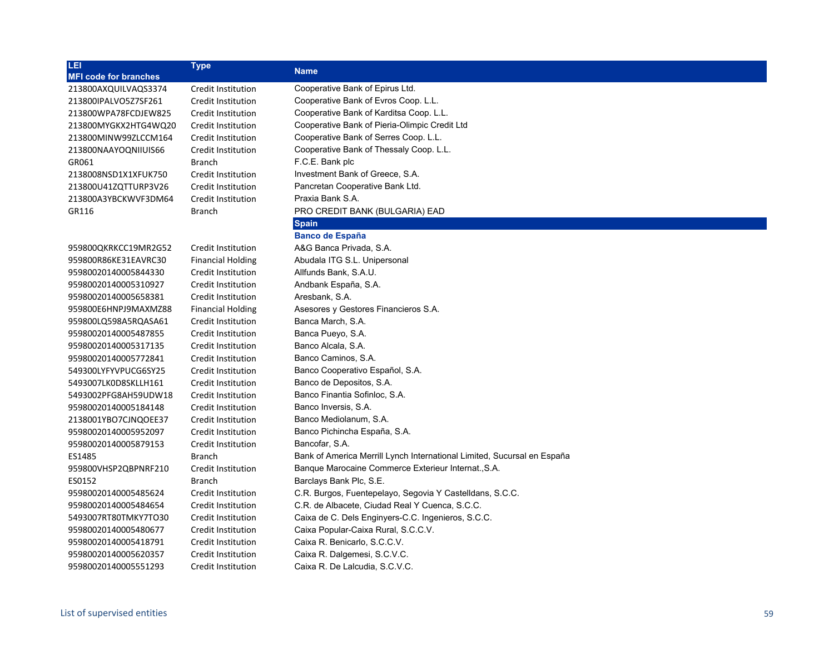| LEI                          | <b>Type</b>               | <b>Name</b>                                                             |
|------------------------------|---------------------------|-------------------------------------------------------------------------|
| <b>MFI code for branches</b> |                           |                                                                         |
| 213800AXQUILVAQS3374         | Credit Institution        | Cooperative Bank of Epirus Ltd.                                         |
| 213800IPALVO5Z7SF261         | Credit Institution        | Cooperative Bank of Evros Coop. L.L.                                    |
| 213800WPA78FCDJEW825         | Credit Institution        | Cooperative Bank of Karditsa Coop. L.L.                                 |
| 213800MYGKX2HTG4WQ20         | Credit Institution        | Cooperative Bank of Pieria-Olimpic Credit Ltd                           |
| 213800MINW99ZLCCM164         | Credit Institution        | Cooperative Bank of Serres Coop. L.L.                                   |
| 213800NAAYOQNIIUIS66         | Credit Institution        | Cooperative Bank of Thessaly Coop. L.L.                                 |
| GR061                        | <b>Branch</b>             | F.C.E. Bank plc                                                         |
| 2138008NSD1X1XFUK750         | Credit Institution        | Investment Bank of Greece, S.A.                                         |
| 213800U41ZQTTURP3V26         | Credit Institution        | Pancretan Cooperative Bank Ltd.                                         |
| 213800A3YBCKWVF3DM64         | Credit Institution        | Praxia Bank S.A.                                                        |
| GR116                        | <b>Branch</b>             | PRO CREDIT BANK (BULGARIA) EAD                                          |
|                              |                           | <b>Spain</b>                                                            |
|                              |                           | <b>Banco de España</b>                                                  |
| 959800QKRKCC19MR2G52         | Credit Institution        | A&G Banca Privada, S.A.                                                 |
| 959800R86KE31EAVRC30         | <b>Financial Holding</b>  | Abudala ITG S.L. Unipersonal                                            |
| 95980020140005844330         | Credit Institution        | Allfunds Bank, S.A.U.                                                   |
| 95980020140005310927         | Credit Institution        | Andbank España, S.A.                                                    |
| 95980020140005658381         | Credit Institution        | Aresbank, S.A.                                                          |
| 959800E6HNPJ9MAXMZ88         | <b>Financial Holding</b>  | Asesores y Gestores Financieros S.A.                                    |
| 959800LQ598A5RQASA61         | Credit Institution        | Banca March, S.A.                                                       |
| 95980020140005487855         | <b>Credit Institution</b> | Banca Pueyo, S.A.                                                       |
| 95980020140005317135         | Credit Institution        | Banco Alcala, S.A.                                                      |
| 95980020140005772841         | Credit Institution        | Banco Caminos, S.A.                                                     |
| 549300LYFYVPUCG6SY25         | Credit Institution        | Banco Cooperativo Español, S.A.                                         |
| 5493007LK0D8SKLLH161         | Credit Institution        | Banco de Depositos, S.A.                                                |
| 5493002PFG8AH59UDW18         | Credit Institution        | Banco Finantia Sofinloc, S.A.                                           |
| 95980020140005184148         | Credit Institution        | Banco Inversis, S.A.                                                    |
| 2138001YBO7CJNQOEE37         | Credit Institution        | Banco Mediolanum, S.A.                                                  |
| 95980020140005952097         | Credit Institution        | Banco Pichincha España, S.A.                                            |
| 95980020140005879153         | Credit Institution        | Bancofar, S.A.                                                          |
| ES1485                       | <b>Branch</b>             | Bank of America Merrill Lynch International Limited, Sucursal en España |
| 959800VHSP2QBPNRF210         | Credit Institution        | Banque Marocaine Commerce Exterieur Internat., S.A.                     |
| ES0152                       | Branch                    | Barclays Bank Plc, S.E.                                                 |
| 95980020140005485624         | Credit Institution        | C.R. Burgos, Fuentepelayo, Segovia Y Castelldans, S.C.C.                |
| 95980020140005484654         | Credit Institution        | C.R. de Albacete, Ciudad Real Y Cuenca, S.C.C.                          |
| 5493007RT80TMKY7TO30         | Credit Institution        | Caixa de C. Dels Enginyers-C.C. Ingenieros, S.C.C.                      |
| 95980020140005480677         | Credit Institution        | Caixa Popular-Caixa Rural, S.C.C.V.                                     |
| 95980020140005418791         | Credit Institution        | Caixa R. Benicarlo, S.C.C.V.                                            |
| 95980020140005620357         | Credit Institution        | Caixa R. Dalgemesi, S.C.V.C.                                            |
| 95980020140005551293         | Credit Institution        | Caixa R. De Lalcudia, S.C.V.C.                                          |
|                              |                           |                                                                         |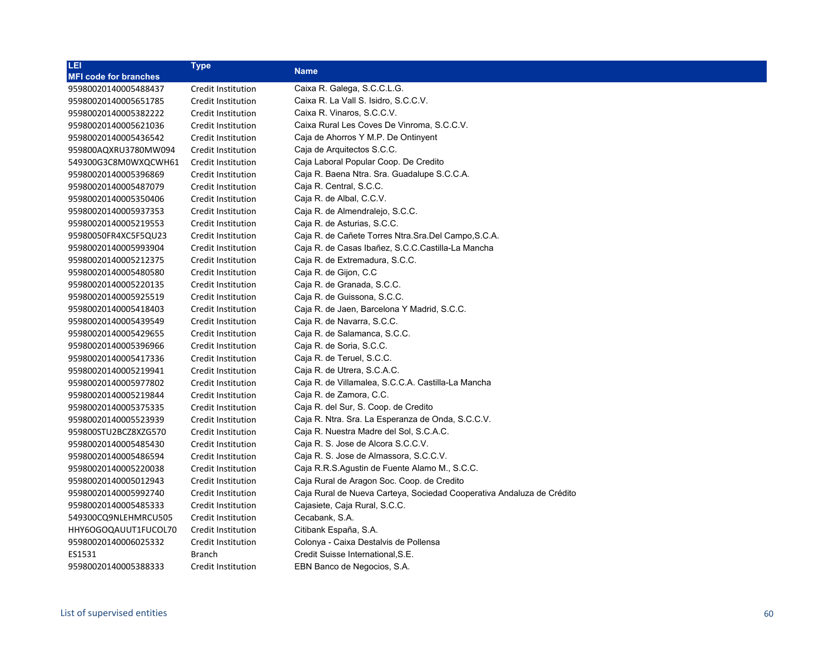| LEI                          | <b>Type</b>        | <b>Name</b>                                                           |
|------------------------------|--------------------|-----------------------------------------------------------------------|
| <b>MFI code for branches</b> |                    |                                                                       |
| 95980020140005488437         | Credit Institution | Caixa R. Galega, S.C.C.L.G.                                           |
| 95980020140005651785         | Credit Institution | Caixa R. La Vall S. Isidro, S.C.C.V.                                  |
| 95980020140005382222         | Credit Institution | Caixa R. Vinaros, S.C.C.V.                                            |
| 95980020140005621036         | Credit Institution | Caixa Rural Les Coves De Vinroma, S.C.C.V.                            |
| 95980020140005436542         | Credit Institution | Caja de Ahorros Y M.P. De Ontinyent                                   |
| 959800AQXRU3780MW094         | Credit Institution | Caja de Arquitectos S.C.C.                                            |
| 549300G3C8M0WXQCWH61         | Credit Institution | Caja Laboral Popular Coop. De Credito                                 |
| 95980020140005396869         | Credit Institution | Caja R. Baena Ntra. Sra. Guadalupe S.C.C.A.                           |
| 95980020140005487079         | Credit Institution | Caja R. Central, S.C.C.                                               |
| 95980020140005350406         | Credit Institution | Caja R. de Albal, C.C.V.                                              |
| 95980020140005937353         | Credit Institution | Caja R. de Almendralejo, S.C.C.                                       |
| 95980020140005219553         | Credit Institution | Caja R. de Asturias, S.C.C.                                           |
| 95980050FR4XC5F5QU23         | Credit Institution | Caja R. de Cañete Torres Ntra. Sra. Del Campo, S.C.A.                 |
| 95980020140005993904         | Credit Institution | Caja R. de Casas Ibañez, S.C.C.Castilla-La Mancha                     |
| 95980020140005212375         | Credit Institution | Caja R. de Extremadura, S.C.C.                                        |
| 95980020140005480580         | Credit Institution | Caja R. de Gijon, C.C                                                 |
| 95980020140005220135         | Credit Institution | Caja R. de Granada, S.C.C.                                            |
| 95980020140005925519         | Credit Institution | Caja R. de Guissona, S.C.C.                                           |
| 95980020140005418403         | Credit Institution | Caja R. de Jaen, Barcelona Y Madrid, S.C.C.                           |
| 95980020140005439549         | Credit Institution | Caja R. de Navarra, S.C.C.                                            |
| 95980020140005429655         | Credit Institution | Caja R. de Salamanca, S.C.C.                                          |
| 95980020140005396966         | Credit Institution | Caja R. de Soria, S.C.C.                                              |
| 95980020140005417336         | Credit Institution | Caja R. de Teruel, S.C.C.                                             |
| 95980020140005219941         | Credit Institution | Caja R. de Utrera, S.C.A.C.                                           |
| 95980020140005977802         | Credit Institution | Caja R. de Villamalea, S.C.C.A. Castilla-La Mancha                    |
| 95980020140005219844         | Credit Institution | Caja R. de Zamora, C.C.                                               |
| 95980020140005375335         | Credit Institution | Caja R. del Sur, S. Coop. de Credito                                  |
| 95980020140005523939         | Credit Institution | Caja R. Ntra. Sra. La Esperanza de Onda, S.C.C.V.                     |
| 959800STU2BCZ8XZG570         | Credit Institution | Caja R. Nuestra Madre del Sol, S.C.A.C.                               |
| 95980020140005485430         | Credit Institution | Caja R. S. Jose de Alcora S.C.C.V.                                    |
| 95980020140005486594         | Credit Institution | Caja R. S. Jose de Almassora, S.C.C.V.                                |
| 95980020140005220038         | Credit Institution | Caja R.R.S. Agustin de Fuente Alamo M., S.C.C.                        |
| 95980020140005012943         | Credit Institution | Caja Rural de Aragon Soc. Coop. de Credito                            |
| 95980020140005992740         | Credit Institution | Caja Rural de Nueva Carteya, Sociedad Cooperativa Andaluza de Crédito |
| 95980020140005485333         | Credit Institution | Cajasiete, Caja Rural, S.C.C.                                         |
| 549300CQ9NLEHMRCU505         | Credit Institution | Cecabank, S.A.                                                        |
| HHY6OGOQAUUT1FUCOL70         | Credit Institution | Citibank España, S.A.                                                 |
| 95980020140006025332         | Credit Institution | Colonya - Caixa Destalvis de Pollensa                                 |
| ES1531                       | Branch             | Credit Suisse International, S.E.                                     |
| 95980020140005388333         | Credit Institution | EBN Banco de Negocios, S.A.                                           |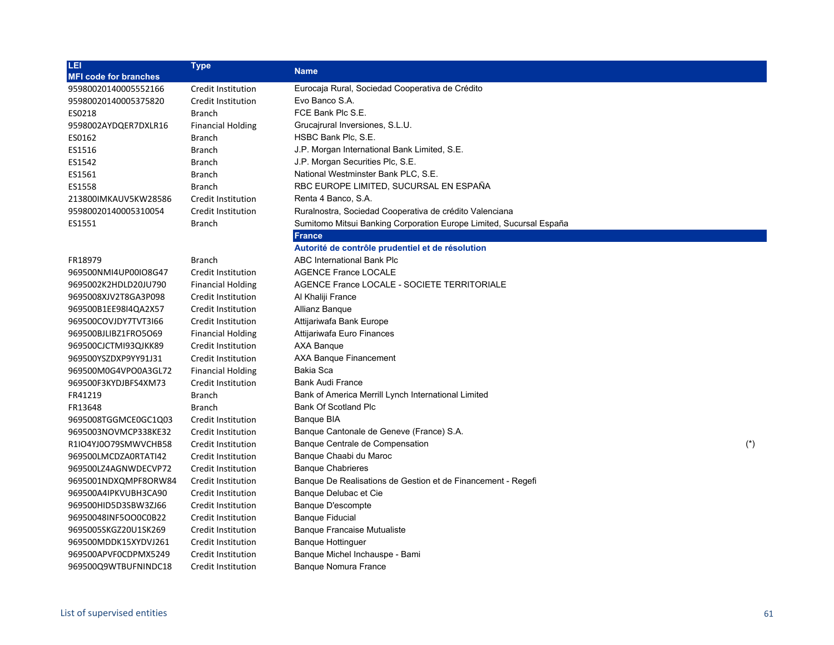| LEI                          | <b>Type</b>               |                                                                     |       |
|------------------------------|---------------------------|---------------------------------------------------------------------|-------|
| <b>MFI code for branches</b> |                           | <b>Name</b>                                                         |       |
| 95980020140005552166         | Credit Institution        | Eurocaja Rural, Sociedad Cooperativa de Crédito                     |       |
| 95980020140005375820         | Credit Institution        | Evo Banco S.A.                                                      |       |
| ES0218                       | <b>Branch</b>             | FCE Bank Plc S.E.                                                   |       |
| 9598002AYDQER7DXLR16         | <b>Financial Holding</b>  | Grucajrural Inversiones, S.L.U.                                     |       |
| ES0162                       | <b>Branch</b>             | HSBC Bank Plc, S.E.                                                 |       |
| ES1516                       | <b>Branch</b>             | J.P. Morgan International Bank Limited, S.E.                        |       |
| ES1542                       | Branch                    | J.P. Morgan Securities Plc, S.E.                                    |       |
| ES1561                       | <b>Branch</b>             | National Westminster Bank PLC, S.E.                                 |       |
| ES1558                       | <b>Branch</b>             | RBC EUROPE LIMITED, SUCURSAL EN ESPAÑA                              |       |
| 213800IMKAUV5KW28586         | Credit Institution        | Renta 4 Banco, S.A.                                                 |       |
| 95980020140005310054         | Credit Institution        | Ruralnostra, Sociedad Cooperativa de crédito Valenciana             |       |
| ES1551                       | Branch                    | Sumitomo Mitsui Banking Corporation Europe Limited, Sucursal España |       |
|                              |                           | <b>France</b>                                                       |       |
|                              |                           | Autorité de contrôle prudentiel et de résolution                    |       |
| FR18979                      | Branch                    | ABC International Bank Plc                                          |       |
| 969500NMI4UP00IO8G47         | Credit Institution        | <b>AGENCE France LOCALE</b>                                         |       |
| 9695002K2HDLD20JU790         | <b>Financial Holding</b>  | AGENCE France LOCALE - SOCIETE TERRITORIALE                         |       |
| 9695008XJV2T8GA3P098         | Credit Institution        | Al Khaliji France                                                   |       |
| 969500B1EE98I4QA2X57         | Credit Institution        | Allianz Banque                                                      |       |
| 969500COVJDY7TVT3I66         | Credit Institution        | Attijariwafa Bank Europe                                            |       |
| 969500BJLIBZ1FRO5O69         | <b>Financial Holding</b>  | Attijariwafa Euro Finances                                          |       |
| 969500CJCTMI93QJKK89         | Credit Institution        | AXA Banque                                                          |       |
| 969500YSZDXP9YY91J31         | Credit Institution        | AXA Banque Financement                                              |       |
| 969500M0G4VPO0A3GL72         | <b>Financial Holding</b>  | Bakia Sca                                                           |       |
| 969500F3KYDJBFS4XM73         | Credit Institution        | Bank Audi France                                                    |       |
| FR41219                      | <b>Branch</b>             | Bank of America Merrill Lynch International Limited                 |       |
| FR13648                      | <b>Branch</b>             | <b>Bank Of Scotland Plc</b>                                         |       |
| 9695008TGGMCE0GC1Q03         | Credit Institution        | <b>Banque BIA</b>                                                   |       |
| 9695003NOVMCP338KE32         | Credit Institution        | Banque Cantonale de Geneve (France) S.A.                            |       |
| R1IO4YJ0O79SMWVCHB58         | Credit Institution        | Banque Centrale de Compensation                                     | $(*)$ |
| 969500LMCDZA0RTATI42         | Credit Institution        | Banque Chaabi du Maroc                                              |       |
| 969500LZ4AGNWDECVP72         | <b>Credit Institution</b> | <b>Banque Chabrieres</b>                                            |       |
| 9695001NDXQMPF8ORW84         | Credit Institution        | Banque De Realisations de Gestion et de Financement - Regefi        |       |
| 969500A4IPKVUBH3CA90         | Credit Institution        | Banque Delubac et Cie                                               |       |
| 969500HID5D3SBW3ZJ66         | Credit Institution        | Banque D'escompte                                                   |       |
| 96950048INF5OO0C0B22         | Credit Institution        | <b>Banque Fiducial</b>                                              |       |
| 9695005SKGZ20U1SK269         | Credit Institution        | <b>Banque Francaise Mutualiste</b>                                  |       |
| 969500MDDK15XYDVJ261         | Credit Institution        | <b>Banque Hottinguer</b>                                            |       |
| 969500APVF0CDPMX5249         | Credit Institution        | Banque Michel Inchauspe - Bami                                      |       |
| 969500Q9WTBUFNINDC18         | Credit Institution        | Banque Nomura France                                                |       |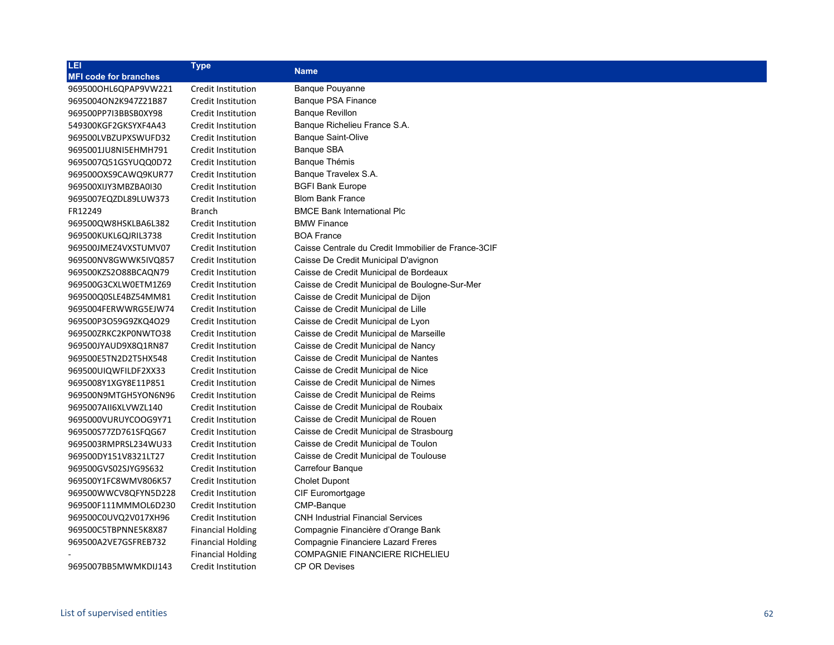| LEI                          | <b>Type</b>              |                                                     |
|------------------------------|--------------------------|-----------------------------------------------------|
| <b>MFI code for branches</b> |                          | <b>Name</b>                                         |
| 969500OHL6QPAP9VW221         | Credit Institution       | Banque Pouyanne                                     |
| 9695004ON2K947Z21B87         | Credit Institution       | Banque PSA Finance                                  |
| 969500PP7I3BBSB0XY98         | Credit Institution       | <b>Banque Revillon</b>                              |
| 549300KGF2GKSYXF4A43         | Credit Institution       | Banque Richelieu France S.A.                        |
| 969500LVBZUPXSWUFD32         | Credit Institution       | <b>Banque Saint-Olive</b>                           |
| 9695001JU8NI5EHMH791         | Credit Institution       | Banque SBA                                          |
| 9695007Q51GSYUQQ0D72         | Credit Institution       | Banque Thémis                                       |
| 969500OXS9CAWQ9KUR77         | Credit Institution       | Banque Travelex S.A.                                |
| 969500XIJY3MBZBA0I30         | Credit Institution       | <b>BGFI Bank Europe</b>                             |
| 9695007EQZDL89LUW373         | Credit Institution       | <b>Blom Bank France</b>                             |
| FR12249                      | Branch                   | <b>BMCE Bank International Plc</b>                  |
| 969500QW8HSKLBA6L382         | Credit Institution       | <b>BMW Finance</b>                                  |
| 969500KUKL6QJRIL3738         | Credit Institution       | <b>BOA France</b>                                   |
| 969500JMEZ4VXSTUMV07         | Credit Institution       | Caisse Centrale du Credit Immobilier de France-3CIF |
| 969500NV8GWWK5IVQ857         | Credit Institution       | Caisse De Credit Municipal D'avignon                |
| 969500KZS2O88BCAQN79         | Credit Institution       | Caisse de Credit Municipal de Bordeaux              |
| 969500G3CXLW0ETM1Z69         | Credit Institution       | Caisse de Credit Municipal de Boulogne-Sur-Mer      |
| 969500Q0SLE4BZ54MM81         | Credit Institution       | Caisse de Credit Municipal de Dijon                 |
| 9695004FERWWRG5EJW74         | Credit Institution       | Caisse de Credit Municipal de Lille                 |
| 969500P3O59G9ZKQ4O29         | Credit Institution       | Caisse de Credit Municipal de Lyon                  |
| 969500ZRKC2KP0NWTO38         | Credit Institution       | Caisse de Credit Municipal de Marseille             |
| 969500JYAUD9X8Q1RN87         | Credit Institution       | Caisse de Credit Municipal de Nancy                 |
| 969500E5TN2D2T5HX548         | Credit Institution       | Caisse de Credit Municipal de Nantes                |
| 969500UIQWFILDF2XX33         | Credit Institution       | Caisse de Credit Municipal de Nice                  |
| 9695008Y1XGY8E11P851         | Credit Institution       | Caisse de Credit Municipal de Nimes                 |
| 969500N9MTGH5YON6N96         | Credit Institution       | Caisse de Credit Municipal de Reims                 |
| 9695007AII6XLVWZL140         | Credit Institution       | Caisse de Credit Municipal de Roubaix               |
| 9695000VURUYCOOG9Y71         | Credit Institution       | Caisse de Credit Municipal de Rouen                 |
| 969500S77ZD761SFQG67         | Credit Institution       | Caisse de Credit Municipal de Strasbourg            |
| 9695003RMPRSL234WU33         | Credit Institution       | Caisse de Credit Municipal de Toulon                |
| 969500DY151V8321LT27         | Credit Institution       | Caisse de Credit Municipal de Toulouse              |
| 969500GVS02SJYG9S632         | Credit Institution       | Carrefour Banque                                    |
| 969500Y1FC8WMV806K57         | Credit Institution       | <b>Cholet Dupont</b>                                |
| 969500WWCV8QFYN5D228         | Credit Institution       | CIF Euromortgage                                    |
| 969500F111MMMOL6D230         | Credit Institution       | CMP-Banque                                          |
| 969500C0UVQ2V017XH96         | Credit Institution       | <b>CNH Industrial Financial Services</b>            |
| 969500C5TBPNNE5K8X87         | <b>Financial Holding</b> | Compagnie Financière d'Orange Bank                  |
| 969500A2VE7GSFREB732         | <b>Financial Holding</b> | Compagnie Financiere Lazard Freres                  |
|                              | <b>Financial Holding</b> | <b>COMPAGNIE FINANCIERE RICHELIEU</b>               |
| 9695007BB5MWMKDIJ143         | Credit Institution       | <b>CP OR Devises</b>                                |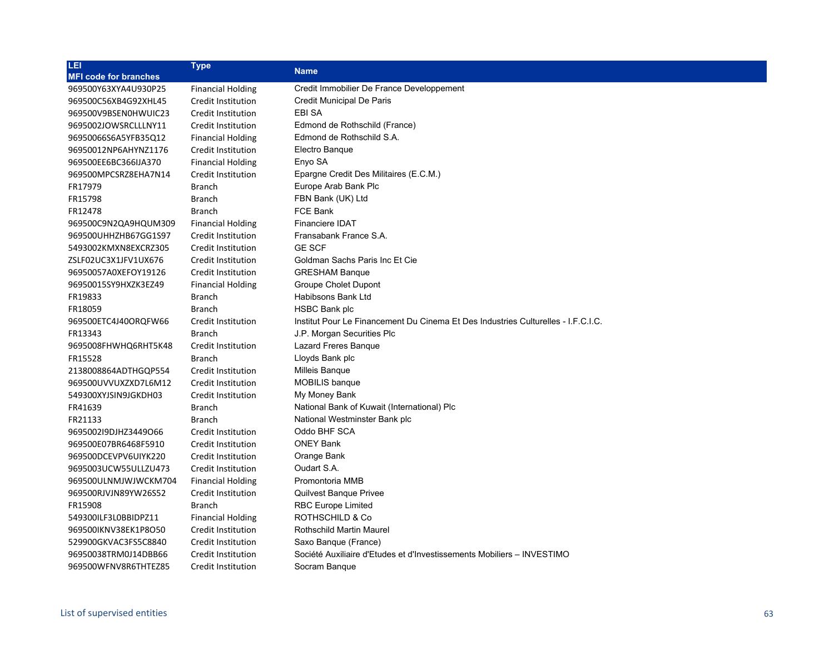| LEI                          | <b>Type</b>              | <b>Name</b>                                                                       |
|------------------------------|--------------------------|-----------------------------------------------------------------------------------|
| <b>MFI code for branches</b> |                          |                                                                                   |
| 969500Y63XYA4U930P25         | <b>Financial Holding</b> | Credit Immobilier De France Developpement                                         |
| 969500C56XB4G92XHL45         | Credit Institution       | Credit Municipal De Paris                                                         |
| 969500V9BSEN0HWUIC23         | Credit Institution       | <b>EBI SA</b>                                                                     |
| 9695002JOWSRCLLLNY11         | Credit Institution       | Edmond de Rothschild (France)                                                     |
| 96950066S6A5YFB35Q12         | <b>Financial Holding</b> | Edmond de Rothschild S.A.                                                         |
| 96950012NP6AHYNZ1176         | Credit Institution       | Electro Bangue                                                                    |
| 969500EE6BC366IJA370         | <b>Financial Holding</b> | Enyo SA                                                                           |
| 969500MPCSRZ8EHA7N14         | Credit Institution       | Epargne Credit Des Militaires (E.C.M.)                                            |
| FR17979                      | <b>Branch</b>            | Europe Arab Bank Plc                                                              |
| FR15798                      | <b>Branch</b>            | FBN Bank (UK) Ltd                                                                 |
| FR12478                      | <b>Branch</b>            | FCE Bank                                                                          |
| 969500C9N2QA9HQUM309         | <b>Financial Holding</b> | Financiere IDAT                                                                   |
| 969500UHHZHB67GG1S97         | Credit Institution       | Fransabank France S.A.                                                            |
| 5493002KMXN8EXCRZ305         | Credit Institution       | <b>GE SCF</b>                                                                     |
| ZSLF02UC3X1JFV1UX676         | Credit Institution       | Goldman Sachs Paris Inc Et Cie                                                    |
| 96950057A0XEFOY19126         | Credit Institution       | <b>GRESHAM Banque</b>                                                             |
| 96950015SY9HXZK3EZ49         | <b>Financial Holding</b> | Groupe Cholet Dupont                                                              |
| FR19833                      | <b>Branch</b>            | <b>Habibsons Bank Ltd</b>                                                         |
| FR18059                      | <b>Branch</b>            | HSBC Bank plc                                                                     |
| 969500ETC4J40ORQFW66         | Credit Institution       | Institut Pour Le Financement Du Cinema Et Des Industries Culturelles - I.F.C.I.C. |
| FR13343                      | <b>Branch</b>            | J.P. Morgan Securities Plc                                                        |
| 9695008FHWHQ6RHT5K48         | Credit Institution       | Lazard Freres Banque                                                              |
| FR15528                      | <b>Branch</b>            | Lloyds Bank plc                                                                   |
| 2138008864ADTHGQP554         | Credit Institution       | Milleis Banque                                                                    |
| 969500UVVUXZXD7L6M12         | Credit Institution       | <b>MOBILIS</b> banque                                                             |
| 549300XYJSIN9JGKDH03         | Credit Institution       | My Money Bank                                                                     |
| FR41639                      | <b>Branch</b>            | National Bank of Kuwait (International) Plc                                       |
| FR21133                      | <b>Branch</b>            | National Westminster Bank plc                                                     |
| 969500219DJHZ3449O66         | Credit Institution       | Oddo BHF SCA                                                                      |
| 969500E07BR6468F5910         | Credit Institution       | <b>ONEY Bank</b>                                                                  |
| 969500DCEVPV6UIYK220         | Credit Institution       | Orange Bank                                                                       |
| 9695003UCW55ULLZU473         | Credit Institution       | Oudart S.A.                                                                       |
| 969500ULNMJWJWCKM704         | <b>Financial Holding</b> | Promontoria MMB                                                                   |
| 969500RJVJN89YW26S52         | Credit Institution       | <b>Quilvest Banque Privee</b>                                                     |
| FR15908                      | <b>Branch</b>            | <b>RBC Europe Limited</b>                                                         |
| 549300ILF3L0BBIDPZ11         | <b>Financial Holding</b> | <b>ROTHSCHILD &amp; Co</b>                                                        |
| 969500IKNV38EK1P8O50         | Credit Institution       | Rothschild Martin Maurel                                                          |
| 529900GKVAC3FS5C8840         | Credit Institution       | Saxo Bangue (France)                                                              |
| 96950038TRM0J14DBB66         | Credit Institution       | Société Auxiliaire d'Etudes et d'Investissements Mobiliers - INVESTIMO            |
| 969500WFNV8R6THTEZ85         | Credit Institution       | Socram Banque                                                                     |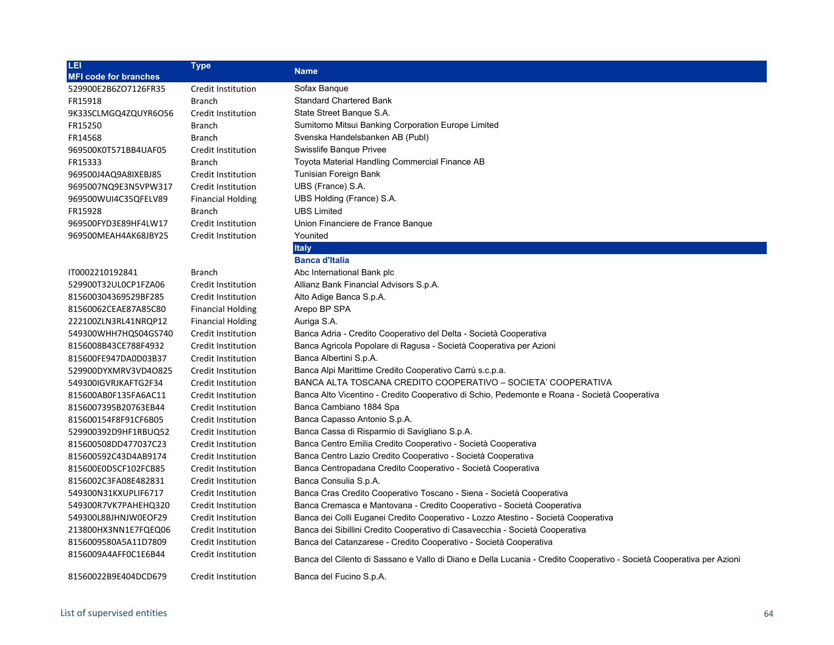| <u>LEI</u>                   | <b>Type</b>               |                                                                                                                      |
|------------------------------|---------------------------|----------------------------------------------------------------------------------------------------------------------|
| <b>MFI code for branches</b> |                           | <b>Name</b>                                                                                                          |
| 529900E2B6ZO7126FR35         | Credit Institution        | Sofax Banque                                                                                                         |
| FR15918                      | <b>Branch</b>             | <b>Standard Chartered Bank</b>                                                                                       |
| 9K33SCLMGQ4ZQUYR6O56         | Credit Institution        | State Street Banque S.A.                                                                                             |
| FR15250                      | <b>Branch</b>             | Sumitomo Mitsui Banking Corporation Europe Limited                                                                   |
| FR14568                      | <b>Branch</b>             | Svenska Handelsbanken AB (Publ)                                                                                      |
| 969500K0T571BB4UAF05         | <b>Credit Institution</b> | Swisslife Banque Privee                                                                                              |
| FR15333                      | <b>Branch</b>             | Toyota Material Handling Commercial Finance AB                                                                       |
| 969500J4AQ9A8IXEBJ85         | Credit Institution        | Tunisian Foreign Bank                                                                                                |
| 9695007NQ9E3N5VPW317         | Credit Institution        | UBS (France) S.A.                                                                                                    |
| 969500WUI4C35QFELV89         | <b>Financial Holding</b>  | UBS Holding (France) S.A.                                                                                            |
| FR15928                      | <b>Branch</b>             | <b>UBS Limited</b>                                                                                                   |
| 969500FYD3E89HF4LW17         | Credit Institution        | Union Financiere de France Banque                                                                                    |
| 969500MEAH4AK68JBY25         | Credit Institution        | Younited                                                                                                             |
|                              |                           | <b>Italy</b>                                                                                                         |
|                              |                           | <b>Banca d'Italia</b>                                                                                                |
| IT0002210192841              | <b>Branch</b>             | Abc International Bank plc                                                                                           |
| 529900T32UL0CP1FZA06         | Credit Institution        | Allianz Bank Financial Advisors S.p.A.                                                                               |
| 815600304369529BF285         | Credit Institution        | Alto Adige Banca S.p.A.                                                                                              |
| 81560062CEAE87A85C80         | <b>Financial Holding</b>  | Arepo BP SPA                                                                                                         |
| 222100ZLN3RL41NRQP12         | <b>Financial Holding</b>  | Auriga S.A.                                                                                                          |
| 549300WHH7HQS04GS740         | Credit Institution        | Banca Adria - Credito Cooperativo del Delta - Società Cooperativa                                                    |
| 8156008B43CE788F4932         | Credit Institution        | Banca Agricola Popolare di Ragusa - Società Cooperativa per Azioni                                                   |
| 815600FE947DA0D03B37         | Credit Institution        | Banca Albertini S.p.A.                                                                                               |
| 529900DYXMRV3VD4O825         | Credit Institution        | Banca Alpi Marittime Credito Cooperativo Carrù s.c.p.a.                                                              |
| 549300IGVRJKAFTG2F34         | Credit Institution        | BANCA ALTA TOSCANA CREDITO COOPERATIVO - SOCIETA' COOPERATIVA                                                        |
| 815600AB0F135FA6AC11         | Credit Institution        | Banca Alto Vicentino - Credito Cooperativo di Schio, Pedemonte e Roana - Società Cooperativa                         |
| 8156007395B20763EB44         | Credit Institution        | Banca Cambiano 1884 Spa                                                                                              |
| 815600154F8F91CF6B05         | Credit Institution        | Banca Capasso Antonio S.p.A.                                                                                         |
| 529900392D9HF1RBUQ52         | Credit Institution        | Banca Cassa di Risparmio di Savigliano S.p.A.                                                                        |
| 815600508DD477037C23         | Credit Institution        | Banca Centro Emilia Credito Cooperativo - Società Cooperativa                                                        |
| 815600592C43D4AB9174         | Credit Institution        | Banca Centro Lazio Credito Cooperativo - Società Cooperativa                                                         |
| 815600E0D5CF102FCB85         | Credit Institution        | Banca Centropadana Credito Cooperativo - Società Cooperativa                                                         |
| 8156002C3FA08E482831         | Credit Institution        | Banca Consulia S.p.A.                                                                                                |
| 549300N31KXUPLIF6717         | Credit Institution        | Banca Cras Credito Cooperativo Toscano - Siena - Società Cooperativa                                                 |
| 549300R7VK7PAHEHQ320         | Credit Institution        | Banca Cremasca e Mantovana - Credito Cooperativo - Società Cooperativa                                               |
| 549300L8BJHNJW0EOF29         | Credit Institution        | Banca dei Colli Euganei Credito Cooperativo - Lozzo Atestino - Società Cooperativa                                   |
| 213800HX3NN1E7FQEQ06         | Credit Institution        | Banca dei Sibillini Credito Cooperativo di Casavecchia - Società Cooperativa                                         |
| 8156009580A5A11D7809         | Credit Institution        | Banca del Catanzarese - Credito Cooperativo - Società Cooperativa                                                    |
| 8156009A4AFF0C1E6B44         | Credit Institution        | Banca del Cilento di Sassano e Vallo di Diano e Della Lucania - Credito Cooperativo - Società Cooperativa per Azioni |
| 81560022B9E404DCD679         | Credit Institution        | Banca del Fucino S.p.A.                                                                                              |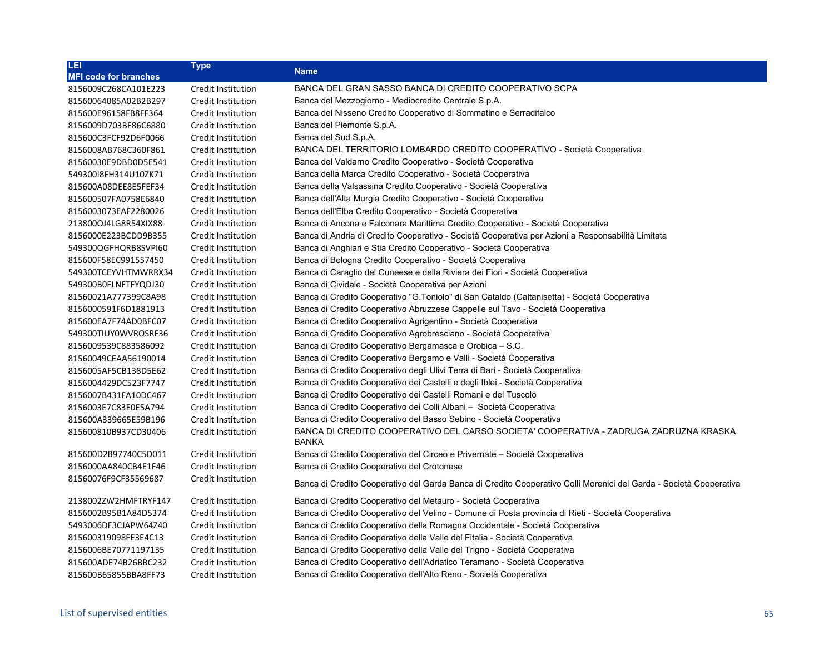| LEI                          | <b>Type</b>               | <b>Name</b>                                                                                                        |
|------------------------------|---------------------------|--------------------------------------------------------------------------------------------------------------------|
| <b>MFI code for branches</b> |                           |                                                                                                                    |
| 8156009C268CA101E223         | Credit Institution        | BANCA DEL GRAN SASSO BANCA DI CREDITO COOPERATIVO SCPA                                                             |
| 81560064085A02B2B297         | Credit Institution        | Banca del Mezzogiorno - Mediocredito Centrale S.p.A.                                                               |
| 815600E96158FB8FF364         | Credit Institution        | Banca del Nisseno Credito Cooperativo di Sommatino e Serradifalco                                                  |
| 8156009D703BF86C6880         | Credit Institution        | Banca del Piemonte S.p.A.                                                                                          |
| 815600C3FCF92D6F0066         | Credit Institution        | Banca del Sud S.p.A.                                                                                               |
| 8156008AB768C360F861         | Credit Institution        | BANCA DEL TERRITORIO LOMBARDO CREDITO COOPERATIVO - Società Cooperativa                                            |
| 81560030E9DBD0D5E541         | Credit Institution        | Banca del Valdarno Credito Cooperativo - Società Cooperativa                                                       |
| 549300I8FH314U10ZK71         | Credit Institution        | Banca della Marca Credito Cooperativo - Società Cooperativa                                                        |
| 815600A08DEE8E5FEF34         | Credit Institution        | Banca della Valsassina Credito Cooperativo - Società Cooperativa                                                   |
| 815600507FA0758E6840         | Credit Institution        | Banca dell'Alta Murgia Credito Cooperativo - Società Cooperativa                                                   |
| 8156003073EAF2280026         | Credit Institution        | Banca dell'Elba Credito Cooperativo - Società Cooperativa                                                          |
| 213800OJ4LG8R54XIX88         | Credit Institution        | Banca di Ancona e Falconara Marittima Credito Cooperativo - Società Cooperativa                                    |
| 8156000E223BCDD9B355         | Credit Institution        | Banca di Andria di Credito Cooperativo - Società Cooperativa per Azioni a Responsabilità Limitata                  |
| 549300QGFHQRB8SVPI60         | Credit Institution        | Banca di Anghiari e Stia Credito Cooperativo - Società Cooperativa                                                 |
| 815600F58EC991557450         | Credit Institution        | Banca di Bologna Credito Cooperativo - Società Cooperativa                                                         |
| 549300TCEYVHTMWRRX34         | Credit Institution        | Banca di Caraglio del Cuneese e della Riviera dei Fiori - Società Cooperativa                                      |
| 549300B0FLNFTFYQDJ30         | Credit Institution        | Banca di Cividale - Società Cooperativa per Azioni                                                                 |
| 81560021A777399C8A98         | Credit Institution        | Banca di Credito Cooperativo "G.Toniolo" di San Cataldo (Caltanisetta) - Società Cooperativa                       |
| 8156000591F6D1881913         | Credit Institution        | Banca di Credito Cooperativo Abruzzese Cappelle sul Tavo - Società Cooperativa                                     |
| 815600EA7F74AD0BFC07         | Credit Institution        | Banca di Credito Cooperativo Agrigentino - Società Cooperativa                                                     |
| 549300TIUY0WVROSRF36         | Credit Institution        | Banca di Credito Cooperativo Agrobresciano - Società Cooperativa                                                   |
| 8156009539C883586092         | Credit Institution        | Banca di Credito Cooperativo Bergamasca e Orobica - S.C.                                                           |
| 81560049CEAA56190014         | Credit Institution        | Banca di Credito Cooperativo Bergamo e Valli - Società Cooperativa                                                 |
| 8156005AF5CB138D5E62         | Credit Institution        | Banca di Credito Cooperativo degli Ulivi Terra di Bari - Società Cooperativa                                       |
| 8156004429DC523F7747         | Credit Institution        | Banca di Credito Cooperativo dei Castelli e degli Iblei - Società Cooperativa                                      |
| 8156007B431FA10DC467         | Credit Institution        | Banca di Credito Cooperativo dei Castelli Romani e del Tuscolo                                                     |
| 8156003E7C83E0E5A794         | Credit Institution        | Banca di Credito Cooperativo dei Colli Albani - Società Cooperativa                                                |
| 815600A339665E59B196         | Credit Institution        | Banca di Credito Cooperativo del Basso Sebino - Società Cooperativa                                                |
| 815600810B937CD30406         | <b>Credit Institution</b> | BANCA DI CREDITO COOPERATIVO DEL CARSO SOCIETA' COOPERATIVA - ZADRUGA ZADRUZNA KRASKA<br><b>BANKA</b>              |
| 815600D2B97740C5D011         | <b>Credit Institution</b> | Banca di Credito Cooperativo del Circeo e Privernate – Società Cooperativa                                         |
| 8156000AA840CB4E1F46         | Credit Institution        | Banca di Credito Cooperativo del Crotonese                                                                         |
| 81560076F9CF35569687         | Credit Institution        | Banca di Credito Cooperativo del Garda Banca di Credito Cooperativo Colli Morenici del Garda - Società Cooperativa |
| 2138002ZW2HMFTRYF147         | Credit Institution        | Banca di Credito Cooperativo del Metauro - Società Cooperativa                                                     |
| 8156002B95B1A84D5374         | Credit Institution        | Banca di Credito Cooperativo del Velino - Comune di Posta provincia di Rieti - Società Cooperativa                 |
| 5493006DF3CJAPW64Z40         | Credit Institution        | Banca di Credito Cooperativo della Romagna Occidentale - Società Cooperativa                                       |
| 815600319098FE3E4C13         | Credit Institution        | Banca di Credito Cooperativo della Valle del Fitalia - Società Cooperativa                                         |
| 8156006BE70771197135         | Credit Institution        | Banca di Credito Cooperativo della Valle del Trigno - Società Cooperativa                                          |
| 815600ADE74B26BBC232         | Credit Institution        | Banca di Credito Cooperativo dell'Adriatico Teramano - Società Cooperativa                                         |
| 815600B65855BBA8FF73         | Credit Institution        | Banca di Credito Cooperativo dell'Alto Reno - Società Cooperativa                                                  |
|                              |                           |                                                                                                                    |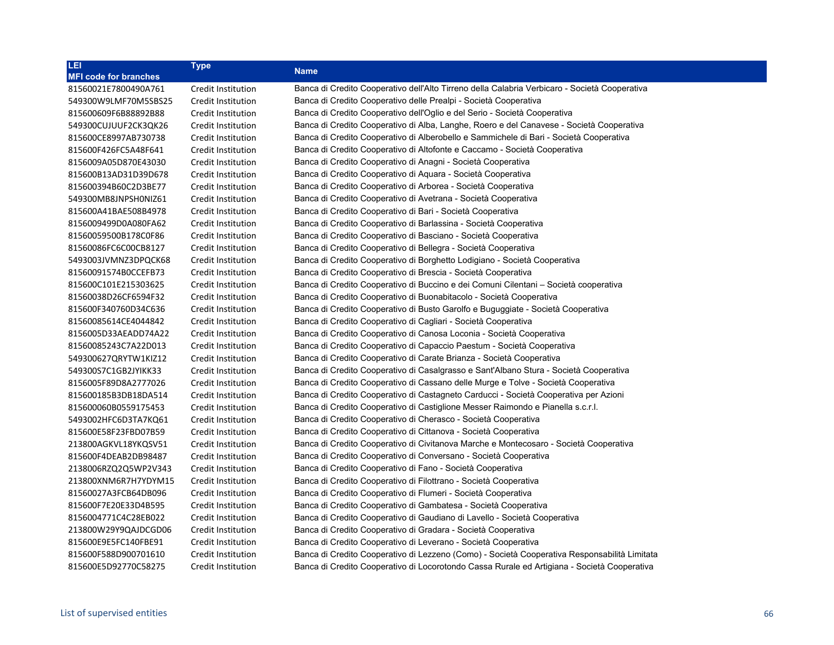| LEI                          | <b>Type</b>        | Name                                                                                          |
|------------------------------|--------------------|-----------------------------------------------------------------------------------------------|
| <b>MFI code for branches</b> |                    |                                                                                               |
| 81560021E7800490A761         | Credit Institution | Banca di Credito Cooperativo dell'Alto Tirreno della Calabria Verbicaro - Società Cooperativa |
| 549300W9LMF70M5SBS25         | Credit Institution | Banca di Credito Cooperativo delle Prealpi - Società Cooperativa                              |
| 815600609F6B88892B88         | Credit Institution | Banca di Credito Cooperativo dell'Oglio e del Serio - Società Cooperativa                     |
| 549300CUJUUF2CK3QK26         | Credit Institution | Banca di Credito Cooperativo di Alba, Langhe, Roero e del Canavese - Società Cooperativa      |
| 815600CE8997AB730738         | Credit Institution | Banca di Credito Cooperativo di Alberobello e Sammichele di Bari - Società Cooperativa        |
| 815600F426FC5A48F641         | Credit Institution | Banca di Credito Cooperativo di Altofonte e Caccamo - Società Cooperativa                     |
| 8156009A05D870E43030         | Credit Institution | Banca di Credito Cooperativo di Anagni - Società Cooperativa                                  |
| 815600B13AD31D39D678         | Credit Institution | Banca di Credito Cooperativo di Aquara - Società Cooperativa                                  |
| 815600394B60C2D3BE77         | Credit Institution | Banca di Credito Cooperativo di Arborea - Società Cooperativa                                 |
| 549300MB8JNPSH0NIZ61         | Credit Institution | Banca di Credito Cooperativo di Avetrana - Società Cooperativa                                |
| 815600A41BAE508B4978         | Credit Institution | Banca di Credito Cooperativo di Bari - Società Cooperativa                                    |
| 8156009499D0A080FA62         | Credit Institution | Banca di Credito Cooperativo di Barlassina - Società Cooperativa                              |
| 81560059500B178C0F86         | Credit Institution | Banca di Credito Cooperativo di Basciano - Società Cooperativa                                |
| 81560086FC6C00CB8127         | Credit Institution | Banca di Credito Cooperativo di Bellegra - Società Cooperativa                                |
| 5493003JVMNZ3DPQCK68         | Credit Institution | Banca di Credito Cooperativo di Borghetto Lodigiano - Società Cooperativa                     |
| 81560091574B0CCEFB73         | Credit Institution | Banca di Credito Cooperativo di Brescia - Società Cooperativa                                 |
| 815600C101E215303625         | Credit Institution | Banca di Credito Cooperativo di Buccino e dei Comuni Cilentani – Società cooperativa          |
| 81560038D26CF6594F32         | Credit Institution | Banca di Credito Cooperativo di Buonabitacolo - Società Cooperativa                           |
| 815600F340760D34C636         | Credit Institution | Banca di Credito Cooperativo di Busto Garolfo e Buguggiate - Società Cooperativa              |
| 81560085614CE4044842         | Credit Institution | Banca di Credito Cooperativo di Cagliari - Società Cooperativa                                |
| 8156005D33AEADD74A22         | Credit Institution | Banca di Credito Cooperativo di Canosa Loconia - Società Cooperativa                          |
| 81560085243C7A22D013         | Credit Institution | Banca di Credito Cooperativo di Capaccio Paestum - Società Cooperativa                        |
| 549300627QRYTW1KIZ12         | Credit Institution | Banca di Credito Cooperativo di Carate Brianza - Società Cooperativa                          |
| 549300S7C1GB2JYIKK33         | Credit Institution | Banca di Credito Cooperativo di Casalgrasso e Sant'Albano Stura - Società Cooperativa         |
| 8156005F89D8A2777026         | Credit Institution | Banca di Credito Cooperativo di Cassano delle Murge e Tolve - Società Cooperativa             |
| 815600185B3DB18DA514         | Credit Institution | Banca di Credito Cooperativo di Castagneto Carducci - Società Cooperativa per Azioni          |
| 815600060B0559175453         | Credit Institution | Banca di Credito Cooperativo di Castiglione Messer Raimondo e Pianella s.c.r.l.               |
| 5493002HFC6D3TA7KQ61         | Credit Institution | Banca di Credito Cooperativo di Cherasco - Società Cooperativa                                |
| 815600E58F23FBD07B59         | Credit Institution | Banca di Credito Cooperativo di Cittanova - Società Cooperativa                               |
| 213800AGKVL18YKQSV51         | Credit Institution | Banca di Credito Cooperativo di Civitanova Marche e Montecosaro - Società Cooperativa         |
| 815600F4DEAB2DB98487         | Credit Institution | Banca di Credito Cooperativo di Conversano - Società Cooperativa                              |
| 2138006RZQ2Q5WP2V343         | Credit Institution | Banca di Credito Cooperativo di Fano - Società Cooperativa                                    |
| 213800XNM6R7H7YDYM15         | Credit Institution | Banca di Credito Cooperativo di Filottrano - Società Cooperativa                              |
| 81560027A3FCB64DB096         | Credit Institution | Banca di Credito Cooperativo di Flumeri - Società Cooperativa                                 |
| 815600F7E20E33D4B595         | Credit Institution | Banca di Credito Cooperativo di Gambatesa - Società Cooperativa                               |
| 8156004771C4C28EB022         | Credit Institution | Banca di Credito Cooperativo di Gaudiano di Lavello - Società Cooperativa                     |
| 213800W29Y9QAJDCGD06         | Credit Institution | Banca di Credito Cooperativo di Gradara - Società Cooperativa                                 |
| 815600E9E5FC140FBE91         | Credit Institution | Banca di Credito Cooperativo di Leverano - Società Cooperativa                                |
| 815600F588D900701610         | Credit Institution | Banca di Credito Cooperativo di Lezzeno (Como) - Società Cooperativa Responsabilità Limitata  |
| 815600E5D92770C58275         | Credit Institution | Banca di Credito Cooperativo di Locorotondo Cassa Rurale ed Artigiana - Società Cooperativa   |
|                              |                    |                                                                                               |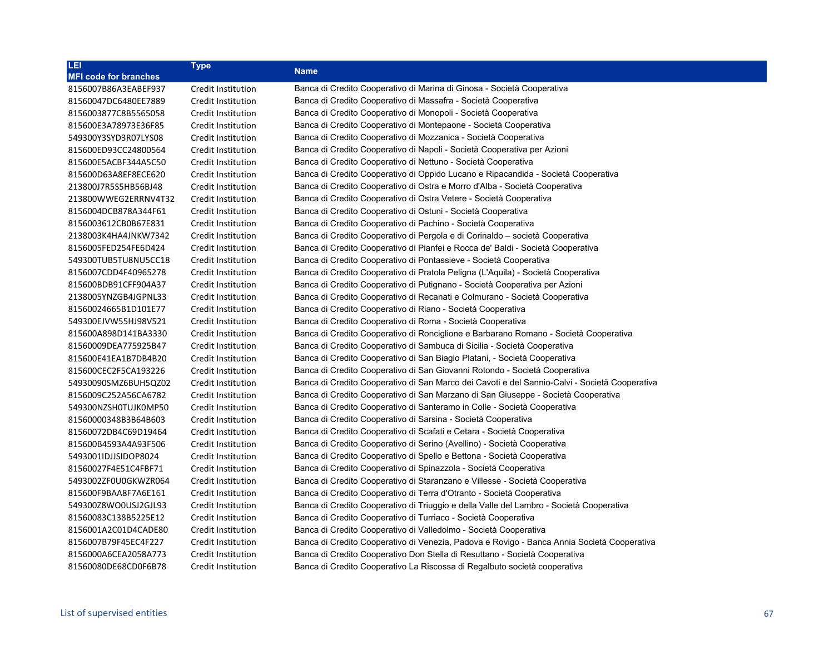| LEI                          | <b>Type</b>        |                                                                                               |
|------------------------------|--------------------|-----------------------------------------------------------------------------------------------|
| <b>MFI code for branches</b> |                    | <b>Name</b>                                                                                   |
| 8156007B86A3EABEF937         | Credit Institution | Banca di Credito Cooperativo di Marina di Ginosa - Società Cooperativa                        |
| 81560047DC6480EE7889         | Credit Institution | Banca di Credito Cooperativo di Massafra - Società Cooperativa                                |
| 8156003877C8B5565058         | Credit Institution | Banca di Credito Cooperativo di Monopoli - Società Cooperativa                                |
| 815600E3A78973E36F85         | Credit Institution | Banca di Credito Cooperativo di Montepaone - Società Cooperativa                              |
| 549300Y3SYD3R07LYS08         | Credit Institution | Banca di Credito Cooperativo di Mozzanica - Società Cooperativa                               |
| 815600ED93CC24800564         | Credit Institution | Banca di Credito Cooperativo di Napoli - Società Cooperativa per Azioni                       |
| 815600E5ACBF344A5C50         | Credit Institution | Banca di Credito Cooperativo di Nettuno - Società Cooperativa                                 |
| 815600D63A8EF8ECE620         | Credit Institution | Banca di Credito Cooperativo di Oppido Lucano e Ripacandida - Società Cooperativa             |
| 213800J7R5S5HB56BJ48         | Credit Institution | Banca di Credito Cooperativo di Ostra e Morro d'Alba - Società Cooperativa                    |
| 213800WWEG2ERRNV4T32         | Credit Institution | Banca di Credito Cooperativo di Ostra Vetere - Società Cooperativa                            |
| 8156004DCB878A344F61         | Credit Institution | Banca di Credito Cooperativo di Ostuni - Società Cooperativa                                  |
| 8156003612CB0B67E831         | Credit Institution | Banca di Credito Cooperativo di Pachino - Società Cooperativa                                 |
| 2138003K4HA4JNKW7342         | Credit Institution | Banca di Credito Cooperativo di Pergola e di Corinaldo - società Cooperativa                  |
| 8156005FED254FE6D424         | Credit Institution | Banca di Credito Cooperativo di Pianfei e Rocca de' Baldi - Società Cooperativa               |
| 549300TUB5TU8NU5CC18         | Credit Institution | Banca di Credito Cooperativo di Pontassieve - Società Cooperativa                             |
| 8156007CDD4F40965278         | Credit Institution | Banca di Credito Cooperativo di Pratola Peligna (L'Aquila) - Società Cooperativa              |
| 815600BDB91CFF904A37         | Credit Institution | Banca di Credito Cooperativo di Putignano - Società Cooperativa per Azioni                    |
| 2138005YNZGB4JGPNL33         | Credit Institution | Banca di Credito Cooperativo di Recanati e Colmurano - Società Cooperativa                    |
| 81560024665B1D101E77         | Credit Institution | Banca di Credito Cooperativo di Riano - Società Cooperativa                                   |
| 549300EJVW55HJ98V521         | Credit Institution | Banca di Credito Cooperativo di Roma - Società Cooperativa                                    |
| 815600A898D141BA3330         | Credit Institution | Banca di Credito Cooperativo di Ronciglione e Barbarano Romano - Società Cooperativa          |
| 81560009DEA775925B47         | Credit Institution | Banca di Credito Cooperativo di Sambuca di Sicilia - Società Cooperativa                      |
| 815600E41EA1B7DB4B20         | Credit Institution | Banca di Credito Cooperativo di San Biagio Platani, - Società Cooperativa                     |
| 815600CEC2F5CA193226         | Credit Institution | Banca di Credito Cooperativo di San Giovanni Rotondo - Società Cooperativa                    |
| 54930090SMZ6BUH5QZ02         | Credit Institution | Banca di Credito Cooperativo di San Marco dei Cavoti e del Sannio-Calvi - Società Cooperativa |
| 8156009C252A56CA6782         | Credit Institution | Banca di Credito Cooperativo di San Marzano di San Giuseppe - Società Cooperativa             |
| 549300NZSH0TUJK0MP50         | Credit Institution | Banca di Credito Cooperativo di Santeramo in Colle - Società Cooperativa                      |
| 81560000348B3B64B603         | Credit Institution | Banca di Credito Cooperativo di Sarsina - Società Cooperativa                                 |
| 81560072DB4C69D19464         | Credit Institution | Banca di Credito Cooperativo di Scafati e Cetara - Società Cooperativa                        |
| 815600B4593A4A93F506         | Credit Institution | Banca di Credito Cooperativo di Serino (Avellino) - Società Cooperativa                       |
| 5493001IDJJSIDOP8024         | Credit Institution | Banca di Credito Cooperativo di Spello e Bettona - Società Cooperativa                        |
| 81560027F4E51C4FBF71         | Credit Institution | Banca di Credito Cooperativo di Spinazzola - Società Cooperativa                              |
| 5493002ZF0U0GKWZR064         | Credit Institution | Banca di Credito Cooperativo di Staranzano e Villesse - Società Cooperativa                   |
| 815600F9BAA8F7A6E161         | Credit Institution | Banca di Credito Cooperativo di Terra d'Otranto - Società Cooperativa                         |
| 549300Z8WO0USJ2GJL93         | Credit Institution | Banca di Credito Cooperativo di Triuggio e della Valle del Lambro - Società Cooperativa       |
| 81560083C138B5225E12         | Credit Institution | Banca di Credito Cooperativo di Turriaco - Società Cooperativa                                |
| 8156001A2C01D4CADE80         | Credit Institution | Banca di Credito Cooperativo di Valledolmo - Società Cooperativa                              |
| 8156007B79F45EC4F227         | Credit Institution | Banca di Credito Cooperativo di Venezia, Padova e Rovigo - Banca Annia Società Cooperativa    |
| 8156000A6CEA2058A773         | Credit Institution | Banca di Credito Cooperativo Don Stella di Resuttano - Società Cooperativa                    |
| 81560080DE68CD0F6B78         | Credit Institution | Banca di Credito Cooperativo La Riscossa di Regalbuto società cooperativa                     |
|                              |                    |                                                                                               |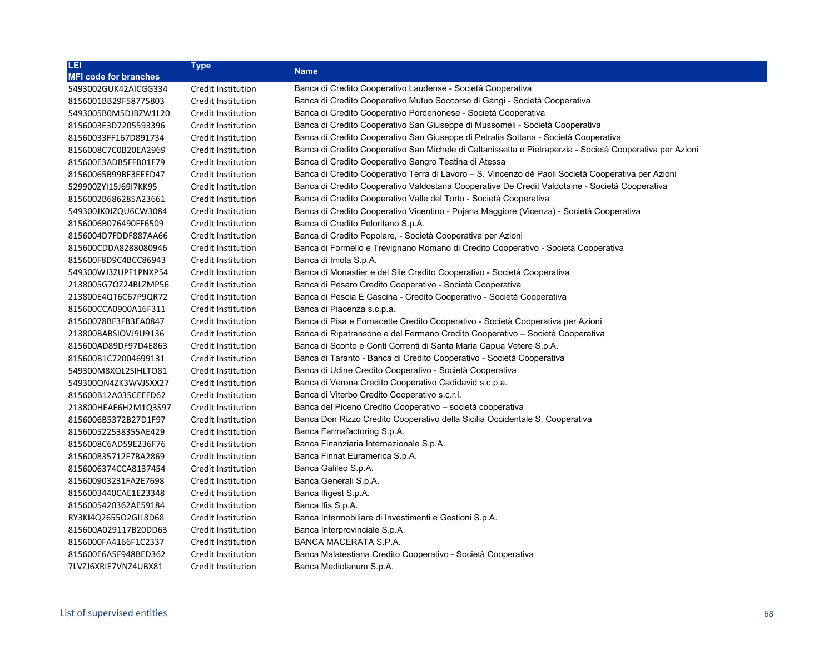| LEI                          | <b>Type</b>               |                                                                                                           |
|------------------------------|---------------------------|-----------------------------------------------------------------------------------------------------------|
| <b>MFI code for branches</b> |                           | <b>Name</b>                                                                                               |
| 5493002GUK42AICGG334         | Credit Institution        | Banca di Credito Cooperativo Laudense - Società Cooperativa                                               |
| 8156001BB29F58775803         | Credit Institution        | Banca di Credito Cooperativo Mutuo Soccorso di Gangi - Società Cooperativa                                |
| 5493005B0M5DJBZW1L20         | Credit Institution        | Banca di Credito Cooperativo Pordenonese - Società Cooperativa                                            |
| 8156003E3D7205593396         | Credit Institution        | Banca di Credito Cooperativo San Giuseppe di Mussomeli - Società Cooperativa                              |
| 81560033FF167D891734         | Credit Institution        | Banca di Credito Cooperativo San Giuseppe di Petralia Sottana - Società Cooperativa                       |
| 8156008C7C0B20EA2969         | <b>Credit Institution</b> | Banca di Credito Cooperativo San Michele di Caltanissetta e Pietraperzia - Società Cooperativa per Azioni |
| 815600E3ADB5FFB01F79         | Credit Institution        | Banca di Credito Cooperativo Sangro Teatina di Atessa                                                     |
| 81560065B99BF3EEED47         | Credit Institution        | Banca di Credito Cooperativo Terra di Lavoro - S. Vincenzo dè Paoli Società Cooperativa per Azioni        |
| 529900ZYI15J69I7KK95         | Credit Institution        | Banca di Credito Cooperativo Valdostana Cooperative De Credit Valdotaine - Società Cooperativa            |
| 8156002B686285A23661         | Credit Institution        | Banca di Credito Cooperativo Valle del Torto - Società Cooperativa                                        |
| 549300JK0JZQU6CW3084         | <b>Credit Institution</b> | Banca di Credito Cooperativo Vicentino - Pojana Maggiore (Vicenza) - Società Cooperativa                  |
| 8156006B076490FF6509         | <b>Credit Institution</b> | Banca di Credito Peloritano S.p.A.                                                                        |
| 8156004D7FDDF887AA66         | Credit Institution        | Banca di Credito Popolare, - Società Cooperativa per Azioni                                               |
| 815600CDDA8288080946         | Credit Institution        | Banca di Formello e Trevignano Romano di Credito Cooperativo - Società Cooperativa                        |
| 815600F8D9C4BCC86943         | Credit Institution        | Banca di Imola S.p.A.                                                                                     |
| 549300WJ3ZUPF1PNXP54         | Credit Institution        | Banca di Monastier e del Sile Credito Cooperativo - Società Cooperativa                                   |
| 2138005G7OZ24BLZMP56         | <b>Credit Institution</b> | Banca di Pesaro Credito Cooperativo - Società Cooperativa                                                 |
| 213800E4QT6C67P9QR72         | Credit Institution        | Banca di Pescia E Cascina - Credito Cooperativo - Società Cooperativa                                     |
| 815600CCA0900A16F311         | Credit Institution        | Banca di Piacenza s.c.p.a.                                                                                |
| 81560078BF3FB3EA0847         | <b>Credit Institution</b> | Banca di Pisa e Fornacette Credito Cooperativo - Società Cooperativa per Azioni                           |
| 213800BABSIOVJ9U9136         | Credit Institution        | Banca di Ripatransone e del Fermano Credito Cooperativo - Società Cooperativa                             |
| 815600AD89DF97D4E863         | Credit Institution        | Banca di Sconto e Conti Correnti di Santa Maria Capua Vetere S.p.A.                                       |
| 815600B1C72004699131         | <b>Credit Institution</b> | Banca di Taranto - Banca di Credito Cooperativo - Società Cooperativa                                     |
| 549300M8XQL2SIHLTO81         | Credit Institution        | Banca di Udine Credito Cooperativo - Società Cooperativa                                                  |
| 549300QN4ZK3WVJSXX27         | <b>Credit Institution</b> | Banca di Verona Credito Cooperativo Cadidavid s.c.p.a.                                                    |
| 815600B12A035CEEFD62         | Credit Institution        | Banca di Viterbo Credito Cooperativo s.c.r.l.                                                             |
| 213800HEAE6H2M1Q3S97         | Credit Institution        | Banca del Piceno Credito Cooperativo – società cooperativa                                                |
| 8156006B5372B27D1F97         | Credit Institution        | Banca Don Rizzo Credito Cooperativo della Sicilia Occidentale S. Cooperativa                              |
| 815600522538355AE429         | Credit Institution        | Banca Farmafactoring S.p.A.                                                                               |
| 8156008C6AD59E236F76         | Credit Institution        | Banca Finanziaria Internazionale S.p.A.                                                                   |
| 815600835712F7BA2869         | <b>Credit Institution</b> | Banca Finnat Euramerica S.p.A.                                                                            |
| 8156006374CCA8137454         | Credit Institution        | Banca Galileo S.p.A.                                                                                      |
| 815600903231FA2E7698         | Credit Institution        | Banca Generali S.p.A.                                                                                     |
| 8156003440CAE1E23348         | <b>Credit Institution</b> | Banca Ifigest S.p.A.                                                                                      |
| 8156005420362AE59184         | Credit Institution        | Banca Ifis S.p.A.                                                                                         |
| RY3KI4Q2655O2GIL8D68         | Credit Institution        | Banca Intermobiliare di Investimenti e Gestioni S.p.A.                                                    |
| 815600A029117B20DD63         | Credit Institution        | Banca Interprovinciale S.p.A.                                                                             |
| 8156000FA4166F1C2337         | Credit Institution        | BANCA MACERATA S.P.A.                                                                                     |
| 815600E6A5F948BED362         | <b>Credit Institution</b> | Banca Malatestiana Credito Cooperativo - Società Cooperativa                                              |
| 7LVZJ6XRIE7VNZ4UBX81         | Credit Institution        | Banca Mediolanum S.p.A.                                                                                   |
|                              |                           |                                                                                                           |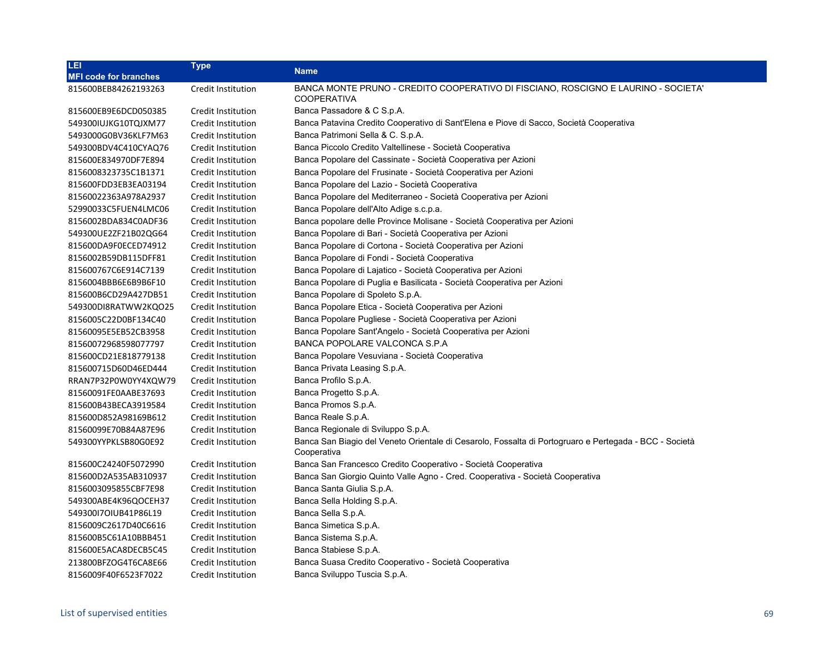| LEI                          | <b>Type</b>               | <b>Name</b>                                                                                                           |
|------------------------------|---------------------------|-----------------------------------------------------------------------------------------------------------------------|
| <b>MFI code for branches</b> |                           |                                                                                                                       |
| 815600BEB84262193263         | Credit Institution        | BANCA MONTE PRUNO - CREDITO COOPERATIVO DI FISCIANO, ROSCIGNO E LAURINO - SOCIETA'<br><b>COOPERATIVA</b>              |
| 815600EB9E6DCD050385         | Credit Institution        | Banca Passadore & C S.p.A.                                                                                            |
| 549300IUJKG10TQJXM77         | Credit Institution        | Banca Patavina Credito Cooperativo di Sant'Elena e Piove di Sacco, Società Cooperativa                                |
| 5493000G0BV36KLF7M63         | Credit Institution        | Banca Patrimoni Sella & C. S.p.A.                                                                                     |
| 549300BDV4C410CYAQ76         | Credit Institution        | Banca Piccolo Credito Valtellinese - Società Cooperativa                                                              |
| 815600E834970DF7E894         | Credit Institution        | Banca Popolare del Cassinate - Società Cooperativa per Azioni                                                         |
| 8156008323735C1B1371         | Credit Institution        | Banca Popolare del Frusinate - Società Cooperativa per Azioni                                                         |
| 815600FDD3EB3EA03194         | Credit Institution        | Banca Popolare del Lazio - Società Cooperativa                                                                        |
| 81560022363A978A2937         | Credit Institution        | Banca Popolare del Mediterraneo - Società Cooperativa per Azioni                                                      |
| 52990033C5FUEN4LMC06         | Credit Institution        | Banca Popolare dell'Alto Adige s.c.p.a.                                                                               |
| 8156002BDA834C0ADF36         | Credit Institution        | Banca popolare delle Province Molisane - Società Cooperativa per Azioni                                               |
| 549300UE2ZF21B02QG64         | Credit Institution        | Banca Popolare di Bari - Società Cooperativa per Azioni                                                               |
| 815600DA9F0ECED74912         | Credit Institution        | Banca Popolare di Cortona - Società Cooperativa per Azioni                                                            |
| 8156002B59DB115DFF81         | Credit Institution        | Banca Popolare di Fondi - Società Cooperativa                                                                         |
| 815600767C6E914C7139         | Credit Institution        | Banca Popolare di Lajatico - Società Cooperativa per Azioni                                                           |
| 8156004BBB6E6B9B6F10         | Credit Institution        | Banca Popolare di Puglia e Basilicata - Società Cooperativa per Azioni                                                |
| 815600B6CD29A427DB51         | Credit Institution        | Banca Popolare di Spoleto S.p.A.                                                                                      |
| 549300DI8RATWW2KQO25         | Credit Institution        | Banca Popolare Etica - Società Cooperativa per Azioni                                                                 |
| 8156005C22D0BF134C40         | Credit Institution        | Banca Popolare Pugliese - Società Cooperativa per Azioni                                                              |
| 81560095E5EB52CB3958         | <b>Credit Institution</b> | Banca Popolare Sant'Angelo - Società Cooperativa per Azioni                                                           |
| 81560072968598077797         | Credit Institution        | BANCA POPOLARE VALCONCA S.P.A                                                                                         |
| 815600CD21E818779138         | Credit Institution        | Banca Popolare Vesuviana - Società Cooperativa                                                                        |
| 815600715D60D46ED444         | Credit Institution        | Banca Privata Leasing S.p.A.                                                                                          |
| RRAN7P32P0W0YY4XQW79         | Credit Institution        | Banca Profilo S.p.A.                                                                                                  |
| 81560091FE0AABE37693         | Credit Institution        | Banca Progetto S.p.A.                                                                                                 |
| 815600B43BECA3919584         | Credit Institution        | Banca Promos S.p.A.                                                                                                   |
| 815600D852A98169B612         | Credit Institution        | Banca Reale S.p.A.                                                                                                    |
| 81560099E70B84A87E96         | Credit Institution        | Banca Regionale di Sviluppo S.p.A.                                                                                    |
| 549300YYPKLSB80G0E92         | Credit Institution        | Banca San Biagio del Veneto Orientale di Cesarolo, Fossalta di Portogruaro e Pertegada - BCC - Società<br>Cooperativa |
| 815600C24240F5072990         | Credit Institution        | Banca San Francesco Credito Cooperativo - Società Cooperativa                                                         |
| 815600D2A535AB310937         | Credit Institution        | Banca San Giorgio Quinto Valle Agno - Cred. Cooperativa - Società Cooperativa                                         |
| 8156003095855CBF7E98         | Credit Institution        | Banca Santa Giulia S.p.A.                                                                                             |
| 549300ABE4K96QOCEH37         | Credit Institution        | Banca Sella Holding S.p.A.                                                                                            |
| 54930017OIUB41P86L19         | Credit Institution        | Banca Sella S.p.A.                                                                                                    |
| 8156009C2617D40C6616         | Credit Institution        | Banca Simetica S.p.A.                                                                                                 |
| 815600B5C61A10BBB451         | Credit Institution        | Banca Sistema S.p.A.                                                                                                  |
| 815600E5ACA8DECB5C45         | Credit Institution        | Banca Stabiese S.p.A.                                                                                                 |
| 213800BFZOG4T6CA8E66         | Credit Institution        | Banca Suasa Credito Cooperativo - Società Cooperativa                                                                 |
| 8156009F40F6523F7022         | <b>Credit Institution</b> | Banca Sviluppo Tuscia S.p.A.                                                                                          |
|                              |                           |                                                                                                                       |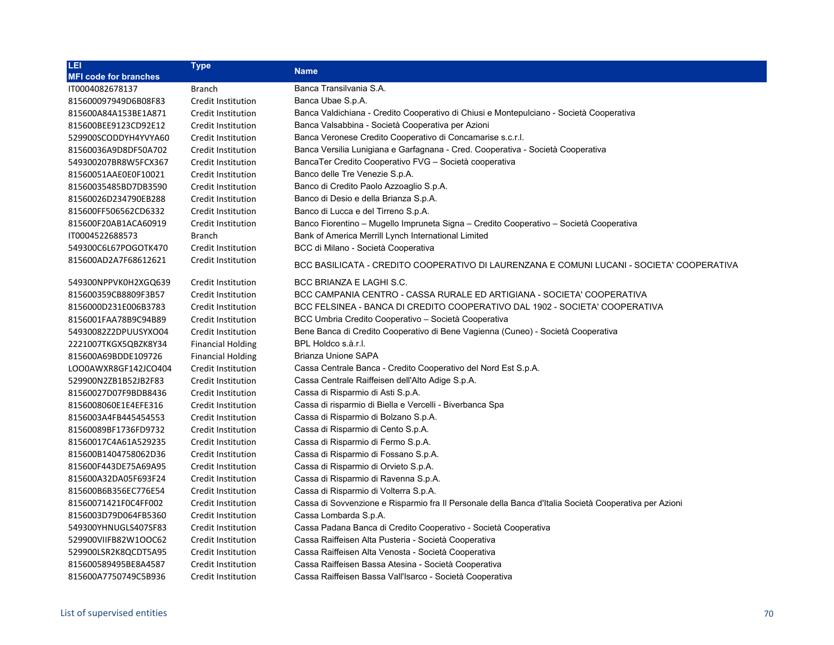| LEI                          | <b>Type</b>               | <b>Name</b>                                                                                           |
|------------------------------|---------------------------|-------------------------------------------------------------------------------------------------------|
| <b>MFI code for branches</b> |                           |                                                                                                       |
| IT0004082678137              | <b>Branch</b>             | Banca Transilvania S.A.                                                                               |
| 815600097949D6B08F83         | Credit Institution        | Banca Ubae S.p.A.                                                                                     |
| 815600A84A153BE1A871         | Credit Institution        | Banca Valdichiana - Credito Cooperativo di Chiusi e Montepulciano - Società Cooperativa               |
| 815600BEE9123CD92E12         | Credit Institution        | Banca Valsabbina - Società Cooperativa per Azioni                                                     |
| 529900SCODDYH4YVYA60         | Credit Institution        | Banca Veronese Credito Cooperativo di Concamarise s.c.r.l.                                            |
| 81560036A9D8DF50A702         | <b>Credit Institution</b> | Banca Versilia Lunigiana e Garfagnana - Cred. Cooperativa - Società Cooperativa                       |
| 549300207BR8W5FCX367         | Credit Institution        | BancaTer Credito Cooperativo FVG - Società cooperativa                                                |
| 81560051AAE0E0F10021         | Credit Institution        | Banco delle Tre Venezie S.p.A.                                                                        |
| 81560035485BD7DB3590         | Credit Institution        | Banco di Credito Paolo Azzoaglio S.p.A.                                                               |
| 81560026D234790EB288         | Credit Institution        | Banco di Desio e della Brianza S.p.A.                                                                 |
| 815600FF506562CD6332         | Credit Institution        | Banco di Lucca e del Tirreno S.p.A.                                                                   |
| 815600F20AB1ACA60919         | Credit Institution        | Banco Fiorentino - Mugello Impruneta Signa - Credito Cooperativo - Società Cooperativa                |
| IT0004522688573              | <b>Branch</b>             | Bank of America Merrill Lynch International Limited                                                   |
| 549300C6L67POGOTK470         | Credit Institution        | BCC di Milano - Società Cooperativa                                                                   |
| 815600AD2A7F68612621         | <b>Credit Institution</b> | BCC BASILICATA - CREDITO COOPERATIVO DI LAURENZANA E COMUNI LUCANI - SOCIETA' COOPERATIVA             |
| 549300NPPVK0H2XGQ639         | <b>Credit Institution</b> | BCC BRIANZA E LAGHI S.C.                                                                              |
| 815600359CB8809F3B57         | <b>Credit Institution</b> | BCC CAMPANIA CENTRO - CASSA RURALE ED ARTIGIANA - SOCIETA' COOPERATIVA                                |
| 8156000D231E006B3783         | <b>Credit Institution</b> | BCC FELSINEA - BANCA DI CREDITO COOPERATIVO DAL 1902 - SOCIETA' COOPERATIVA                           |
| 8156001FAA78B9C94B89         | <b>Credit Institution</b> | BCC Umbria Credito Cooperativo - Società Cooperativa                                                  |
| 54930082Z2DPUUSYXO04         | <b>Credit Institution</b> | Bene Banca di Credito Cooperativo di Bene Vagienna (Cuneo) - Società Cooperativa                      |
| 2221007TKGX5QBZK8Y34         | <b>Financial Holding</b>  | BPL Holdco s.à.r.l.                                                                                   |
| 815600A69BDDE109726          | <b>Financial Holding</b>  | Brianza Unione SAPA                                                                                   |
| LOO0AWXR8GF142JCO404         | Credit Institution        | Cassa Centrale Banca - Credito Cooperativo del Nord Est S.p.A.                                        |
| 529900N2ZB1B52JB2F83         | Credit Institution        | Cassa Centrale Raiffeisen dell'Alto Adige S.p.A.                                                      |
| 81560027D07F9BDB8436         | Credit Institution        | Cassa di Risparmio di Asti S.p.A.                                                                     |
| 8156008060E1E4EFE316         | Credit Institution        | Cassa di risparmio di Biella e Vercelli - Biverbanca Spa                                              |
| 8156003A4FB445454553         | Credit Institution        | Cassa di Risparmio di Bolzano S.p.A.                                                                  |
| 81560089BF1736FD9732         | <b>Credit Institution</b> | Cassa di Risparmio di Cento S.p.A.                                                                    |
| 81560017C4A61A529235         | <b>Credit Institution</b> | Cassa di Risparmio di Fermo S.p.A.                                                                    |
| 815600B1404758062D36         | Credit Institution        | Cassa di Risparmio di Fossano S.p.A.                                                                  |
| 815600F443DE75A69A95         | Credit Institution        | Cassa di Risparmio di Orvieto S.p.A.                                                                  |
| 815600A32DA05F693F24         | Credit Institution        | Cassa di Risparmio di Ravenna S.p.A.                                                                  |
| 815600B6B356EC776E54         | Credit Institution        | Cassa di Risparmio di Volterra S.p.A.                                                                 |
| 81560071421F0C4FF002         | Credit Institution        | Cassa di Sovvenzione e Risparmio fra Il Personale della Banca d'Italia Società Cooperativa per Azioni |
| 8156003D79D064FB5360         | Credit Institution        | Cassa Lombarda S.p.A.                                                                                 |
| 549300YHNUGLS407SF83         | Credit Institution        | Cassa Padana Banca di Credito Cooperativo - Società Cooperativa                                       |
| 529900VIIFB82W1OOC62         | Credit Institution        | Cassa Raiffeisen Alta Pusteria - Società Cooperativa                                                  |
| 529900LSR2K8QCDT5A95         | Credit Institution        | Cassa Raiffeisen Alta Venosta - Società Cooperativa                                                   |
| 815600589495BE8A4587         | Credit Institution        | Cassa Raiffeisen Bassa Atesina - Società Cooperativa                                                  |
| 815600A7750749C5B936         | Credit Institution        | Cassa Raiffeisen Bassa Vall'Isarco - Società Cooperativa                                              |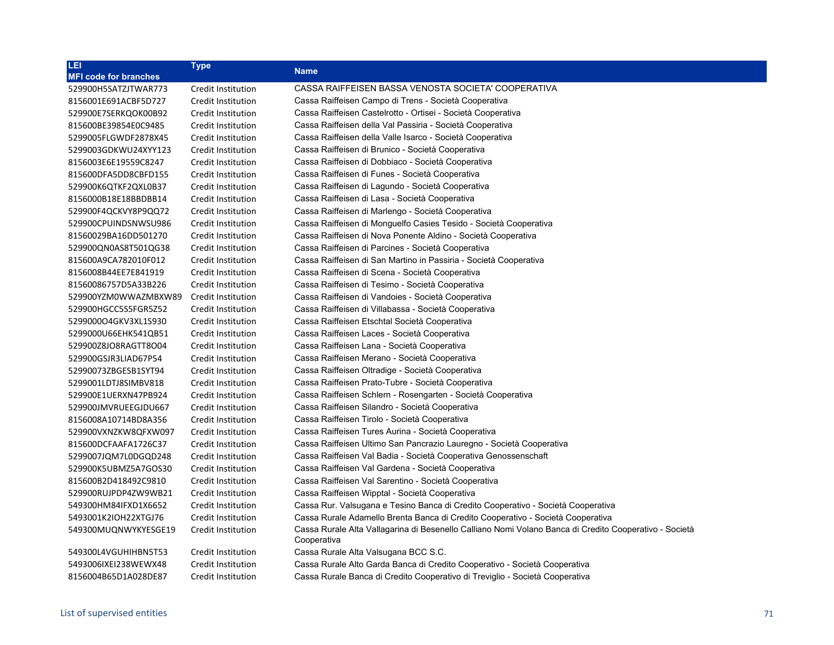| LEI                          | <b>Type</b>               |                                                                                                                       |
|------------------------------|---------------------------|-----------------------------------------------------------------------------------------------------------------------|
| <b>MFI code for branches</b> |                           | <b>Name</b>                                                                                                           |
| 529900H5SATZJTWAR773         | Credit Institution        | CASSA RAIFFEISEN BASSA VENOSTA SOCIETA' COOPERATIVA                                                                   |
| 8156001E691ACBF5D727         | Credit Institution        | Cassa Raiffeisen Campo di Trens - Società Cooperativa                                                                 |
| 529900E7SERKQOK00B92         | Credit Institution        | Cassa Raiffeisen Castelrotto - Ortisei - Società Cooperativa                                                          |
| 815600BE39854E0C9485         | Credit Institution        | Cassa Raiffeisen della Val Passiria - Società Cooperativa                                                             |
| 5299005FLGWDF2878X45         | Credit Institution        | Cassa Raiffeisen della Valle Isarco - Società Cooperativa                                                             |
| 5299003GDKWU24XYY123         | Credit Institution        | Cassa Raiffeisen di Brunico - Società Cooperativa                                                                     |
| 8156003E6E19559C8247         | Credit Institution        | Cassa Raiffeisen di Dobbiaco - Società Cooperativa                                                                    |
| 815600DFA5DD8CBFD155         | Credit Institution        | Cassa Raiffeisen di Funes - Società Cooperativa                                                                       |
| 529900K6QTKF2QXL0B37         | Credit Institution        | Cassa Raiffeisen di Lagundo - Società Cooperativa                                                                     |
| 8156000B18E18BBDBB14         | Credit Institution        | Cassa Raiffeisen di Lasa - Società Cooperativa                                                                        |
| 529900F4QCKVY8P9QQ72         | Credit Institution        | Cassa Raiffeisen di Marlengo - Società Cooperativa                                                                    |
| 529900CPUINDSNWSU986         | Credit Institution        | Cassa Raiffeisen di Monguelfo Casies Tesido - Società Cooperativa                                                     |
| 81560029BA16DD501270         | Credit Institution        | Cassa Raiffeisen di Nova Ponente Aldino - Società Cooperativa                                                         |
| 529900QN0AS8T501QG38         | Credit Institution        | Cassa Raiffeisen di Parcines - Società Cooperativa                                                                    |
| 815600A9CA782010F012         | Credit Institution        | Cassa Raiffeisen di San Martino in Passiria - Società Cooperativa                                                     |
| 8156008B44EE7E841919         | Credit Institution        | Cassa Raiffeisen di Scena - Società Cooperativa                                                                       |
| 81560086757D5A33B226         | Credit Institution        | Cassa Raiffeisen di Tesimo - Società Cooperativa                                                                      |
| 529900YZM0WWAZMBXW89         | Credit Institution        | Cassa Raiffeisen di Vandoies - Società Cooperativa                                                                    |
| 529900HGCC5S5FGR5Z52         | Credit Institution        | Cassa Raiffeisen di Villabassa - Società Cooperativa                                                                  |
| 529900004GKV3XL1S930         | Credit Institution        | Cassa Raiffeisen Etschtal Società Cooperativa                                                                         |
| 5299000U66EHK541QB51         | Credit Institution        | Cassa Raiffeisen Laces - Società Cooperativa                                                                          |
| 529900Z8JO8RAGTT8O04         | Credit Institution        | Cassa Raiffeisen Lana - Società Cooperativa                                                                           |
| 529900GSJR3LIAD67P54         | Credit Institution        | Cassa Raiffeisen Merano - Società Cooperativa                                                                         |
| 52990073ZBGESB1SYT94         | Credit Institution        | Cassa Raiffeisen Oltradige - Società Cooperativa                                                                      |
| 5299001LDTJ8SIMBV818         | Credit Institution        | Cassa Raiffeisen Prato-Tubre - Società Cooperativa                                                                    |
| 529900E1UERXN47PB924         | <b>Credit Institution</b> | Cassa Raiffeisen Schlern - Rosengarten - Società Cooperativa                                                          |
| 529900JMVRUEEGJDU667         | Credit Institution        | Cassa Raiffeisen Silandro - Società Cooperativa                                                                       |
| 8156008A10714BD8A356         | Credit Institution        | Cassa Raiffeisen Tirolo - Società Cooperativa                                                                         |
| 529900VXNZKW8QFXW097         | Credit Institution        | Cassa Raiffeisen Tures Aurina - Società Cooperativa                                                                   |
| 815600DCFAAFA1726C37         | Credit Institution        | Cassa Raiffeisen Ultimo San Pancrazio Lauregno - Società Cooperativa                                                  |
| 5299007JQM7L0DGQD248         | Credit Institution        | Cassa Raiffeisen Val Badia - Società Cooperativa Genossenschaft                                                       |
| 529900K5UBMZ5A7GOS30         | Credit Institution        | Cassa Raiffeisen Val Gardena - Società Cooperativa                                                                    |
| 815600B2D418492C9810         | Credit Institution        | Cassa Raiffeisen Val Sarentino - Società Cooperativa                                                                  |
| 529900RUJPDP4ZW9WB21         | Credit Institution        | Cassa Raiffeisen Wipptal - Società Cooperativa                                                                        |
| 549300HM84IFXD1X6652         | Credit Institution        | Cassa Rur. Valsugana e Tesino Banca di Credito Cooperativo - Società Cooperativa                                      |
| 5493001K2IOH22XTGJ76         | Credit Institution        | Cassa Rurale Adamello Brenta Banca di Credito Cooperativo - Società Cooperativa                                       |
| 549300MUQNWYKYESGE19         | Credit Institution        | Cassa Rurale Alta Vallagarina di Besenello Calliano Nomi Volano Banca di Credito Cooperativo - Società<br>Cooperativa |
| 549300L4VGUHIHBN5T53         | Credit Institution        | Cassa Rurale Alta Valsugana BCC S.C.                                                                                  |
| 5493006IXEI238WEWX48         | Credit Institution        | Cassa Rurale Alto Garda Banca di Credito Cooperativo - Società Cooperativa                                            |
| 8156004B65D1A028DE87         | Credit Institution        | Cassa Rurale Banca di Credito Cooperativo di Treviglio - Società Cooperativa                                          |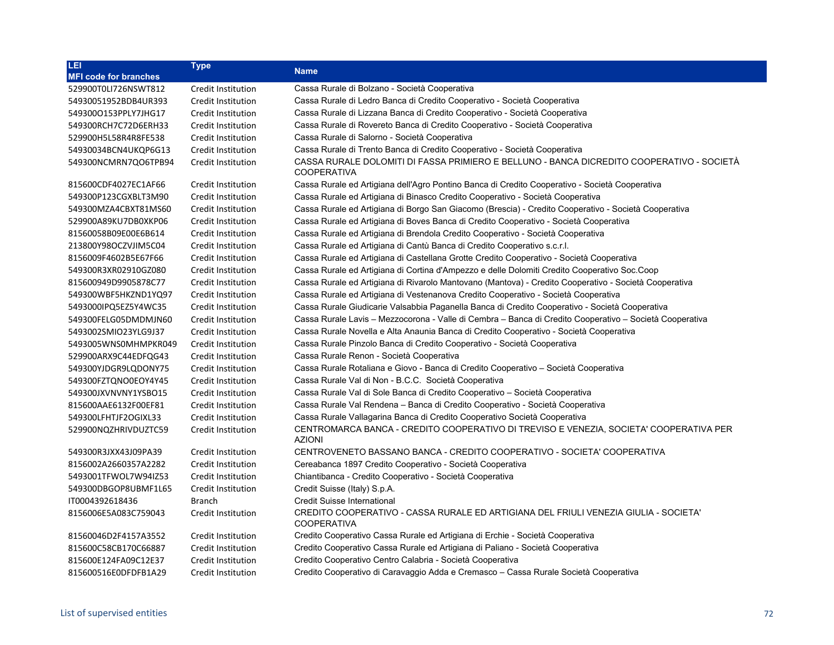| LEI                          | <b>Type</b>        | <b>Name</b>                                                                                                     |
|------------------------------|--------------------|-----------------------------------------------------------------------------------------------------------------|
| <b>MFI code for branches</b> |                    |                                                                                                                 |
| 529900T0LI726NSWT812         | Credit Institution | Cassa Rurale di Bolzano - Società Cooperativa                                                                   |
| 54930051952BDB4UR393         | Credit Institution | Cassa Rurale di Ledro Banca di Credito Cooperativo - Società Cooperativa                                        |
| 5493000153PPLY7JHG17         | Credit Institution | Cassa Rurale di Lizzana Banca di Credito Cooperativo - Società Cooperativa                                      |
| 549300RCH7C72D6ERH33         | Credit Institution | Cassa Rurale di Rovereto Banca di Credito Cooperativo - Società Cooperativa                                     |
| 529900H5L58R4R8FE538         | Credit Institution | Cassa Rurale di Salorno - Società Cooperativa                                                                   |
| 54930034BCN4UKQP6G13         | Credit Institution | Cassa Rurale di Trento Banca di Credito Cooperativo - Società Cooperativa                                       |
| 549300NCMRN7QO6TPB94         | Credit Institution | CASSA RURALE DOLOMITI DI FASSA PRIMIERO E BELLUNO - BANCA DICREDITO COOPERATIVO - SOCIETÀ<br><b>COOPERATIVA</b> |
| 815600CDF4027EC1AF66         | Credit Institution | Cassa Rurale ed Artigiana dell'Agro Pontino Banca di Credito Cooperativo - Società Cooperativa                  |
| 549300P123CGXBLT3M90         | Credit Institution | Cassa Rurale ed Artigiana di Binasco Credito Cooperativo - Società Cooperativa                                  |
| 549300MZA4CBXT81MS60         | Credit Institution | Cassa Rurale ed Artigiana di Borgo San Giacomo (Brescia) - Credito Cooperativo - Società Cooperativa            |
| 529900A89KU7DB0XKP06         | Credit Institution | Cassa Rurale ed Artigiana di Boves Banca di Credito Cooperativo - Società Cooperativa                           |
| 81560058B09E00E6B614         | Credit Institution | Cassa Rurale ed Artigiana di Brendola Credito Cooperativo - Società Cooperativa                                 |
| 213800Y98OCZVJIM5C04         | Credit Institution | Cassa Rurale ed Artigiana di Cantù Banca di Credito Cooperativo s.c.r.l.                                        |
| 8156009F4602B5E67F66         | Credit Institution | Cassa Rurale ed Artigiana di Castellana Grotte Credito Cooperativo - Società Cooperativa                        |
| 549300R3XR02910GZ080         | Credit Institution | Cassa Rurale ed Artigiana di Cortina d'Ampezzo e delle Dolomiti Credito Cooperativo Soc.Coop                    |
| 815600949D9905878C77         | Credit Institution | Cassa Rurale ed Artigiana di Rivarolo Mantovano (Mantova) - Credito Cooperativo - Società Cooperativa           |
| 549300WBF5HKZND1YQ97         | Credit Institution | Cassa Rurale ed Artigiana di Vestenanova Credito Cooperativo - Società Cooperativa                              |
| 5493000IPQ5EZ5Y4WC35         | Credit Institution | Cassa Rurale Giudicarie Valsabbia Paganella Banca di Credito Cooperativo - Società Cooperativa                  |
| 549300FELG05DMDMJN60         | Credit Institution | Cassa Rurale Lavis - Mezzocorona - Valle di Cembra - Banca di Credito Cooperativo - Società Cooperativa         |
| 5493002SMIO23YLG9J37         | Credit Institution | Cassa Rurale Novella e Alta Anaunia Banca di Credito Cooperativo - Società Cooperativa                          |
| 5493005WNS0MHMPKR049         | Credit Institution | Cassa Rurale Pinzolo Banca di Credito Cooperativo - Società Cooperativa                                         |
| 529900ARX9C44EDFQG43         | Credit Institution | Cassa Rurale Renon - Società Cooperativa                                                                        |
| 549300YJDGR9LQDONY75         | Credit Institution | Cassa Rurale Rotaliana e Giovo - Banca di Credito Cooperativo - Società Cooperativa                             |
| 549300FZTQNO0EOY4Y45         | Credit Institution | Cassa Rurale Val di Non - B.C.C. Società Cooperativa                                                            |
| 549300JXVNVNY1YSBO15         | Credit Institution | Cassa Rurale Val di Sole Banca di Credito Cooperativo – Società Cooperativa                                     |
| 815600AAE6132F00EF81         | Credit Institution | Cassa Rurale Val Rendena - Banca di Credito Cooperativo - Società Cooperativa                                   |
| 549300LFHTJF2OGIXL33         | Credit Institution | Cassa Rurale Vallagarina Banca di Credito Cooperativo Società Cooperativa                                       |
| 529900NQZHRIVDUZTC59         | Credit Institution | CENTROMARCA BANCA - CREDITO COOPERATIVO DI TREVISO E VENEZIA, SOCIETA' COOPERATIVA PER<br><b>AZIONI</b>         |
| 549300R3JXX43J09PA39         | Credit Institution | CENTROVENETO BASSANO BANCA - CREDITO COOPERATIVO - SOCIETA' COOPERATIVA                                         |
| 8156002A2660357A2282         | Credit Institution | Cereabanca 1897 Credito Cooperativo - Società Cooperativa                                                       |
| 5493001TFWOL7W94IZ53         | Credit Institution | Chiantibanca - Credito Cooperativo - Società Cooperativa                                                        |
| 549300DBGOP8UBMF1L65         | Credit Institution | Credit Suisse (Italy) S.p.A.                                                                                    |
| IT0004392618436              | <b>Branch</b>      | <b>Credit Suisse International</b>                                                                              |
| 8156006E5A083C759043         | Credit Institution | CREDITO COOPERATIVO - CASSA RURALE ED ARTIGIANA DEL FRIULI VENEZIA GIULIA - SOCIETA'<br><b>COOPERATIVA</b>      |
| 81560046D2F4157A3552         | Credit Institution | Credito Cooperativo Cassa Rurale ed Artigiana di Erchie - Società Cooperativa                                   |
| 815600C58CB170C66887         | Credit Institution | Credito Cooperativo Cassa Rurale ed Artigiana di Paliano - Società Cooperativa                                  |
| 815600E124FA09C12E37         | Credit Institution | Credito Cooperativo Centro Calabria - Società Cooperativa                                                       |
| 815600516E0DFDFB1A29         | Credit Institution | Credito Cooperativo di Caravaggio Adda e Cremasco – Cassa Rurale Società Cooperativa                            |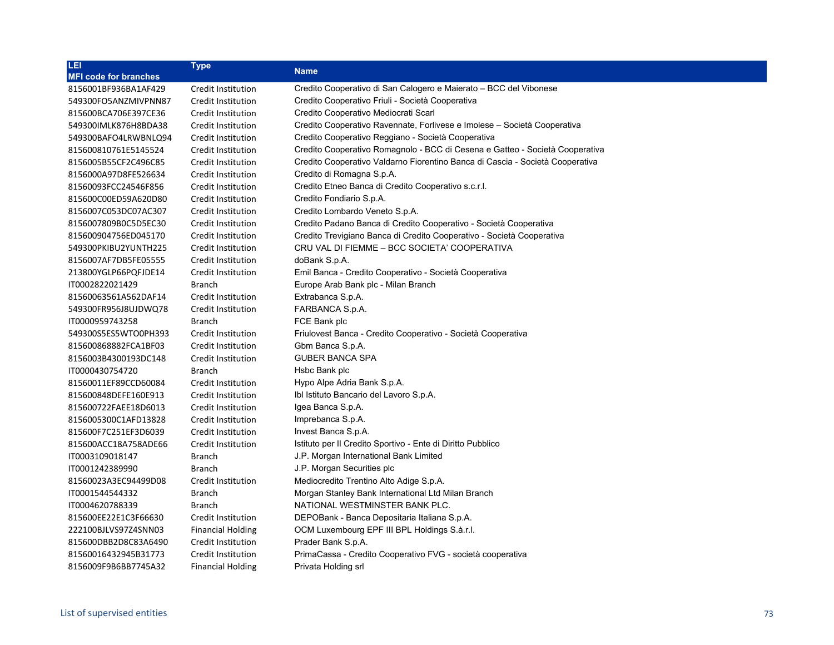| LEI                          | <b>Type</b>              | <b>Name</b>                                                                   |
|------------------------------|--------------------------|-------------------------------------------------------------------------------|
| <b>MFI code for branches</b> |                          |                                                                               |
| 8156001BF936BA1AF429         | Credit Institution       | Credito Cooperativo di San Calogero e Maierato - BCC del Vibonese             |
| 549300FO5ANZMIVPNN87         | Credit Institution       | Credito Cooperativo Friuli - Società Cooperativa                              |
| 815600BCA706E397CE36         | Credit Institution       | Credito Cooperativo Mediocrati Scarl                                          |
| 549300IMLK876H8BDA38         | Credit Institution       | Credito Cooperativo Ravennate, Forlivese e Imolese – Società Cooperativa      |
| 549300BAFO4LRWBNLQ94         | Credit Institution       | Credito Cooperativo Reggiano - Società Cooperativa                            |
| 815600810761E5145524         | Credit Institution       | Credito Cooperativo Romagnolo - BCC di Cesena e Gatteo - Società Cooperativa  |
| 8156005B55CF2C496C85         | Credit Institution       | Credito Cooperativo Valdarno Fiorentino Banca di Cascia - Società Cooperativa |
| 8156000A97D8FE526634         | Credit Institution       | Credito di Romagna S.p.A.                                                     |
| 81560093FCC24546F856         | Credit Institution       | Credito Etneo Banca di Credito Cooperativo s.c.r.l.                           |
| 815600C00ED59A620D80         | Credit Institution       | Credito Fondiario S.p.A.                                                      |
| 8156007C053DC07AC307         | Credit Institution       | Credito Lombardo Veneto S.p.A.                                                |
| 8156007809B0C5D5EC30         | Credit Institution       | Credito Padano Banca di Credito Cooperativo - Società Cooperativa             |
| 815600904756ED045170         | Credit Institution       | Credito Trevigiano Banca di Credito Cooperativo - Società Cooperativa         |
| 549300PKIBU2YUNTH225         | Credit Institution       | CRU VAL DI FIEMME - BCC SOCIETA' COOPERATIVA                                  |
| 8156007AF7DB5FE05555         | Credit Institution       | doBank S.p.A.                                                                 |
| 213800YGLP66PQFJDE14         | Credit Institution       | Emil Banca - Credito Cooperativo - Società Cooperativa                        |
| IT0002822021429              | <b>Branch</b>            | Europe Arab Bank plc - Milan Branch                                           |
| 81560063561A562DAF14         | Credit Institution       | Extrabanca S.p.A.                                                             |
| 549300FR956J8UJDWQ78         | Credit Institution       | FARBANCA S.p.A.                                                               |
| IT0000959743258              | Branch                   | FCE Bank plc                                                                  |
| 549300S5ES5WTO0PH393         | Credit Institution       | Friulovest Banca - Credito Cooperativo - Società Cooperativa                  |
| 815600868882FCA1BF03         | Credit Institution       | Gbm Banca S.p.A.                                                              |
| 8156003B4300193DC148         | Credit Institution       | <b>GUBER BANCA SPA</b>                                                        |
| IT0000430754720              | <b>Branch</b>            | Hsbc Bank plc                                                                 |
| 81560011EF89CCD60084         | Credit Institution       | Hypo Alpe Adria Bank S.p.A.                                                   |
| 815600848DEFE160E913         | Credit Institution       | Ibl Istituto Bancario del Lavoro S.p.A.                                       |
| 815600722FAEE18D6013         | Credit Institution       | Igea Banca S.p.A.                                                             |
| 8156005300C1AFD13828         | Credit Institution       | Imprebanca S.p.A.                                                             |
| 815600F7C251EF3D6039         | Credit Institution       | Invest Banca S.p.A.                                                           |
| 815600ACC18A758ADE66         | Credit Institution       | Istituto per Il Credito Sportivo - Ente di Diritto Pubblico                   |
| IT0003109018147              | <b>Branch</b>            | J.P. Morgan International Bank Limited                                        |
| IT0001242389990              | Branch                   | J.P. Morgan Securities plc                                                    |
| 81560023A3EC94499D08         | Credit Institution       | Mediocredito Trentino Alto Adige S.p.A.                                       |
| IT0001544544332              | Branch                   | Morgan Stanley Bank International Ltd Milan Branch                            |
| IT0004620788339              | Branch                   | NATIONAL WESTMINSTER BANK PLC.                                                |
| 815600EE22E1C3F66630         | Credit Institution       | DEPOBank - Banca Depositaria Italiana S.p.A.                                  |
| 222100BJLVS97Z4SNN03         | <b>Financial Holding</b> | OCM Luxembourg EPF III BPL Holdings S.a.r.l.                                  |
| 815600DBB2D8C83A6490         | Credit Institution       | Prader Bank S.p.A.                                                            |
| 81560016432945B31773         | Credit Institution       | PrimaCassa - Credito Cooperativo FVG - società cooperativa                    |
| 8156009F9B6BB7745A32         | <b>Financial Holding</b> | Privata Holding srl                                                           |
|                              |                          |                                                                               |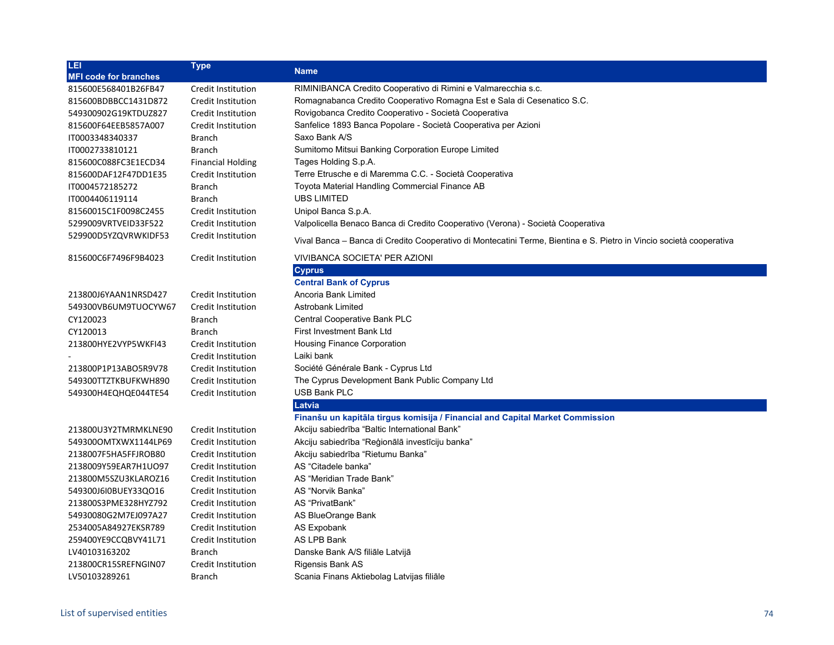| LEI                          | <b>Type</b>               | <b>Name</b>                                                                                                         |
|------------------------------|---------------------------|---------------------------------------------------------------------------------------------------------------------|
| <b>MFI code for branches</b> |                           |                                                                                                                     |
| 815600E568401B26FB47         | Credit Institution        | RIMINIBANCA Credito Cooperativo di Rimini e Valmarecchia s.c.                                                       |
| 815600BDBBCC1431D872         | Credit Institution        | Romagnabanca Credito Cooperativo Romagna Est e Sala di Cesenatico S.C.                                              |
| 549300902G19KTDUZ827         | Credit Institution        | Rovigobanca Credito Cooperativo - Società Cooperativa                                                               |
| 815600F64EEB5857A007         | Credit Institution        | Sanfelice 1893 Banca Popolare - Società Cooperativa per Azioni                                                      |
| IT0003348340337              | <b>Branch</b>             | Saxo Bank A/S                                                                                                       |
| IT0002733810121              | <b>Branch</b>             | Sumitomo Mitsui Banking Corporation Europe Limited                                                                  |
| 815600C088FC3E1ECD34         | <b>Financial Holding</b>  | Tages Holding S.p.A.                                                                                                |
| 815600DAF12F47DD1E35         | Credit Institution        | Terre Etrusche e di Maremma C.C. - Società Cooperativa                                                              |
| IT0004572185272              | <b>Branch</b>             | Toyota Material Handling Commercial Finance AB                                                                      |
| IT0004406119114              | <b>Branch</b>             | <b>UBS LIMITED</b>                                                                                                  |
| 81560015C1F0098C2455         | <b>Credit Institution</b> | Unipol Banca S.p.A.                                                                                                 |
| 5299009VRTVEID33F522         | Credit Institution        | Valpolicella Benaco Banca di Credito Cooperativo (Verona) - Società Cooperativa                                     |
| 529900D5YZQVRWKIDF53         | Credit Institution        | Vival Banca – Banca di Credito Cooperativo di Montecatini Terme, Bientina e S. Pietro in Vincio società cooperativa |
| 815600C6F7496F9B4023         | Credit Institution        | <b>VIVIBANCA SOCIETA' PER AZIONI</b>                                                                                |
|                              |                           | <b>Cyprus</b>                                                                                                       |
|                              |                           | <b>Central Bank of Cyprus</b>                                                                                       |
| 213800J6YAAN1NRSD427         | Credit Institution        | Ancoria Bank Limited                                                                                                |
| 549300VB6UM9TUOCYW67         | Credit Institution        | Astrobank Limited                                                                                                   |
| CY120023                     | <b>Branch</b>             | Central Cooperative Bank PLC                                                                                        |
| CY120013                     | <b>Branch</b>             | First Investment Bank Ltd                                                                                           |
| 213800HYE2VYP5WKFI43         | Credit Institution        | <b>Housing Finance Corporation</b>                                                                                  |
|                              | Credit Institution        | Laiki bank                                                                                                          |
| 213800P1P13ABO5R9V78         | Credit Institution        | Société Générale Bank - Cyprus Ltd                                                                                  |
| 549300TTZTKBUFKWH890         | Credit Institution        | The Cyprus Development Bank Public Company Ltd                                                                      |
| 549300H4EQHQE044TE54         | <b>Credit Institution</b> | <b>USB Bank PLC</b>                                                                                                 |
|                              |                           | Latvia                                                                                                              |
|                              |                           | Finanšu un kapitāla tirgus komisija / Financial and Capital Market Commission                                       |
| 213800U3Y2TMRMKLNE90         | Credit Institution        | Akciju sabiedrība "Baltic International Bank"                                                                       |
| 549300OMTXWX1144LP69         | Credit Institution        | Akciju sabiedrība "Reģionālā investīciju banka"                                                                     |
| 2138007F5HA5FFJROB80         | Credit Institution        | Akciju sabiedrība "Rietumu Banka"                                                                                   |
| 2138009Y59EAR7H1UO97         | Credit Institution        | AS "Citadele banka"                                                                                                 |
| 213800M5SZU3KLAROZ16         | Credit Institution        | AS "Meridian Trade Bank"                                                                                            |
| 549300J6I0BUEY33QO16         | Credit Institution        | AS "Norvik Banka"                                                                                                   |
| 213800S3PME328HYZ792         | Credit Institution        | AS "PrivatBank"                                                                                                     |
| 54930080G2M7EJ097A27         | Credit Institution        | AS BlueOrange Bank                                                                                                  |
| 2534005A84927EKSR789         | Credit Institution        | <b>AS Expobank</b>                                                                                                  |
| 259400YE9CCQBVY41L71         | Credit Institution        | AS LPB Bank                                                                                                         |
| LV40103163202                | <b>Branch</b>             | Danske Bank A/S filiāle Latvijā                                                                                     |
| 213800CR15SREFNGIN07         | Credit Institution        | Rigensis Bank AS                                                                                                    |
| LV50103289261                | <b>Branch</b>             | Scania Finans Aktiebolag Latvijas filiāle                                                                           |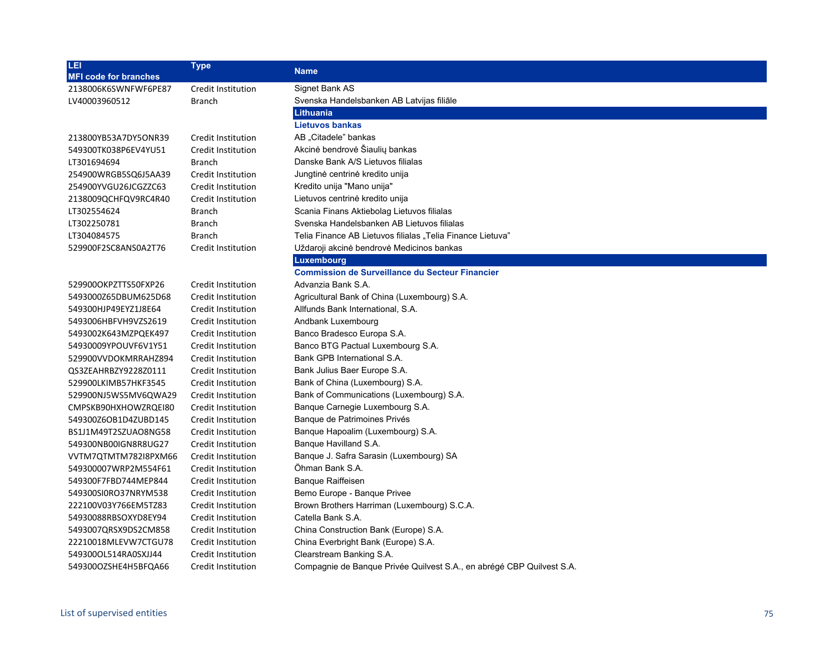| LEI                          | <b>Type</b>               | <b>Name</b>                                                           |
|------------------------------|---------------------------|-----------------------------------------------------------------------|
| <b>MFI code for branches</b> |                           |                                                                       |
| 2138006K6SWNFWF6PE87         | Credit Institution        | Signet Bank AS                                                        |
| LV40003960512                | <b>Branch</b>             | Svenska Handelsbanken AB Latvijas filiāle                             |
|                              |                           | Lithuania                                                             |
|                              |                           | <b>Lietuvos bankas</b>                                                |
| 213800YB53A7DY5ONR39         | Credit Institution        | AB "Citadele" bankas                                                  |
| 549300TK038P6EV4YU51         | Credit Institution        | Akcinė bendrovė Šiaulių bankas                                        |
| LT301694694                  | <b>Branch</b>             | Danske Bank A/S Lietuvos filialas                                     |
| 254900WRGB5SQ6J5AA39         | Credit Institution        | Jungtinė centrinė kredito unija                                       |
| 254900YVGU26JCGZZC63         | Credit Institution        | Kredito unija "Mano unija"                                            |
| 2138009QCHFQV9RC4R40         | Credit Institution        | Lietuvos centrinė kredito unija                                       |
| LT302554624                  | <b>Branch</b>             | Scania Finans Aktiebolag Lietuvos filialas                            |
| LT302250781                  | <b>Branch</b>             | Svenska Handelsbanken AB Lietuvos filialas                            |
| LT304084575                  | <b>Branch</b>             | Telia Finance AB Lietuvos filialas "Telia Finance Lietuva"            |
| 529900F2SC8ANS0A2T76         | Credit Institution        | Uždaroji akcinė bendrovė Medicinos bankas                             |
|                              |                           | <b>Luxembourg</b>                                                     |
|                              |                           | <b>Commission de Surveillance du Secteur Financier</b>                |
| 529900OKPZTTS50FXP26         | Credit Institution        | Advanzia Bank S.A.                                                    |
| 5493000Z65DBUM625D68         | Credit Institution        | Agricultural Bank of China (Luxembourg) S.A.                          |
| 549300HJP49EYZ1J8E64         | Credit Institution        | Allfunds Bank International, S.A.                                     |
| 5493006HBFVH9VZS2619         | Credit Institution        | Andbank Luxembourg                                                    |
| 5493002K643MZPQEK497         | Credit Institution        | Banco Bradesco Europa S.A.                                            |
| 54930009YPOUVF6V1Y51         | Credit Institution        | Banco BTG Pactual Luxembourg S.A.                                     |
| 529900VVDOKMRRAHZ894         | Credit Institution        | Bank GPB International S.A.                                           |
| QS3ZEAHRBZY9228Z0111         | Credit Institution        | Bank Julius Baer Europe S.A.                                          |
| 529900LKIMB57HKF3545         | Credit Institution        | Bank of China (Luxembourg) S.A.                                       |
| 529900NJ5WS5MV6QWA29         | Credit Institution        | Bank of Communications (Luxembourg) S.A.                              |
| CMPSKB90HXHOWZRQEI80         | Credit Institution        | Banque Carnegie Luxembourg S.A.                                       |
| 549300Z6OB1D4ZUBD145         | Credit Institution        | Banque de Patrimoines Privés                                          |
| BS1J1M49T2SZUAO8NG58         | Credit Institution        | Banque Hapoalim (Luxembourg) S.A.                                     |
| 549300NB00IGN8R8UG27         | Credit Institution        | Banque Havilland S.A.                                                 |
| VVTM7QTMTM782I8PXM66         | Credit Institution        | Banque J. Safra Sarasin (Luxembourg) SA                               |
| 549300007WRP2M554F61         | Credit Institution        | Öhman Bank S.A.                                                       |
| 549300F7FBD744MEP844         | Credit Institution        | <b>Banque Raiffeisen</b>                                              |
| 549300SI0RO37NRYM538         | Credit Institution        | Bemo Europe - Banque Privee                                           |
| 222100V03Y766EM5TZ83         | Credit Institution        | Brown Brothers Harriman (Luxembourg) S.C.A.                           |
| 54930088RBSOXYD8EY94         | Credit Institution        | Catella Bank S.A.                                                     |
| 5493007QRSX9DS2CM858         | Credit Institution        | China Construction Bank (Europe) S.A.                                 |
| 22210018MLEVW7CTGU78         | Credit Institution        | China Everbright Bank (Europe) S.A.                                   |
| 549300OL514RA0SXJJ44         | Credit Institution        | Clearstream Banking S.A.                                              |
| 549300OZSHE4H5BFQA66         | <b>Credit Institution</b> | Compagnie de Banque Privée Quilvest S.A., en abrégé CBP Quilvest S.A. |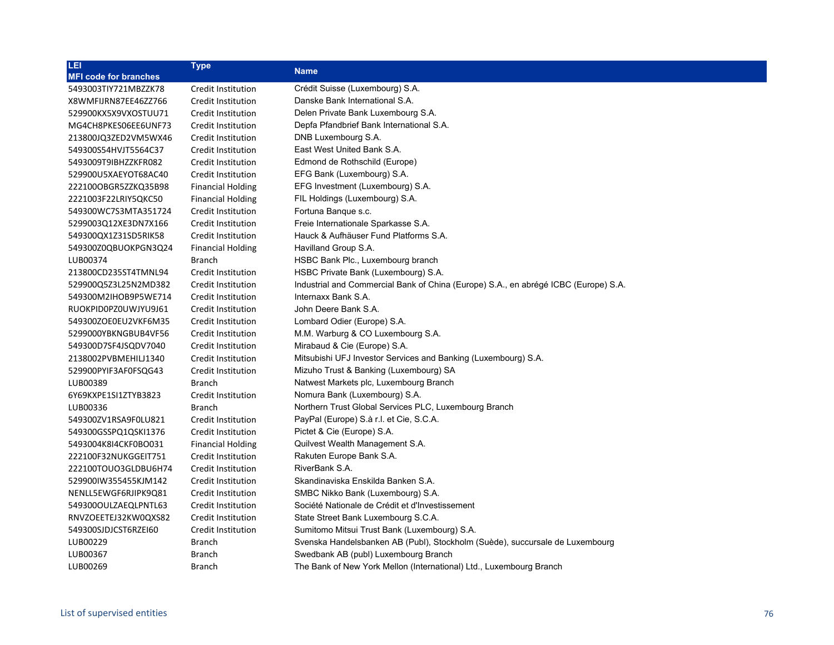| LET.                         | <b>Type</b>               | <b>Name</b>                                                                         |
|------------------------------|---------------------------|-------------------------------------------------------------------------------------|
| <b>MFI code for branches</b> |                           |                                                                                     |
| 5493003TIY721MBZZK78         | Credit Institution        | Crédit Suisse (Luxembourg) S.A.                                                     |
| X8WMFIJRN87EE46ZZ766         | Credit Institution        | Danske Bank International S.A.                                                      |
| 529900KX5X9VXOSTUU71         | Credit Institution        | Delen Private Bank Luxembourg S.A.                                                  |
| MG4CH8PKES06EE6UNF73         | Credit Institution        | Depfa Pfandbrief Bank International S.A.                                            |
| 213800JQ3ZED2VM5WX46         | Credit Institution        | DNB Luxembourg S.A.                                                                 |
| 549300S54HVJT5564C37         | Credit Institution        | East West United Bank S.A.                                                          |
| 5493009T9IBHZZKFR082         | Credit Institution        | Edmond de Rothschild (Europe)                                                       |
| 529900U5XAEYOT68AC40         | Credit Institution        | EFG Bank (Luxembourg) S.A.                                                          |
| 222100OBGR5ZZKQ35B98         | <b>Financial Holding</b>  | EFG Investment (Luxembourg) S.A.                                                    |
| 2221003F22LRIY5QKC50         | <b>Financial Holding</b>  | FIL Holdings (Luxembourg) S.A.                                                      |
| 549300WC7S3MTA351724         | Credit Institution        | Fortuna Banque s.c.                                                                 |
| 5299003Q12XE3DN7X166         | Credit Institution        | Freie Internationale Sparkasse S.A.                                                 |
| 549300QX1Z31SD5RIK58         | Credit Institution        | Hauck & Aufhäuser Fund Platforms S.A.                                               |
| 549300Z0QBUOKPGN3Q24         | <b>Financial Holding</b>  | Havilland Group S.A.                                                                |
| LUB00374                     | Branch                    | HSBC Bank Plc., Luxembourg branch                                                   |
| 213800CD235ST4TMNL94         | Credit Institution        | HSBC Private Bank (Luxembourg) S.A.                                                 |
| 529900Q5Z3L25N2MD382         | Credit Institution        | Industrial and Commercial Bank of China (Europe) S.A., en abrégé ICBC (Europe) S.A. |
| 549300M2IHOB9P5WE714         | Credit Institution        | Internaxx Bank S.A.                                                                 |
| RUOKPID0PZ0UWJYU9J61         | Credit Institution        | John Deere Bank S.A.                                                                |
| 549300ZOE0EU2VKF6M35         | Credit Institution        | Lombard Odier (Europe) S.A.                                                         |
| 5299000YBKNGBUB4VF56         | Credit Institution        | M.M. Warburg & CO Luxembourg S.A.                                                   |
| 549300D7SF4JSQDV7040         | Credit Institution        | Mirabaud & Cie (Europe) S.A.                                                        |
| 2138002PVBMEHILJ1340         | Credit Institution        | Mitsubishi UFJ Investor Services and Banking (Luxembourg) S.A.                      |
| 529900PYIF3AF0FSQG43         | Credit Institution        | Mizuho Trust & Banking (Luxembourg) SA                                              |
| LUB00389                     | <b>Branch</b>             | Natwest Markets plc, Luxembourg Branch                                              |
| 6Y69KXPE1SI1ZTYB3823         | Credit Institution        | Nomura Bank (Luxembourg) S.A.                                                       |
| LUB00336                     | <b>Branch</b>             | Northern Trust Global Services PLC, Luxembourg Branch                               |
| 549300ZV1RSA9F0LU821         | Credit Institution        | PayPal (Europe) S.à r.l. et Cie, S.C.A.                                             |
| 549300GSSPQ1QSKI1376         | Credit Institution        | Pictet & Cie (Europe) S.A.                                                          |
| 5493004K8I4CKF0BO031         | <b>Financial Holding</b>  | Quilvest Wealth Management S.A.                                                     |
| 222100F32NUKGGEIT751         | <b>Credit Institution</b> | Rakuten Europe Bank S.A.                                                            |
| 222100TOUO3GLDBU6H74         | Credit Institution        | RiverBank S.A.                                                                      |
| 529900IW355455KJM142         | Credit Institution        | Skandinaviska Enskilda Banken S.A.                                                  |
| NENLL5EWGF6RJIPK9Q81         | Credit Institution        | SMBC Nikko Bank (Luxembourg) S.A.                                                   |
| 549300OULZAEQLPNTL63         | Credit Institution        | Société Nationale de Crédit et d'Investissement                                     |
| RNVZOEETEJ32KW0QXS82         | Credit Institution        | State Street Bank Luxembourg S.C.A.                                                 |
| 549300SJDJCST6RZEI60         | Credit Institution        | Sumitomo Mitsui Trust Bank (Luxembourg) S.A.                                        |
| LUB00229                     | <b>Branch</b>             | Svenska Handelsbanken AB (Publ), Stockholm (Suède), succursale de Luxembourg        |
| LUB00367                     | <b>Branch</b>             | Swedbank AB (publ) Luxembourg Branch                                                |
| LUB00269                     | <b>Branch</b>             | The Bank of New York Mellon (International) Ltd., Luxembourg Branch                 |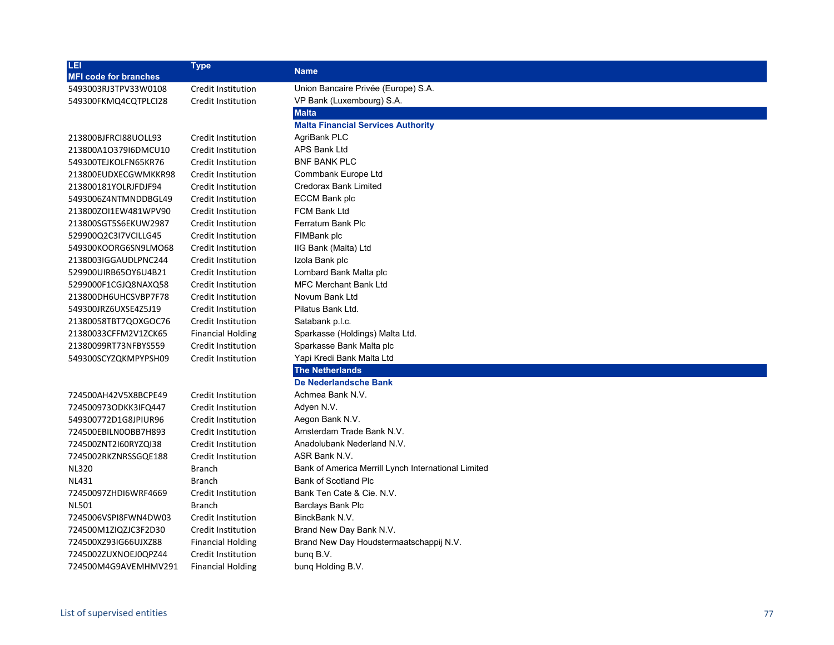| LEI <sup></sup>              | <b>Type</b>               | <b>Name</b>                                         |
|------------------------------|---------------------------|-----------------------------------------------------|
| <b>MFI code for branches</b> |                           |                                                     |
| 5493003RJ3TPV33W0108         | Credit Institution        | Union Bancaire Privée (Europe) S.A.                 |
| 549300FKMQ4CQTPLCI28         | Credit Institution        | VP Bank (Luxembourg) S.A.                           |
|                              |                           | <b>Malta</b>                                        |
|                              |                           | <b>Malta Financial Services Authority</b>           |
| 213800BJFRCI88UOLL93         | Credit Institution        | AgriBank PLC                                        |
| 213800A1O379I6DMCU10         | <b>Credit Institution</b> | <b>APS Bank Ltd</b>                                 |
| 549300TEJKOLFN65KR76         | Credit Institution        | <b>BNF BANK PLC</b>                                 |
| 213800EUDXECGWMKKR98         | Credit Institution        | Commbank Europe Ltd                                 |
| 213800181YOLRJFDJF94         | Credit Institution        | Credorax Bank Limited                               |
| 5493006Z4NTMNDDBGL49         | Credit Institution        | ECCM Bank plc                                       |
| 213800ZOI1EW481WPV90         | Credit Institution        | <b>FCM Bank Ltd</b>                                 |
| 213800SGT5S6EKUW2987         | Credit Institution        | Ferratum Bank Plc                                   |
| 529900Q2C3I7VCILLG45         | Credit Institution        | FIMBank plc                                         |
| 549300KOORG6SN9LMO68         | Credit Institution        | IIG Bank (Malta) Ltd                                |
| 2138003IGGAUDLPNC244         | Credit Institution        | Izola Bank plc                                      |
| 529900UIRB65OY6U4B21         | Credit Institution        | Lombard Bank Malta plc                              |
| 5299000F1CGJQ8NAXQ58         | Credit Institution        | <b>MFC Merchant Bank Ltd</b>                        |
| 213800DH6UHCSVBP7F78         | Credit Institution        | Novum Bank Ltd                                      |
| 549300JRZ6UXSE4Z5J19         | Credit Institution        | Pilatus Bank Ltd.                                   |
| 21380058TBT7QOXGOC76         | Credit Institution        | Satabank p.l.c.                                     |
| 21380033CFFM2V1ZCK65         | <b>Financial Holding</b>  | Sparkasse (Holdings) Malta Ltd.                     |
| 21380099RT73NFBYS559         | Credit Institution        | Sparkasse Bank Malta plc                            |
| 549300SCYZQKMPYPSH09         | <b>Credit Institution</b> | Yapi Kredi Bank Malta Ltd                           |
|                              |                           | <b>The Netherlands</b>                              |
|                              |                           | De Nederlandsche Bank                               |
| 724500AH42V5X8BCPE49         | Credit Institution        | Achmea Bank N.V.                                    |
| 724500973ODKK3IFQ447         | Credit Institution        | Adyen N.V.                                          |
| 549300772D1G8JPIUR96         | Credit Institution        | Aegon Bank N.V.                                     |
| 724500EBILN0OBB7H893         | Credit Institution        | Amsterdam Trade Bank N.V.                           |
| 724500ZNT2I60RYZQI38         | Credit Institution        | Anadolubank Nederland N.V.                          |
| 7245002RKZNRSSGQE188         | <b>Credit Institution</b> | ASR Bank N.V.                                       |
| <b>NL320</b>                 | <b>Branch</b>             | Bank of America Merrill Lynch International Limited |
| <b>NL431</b>                 | <b>Branch</b>             | Bank of Scotland Plc                                |
| 72450097ZHDI6WRF4669         | <b>Credit Institution</b> | Bank Ten Cate & Cie, N.V.                           |
| <b>NL501</b>                 | <b>Branch</b>             | <b>Barclays Bank Plc</b>                            |
| 7245006VSPI8FWN4DW03         | <b>Credit Institution</b> | BinckBank N.V.                                      |
| 724500M1ZIQZJC3F2D30         | Credit Institution        | Brand New Day Bank N.V.                             |
| 724500XZ93IG66UJXZ88         | <b>Financial Holding</b>  | Brand New Day Houdstermaatschappij N.V.             |
| 7245002ZUXNOEJ0QPZ44         | Credit Institution        | bung B.V.                                           |
| 724500M4G9AVEMHMV291         | <b>Financial Holding</b>  | bung Holding B.V.                                   |
|                              |                           |                                                     |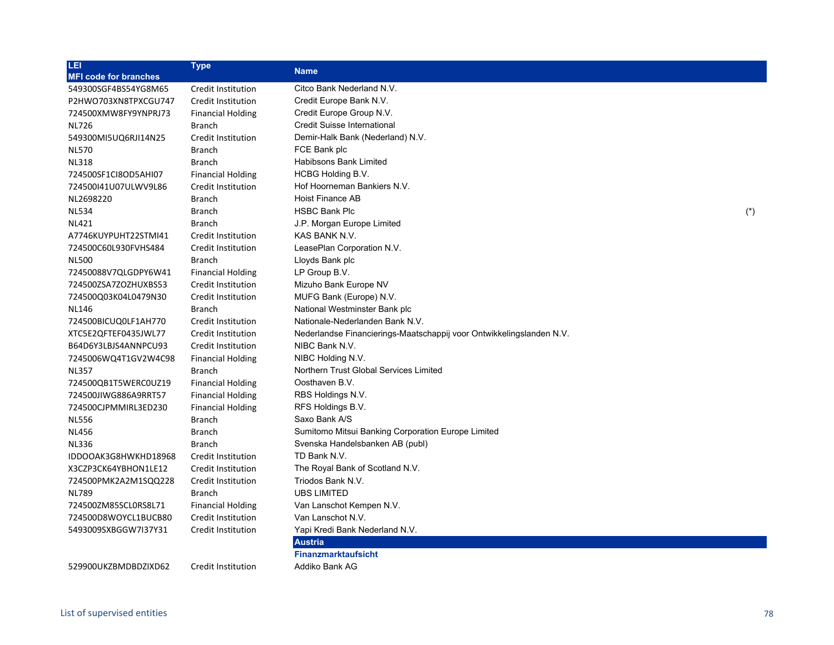| LEI                          | <b>Type</b>               | <b>Name</b>                                                          |       |
|------------------------------|---------------------------|----------------------------------------------------------------------|-------|
| <b>MFI code for branches</b> |                           |                                                                      |       |
| 549300SGF4BS54YG8M65         | Credit Institution        | Citco Bank Nederland N.V.                                            |       |
| P2HWO703XN8TPXCGU747         | Credit Institution        | Credit Europe Bank N.V.                                              |       |
| 724500XMW8FY9YNPRJ73         | <b>Financial Holding</b>  | Credit Europe Group N.V.                                             |       |
| <b>NL726</b>                 | <b>Branch</b>             | Credit Suisse International                                          |       |
| 549300MI5UQ6RJI14N25         | Credit Institution        | Demir-Halk Bank (Nederland) N.V.                                     |       |
| <b>NL570</b>                 | <b>Branch</b>             | FCE Bank plc                                                         |       |
| <b>NL318</b>                 | <b>Branch</b>             | Habibsons Bank Limited                                               |       |
| 724500SF1CI8OD5AHI07         | <b>Financial Holding</b>  | HCBG Holding B.V.                                                    |       |
| 724500141U07ULWV9L86         | Credit Institution        | Hof Hoorneman Bankiers N.V.                                          |       |
| NL2698220                    | <b>Branch</b>             | Hoist Finance AB                                                     |       |
| <b>NL534</b>                 | <b>Branch</b>             | <b>HSBC Bank Plc</b>                                                 | $(*)$ |
| <b>NL421</b>                 | <b>Branch</b>             | J.P. Morgan Europe Limited                                           |       |
| A7746KUYPUHT22STMI41         | Credit Institution        | KAS BANK N.V.                                                        |       |
| 724500C60L930FVHS484         | Credit Institution        | LeasePlan Corporation N.V.                                           |       |
| <b>NL500</b>                 | <b>Branch</b>             | Lloyds Bank plc                                                      |       |
| 72450088V7QLGDPY6W41         | <b>Financial Holding</b>  | LP Group B.V.                                                        |       |
| 724500ZSA7ZOZHUXBS53         | Credit Institution        | Mizuho Bank Europe NV                                                |       |
| 724500Q03K04L0479N30         | Credit Institution        | MUFG Bank (Europe) N.V.                                              |       |
| NL146                        | <b>Branch</b>             | National Westminster Bank plc                                        |       |
| 724500BICUQ0LF1AH770         | Credit Institution        | Nationale-Nederlanden Bank N.V.                                      |       |
| XTC5E2QFTEF0435JWL77         | Credit Institution        | Nederlandse Financierings-Maatschappij voor Ontwikkelingslanden N.V. |       |
| B64D6Y3LBJS4ANNPCU93         | Credit Institution        | NIBC Bank N.V.                                                       |       |
| 7245006WQ4T1GV2W4C98         | <b>Financial Holding</b>  | NIBC Holding N.V.                                                    |       |
| <b>NL357</b>                 | <b>Branch</b>             | Northern Trust Global Services Limited                               |       |
| 724500QB1T5WERC0UZ19         | <b>Financial Holding</b>  | Oosthaven B.V.                                                       |       |
| 724500JIWG886A9RRT57         | <b>Financial Holding</b>  | RBS Holdings N.V.                                                    |       |
| 724500CJPMMIRL3ED230         | <b>Financial Holding</b>  | RFS Holdings B.V.                                                    |       |
| <b>NL556</b>                 | <b>Branch</b>             | Saxo Bank A/S                                                        |       |
| <b>NL456</b>                 | <b>Branch</b>             | Sumitomo Mitsui Banking Corporation Europe Limited                   |       |
| <b>NL336</b>                 | <b>Branch</b>             | Svenska Handelsbanken AB (publ)                                      |       |
| IDDOOAK3G8HWKHD18968         | Credit Institution        | TD Bank N.V.                                                         |       |
| X3CZP3CK64YBHON1LE12         | Credit Institution        | The Royal Bank of Scotland N.V.                                      |       |
| 724500PMK2A2M1SQQ228         | Credit Institution        | Triodos Bank N.V.                                                    |       |
| <b>NL789</b>                 | <b>Branch</b>             | <b>UBS LIMITED</b>                                                   |       |
| 724500ZM85SCL0RS8L71         | <b>Financial Holding</b>  | Van Lanschot Kempen N.V.                                             |       |
| 724500D8WOYCL1BUCB80         | Credit Institution        | Van Lanschot N.V.                                                    |       |
| 5493009SXBGGW7I37Y31         | Credit Institution        | Yapi Kredi Bank Nederland N.V.                                       |       |
|                              |                           | <b>Austria</b>                                                       |       |
|                              |                           | <b>Finanzmarktaufsicht</b>                                           |       |
| 529900UKZBMDBDZIXD62         | <b>Credit Institution</b> | Addiko Bank AG                                                       |       |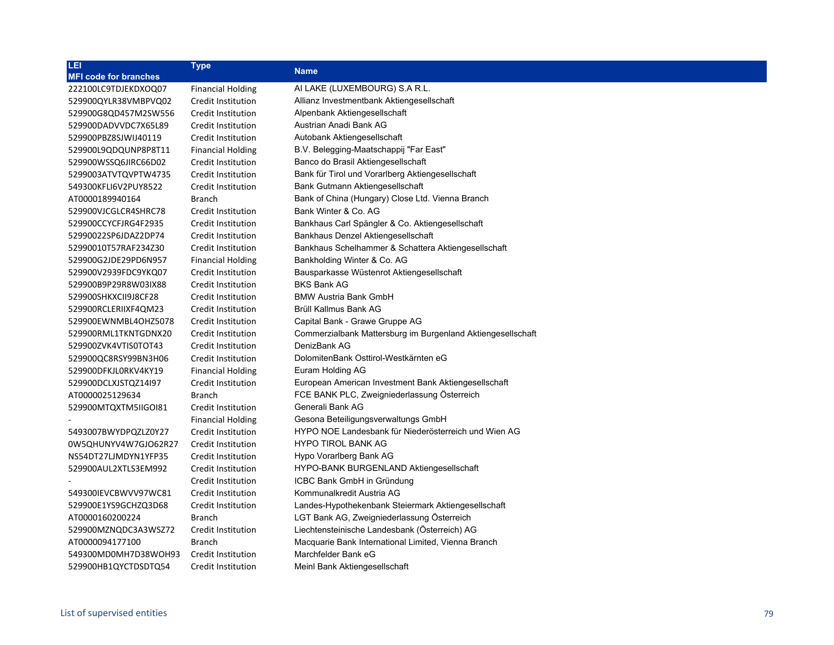| LEI.                         | <b>Type</b>              | <b>Name</b>                                                 |
|------------------------------|--------------------------|-------------------------------------------------------------|
| <b>MFI code for branches</b> |                          |                                                             |
| 222100LC9TDJEKDXOQ07         | <b>Financial Holding</b> | AI LAKE (LUXEMBOURG) S.A R.L.                               |
| 529900QYLR38VMBPVQ02         | Credit Institution       | Allianz Investmentbank Aktiengesellschaft                   |
| 529900G8QD457M2SW556         | Credit Institution       | Alpenbank Aktiengesellschaft                                |
| 529900DADVVDC7X65L89         | Credit Institution       | Austrian Anadi Bank AG                                      |
| 529900PBZ8SJWIJ40119         | Credit Institution       | Autobank Aktiengesellschaft                                 |
| 529900L9QDQUNP8P8T11         | <b>Financial Holding</b> | B.V. Belegging-Maatschappij "Far East"                      |
| 529900WSSQ6JIRC66D02         | Credit Institution       | Banco do Brasil Aktiengesellschaft                          |
| 5299003ATVTQVPTW4735         | Credit Institution       | Bank für Tirol und Vorarlberg Aktiengesellschaft            |
| 549300KFLI6V2PUY8522         | Credit Institution       | Bank Gutmann Aktiengesellschaft                             |
| AT0000189940164              | Branch                   | Bank of China (Hungary) Close Ltd. Vienna Branch            |
| 529900VJCGLCR4SHRC78         | Credit Institution       | Bank Winter & Co. AG                                        |
| 529900CCYCFJRG4F2935         | Credit Institution       | Bankhaus Carl Spängler & Co. Aktiengesellschaft             |
| 52990022SP6JDAZ2DP74         | Credit Institution       | Bankhaus Denzel Aktiengesellschaft                          |
| 52990010T57RAF234Z30         | Credit Institution       | Bankhaus Schelhammer & Schattera Aktiengesellschaft         |
| 529900G2JDE29PD6N957         | <b>Financial Holding</b> | Bankholding Winter & Co. AG                                 |
| 529900V2939FDC9YKQ07         | Credit Institution       | Bausparkasse Wüstenrot Aktiengesellschaft                   |
| 529900B9P29R8W03IX88         | Credit Institution       | <b>BKS Bank AG</b>                                          |
| 529900SHKXCII9J8CF28         | Credit Institution       | <b>BMW Austria Bank GmbH</b>                                |
| 529900RCLERIIXF4QM23         | Credit Institution       | Brüll Kallmus Bank AG                                       |
| 529900EWNMBL4OHZ5078         | Credit Institution       | Capital Bank - Grawe Gruppe AG                              |
| 529900RML1TKNTGDNX20         | Credit Institution       | Commerzialbank Mattersburg im Burgenland Aktiengesellschaft |
| 529900ZVK4VTIS0TOT43         | Credit Institution       | DenizBank AG                                                |
| 529900QC8RSY99BN3H06         | Credit Institution       | DolomitenBank Osttirol-Westkärnten eG                       |
| 529900DFKJL0RKV4KY19         | <b>Financial Holding</b> | Euram Holding AG                                            |
| 529900DCLXJSTQZ14I97         | Credit Institution       | European American Investment Bank Aktiengesellschaft        |
| AT0000025129634              | <b>Branch</b>            | FCE BANK PLC, Zweigniederlassung Österreich                 |
| 529900MTQXTM5IIGOI81         | Credit Institution       | Generali Bank AG                                            |
|                              | <b>Financial Holding</b> | Gesona Beteiligungsverwaltungs GmbH                         |
| 5493007BWYDPQZLZ0Y27         | Credit Institution       | HYPO NOE Landesbank für Niederösterreich und Wien AG        |
| 0W5QHUNYV4W7GJO62R27         | Credit Institution       | <b>HYPO TIROL BANK AG</b>                                   |
| NS54DT27LJMDYN1YFP35         | Credit Institution       | Hypo Vorarlberg Bank AG                                     |
| 529900AUL2XTLS3EM992         | Credit Institution       | HYPO-BANK BURGENLAND Aktiengesellschaft                     |
|                              | Credit Institution       | ICBC Bank GmbH in Gründung                                  |
| 549300IEVCBWVV97WC81         | Credit Institution       | Kommunalkredit Austria AG                                   |
| 529900E1YS9GCHZQ3D68         | Credit Institution       | Landes-Hypothekenbank Steiermark Aktiengesellschaft         |
| AT0000160200224              | <b>Branch</b>            | LGT Bank AG, Zweigniederlassung Österreich                  |
| 529900MZNQDC3A3WSZ72         | Credit Institution       | Liechtensteinische Landesbank (Österreich) AG               |
| AT0000094177100              | <b>Branch</b>            | Macquarie Bank International Limited, Vienna Branch         |
| 549300MD0MH7D38WOH93         | Credit Institution       | Marchfelder Bank eG                                         |
| 529900HB1QYCTDSDTQ54         | Credit Institution       | Meinl Bank Aktiengesellschaft                               |
|                              |                          |                                                             |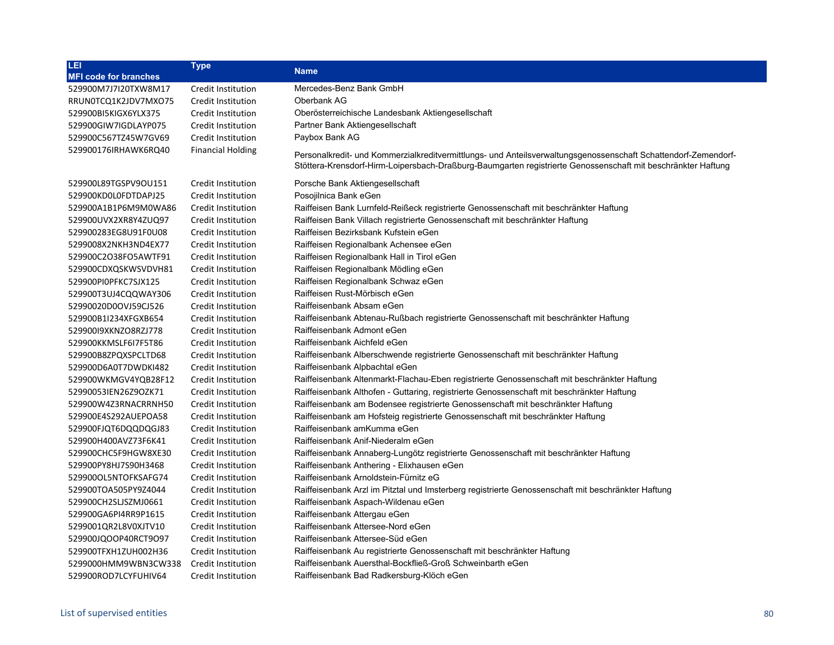| <b>Type</b>               | <b>Name</b>                                                                                                                                                                                                                    |
|---------------------------|--------------------------------------------------------------------------------------------------------------------------------------------------------------------------------------------------------------------------------|
|                           |                                                                                                                                                                                                                                |
| Credit Institution        | Mercedes-Benz Bank GmbH                                                                                                                                                                                                        |
| Credit Institution        | Oberbank AG                                                                                                                                                                                                                    |
| Credit Institution        | Oberösterreichische Landesbank Aktiengesellschaft                                                                                                                                                                              |
| Credit Institution        | Partner Bank Aktiengesellschaft                                                                                                                                                                                                |
| Credit Institution        | Paybox Bank AG                                                                                                                                                                                                                 |
| <b>Financial Holding</b>  | Personalkredit- und Kommerzialkreditvermittlungs- und Anteilsverwaltungsgenossenschaft Schattendorf-Zemendorf-<br>Stöttera-Krensdorf-Hirm-Loipersbach-Draßburg-Baumgarten registrierte Genossenschaft mit beschränkter Haftung |
| Credit Institution        | Porsche Bank Aktiengesellschaft                                                                                                                                                                                                |
| Credit Institution        | Posojilnica Bank eGen                                                                                                                                                                                                          |
| Credit Institution        | Raiffeisen Bank Lurnfeld-Reißeck registrierte Genossenschaft mit beschränkter Haftung                                                                                                                                          |
| Credit Institution        | Raiffeisen Bank Villach registrierte Genossenschaft mit beschränkter Haftung                                                                                                                                                   |
| <b>Credit Institution</b> | Raiffeisen Bezirksbank Kufstein eGen                                                                                                                                                                                           |
| Credit Institution        | Raiffeisen Regionalbank Achensee eGen                                                                                                                                                                                          |
| Credit Institution        | Raiffeisen Regionalbank Hall in Tirol eGen                                                                                                                                                                                     |
| Credit Institution        | Raiffeisen Regionalbank Mödling eGen                                                                                                                                                                                           |
| Credit Institution        | Raiffeisen Regionalbank Schwaz eGen                                                                                                                                                                                            |
| Credit Institution        | Raiffeisen Rust-Mörbisch eGen                                                                                                                                                                                                  |
| Credit Institution        | Raiffeisenbank Absam eGen                                                                                                                                                                                                      |
| <b>Credit Institution</b> | Raiffeisenbank Abtenau-Rußbach registrierte Genossenschaft mit beschränkter Haftung                                                                                                                                            |
| <b>Credit Institution</b> | Raiffeisenbank Admont eGen                                                                                                                                                                                                     |
| Credit Institution        | Raiffeisenbank Aichfeld eGen                                                                                                                                                                                                   |
| Credit Institution        | Raiffeisenbank Alberschwende registrierte Genossenschaft mit beschränkter Haftung                                                                                                                                              |
| Credit Institution        | Raiffeisenbank Alpbachtal eGen                                                                                                                                                                                                 |
| Credit Institution        | Raiffeisenbank Altenmarkt-Flachau-Eben registrierte Genossenschaft mit beschränkter Haftung                                                                                                                                    |
| Credit Institution        | Raiffeisenbank Althofen - Guttaring, registrierte Genossenschaft mit beschränkter Haftung                                                                                                                                      |
| Credit Institution        | Raiffeisenbank am Bodensee registrierte Genossenschaft mit beschränkter Haftung                                                                                                                                                |
| Credit Institution        | Raiffeisenbank am Hofsteig registrierte Genossenschaft mit beschränkter Haftung                                                                                                                                                |
| Credit Institution        | Raiffeisenbank amKumma eGen                                                                                                                                                                                                    |
| Credit Institution        | Raiffeisenbank Anif-Niederalm eGen                                                                                                                                                                                             |
| Credit Institution        | Raiffeisenbank Annaberg-Lungötz registrierte Genossenschaft mit beschränkter Haftung                                                                                                                                           |
| Credit Institution        | Raiffeisenbank Anthering - Elixhausen eGen                                                                                                                                                                                     |
| Credit Institution        | Raiffeisenbank Arnoldstein-Fürnitz eG                                                                                                                                                                                          |
| Credit Institution        | Raiffeisenbank Arzl im Pitztal und Imsterberg registrierte Genossenschaft mit beschränkter Haftung                                                                                                                             |
| Credit Institution        | Raiffeisenbank Aspach-Wildenau eGen                                                                                                                                                                                            |
| Credit Institution        | Raiffeisenbank Attergau eGen                                                                                                                                                                                                   |
| Credit Institution        | Raiffeisenbank Attersee-Nord eGen                                                                                                                                                                                              |
| Credit Institution        | Raiffeisenbank Attersee-Süd eGen                                                                                                                                                                                               |
| Credit Institution        | Raiffeisenbank Au registrierte Genossenschaft mit beschränkter Haftung                                                                                                                                                         |
| Credit Institution        | Raiffeisenbank Auersthal-Bockfließ-Groß Schweinbarth eGen                                                                                                                                                                      |
| <b>Credit Institution</b> | Raiffeisenbank Bad Radkersburg-Klöch eGen                                                                                                                                                                                      |
|                           |                                                                                                                                                                                                                                |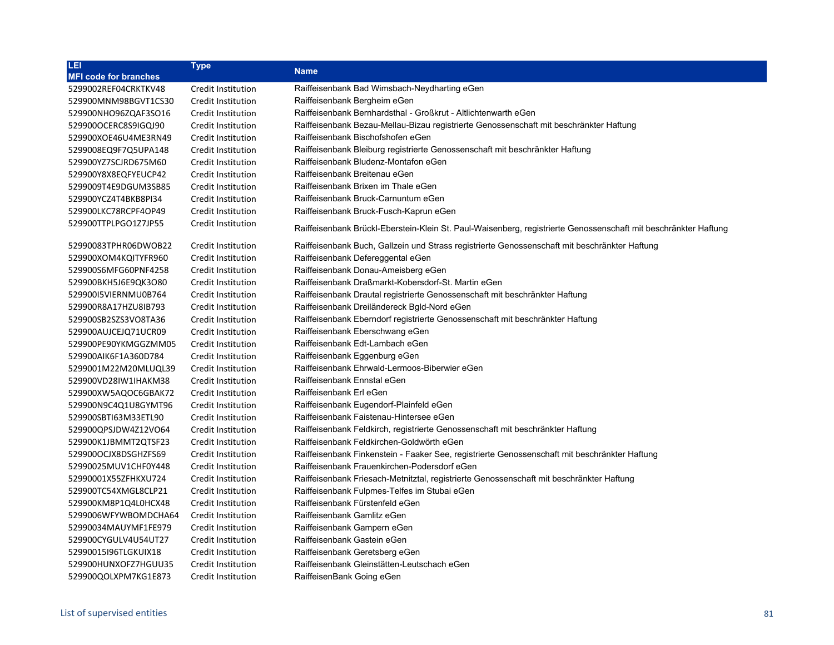| LEI                          | <b>Type</b>               |                                                                                                                 |
|------------------------------|---------------------------|-----------------------------------------------------------------------------------------------------------------|
| <b>MFI code for branches</b> |                           | <b>Name</b>                                                                                                     |
| 5299002REF04CRKTKV48         | Credit Institution        | Raiffeisenbank Bad Wimsbach-Neydharting eGen                                                                    |
| 529900MNM98BGVT1CS30         | Credit Institution        | Raiffeisenbank Bergheim eGen                                                                                    |
| 529900NHO96ZQAF3SO16         | Credit Institution        | Raiffeisenbank Bernhardsthal - Großkrut - Altlichtenwarth eGen                                                  |
| 529900OCERC8S9IGQJ90         | Credit Institution        | Raiffeisenbank Bezau-Mellau-Bizau registrierte Genossenschaft mit beschränkter Haftung                          |
| 529900XOE46U4ME3RN49         | Credit Institution        | Raiffeisenbank Bischofshofen eGen                                                                               |
| 5299008EQ9F7Q5UPA148         | Credit Institution        | Raiffeisenbank Bleiburg registrierte Genossenschaft mit beschränkter Haftung                                    |
| 529900YZ7SCJRD675M60         | Credit Institution        | Raiffeisenbank Bludenz-Montafon eGen                                                                            |
| 529900Y8X8EQFYEUCP42         | Credit Institution        | Raiffeisenbank Breitenau eGen                                                                                   |
| 5299009T4E9DGUM3SB85         | Credit Institution        | Raiffeisenbank Brixen im Thale eGen                                                                             |
| 529900YCZ4T4BKB8PI34         | <b>Credit Institution</b> | Raiffeisenbank Bruck-Carnuntum eGen                                                                             |
| 529900LKC78RCPF4OP49         | Credit Institution        | Raiffeisenbank Bruck-Fusch-Kaprun eGen                                                                          |
| 529900TTPLPGO1Z7JP55         | Credit Institution        | Raiffeisenbank Brückl-Eberstein-Klein St. Paul-Waisenberg, registrierte Genossenschaft mit beschränkter Haftung |
| 52990083TPHR06DWOB22         | Credit Institution        | Raiffeisenbank Buch, Gallzein und Strass registrierte Genossenschaft mit beschränkter Haftung                   |
| 529900XOM4KQITYFR960         | Credit Institution        | Raiffeisenbank Defereggental eGen                                                                               |
| 529900S6MFG60PNF4258         | Credit Institution        | Raiffeisenbank Donau-Ameisberg eGen                                                                             |
| 529900BKH5J6E9QK3O80         | Credit Institution        | Raiffeisenbank Draßmarkt-Kobersdorf-St. Martin eGen                                                             |
| 52990015VIERNMU0B764         | Credit Institution        | Raiffeisenbank Drautal registrierte Genossenschaft mit beschränkter Haftung                                     |
| 529900R8A17HZU8IB793         | Credit Institution        | Raiffeisenbank Dreiländereck Bgld-Nord eGen                                                                     |
| 529900SB2SZS3VO8TA36         | Credit Institution        | Raiffeisenbank Eberndorf registrierte Genossenschaft mit beschränkter Haftung                                   |
| 529900AUJCEJQ71UCR09         | Credit Institution        | Raiffeisenbank Eberschwang eGen                                                                                 |
| 529900PE90YKMGGZMM05         | Credit Institution        | Raiffeisenbank Edt-Lambach eGen                                                                                 |
| 529900AIK6F1A360D784         | Credit Institution        | Raiffeisenbank Eggenburg eGen                                                                                   |
| 5299001M22M20MLUQL39         | Credit Institution        | Raiffeisenbank Ehrwald-Lermoos-Biberwier eGen                                                                   |
| 529900VD28IW1IHAKM38         | Credit Institution        | Raiffeisenbank Ennstal eGen                                                                                     |
| 529900XW5AQOC6GBAK72         | Credit Institution        | Raiffeisenbank Erl eGen                                                                                         |
| 529900N9C4Q1U8GYMT96         | Credit Institution        | Raiffeisenbank Eugendorf-Plainfeld eGen                                                                         |
| 529900SBTI63M33ETL90         | Credit Institution        | Raiffeisenbank Faistenau-Hintersee eGen                                                                         |
| 529900QPSJDW4Z12VO64         | Credit Institution        | Raiffeisenbank Feldkirch, registrierte Genossenschaft mit beschränkter Haftung                                  |
| 529900K1JBMMT2QTSF23         | Credit Institution        | Raiffeisenbank Feldkirchen-Goldwörth eGen                                                                       |
| 529900OCJX8DSGHZFS69         | Credit Institution        | Raiffeisenbank Finkenstein - Faaker See, registrierte Genossenschaft mit beschränkter Haftung                   |
| 52990025MUV1CHF0Y448         | Credit Institution        | Raiffeisenbank Frauenkirchen-Podersdorf eGen                                                                    |
| 52990001X55ZFHKXU724         | Credit Institution        | Raiffeisenbank Friesach-Metnitztal, registrierte Genossenschaft mit beschränkter Haftung                        |
| 529900TC54XMGL8CLP21         | Credit Institution        | Raiffeisenbank Fulpmes-Telfes im Stubai eGen                                                                    |
| 529900KM8P1Q4L0HCX48         | Credit Institution        | Raiffeisenbank Fürstenfeld eGen                                                                                 |
| 5299006WFYWBOMDCHA64         | Credit Institution        | Raiffeisenbank Gamlitz eGen                                                                                     |
| 52990034MAUYMF1FE979         | <b>Credit Institution</b> | Raiffeisenbank Gampern eGen                                                                                     |
| 529900CYGULV4U54UT27         | Credit Institution        | Raiffeisenbank Gastein eGen                                                                                     |
| 52990015I96TLGKUIX18         | Credit Institution        | Raiffeisenbank Geretsberg eGen                                                                                  |
| 529900HUNXOFZ7HGUU35         | Credit Institution        | Raiffeisenbank Gleinstätten-Leutschach eGen                                                                     |
| 529900QOLXPM7KG1E873         | Credit Institution        | RaiffeisenBank Going eGen                                                                                       |
|                              |                           |                                                                                                                 |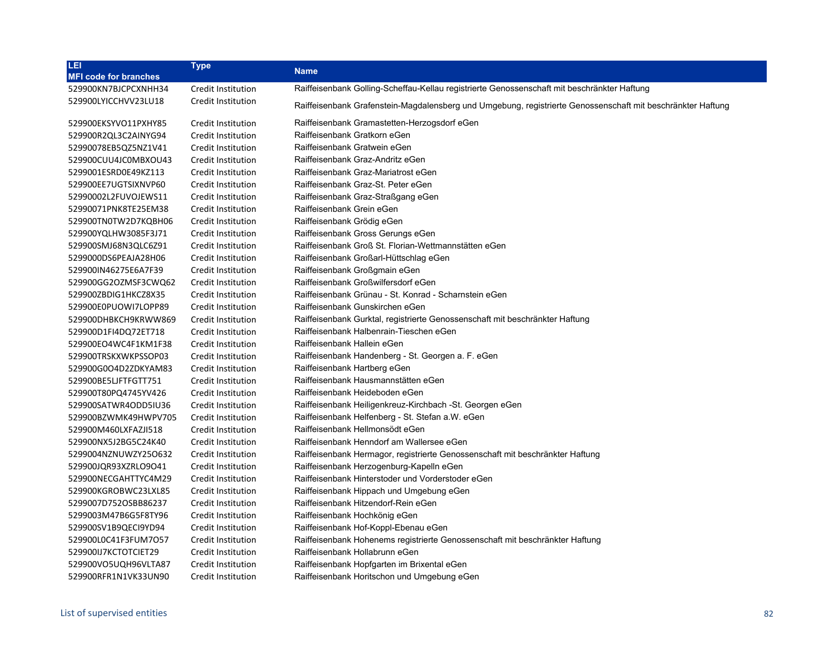| LEI                          | <b>Type</b>               | <b>Name</b>                                                                                                 |
|------------------------------|---------------------------|-------------------------------------------------------------------------------------------------------------|
| <b>MFI code for branches</b> |                           |                                                                                                             |
| 529900KN7BJCPCXNHH34         | Credit Institution        | Raiffeisenbank Golling-Scheffau-Kellau registrierte Genossenschaft mit beschränkter Haftung                 |
| 529900LYICCHVV23LU18         | <b>Credit Institution</b> | Raiffeisenbank Grafenstein-Magdalensberg und Umgebung, registrierte Genossenschaft mit beschränkter Haftung |
| 529900EKSYVO11PXHY85         | Credit Institution        | Raiffeisenbank Gramastetten-Herzogsdorf eGen                                                                |
| 529900R2QL3C2AINYG94         | Credit Institution        | Raiffeisenbank Gratkorn eGen                                                                                |
| 52990078EB5QZ5NZ1V41         | Credit Institution        | Raiffeisenbank Gratwein eGen                                                                                |
| 529900CUU4JC0MBXOU43         | Credit Institution        | Raiffeisenbank Graz-Andritz eGen                                                                            |
| 5299001ESRD0E49KZ113         | Credit Institution        | Raiffeisenbank Graz-Mariatrost eGen                                                                         |
| 529900EE7UGTSIXNVP60         | Credit Institution        | Raiffeisenbank Graz-St. Peter eGen                                                                          |
| 52990002L2FUVOJEWS11         | Credit Institution        | Raiffeisenbank Graz-Straßgang eGen                                                                          |
| 52990071PNK8TE25EM38         | Credit Institution        | Raiffeisenbank Grein eGen                                                                                   |
| 529900TN0TW2D7KQBH06         | Credit Institution        | Raiffeisenbank Grödig eGen                                                                                  |
| 529900YQLHW3085F3J71         | Credit Institution        | Raiffeisenbank Gross Gerungs eGen                                                                           |
| 529900SMJ68N3QLC6Z91         | Credit Institution        | Raiffeisenbank Groß St. Florian-Wettmannstätten eGen                                                        |
| 5299000DS6PEAJA28H06         | Credit Institution        | Raiffeisenbank Großarl-Hüttschlag eGen                                                                      |
| 529900IN46275E6A7F39         | Credit Institution        | Raiffeisenbank Großgmain eGen                                                                               |
| 529900GG2OZMSF3CWQ62         | Credit Institution        | Raiffeisenbank Großwilfersdorf eGen                                                                         |
| 529900ZBDIG1HKCZ8X35         | Credit Institution        | Raiffeisenbank Grünau - St. Konrad - Scharnstein eGen                                                       |
| 529900E0PUOWI7LOPP89         | Credit Institution        | Raiffeisenbank Gunskirchen eGen                                                                             |
| 529900DHBKCH9KRWW869         | Credit Institution        | Raiffeisenbank Gurktal, registrierte Genossenschaft mit beschränkter Haftung                                |
| 529900D1FI4DQ72ET718         | Credit Institution        | Raiffeisenbank Halbenrain-Tieschen eGen                                                                     |
| 529900EO4WC4F1KM1F38         | Credit Institution        | Raiffeisenbank Hallein eGen                                                                                 |
| 529900TRSKXWKPSSOP03         | Credit Institution        | Raiffeisenbank Handenberg - St. Georgen a. F. eGen                                                          |
| 529900G0O4D2ZDKYAM83         | Credit Institution        | Raiffeisenbank Hartberg eGen                                                                                |
| 529900BE5LJFTFGTT751         | Credit Institution        | Raiffeisenbank Hausmannstätten eGen                                                                         |
| 529900T80PQ4745YV426         | Credit Institution        | Raiffeisenbank Heideboden eGen                                                                              |
| 529900SATWR4ODD5IU36         | Credit Institution        | Raiffeisenbank Heiligenkreuz-Kirchbach -St. Georgen eGen                                                    |
| 529900BZWMK49HWPV705         | Credit Institution        | Raiffeisenbank Helfenberg - St. Stefan a.W. eGen                                                            |
| 529900M460LXFAZJI518         | Credit Institution        | Raiffeisenbank Hellmonsödt eGen                                                                             |
| 529900NX5J2BG5C24K40         | Credit Institution        | Raiffeisenbank Henndorf am Wallersee eGen                                                                   |
| 5299004NZNUWZY25O632         | Credit Institution        | Raiffeisenbank Hermagor, registrierte Genossenschaft mit beschränkter Haftung                               |
| 529900JQR93XZRLO9O41         | Credit Institution        | Raiffeisenbank Herzogenburg-Kapelln eGen                                                                    |
| 529900NECGAHTTYC4M29         | Credit Institution        | Raiffeisenbank Hinterstoder und Vorderstoder eGen                                                           |
| 529900KGROBWC23LXL85         | Credit Institution        | Raiffeisenbank Hippach und Umgebung eGen                                                                    |
| 5299007D752OSBB86237         | Credit Institution        | Raiffeisenbank Hitzendorf-Rein eGen                                                                         |
| 5299003M47B6G5F8TY96         | Credit Institution        | Raiffeisenbank Hochkönig eGen                                                                               |
| 529900SV1B9QECI9YD94         | Credit Institution        | Raiffeisenbank Hof-Koppl-Ebenau eGen                                                                        |
| 529900L0C41F3FUM7O57         | <b>Credit Institution</b> | Raiffeisenbank Hohenems registrierte Genossenschaft mit beschränkter Haftung                                |
| 529900IJ7KCTOTCIET29         | Credit Institution        | Raiffeisenbank Hollabrunn eGen                                                                              |
| 529900VO5UQH96VLTA87         | Credit Institution        | Raiffeisenbank Hopfgarten im Brixental eGen                                                                 |
| 529900RFR1N1VK33UN90         | Credit Institution        | Raiffeisenbank Horitschon und Umgebung eGen                                                                 |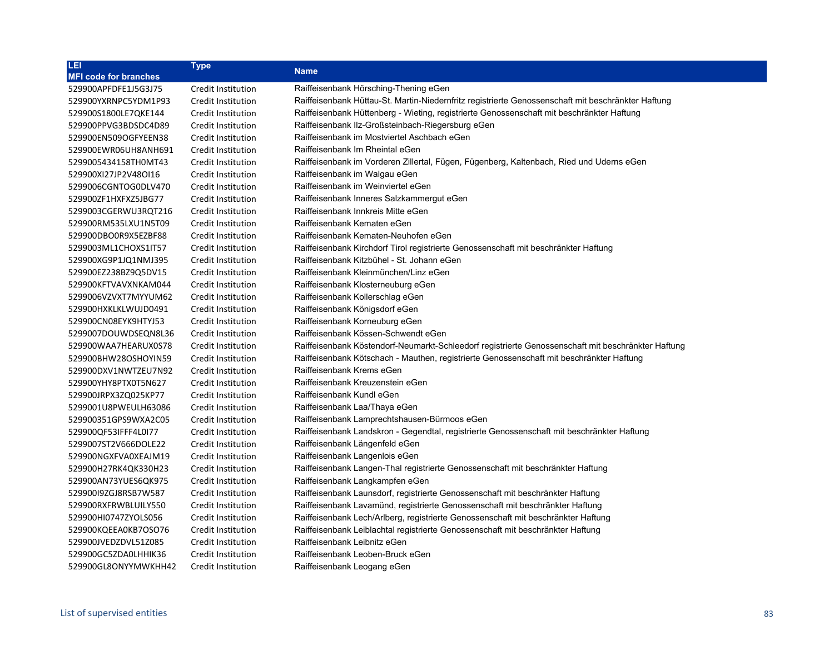| LEI                          | <b>Type</b>        | <b>Name</b>                                                                                        |
|------------------------------|--------------------|----------------------------------------------------------------------------------------------------|
| <b>MFI code for branches</b> |                    |                                                                                                    |
| 529900APFDFE1J5G3J75         | Credit Institution | Raiffeisenbank Hörsching-Thening eGen                                                              |
| 529900YXRNPC5YDM1P93         | Credit Institution | Raiffeisenbank Hüttau-St. Martin-Niedernfritz registrierte Genossenschaft mit beschränkter Haftung |
| 529900S1800LE7QKE144         | Credit Institution | Raiffeisenbank Hüttenberg - Wieting, registrierte Genossenschaft mit beschränkter Haftung          |
| 529900PPVG3BDSDC4D89         | Credit Institution | Raiffeisenbank IIz-Großsteinbach-Riegersburg eGen                                                  |
| 529900EN509OGFYEEN38         | Credit Institution | Raiffeisenbank im Mostviertel Aschbach eGen                                                        |
| 529900EWR06UH8ANH691         | Credit Institution | Raiffeisenbank Im Rheintal eGen                                                                    |
| 5299005434158TH0MT43         | Credit Institution | Raiffeisenbank im Vorderen Zillertal, Fügen, Fügenberg, Kaltenbach, Ried und Uderns eGen           |
| 529900XI27JP2V48OI16         | Credit Institution | Raiffeisenbank im Walgau eGen                                                                      |
| 5299006CGNTOG0DLV470         | Credit Institution | Raiffeisenbank im Weinviertel eGen                                                                 |
| 529900ZF1HXFXZ5JBG77         | Credit Institution | Raiffeisenbank Inneres Salzkammergut eGen                                                          |
| 5299003CGERWU3RQT216         | Credit Institution | Raiffeisenbank Innkreis Mitte eGen                                                                 |
| 529900RM535LXU1N5T09         | Credit Institution | Raiffeisenbank Kematen eGen                                                                        |
| 529900DBO0R9X5EZBF88         | Credit Institution | Raiffeisenbank Kematen-Neuhofen eGen                                                               |
| 5299003ML1CHOXS1IT57         | Credit Institution | Raiffeisenbank Kirchdorf Tirol registrierte Genossenschaft mit beschränkter Haftung                |
| 529900XG9P1JQ1NMJ395         | Credit Institution | Raiffeisenbank Kitzbühel - St. Johann eGen                                                         |
| 529900EZ238BZ9Q5DV15         | Credit Institution | Raiffeisenbank Kleinmünchen/Linz eGen                                                              |
| 529900KFTVAVXNKAM044         | Credit Institution | Raiffeisenbank Klosterneuburg eGen                                                                 |
| 5299006VZVXT7MYYUM62         | Credit Institution | Raiffeisenbank Kollerschlag eGen                                                                   |
| 529900HXKLKLWUJD0491         | Credit Institution | Raiffeisenbank Königsdorf eGen                                                                     |
| 529900CN08EYK9HTYJ53         | Credit Institution | Raiffeisenbank Korneuburg eGen                                                                     |
| 5299007DOUWDSEQN8L36         | Credit Institution | Raiffeisenbank Kössen-Schwendt eGen                                                                |
| 529900WAA7HEARUX0S78         | Credit Institution | Raiffeisenbank Köstendorf-Neumarkt-Schleedorf registrierte Genossenschaft mit beschränkter Haftung |
| 529900BHW28OSHOYIN59         | Credit Institution | Raiffeisenbank Kötschach - Mauthen, registrierte Genossenschaft mit beschränkter Haftung           |
| 529900DXV1NWTZEU7N92         | Credit Institution | Raiffeisenbank Krems eGen                                                                          |
| 529900YHY8PTX0T5N627         | Credit Institution | Raiffeisenbank Kreuzenstein eGen                                                                   |
| 529900JRPX3ZQ025KP77         | Credit Institution | Raiffeisenbank Kundl eGen                                                                          |
| 5299001U8PWEULH63086         | Credit Institution | Raiffeisenbank Laa/Thaya eGen                                                                      |
| 529900351GPS9WXA2C05         | Credit Institution | Raiffeisenbank Lamprechtshausen-Bürmoos eGen                                                       |
| 529900QF53IFFF4L0I77         | Credit Institution | Raiffeisenbank Landskron - Gegendtal, registrierte Genossenschaft mit beschränkter Haftung         |
| 5299007ST2V666DOLE22         | Credit Institution | Raiffeisenbank Längenfeld eGen                                                                     |
| 529900NGXFVA0XEAJM19         | Credit Institution | Raiffeisenbank Langenlois eGen                                                                     |
| 529900H27RK4QK330H23         | Credit Institution | Raiffeisenbank Langen-Thal registrierte Genossenschaft mit beschränkter Haftung                    |
| 529900AN73YUES6QK975         | Credit Institution | Raiffeisenbank Langkampfen eGen                                                                    |
| 52990019ZGJ8RSB7W587         | Credit Institution | Raiffeisenbank Launsdorf, registrierte Genossenschaft mit beschränkter Haftung                     |
| 529900RXFRWBLUILY550         | Credit Institution | Raiffeisenbank Lavamünd, registrierte Genossenschaft mit beschränkter Haftung                      |
| 529900HI0747ZYOLS056         | Credit Institution | Raiffeisenbank Lech/Arlberg, registrierte Genossenschaft mit beschränkter Haftung                  |
| 529900KQEEA0KB7OSO76         | Credit Institution | Raiffeisenbank Leiblachtal registrierte Genossenschaft mit beschränkter Haftung                    |
| 529900JVEDZDVL51Z085         | Credit Institution | Raiffeisenbank Leibnitz eGen                                                                       |
| 529900GC5ZDA0LHHIK36         | Credit Institution | Raiffeisenbank Leoben-Bruck eGen                                                                   |
| 529900GL8ONYYMWKHH42         | Credit Institution | Raiffeisenbank Leogang eGen                                                                        |
|                              |                    |                                                                                                    |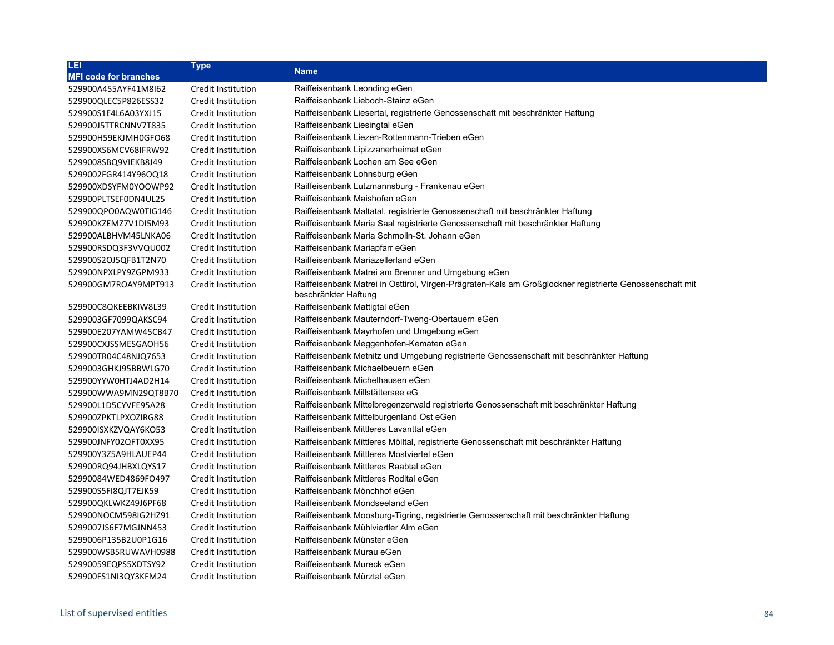| <b>Type</b>               |                                                                                                                                  |
|---------------------------|----------------------------------------------------------------------------------------------------------------------------------|
|                           | <b>Name</b>                                                                                                                      |
| Credit Institution        | Raiffeisenbank Leonding eGen                                                                                                     |
| Credit Institution        | Raiffeisenbank Lieboch-Stainz eGen                                                                                               |
| Credit Institution        | Raiffeisenbank Liesertal, registrierte Genossenschaft mit beschränkter Haftung                                                   |
| Credit Institution        | Raiffeisenbank Liesingtal eGen                                                                                                   |
| Credit Institution        | Raiffeisenbank Liezen-Rottenmann-Trieben eGen                                                                                    |
| Credit Institution        | Raiffeisenbank Lipizzanerheimat eGen                                                                                             |
| Credit Institution        | Raiffeisenbank Lochen am See eGen                                                                                                |
| Credit Institution        | Raiffeisenbank Lohnsburg eGen                                                                                                    |
| Credit Institution        | Raiffeisenbank Lutzmannsburg - Frankenau eGen                                                                                    |
| Credit Institution        | Raiffeisenbank Maishofen eGen                                                                                                    |
| Credit Institution        | Raiffeisenbank Maltatal, registrierte Genossenschaft mit beschränkter Haftung                                                    |
| Credit Institution        | Raiffeisenbank Maria Saal registrierte Genossenschaft mit beschränkter Haftung                                                   |
| Credit Institution        | Raiffeisenbank Maria Schmolln-St. Johann eGen                                                                                    |
| <b>Credit Institution</b> | Raiffeisenbank Mariapfarr eGen                                                                                                   |
| Credit Institution        | Raiffeisenbank Mariazellerland eGen                                                                                              |
| Credit Institution        | Raiffeisenbank Matrei am Brenner und Umgebung eGen                                                                               |
| Credit Institution        | Raiffeisenbank Matrei in Osttirol, Virgen-Prägraten-Kals am Großglockner registrierte Genossenschaft mit<br>beschränkter Haftung |
| Credit Institution        | Raiffeisenbank Mattigtal eGen                                                                                                    |
| Credit Institution        | Raiffeisenbank Mauterndorf-Tweng-Obertauern eGen                                                                                 |
| Credit Institution        | Raiffeisenbank Mayrhofen und Umgebung eGen                                                                                       |
| Credit Institution        | Raiffeisenbank Meggenhofen-Kematen eGen                                                                                          |
| Credit Institution        | Raiffeisenbank Metnitz und Umgebung registrierte Genossenschaft mit beschränkter Haftung                                         |
| Credit Institution        | Raiffeisenbank Michaelbeuern eGen                                                                                                |
| Credit Institution        | Raiffeisenbank Michelhausen eGen                                                                                                 |
| Credit Institution        | Raiffeisenbank Millstättersee eG                                                                                                 |
| Credit Institution        | Raiffeisenbank Mittelbregenzerwald registrierte Genossenschaft mit beschränkter Haftung                                          |
| Credit Institution        | Raiffeisenbank Mittelburgenland Ost eGen                                                                                         |
| Credit Institution        | Raiffeisenbank Mittleres Lavanttal eGen                                                                                          |
| Credit Institution        | Raiffeisenbank Mittleres Mölltal, registrierte Genossenschaft mit beschränkter Haftung                                           |
| Credit Institution        | Raiffeisenbank Mittleres Mostviertel eGen                                                                                        |
| Credit Institution        | Raiffeisenbank Mittleres Raabtal eGen                                                                                            |
| Credit Institution        | Raiffeisenbank Mittleres Rodital eGen                                                                                            |
| Credit Institution        | Raiffeisenbank Mönchhof eGen                                                                                                     |
| Credit Institution        | Raiffeisenbank Mondseeland eGen                                                                                                  |
| Credit Institution        | Raiffeisenbank Moosburg-Tigring, registrierte Genossenschaft mit beschränkter Haftung                                            |
| Credit Institution        | Raiffeisenbank Mühlviertler Alm eGen                                                                                             |
| Credit Institution        | Raiffeisenbank Münster eGen                                                                                                      |
| Credit Institution        | Raiffeisenbank Murau eGen                                                                                                        |
| Credit Institution        | Raiffeisenbank Mureck eGen                                                                                                       |
| Credit Institution        | Raiffeisenbank Mürztal eGen                                                                                                      |
|                           |                                                                                                                                  |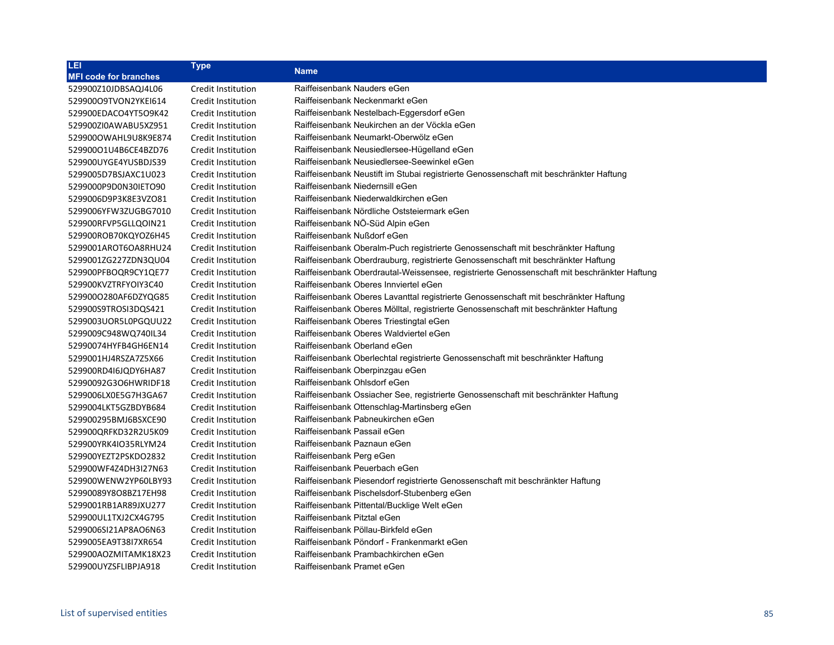| LEI                          | <b>Type</b>               | <b>Name</b>                                                                                 |
|------------------------------|---------------------------|---------------------------------------------------------------------------------------------|
| <b>MFI code for branches</b> |                           |                                                                                             |
| 529900Z10JDBSAQJ4L06         | Credit Institution        | Raiffeisenbank Nauders eGen                                                                 |
| 52990009TVON2YKEI614         | Credit Institution        | Raiffeisenbank Neckenmarkt eGen                                                             |
| 529900EDACO4YT5O9K42         | Credit Institution        | Raiffeisenbank Nestelbach-Eggersdorf eGen                                                   |
| 529900ZI0AWABU5XZ951         | Credit Institution        | Raiffeisenbank Neukirchen an der Vöckla eGen                                                |
| 5299000WAHL9U8K9E874         | Credit Institution        | Raiffeisenbank Neumarkt-Oberwölz eGen                                                       |
| 529900O1U4B6CE4BZD76         | Credit Institution        | Raiffeisenbank Neusiedlersee-Hügelland eGen                                                 |
| 529900UYGE4YUSBDJS39         | Credit Institution        | Raiffeisenbank Neusiedlersee-Seewinkel eGen                                                 |
| 5299005D7BSJAXC1U023         | Credit Institution        | Raiffeisenbank Neustift im Stubai registrierte Genossenschaft mit beschränkter Haftung      |
| 5299000P9D0N30IETO90         | Credit Institution        | Raiffeisenbank Niedernsill eGen                                                             |
| 5299006D9P3K8E3VZO81         | Credit Institution        | Raiffeisenbank Niederwaldkirchen eGen                                                       |
| 5299006YFW3ZUGBG7010         | Credit Institution        | Raiffeisenbank Nördliche Oststeiermark eGen                                                 |
| 529900RFVP5GLLQOIN21         | Credit Institution        | Raiffeisenbank NO-Süd Alpin eGen                                                            |
| 529900ROB70KQYOZ6H45         | Credit Institution        | Raiffeisenbank Nußdorf eGen                                                                 |
| 5299001AROT6OA8RHU24         | <b>Credit Institution</b> | Raiffeisenbank Oberalm-Puch registrierte Genossenschaft mit beschränkter Haftung            |
| 5299001ZG227ZDN3QU04         | Credit Institution        | Raiffeisenbank Oberdrauburg, registrierte Genossenschaft mit beschränkter Haftung           |
| 529900PFBOQR9CY1QE77         | Credit Institution        | Raiffeisenbank Oberdrautal-Weissensee, registrierte Genossenschaft mit beschränkter Haftung |
| 529900KVZTRFYOIY3C40         | Credit Institution        | Raiffeisenbank Oberes Innviertel eGen                                                       |
| 529900O280AF6DZYQG85         | Credit Institution        | Raiffeisenbank Oberes Lavanttal registrierte Genossenschaft mit beschränkter Haftung        |
| 529900S9TROSI3DQS421         | Credit Institution        | Raiffeisenbank Oberes Mölltal, registrierte Genossenschaft mit beschränkter Haftung         |
| 5299003UOR5L0PGQUU22         | Credit Institution        | Raiffeisenbank Oberes Triestingtal eGen                                                     |
| 5299009C948WQ740IL34         | Credit Institution        | Raiffeisenbank Oberes Waldviertel eGen                                                      |
| 52990074HYFB4GH6EN14         | Credit Institution        | Raiffeisenbank Oberland eGen                                                                |
| 5299001HJ4RSZA7Z5X66         | <b>Credit Institution</b> | Raiffeisenbank Oberlechtal registrierte Genossenschaft mit beschränkter Haftung             |
| 529900RD4I6JQDY6HA87         | Credit Institution        | Raiffeisenbank Oberpinzgau eGen                                                             |
| 52990092G3O6HWRIDF18         | Credit Institution        | Raiffeisenbank Ohlsdorf eGen                                                                |
| 5299006LX0E5G7H3GA67         | Credit Institution        | Raiffeisenbank Ossiacher See, registrierte Genossenschaft mit beschränkter Haftung          |
| 5299004LKT5GZBDYB684         | Credit Institution        | Raiffeisenbank Ottenschlag-Martinsberg eGen                                                 |
| 529900295BMJ6BSXCE90         | Credit Institution        | Raiffeisenbank Pabneukirchen eGen                                                           |
| 529900QRFKD32R2U5K09         | Credit Institution        | Raiffeisenbank Passail eGen                                                                 |
| 529900YRK4IO35RLYM24         | Credit Institution        | Raiffeisenbank Paznaun eGen                                                                 |
| 529900YEZT2PSKDO2832         | Credit Institution        | Raiffeisenbank Perg eGen                                                                    |
| 529900WF4Z4DH3I27N63         | <b>Credit Institution</b> | Raiffeisenbank Peuerbach eGen                                                               |
| 529900WENW2YP60LBY93         | Credit Institution        | Raiffeisenbank Piesendorf registrierte Genossenschaft mit beschränkter Haftung              |
| 52990089Y8O8BZ17EH98         | Credit Institution        | Raiffeisenbank Pischelsdorf-Stubenberg eGen                                                 |
| 5299001RB1AR89JXU277         | Credit Institution        | Raiffeisenbank Pittental/Bucklige Welt eGen                                                 |
| 529900UL1TXJ2CX4G795         | Credit Institution        | Raiffeisenbank Pitztal eGen                                                                 |
| 5299006SI21AP8AO6N63         | Credit Institution        | Raiffeisenbank Pöllau-Birkfeld eGen                                                         |
| 5299005EA9T38I7XR654         | Credit Institution        | Raiffeisenbank Pöndorf - Frankenmarkt eGen                                                  |
| 529900AOZMITAMK18X23         | <b>Credit Institution</b> | Raiffeisenbank Prambachkirchen eGen                                                         |
| 529900UYZSFLIBPJA918         | Credit Institution        | Raiffeisenbank Pramet eGen                                                                  |
|                              |                           |                                                                                             |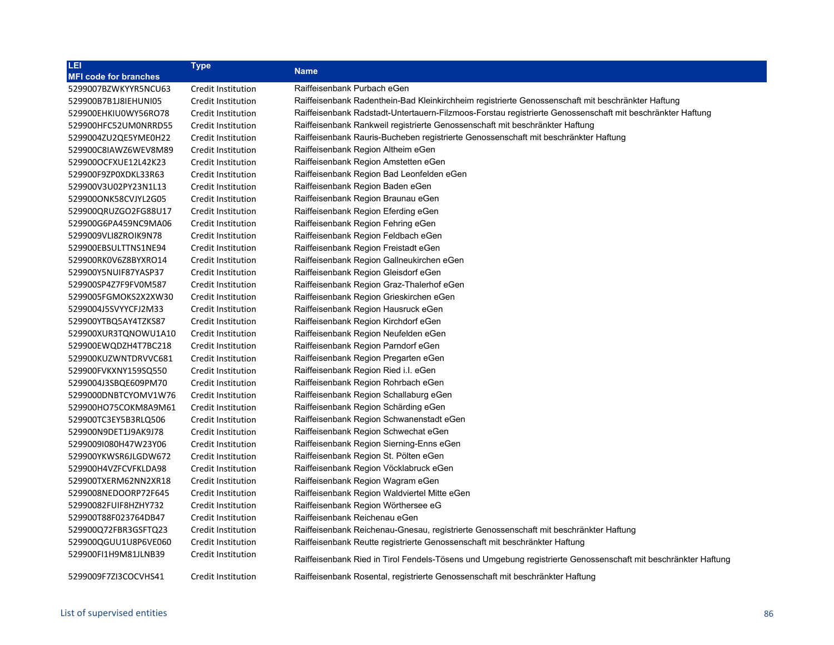| LEI                          | <b>Type</b>        |                                                                                                               |
|------------------------------|--------------------|---------------------------------------------------------------------------------------------------------------|
| <b>MFI code for branches</b> |                    | <b>Name</b>                                                                                                   |
| 5299007BZWKYYR5NCU63         | Credit Institution | Raiffeisenbank Purbach eGen                                                                                   |
| 529900B7B1J8IEHUNI05         | Credit Institution | Raiffeisenbank Radenthein-Bad Kleinkirchheim registrierte Genossenschaft mit beschränkter Haftung             |
| 529900EHKIU0WY56RO78         | Credit Institution | Raiffeisenbank Radstadt-Untertauern-Filzmoos-Forstau registrierte Genossenschaft mit beschränkter Haftung     |
| 529900HFC52UM0NRRD55         | Credit Institution | Raiffeisenbank Rankweil registrierte Genossenschaft mit beschränkter Haftung                                  |
| 5299004ZU2QE5YME0H22         | Credit Institution | Raiffeisenbank Rauris-Bucheben registrierte Genossenschaft mit beschränkter Haftung                           |
| 529900C8IAWZ6WEV8M89         | Credit Institution | Raiffeisenbank Region Altheim eGen                                                                            |
| 529900OCFXUE12L42K23         | Credit Institution | Raiffeisenbank Region Amstetten eGen                                                                          |
| 529900F9ZP0XDKL33R63         | Credit Institution | Raiffeisenbank Region Bad Leonfelden eGen                                                                     |
| 529900V3U02PY23N1L13         | Credit Institution | Raiffeisenbank Region Baden eGen                                                                              |
| 529900ONK58CVJYL2G05         | Credit Institution | Raiffeisenbank Region Braunau eGen                                                                            |
| 529900QRUZGO2FG88U17         | Credit Institution | Raiffeisenbank Region Eferding eGen                                                                           |
| 529900G6PA459NC9MA06         | Credit Institution | Raiffeisenbank Region Fehring eGen                                                                            |
| 5299009VLI8ZROIK9N78         | Credit Institution | Raiffeisenbank Region Feldbach eGen                                                                           |
| 529900EBSULTTNS1NE94         | Credit Institution | Raiffeisenbank Region Freistadt eGen                                                                          |
| 529900RK0V6Z8BYXRO14         | Credit Institution | Raiffeisenbank Region Gallneukirchen eGen                                                                     |
| 529900Y5NUIF87YASP37         | Credit Institution | Raiffeisenbank Region Gleisdorf eGen                                                                          |
| 529900SP4Z7F9FV0M587         | Credit Institution | Raiffeisenbank Region Graz-Thalerhof eGen                                                                     |
| 5299005FGMOKS2X2XW30         | Credit Institution | Raiffeisenbank Region Grieskirchen eGen                                                                       |
| 5299004J5SVYYCFJ2M33         | Credit Institution | Raiffeisenbank Region Hausruck eGen                                                                           |
| 529900YTBQ5AY4TZKS87         | Credit Institution | Raiffeisenbank Region Kirchdorf eGen                                                                          |
| 529900XUR3TQNOWU1A10         | Credit Institution | Raiffeisenbank Region Neufelden eGen                                                                          |
| 529900EWQDZH4T7BC218         | Credit Institution | Raiffeisenbank Region Parndorf eGen                                                                           |
| 529900KUZWNTDRVVC681         | Credit Institution | Raiffeisenbank Region Pregarten eGen                                                                          |
| 529900FVKXNY159SQ550         | Credit Institution | Raiffeisenbank Region Ried i.l. eGen                                                                          |
| 5299004J3SBQE609PM70         | Credit Institution | Raiffeisenbank Region Rohrbach eGen                                                                           |
| 5299000DNBTCYOMV1W76         | Credit Institution | Raiffeisenbank Region Schallaburg eGen                                                                        |
| 529900HO75COKM8A9M61         | Credit Institution | Raiffeisenbank Region Schärding eGen                                                                          |
| 529900TC3EY5B3RLQ506         | Credit Institution | Raiffeisenbank Region Schwanenstadt eGen                                                                      |
| 529900N9DET1J9AK9J78         | Credit Institution | Raiffeisenbank Region Schwechat eGen                                                                          |
| 5299009I080H47W23Y06         | Credit Institution | Raiffeisenbank Region Sierning-Enns eGen                                                                      |
| 529900YKWSR6JLGDW672         | Credit Institution | Raiffeisenbank Region St. Pölten eGen                                                                         |
| 529900H4VZFCVFKLDA98         | Credit Institution | Raiffeisenbank Region Vöcklabruck eGen                                                                        |
| 529900TXERM62NN2XR18         | Credit Institution | Raiffeisenbank Region Wagram eGen                                                                             |
| 5299008NEDOORP72F645         | Credit Institution | Raiffeisenbank Region Waldviertel Mitte eGen                                                                  |
| 52990082FUIF8HZHY732         | Credit Institution | Raiffeisenbank Region Wörthersee eG                                                                           |
| 529900T88F023764DB47         | Credit Institution | Raiffeisenbank Reichenau eGen                                                                                 |
| 529900Q72FBR3GSFTQ23         | Credit Institution | Raiffeisenbank Reichenau-Gnesau, registrierte Genossenschaft mit beschränkter Haftung                         |
| 529900QGUU1U8P6VE060         | Credit Institution | Raiffeisenbank Reutte registrierte Genossenschaft mit beschränkter Haftung                                    |
| 529900FI1H9M81JLNB39         | Credit Institution | Raiffeisenbank Ried in Tirol Fendels-Tösens und Umgebung registrierte Genossenschaft mit beschränkter Haftung |
| 5299009F7ZI3COCVHS41         | Credit Institution | Raiffeisenbank Rosental, registrierte Genossenschaft mit beschränkter Haftung                                 |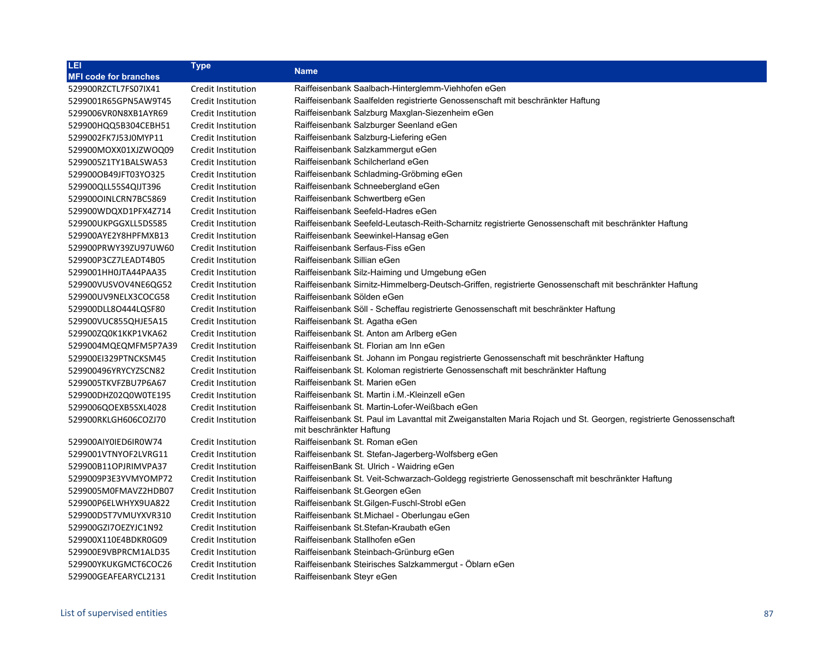| LEI                          | <b>Type</b>        | <b>Name</b>                                                                                                       |
|------------------------------|--------------------|-------------------------------------------------------------------------------------------------------------------|
| <b>MFI code for branches</b> |                    |                                                                                                                   |
| 529900RZCTL7FS07IX41         | Credit Institution | Raiffeisenbank Saalbach-Hinterglemm-Viehhofen eGen                                                                |
| 5299001R65GPN5AW9T45         | Credit Institution | Raiffeisenbank Saalfelden registrierte Genossenschaft mit beschränkter Haftung                                    |
| 5299006VR0N8XB1AYR69         | Credit Institution | Raiffeisenbank Salzburg Maxglan-Siezenheim eGen                                                                   |
| 529900HQQ5B304CEBH51         | Credit Institution | Raiffeisenbank Salzburger Seenland eGen                                                                           |
| 5299002FK7J53J0MYP11         | Credit Institution | Raiffeisenbank Salzburg-Liefering eGen                                                                            |
| 529900MOXX01XJZWOQ09         | Credit Institution | Raiffeisenbank Salzkammergut eGen                                                                                 |
| 5299005Z1TY1BALSWA53         | Credit Institution | Raiffeisenbank Schilcherland eGen                                                                                 |
| 529900OB49JFT03YO325         | Credit Institution | Raiffeisenbank Schladming-Gröbming eGen                                                                           |
| 529900QLL55S4QIJT396         | Credit Institution | Raiffeisenbank Schneebergland eGen                                                                                |
| 5299000INLCRN7BC5869         | Credit Institution | Raiffeisenbank Schwertberg eGen                                                                                   |
| 529900WDQXD1PFX4Z714         | Credit Institution | Raiffeisenbank Seefeld-Hadres eGen                                                                                |
| 529900UKPGGXLL5DS585         | Credit Institution | Raiffeisenbank Seefeld-Leutasch-Reith-Scharnitz registrierte Genossenschaft mit beschränkter Haftung              |
| 529900AYE2Y8HPFMXB13         | Credit Institution | Raiffeisenbank Seewinkel-Hansag eGen                                                                              |
| 529900PRWY39ZU97UW60         | Credit Institution | Raiffeisenbank Serfaus-Fiss eGen                                                                                  |
| 529900P3CZ7LEADT4B05         | Credit Institution | Raiffeisenbank Sillian eGen                                                                                       |
| 5299001HH0JTA44PAA35         | Credit Institution | Raiffeisenbank Silz-Haiming und Umgebung eGen                                                                     |
| 529900VUSVOV4NE6QG52         | Credit Institution | Raiffeisenbank Sirnitz-Himmelberg-Deutsch-Griffen, registrierte Genossenschaft mit beschränkter Haftung           |
| 529900UV9NELX3COCG58         | Credit Institution | Raiffeisenbank Sölden eGen                                                                                        |
| 529900DLL8O444LQSF80         | Credit Institution | Raiffeisenbank Söll - Scheffau registrierte Genossenschaft mit beschränkter Haftung                               |
| 529900VUC855QHJE5A15         | Credit Institution | Raiffeisenbank St. Agatha eGen                                                                                    |
| 529900ZQ0K1KKP1VKA62         | Credit Institution | Raiffeisenbank St. Anton am Arlberg eGen                                                                          |
| 5299004MQEQMFM5P7A39         | Credit Institution | Raiffeisenbank St. Florian am Inn eGen                                                                            |
| 529900EI329PTNCKSM45         | Credit Institution | Raiffeisenbank St. Johann im Pongau registrierte Genossenschaft mit beschränkter Haftung                          |
| 529900496YRYCYZSCN82         | Credit Institution | Raiffeisenbank St. Koloman registrierte Genossenschaft mit beschränkter Haftung                                   |
| 5299005TKVFZBU7P6A67         | Credit Institution | Raiffeisenbank St. Marien eGen                                                                                    |
| 529900DHZ02Q0W0TE195         | Credit Institution | Raiffeisenbank St. Martin i.M.-Kleinzell eGen                                                                     |
| 5299006QOEXB5SXL4028         | Credit Institution | Raiffeisenbank St. Martin-Lofer-Weißbach eGen                                                                     |
| 529900RKLGH606COZJ70         | Credit Institution | Raiffeisenbank St. Paul im Lavanttal mit Zweiganstalten Maria Rojach und St. Georgen, registrierte Genossenschaft |
|                              |                    | mit beschränkter Haftung                                                                                          |
| 529900AIYOIED6IR0W74         | Credit Institution | Raiffeisenbank St. Roman eGen                                                                                     |
| 5299001VTNYOF2LVRG11         | Credit Institution | Raiffeisenbank St. Stefan-Jagerberg-Wolfsberg eGen                                                                |
| 529900B11OPJRIMVPA37         | Credit Institution | RaiffeisenBank St. Ulrich - Waidring eGen                                                                         |
| 5299009P3E3YVMYOMP72         | Credit Institution | Raiffeisenbank St. Veit-Schwarzach-Goldegg registrierte Genossenschaft mit beschränkter Haftung                   |
| 5299005M0FMAVZ2HDB07         | Credit Institution | Raiffeisenbank St.Georgen eGen                                                                                    |
| 529900P6ELWHYX9UA822         | Credit Institution | Raiffeisenbank St.Gilgen-Fuschl-Strobl eGen                                                                       |
| 529900D5T7VMUYXVR310         | Credit Institution | Raiffeisenbank St. Michael - Oberlungau eGen                                                                      |
| 529900GZI7OEZYJC1N92         | Credit Institution | Raiffeisenbank St. Stefan-Kraubath eGen                                                                           |
| 529900X110E4BDKR0G09         | Credit Institution | Raiffeisenbank Stallhofen eGen                                                                                    |
| 529900E9VBPRCM1ALD35         | Credit Institution | Raiffeisenbank Steinbach-Grünburg eGen                                                                            |
| 529900YKUKGMCT6COC26         | Credit Institution | Raiffeisenbank Steirisches Salzkammergut - Öblarn eGen                                                            |
| 529900GEAFEARYCL2131         | Credit Institution | Raiffeisenbank Steyr eGen                                                                                         |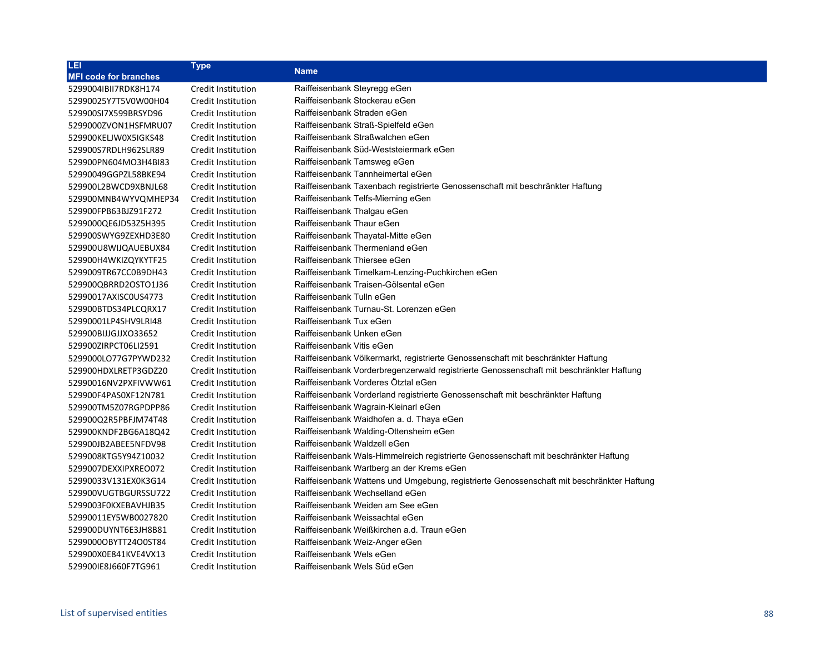| LEI                          | <b>Type</b>        | <b>Name</b>                                                                               |
|------------------------------|--------------------|-------------------------------------------------------------------------------------------|
| <b>MFI code for branches</b> |                    |                                                                                           |
| 5299004IBII7RDK8H174         | Credit Institution | Raiffeisenbank Steyregg eGen                                                              |
| 52990025Y7T5V0W00H04         | Credit Institution | Raiffeisenbank Stockerau eGen                                                             |
| 529900SI7X599BRSYD96         | Credit Institution | Raiffeisenbank Straden eGen                                                               |
| 5299000ZVON1HSFMRU07         | Credit Institution | Raiffeisenbank Straß-Spielfeld eGen                                                       |
| 529900KELJW0X5IGKS48         | Credit Institution | Raiffeisenbank Straßwalchen eGen                                                          |
| 529900S7RDLH962SLR89         | Credit Institution | Raiffeisenbank Süd-Weststeiermark eGen                                                    |
| 529900PN604MO3H4BI83         | Credit Institution | Raiffeisenbank Tamsweg eGen                                                               |
| 52990049GGPZL58BKE94         | Credit Institution | Raiffeisenbank Tannheimertal eGen                                                         |
| 529900L2BWCD9XBNJL68         | Credit Institution | Raiffeisenbank Taxenbach registrierte Genossenschaft mit beschränkter Haftung             |
| 529900MNB4WYVQMHEP34         | Credit Institution | Raiffeisenbank Telfs-Mieming eGen                                                         |
| 529900FPB63BJZ91F272         | Credit Institution | Raiffeisenbank Thalgau eGen                                                               |
| 5299000QE6JD53Z5H395         | Credit Institution | Raiffeisenbank Thaur eGen                                                                 |
| 529900SWYG9ZEXHD3E80         | Credit Institution | Raiffeisenbank Thayatal-Mitte eGen                                                        |
| 529900U8WIJQAUEBUX84         | Credit Institution | Raiffeisenbank Thermenland eGen                                                           |
| 529900H4WKIZQYKYTF25         | Credit Institution | Raiffeisenbank Thiersee eGen                                                              |
| 5299009TR67CC0B9DH43         | Credit Institution | Raiffeisenbank Timelkam-Lenzing-Puchkirchen eGen                                          |
| 529900QBRRD2OSTO1J36         | Credit Institution | Raiffeisenbank Traisen-Gölsental eGen                                                     |
| 52990017AXISC0US4773         | Credit Institution | Raiffeisenbank Tulln eGen                                                                 |
| 529900BTDS34PLCQRX17         | Credit Institution | Raiffeisenbank Turnau-St. Lorenzen eGen                                                   |
| 52990001LP4SHV9LRI48         | Credit Institution | Raiffeisenbank Tux eGen                                                                   |
| 529900BIJJGJJXO33652         | Credit Institution | Raiffeisenbank Unken eGen                                                                 |
| 529900ZIRPCT06LI2591         | Credit Institution | Raiffeisenbank Vitis eGen                                                                 |
| 5299000LO77G7PYWD232         | Credit Institution | Raiffeisenbank Völkermarkt, registrierte Genossenschaft mit beschränkter Haftung          |
| 529900HDXLRETP3GDZ20         | Credit Institution | Raiffeisenbank Vorderbregenzerwald registrierte Genossenschaft mit beschränkter Haftung   |
| 52990016NV2PXFIVWW61         | Credit Institution | Raiffeisenbank Vorderes Ötztal eGen                                                       |
| 529900F4PAS0XF12N781         | Credit Institution | Raiffeisenbank Vorderland registrierte Genossenschaft mit beschränkter Haftung            |
| 529900TM5Z07RGPDPP86         | Credit Institution | Raiffeisenbank Wagrain-Kleinarl eGen                                                      |
| 529900Q2R5PBFJM74T48         | Credit Institution | Raiffeisenbank Waidhofen a. d. Thaya eGen                                                 |
| 529900KNDF2BG6A18Q42         | Credit Institution | Raiffeisenbank Walding-Ottensheim eGen                                                    |
| 529900JB2ABEE5NFDV98         | Credit Institution | Raiffeisenbank Waldzell eGen                                                              |
| 5299008KTG5Y94Z10032         | Credit Institution | Raiffeisenbank Wals-Himmelreich registrierte Genossenschaft mit beschränkter Haftung      |
| 5299007DEXXIPXREO072         | Credit Institution | Raiffeisenbank Wartberg an der Krems eGen                                                 |
| 52990033V131EX0K3G14         | Credit Institution | Raiffeisenbank Wattens und Umgebung, registrierte Genossenschaft mit beschränkter Haftung |
| 529900VUGTBGURSSU722         | Credit Institution | Raiffeisenbank Wechselland eGen                                                           |
| 5299003F0KXEBAVHJB35         | Credit Institution | Raiffeisenbank Weiden am See eGen                                                         |
| 52990011EY5WB0027820         | Credit Institution | Raiffeisenbank Weissachtal eGen                                                           |
| 529900DUYNT6E3JH8B81         | Credit Institution | Raiffeisenbank Weißkirchen a.d. Traun eGen                                                |
| 52990000BYTT24O0ST84         | Credit Institution | Raiffeisenbank Weiz-Anger eGen                                                            |
| 529900X0E841KVE4VX13         | Credit Institution | Raiffeisenbank Wels eGen                                                                  |
| 5299001E8J660F7TG961         | Credit Institution | Raiffeisenbank Wels Süd eGen                                                              |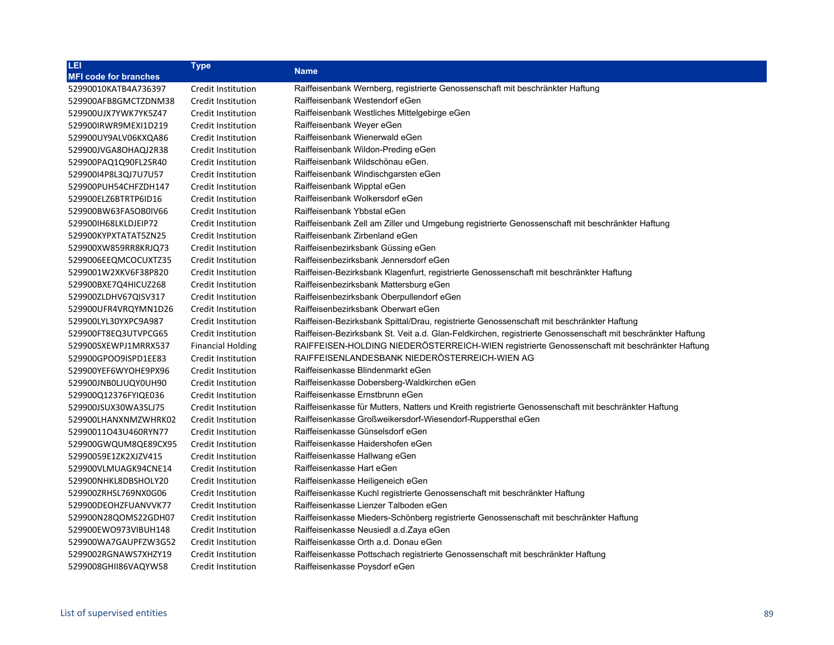| LEI                          | <b>Type</b>              | <b>Name</b>                                                                                                 |
|------------------------------|--------------------------|-------------------------------------------------------------------------------------------------------------|
| <b>MFI code for branches</b> |                          |                                                                                                             |
| 52990010KATB4A736397         | Credit Institution       | Raiffeisenbank Wernberg, registrierte Genossenschaft mit beschränkter Haftung                               |
| 529900AFB8GMCTZDNM38         | Credit Institution       | Raiffeisenbank Westendorf eGen                                                                              |
| 529900UJX7YWK7YK5Z47         | Credit Institution       | Raiffeisenbank Westliches Mittelgebirge eGen                                                                |
| 529900IRWR9MEXI1D219         | Credit Institution       | Raiffeisenbank Weyer eGen                                                                                   |
| 529900UY9ALV06KXQA86         | Credit Institution       | Raiffeisenbank Wienerwald eGen                                                                              |
| 529900JVGA8OHAQJ2R38         | Credit Institution       | Raiffeisenbank Wildon-Preding eGen                                                                          |
| 529900PAQ1Q90FL2SR40         | Credit Institution       | Raiffeisenbank Wildschönau eGen.                                                                            |
| 52990014P8L3QJ7U7U57         | Credit Institution       | Raiffeisenbank Windischgarsten eGen                                                                         |
| 529900PUH54CHFZDH147         | Credit Institution       | Raiffeisenbank Wipptal eGen                                                                                 |
| 529900ELZ6BTRTP6ID16         | Credit Institution       | Raiffeisenbank Wolkersdorf eGen                                                                             |
| 529900BW63FASOB0IV66         | Credit Institution       | Raiffeisenbank Ybbstal eGen                                                                                 |
| 5299001H68LKLDJEIP72         | Credit Institution       | Raiffeisenbank Zell am Ziller und Umgebung registrierte Genossenschaft mit beschränkter Haftung             |
| 529900KYPXTATAT5ZN25         | Credit Institution       | Raiffeisenbank Zirbenland eGen                                                                              |
| 529900XW859RR8KRJQ73         | Credit Institution       | Raiffeisenbezirksbank Güssing eGen                                                                          |
| 5299006EEQMCOCUXTZ35         | Credit Institution       | Raiffeisenbezirksbank Jennersdorf eGen                                                                      |
| 5299001W2XKV6F38P820         | Credit Institution       | Raiffeisen-Bezirksbank Klagenfurt, registrierte Genossenschaft mit beschränkter Haftung                     |
| 529900BXE7Q4HICUZ268         | Credit Institution       | Raiffeisenbezirksbank Mattersburg eGen                                                                      |
| 529900ZLDHV67QISV317         | Credit Institution       | Raiffeisenbezirksbank Oberpullendorf eGen                                                                   |
| 529900UFR4VRQYMN1D26         | Credit Institution       | Raiffeisenbezirksbank Oberwart eGen                                                                         |
| 529900LYL30YXPC9A987         | Credit Institution       | Raiffeisen-Bezirksbank Spittal/Drau, registrierte Genossenschaft mit beschränkter Haftung                   |
| 529900FT8EQ3UTVPCG65         | Credit Institution       | Raiffeisen-Bezirksbank St. Veit a.d. Glan-Feldkirchen, registrierte Genossenschaft mit beschränkter Haftung |
| 529900SXEWPJ1MRRX537         | <b>Financial Holding</b> | RAIFFEISEN-HOLDING NIEDERÖSTERREICH-WIEN registrierte Genossenschaft mit beschränkter Haftung               |
| 529900GPOO9ISPD1EE83         | Credit Institution       | RAIFFEISENLANDESBANK NIEDERÖSTERREICH-WIEN AG                                                               |
| 529900YEF6WYOHE9PX96         | Credit Institution       | Raiffeisenkasse Blindenmarkt eGen                                                                           |
| 529900JNB0LJUQY0UH90         | Credit Institution       | Raiffeisenkasse Dobersberg-Waldkirchen eGen                                                                 |
| 529900Q12376FYIQE036         | Credit Institution       | Raiffeisenkasse Ernstbrunn eGen                                                                             |
| 529900JSUX30WA3SLJ75         | Credit Institution       | Raiffeisenkasse für Mutters, Natters und Kreith registrierte Genossenschaft mit beschränkter Haftung        |
| 529900LHANXNMZWHRK02         | Credit Institution       | Raiffeisenkasse Großweikersdorf-Wiesendorf-Ruppersthal eGen                                                 |
| 52990011O43U460RYN77         | Credit Institution       | Raiffeisenkasse Günselsdorf eGen                                                                            |
| 529900GWQUM8QE89CX95         | Credit Institution       | Raiffeisenkasse Haidershofen eGen                                                                           |
| 52990059E1ZK2XJZV415         | Credit Institution       | Raiffeisenkasse Hallwang eGen                                                                               |
| 529900VLMUAGK94CNE14         | Credit Institution       | Raiffeisenkasse Hart eGen                                                                                   |
| 529900NHKL8DBSHOLY20         | Credit Institution       | Raiffeisenkasse Heiligeneich eGen                                                                           |
| 529900ZRHSL769NX0G06         | Credit Institution       | Raiffeisenkasse Kuchl registrierte Genossenschaft mit beschränkter Haftung                                  |
| 529900DEOHZFUANVVK77         | Credit Institution       | Raiffeisenkasse Lienzer Talboden eGen                                                                       |
| 529900N28QOMS22GDH07         | Credit Institution       | Raiffeisenkasse Mieders-Schönberg registrierte Genossenschaft mit beschränkter Haftung                      |
| 529900EWO973VIBUH148         | Credit Institution       | Raiffeisenkasse Neusiedl a.d. Zaya eGen                                                                     |
| 529900WA7GAUPFZW3G52         | Credit Institution       | Raiffeisenkasse Orth a.d. Donau eGen                                                                        |
| 5299002RGNAWS7XHZY19         | Credit Institution       | Raiffeisenkasse Pottschach registrierte Genossenschaft mit beschränkter Haftung                             |
| 5299008GHII86VAQYW58         | Credit Institution       | Raiffeisenkasse Poysdorf eGen                                                                               |
|                              |                          |                                                                                                             |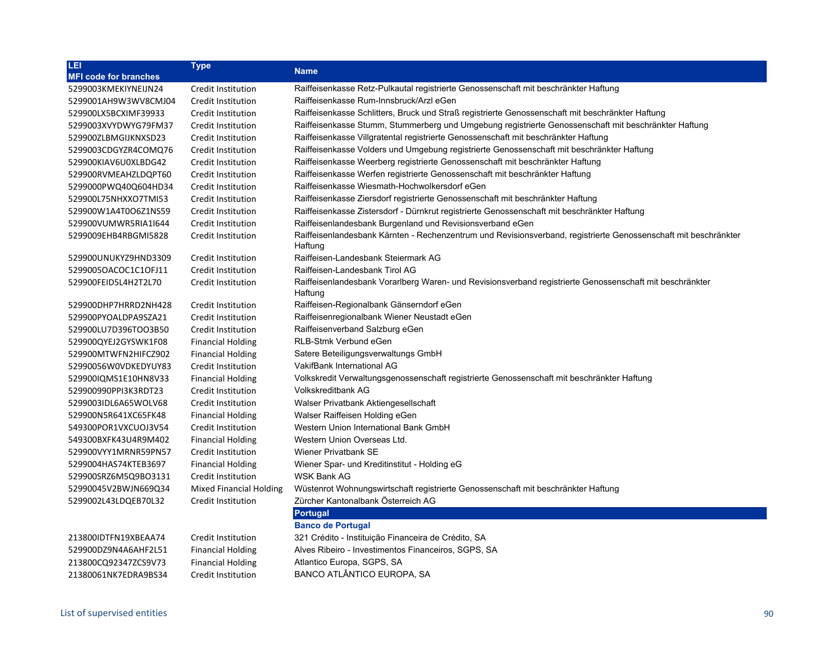| LEI                          | <b>Type</b>                    | <b>Name</b>                                                                                                                |
|------------------------------|--------------------------------|----------------------------------------------------------------------------------------------------------------------------|
| <b>MFI code for branches</b> |                                |                                                                                                                            |
| 5299003KMEKIYNEIJN24         | Credit Institution             | Raiffeisenkasse Retz-Pulkautal registrierte Genossenschaft mit beschränkter Haftung                                        |
| 5299001AH9W3WV8CMJ04         | Credit Institution             | Raiffeisenkasse Rum-Innsbruck/Arzl eGen                                                                                    |
| 529900LX5BCXIMF39933         | Credit Institution             | Raiffeisenkasse Schlitters, Bruck und Straß registrierte Genossenschaft mit beschränkter Haftung                           |
| 5299003XVYDWYG79FM37         | Credit Institution             | Raiffeisenkasse Stumm, Stummerberg und Umgebung registrierte Genossenschaft mit beschränkter Haftung                       |
| 529900ZLBMGIJKNXSD23         | Credit Institution             | Raiffeisenkasse Villgratental registrierte Genossenschaft mit beschränkter Haftung                                         |
| 5299003CDGYZR4COMQ76         | Credit Institution             | Raiffeisenkasse Volders und Umgebung registrierte Genossenschaft mit beschränkter Haftung                                  |
| 529900KIAV6U0XLBDG42         | Credit Institution             | Raiffeisenkasse Weerberg registrierte Genossenschaft mit beschränkter Haftung                                              |
| 529900RVMEAHZLDQPT60         | Credit Institution             | Raiffeisenkasse Werfen registrierte Genossenschaft mit beschränkter Haftung                                                |
| 5299000PWQ40Q604HD34         | Credit Institution             | Raiffeisenkasse Wiesmath-Hochwolkersdorf eGen                                                                              |
| 529900L75NHXXO7TMI53         | Credit Institution             | Raiffeisenkasse Ziersdorf registrierte Genossenschaft mit beschränkter Haftung                                             |
| 529900W1A4T0O6Z1NS59         | Credit Institution             | Raiffeisenkasse Zistersdorf - Dürnkrut registrierte Genossenschaft mit beschränkter Haftung                                |
| 529900VUMWR5RIA1I644         | Credit Institution             | Raiffeisenlandesbank Burgenland und Revisionsverband eGen                                                                  |
| 5299009EHB4RBGMI5828         | Credit Institution             | Raiffeisenlandesbank Kärnten - Rechenzentrum und Revisionsverband, registrierte Genossenschaft mit beschränkter<br>Haftung |
| 529900UNUKYZ9HND3309         | Credit Institution             | Raiffeisen-Landesbank Steiermark AG                                                                                        |
| 5299005OACOC1C1OFJ11         | Credit Institution             | Raiffeisen-Landesbank Tirol AG                                                                                             |
| 529900FEID5L4H2T2L70         | Credit Institution             | Raiffeisenlandesbank Vorarlberg Waren- und Revisionsverband registrierte Genossenschaft mit beschränkter<br>Haftung        |
| 529900DHP7HRRD2NH428         | Credit Institution             | Raiffeisen-Regionalbank Gänserndorf eGen                                                                                   |
| 529900PYOALDPA9SZA21         | Credit Institution             | Raiffeisenregionalbank Wiener Neustadt eGen                                                                                |
| 529900LU7D396TOO3B50         | Credit Institution             | Raiffeisenverband Salzburg eGen                                                                                            |
| 529900QYEJ2GYSWK1F08         | <b>Financial Holding</b>       | <b>RLB-Stmk Verbund eGen</b>                                                                                               |
| 529900MTWFN2HIFCZ902         | <b>Financial Holding</b>       | Satere Beteiligungsverwaltungs GmbH                                                                                        |
| 52990056W0VDKEDYUY83         | Credit Institution             | VakifBank International AG                                                                                                 |
| 529900IQMS1E10HN8V33         | <b>Financial Holding</b>       | Volkskredit Verwaltungsgenossenschaft registrierte Genossenschaft mit beschränkter Haftung                                 |
| 529900990PPI3K3RDT23         | Credit Institution             | <b>Volkskreditbank AG</b>                                                                                                  |
| 5299003IDL6A65WOLV68         | Credit Institution             | Walser Privatbank Aktiengesellschaft                                                                                       |
| 529900N5R641XC65FK48         | <b>Financial Holding</b>       | Walser Raiffeisen Holding eGen                                                                                             |
| 549300POR1VXCUOJ3V54         | Credit Institution             | Western Union International Bank GmbH                                                                                      |
| 549300BXFK43U4R9M402         | <b>Financial Holding</b>       | Western Union Overseas Ltd.                                                                                                |
| 529900VYY1MRNR59PN57         | Credit Institution             | <b>Wiener Privatbank SE</b>                                                                                                |
| 5299004HAS74KTEB3697         | <b>Financial Holding</b>       | Wiener Spar- und Kreditinstitut - Holding eG                                                                               |
| 529900SRZ6M5Q9BO3131         | Credit Institution             | <b>WSK Bank AG</b>                                                                                                         |
| 52990045V2BWJN669Q34         | <b>Mixed Financial Holding</b> | Wüstenrot Wohnungswirtschaft registrierte Genossenschaft mit beschränkter Haftung                                          |
| 5299002L43LDQEB70L32         | <b>Credit Institution</b>      | Zürcher Kantonalbank Österreich AG                                                                                         |
|                              |                                | <b>Portugal</b>                                                                                                            |
|                              |                                | <b>Banco de Portugal</b>                                                                                                   |
| 213800IDTFN19XBEAA74         | Credit Institution             | 321 Crédito - Instituição Financeira de Crédito, SA                                                                        |
| 529900DZ9N4A6AHF2L51         | <b>Financial Holding</b>       | Alves Ribeiro - Investimentos Financeiros, SGPS, SA                                                                        |
| 213800CQ92347ZCS9V73         | <b>Financial Holding</b>       | Atlantico Europa, SGPS, SA                                                                                                 |
| 21380061NK7EDRA9BS34         | <b>Credit Institution</b>      | BANCO ATLÂNTICO EUROPA, SA                                                                                                 |
|                              |                                |                                                                                                                            |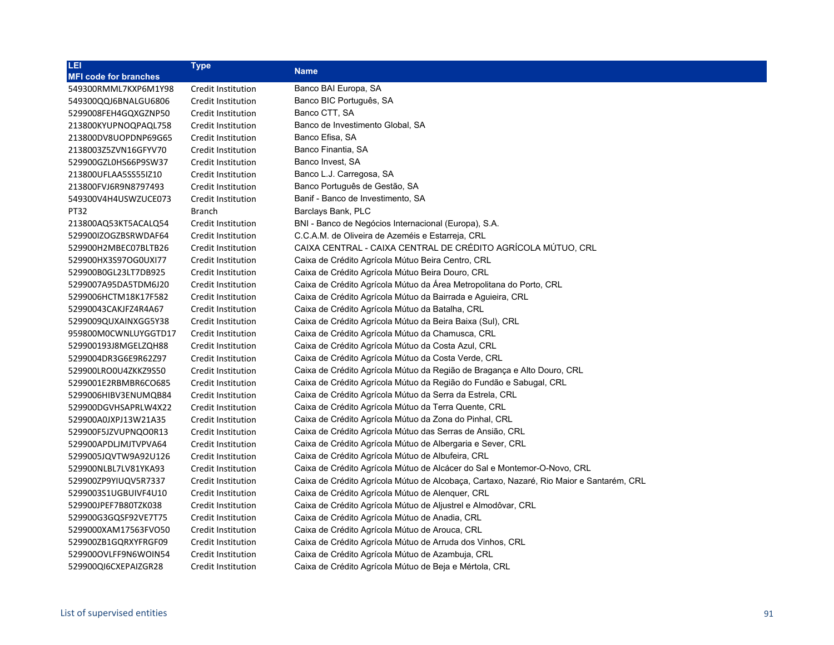| <b>LEI</b>                   | <b>Type</b>        | <b>Name</b>                                                                             |
|------------------------------|--------------------|-----------------------------------------------------------------------------------------|
| <b>MFI code for branches</b> |                    |                                                                                         |
| 549300RMML7KXP6M1Y98         | Credit Institution | Banco BAI Europa, SA                                                                    |
| 549300QQJ6BNALGU6806         | Credit Institution | Banco BIC Português, SA                                                                 |
| 5299008FEH4GQXGZNP50         | Credit Institution | Banco CTT, SA                                                                           |
| 213800KYUPNOQPAQL758         | Credit Institution | Banco de Investimento Global, SA                                                        |
| 213800DV8UOPDNP69G65         | Credit Institution | Banco Efisa, SA                                                                         |
| 2138003Z5ZVN16GFYV70         | Credit Institution | Banco Finantia, SA                                                                      |
| 529900GZL0HS66P9SW37         | Credit Institution | Banco Invest, SA                                                                        |
| 213800UFLAA5SS55IZ10         | Credit Institution | Banco L.J. Carregosa, SA                                                                |
| 213800FVJ6R9N8797493         | Credit Institution | Banco Português de Gestão, SA                                                           |
| 549300V4H4USWZUCE073         | Credit Institution | Banif - Banco de Investimento, SA                                                       |
| PT32                         | Branch             | Barclays Bank, PLC                                                                      |
| 213800AQ53KT5ACALQ54         | Credit Institution | BNI - Banco de Negócios Internacional (Europa), S.A.                                    |
| 529900IZOGZBSRWDAF64         | Credit Institution | C.C.A.M. de Oliveira de Azeméis e Estarreja, CRL                                        |
| 529900H2MBEC07BLTB26         | Credit Institution | CAIXA CENTRAL - CAIXA CENTRAL DE CRÉDITO AGRÍCOLA MÚTUO. CRL                            |
| 529900HX3S97OG0UXI77         | Credit Institution | Caixa de Crédito Agrícola Mútuo Beira Centro, CRL                                       |
| 529900B0GL23LT7DB925         | Credit Institution | Caixa de Crédito Agrícola Mútuo Beira Douro, CRL                                        |
| 5299007A95DA5TDM6J20         | Credit Institution | Caixa de Crédito Agrícola Mútuo da Área Metropolitana do Porto, CRL                     |
| 5299006HCTM18K17F582         | Credit Institution | Caixa de Crédito Agrícola Mútuo da Bairrada e Aguieira, CRL                             |
| 52990043CAKJFZ4R4A67         | Credit Institution | Caixa de Crédito Agrícola Mútuo da Batalha, CRL                                         |
| 5299009QUXAINXGG5Y38         | Credit Institution | Caixa de Crédito Agrícola Mútuo da Beira Baixa (Sul), CRL                               |
| 959800M0CWNLUYGGTD17         | Credit Institution | Caixa de Crédito Agrícola Mútuo da Chamusca, CRL                                        |
| 529900193J8MGELZQH88         | Credit Institution | Caixa de Crédito Agrícola Mútuo da Costa Azul, CRL                                      |
| 5299004DR3G6E9R62Z97         | Credit Institution | Caixa de Crédito Agrícola Mútuo da Costa Verde, CRL                                     |
| 529900LRO0U4ZKKZ9S50         | Credit Institution | Caixa de Crédito Agrícola Mútuo da Região de Bragança e Alto Douro, CRL                 |
| 5299001E2RBMBR6CO685         | Credit Institution | Caixa de Crédito Agrícola Mútuo da Região do Fundão e Sabugal, CRL                      |
| 5299006HIBV3ENUMQB84         | Credit Institution | Caixa de Crédito Agrícola Mútuo da Serra da Estrela, CRL                                |
| 529900DGVHSAPRLW4X22         | Credit Institution | Caixa de Crédito Agrícola Mútuo da Terra Quente, CRL                                    |
| 529900A0JXPJ13W21A35         | Credit Institution | Caixa de Crédito Agrícola Mútuo da Zona do Pinhal, CRL                                  |
| 529900F5JZVUPNQO0R13         | Credit Institution | Caixa de Crédito Agrícola Mútuo das Serras de Ansião, CRL                               |
| 529900APDLJMJTVPVA64         | Credit Institution | Caixa de Crédito Agrícola Mútuo de Albergaria e Sever, CRL                              |
| 5299005JQVTW9A92U126         | Credit Institution | Caixa de Crédito Agrícola Mútuo de Albufeira, CRL                                       |
| 529900NLBL7LV81YKA93         | Credit Institution | Caixa de Crédito Agrícola Mútuo de Alcácer do Sal e Montemor-O-Novo, CRL                |
| 529900ZP9YIUQV5R7337         | Credit Institution | Caixa de Crédito Agrícola Mútuo de Alcobaça, Cartaxo, Nazaré, Rio Maior e Santarém, CRL |
| 5299003S1UGBUIVF4U10         | Credit Institution | Caixa de Crédito Agrícola Mútuo de Alenquer, CRL                                        |
| 529900JPEF7B80TZK038         | Credit Institution | Caixa de Crédito Agrícola Mútuo de Aljustrel e Almodôvar, CRL                           |
| 529900G3GQSF92VE7T75         | Credit Institution | Caixa de Crédito Agrícola Mútuo de Anadia, CRL                                          |
| 5299000XAM17563FVO50         | Credit Institution | Caixa de Crédito Agrícola Mútuo de Arouca, CRL                                          |
| 529900ZB1GQRXYFRGF09         | Credit Institution | Caixa de Crédito Agrícola Mútuo de Arruda dos Vinhos, CRL                               |
| 529900OVLFF9N6WOIN54         | Credit Institution | Caixa de Crédito Agrícola Mútuo de Azambuja, CRL                                        |
| 529900QI6CXEPAIZGR28         | Credit Institution | Caixa de Crédito Agrícola Mútuo de Beja e Mértola, CRL                                  |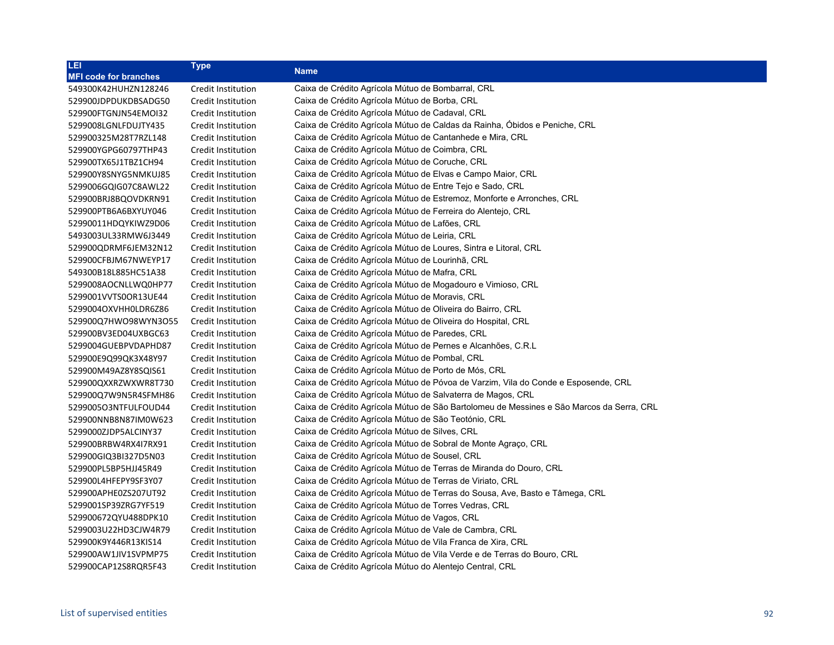| LEI                          | <b>Type</b>        | Name                                                                                     |
|------------------------------|--------------------|------------------------------------------------------------------------------------------|
| <b>MFI code for branches</b> |                    |                                                                                          |
| 549300K42HUHZN128246         | Credit Institution | Caixa de Crédito Agrícola Mútuo de Bombarral, CRL                                        |
| 529900JDPDUKDBSADG50         | Credit Institution | Caixa de Crédito Agrícola Mútuo de Borba, CRL                                            |
| 529900FTGNJN54EMOI32         | Credit Institution | Caixa de Crédito Agrícola Mútuo de Cadaval, CRL                                          |
| 5299008LGNLFDUJTY435         | Credit Institution | Caixa de Crédito Agrícola Mútuo de Caldas da Rainha, Obidos e Peniche, CRL               |
| 529900325M28T7RZL148         | Credit Institution | Caixa de Crédito Agrícola Mútuo de Cantanhede e Mira, CRL                                |
| 529900YGPG60797THP43         | Credit Institution | Caixa de Crédito Agrícola Mútuo de Coimbra, CRL                                          |
| 529900TX65J1TBZ1CH94         | Credit Institution | Caixa de Crédito Agrícola Mútuo de Coruche, CRL                                          |
| 529900Y8SNYG5NMKUJ85         | Credit Institution | Caixa de Crédito Agrícola Mútuo de Elvas e Campo Maior, CRL                              |
| 5299006GQIG07C8AWL22         | Credit Institution | Caixa de Crédito Agrícola Mútuo de Entre Tejo e Sado, CRL                                |
| 529900BRJ8BQOVDKRN91         | Credit Institution | Caixa de Crédito Agrícola Mútuo de Estremoz, Monforte e Arronches, CRL                   |
| 529900PTB6A6BXYUY046         | Credit Institution | Caixa de Crédito Agrícola Mútuo de Ferreira do Alentejo, CRL                             |
| 52990011HDQYKIWZ9D06         | Credit Institution | Caixa de Crédito Agrícola Mútuo de Lafões, CRL                                           |
| 5493003UL33RMW6J3449         | Credit Institution | Caixa de Crédito Agrícola Mútuo de Leiria, CRL                                           |
| 529900QDRMF6JEM32N12         | Credit Institution | Caixa de Crédito Agrícola Mútuo de Loures, Sintra e Litoral, CRL                         |
| 529900CFBJM67NWEYP17         | Credit Institution | Caixa de Crédito Agrícola Mútuo de Lourinhã, CRL                                         |
| 549300B18L885HC51A38         | Credit Institution | Caixa de Crédito Agrícola Mútuo de Mafra, CRL                                            |
| 5299008AOCNLLWQ0HP77         | Credit Institution | Caixa de Crédito Agrícola Mútuo de Mogadouro e Vimioso, CRL                              |
| 5299001VVTS0OR13UE44         | Credit Institution | Caixa de Crédito Agrícola Mútuo de Moravis, CRL                                          |
| 5299004OXVHH0LDR6Z86         | Credit Institution | Caixa de Crédito Agrícola Mútuo de Oliveira do Bairro, CRL                               |
| 529900Q7HWO98WYN3O55         | Credit Institution | Caixa de Crédito Agrícola Mútuo de Oliveira do Hospital, CRL                             |
| 529900BV3ED04UXBGC63         | Credit Institution | Caixa de Crédito Agrícola Mútuo de Paredes, CRL                                          |
| 5299004GUEBPVDAPHD87         | Credit Institution | Caixa de Crédito Agrícola Mútuo de Pernes e Alcanhões, C.R.L.                            |
| 529900E9Q99QK3X48Y97         | Credit Institution | Caixa de Crédito Agrícola Mútuo de Pombal, CRL                                           |
| 529900M49AZ8Y8SQIS61         | Credit Institution | Caixa de Crédito Agrícola Mútuo de Porto de Mós, CRL                                     |
| 529900QXXRZWXWR8T730         | Credit Institution | Caixa de Crédito Agrícola Mútuo de Póvoa de Varzim, Vila do Conde e Esposende, CRL       |
| 529900Q7W9N5R4SFMH86         | Credit Institution | Caixa de Crédito Agrícola Mútuo de Salvaterra de Magos, CRL                              |
| 529900503NTFULFOUD44         | Credit Institution | Caixa de Crédito Agrícola Mútuo de São Bartolomeu de Messines e São Marcos da Serra, CRL |
| 529900NNB8N87IM0W623         | Credit Institution | Caixa de Crédito Agrícola Mútuo de São Teotónio, CRL                                     |
| 5299000ZJDP5ALCINY37         | Credit Institution | Caixa de Crédito Agrícola Mútuo de Silves, CRL                                           |
| 529900BRBW4RX4I7RX91         | Credit Institution | Caixa de Crédito Agrícola Mútuo de Sobral de Monte Agraço, CRL                           |
| 529900GIQ3BI327D5N03         | Credit Institution | Caixa de Crédito Agrícola Mútuo de Sousel, CRL                                           |
| 529900PL5BP5HJJ45R49         | Credit Institution | Caixa de Crédito Agrícola Mútuo de Terras de Miranda do Douro, CRL                       |
| 529900L4HFEPY9SF3Y07         | Credit Institution | Caixa de Crédito Agrícola Mútuo de Terras de Viriato, CRL                                |
| 529900APHE0ZS207UT92         | Credit Institution | Caixa de Crédito Agrícola Mútuo de Terras do Sousa, Ave, Basto e Tâmega, CRL             |
| 5299001SP39ZRG7YF519         | Credit Institution | Caixa de Crédito Agrícola Mútuo de Torres Vedras, CRL                                    |
| 529900672QYU488DPK10         | Credit Institution | Caixa de Crédito Agrícola Mútuo de Vagos, CRL                                            |
| 5299003U22HD3CJW4R79         | Credit Institution | Caixa de Crédito Agrícola Mútuo de Vale de Cambra, CRL                                   |
| 529900K9Y446R13KIS14         | Credit Institution | Caixa de Crédito Agrícola Mútuo de Vila Franca de Xira, CRL                              |
| 529900AW1JIV1SVPMP75         | Credit Institution | Caixa de Crédito Agrícola Mútuo de Vila Verde e de Terras do Bouro, CRL                  |
| 529900CAP12S8RQR5F43         | Credit Institution | Caixa de Crédito Agrícola Mútuo do Alentejo Central, CRL                                 |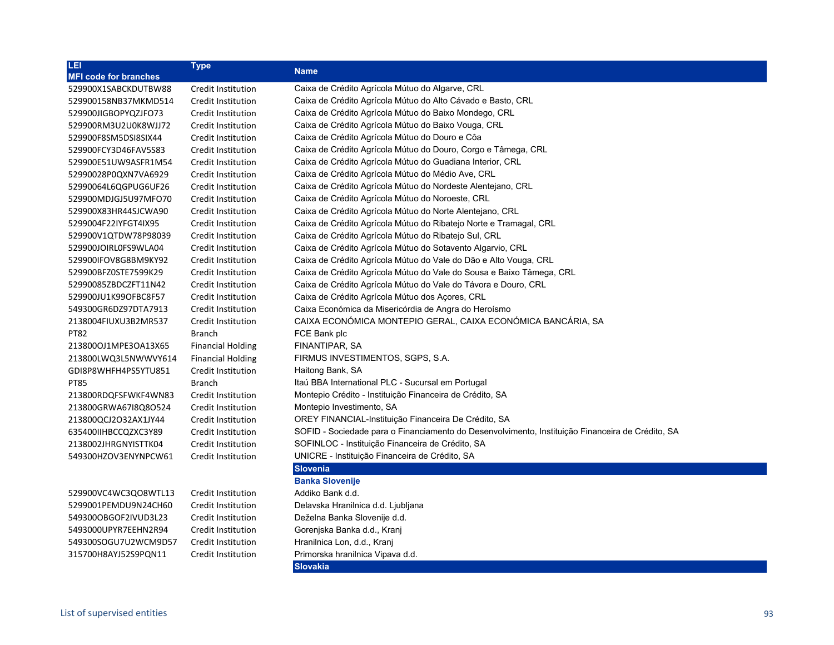| LEI                          | Type                     | <b>Name</b>                                                                                      |
|------------------------------|--------------------------|--------------------------------------------------------------------------------------------------|
| <b>MFI code for branches</b> |                          |                                                                                                  |
| 529900X1SABCKDUTBW88         | Credit Institution       | Caixa de Crédito Agrícola Mútuo do Algarve, CRL                                                  |
| 529900158NB37MKMD514         | Credit Institution       | Caixa de Crédito Agrícola Mútuo do Alto Cávado e Basto, CRL                                      |
| 529900JIGBOPYQZJFO73         | Credit Institution       | Caixa de Crédito Agrícola Mútuo do Baixo Mondego, CRL                                            |
| 529900RM3U2U0K8WJJ72         | Credit Institution       | Caixa de Crédito Agrícola Mútuo do Baixo Vouga, CRL                                              |
| 529900F8SM5DSI8SIX44         | Credit Institution       | Caixa de Crédito Agrícola Mútuo do Douro e Côa                                                   |
| 529900FCY3D46FAV5S83         | Credit Institution       | Caixa de Crédito Agrícola Mútuo do Douro, Corgo e Tâmega, CRL                                    |
| 529900E51UW9ASFR1M54         | Credit Institution       | Caixa de Crédito Agrícola Mútuo do Guadiana Interior, CRL                                        |
| 52990028P0QXN7VA6929         | Credit Institution       | Caixa de Crédito Agrícola Mútuo do Médio Ave, CRL                                                |
| 52990064L6QGPUG6UF26         | Credit Institution       | Caixa de Crédito Agrícola Mútuo do Nordeste Alentejano, CRL                                      |
| 529900MDJGJ5U97MFO70         | Credit Institution       | Caixa de Crédito Agrícola Mútuo do Noroeste, CRL                                                 |
| 529900X83HR44SJCWA90         | Credit Institution       | Caixa de Crédito Agrícola Mútuo do Norte Alentejano, CRL                                         |
| 5299004F22IYFGT4IX95         | Credit Institution       | Caixa de Crédito Agrícola Mútuo do Ribatejo Norte e Tramagal, CRL                                |
| 529900V1QTDW78P98039         | Credit Institution       | Caixa de Crédito Agrícola Mútuo do Ribatejo Sul, CRL                                             |
| 529900JOIRL0FS9WLA04         | Credit Institution       | Caixa de Crédito Agrícola Mútuo do Sotavento Algarvio, CRL                                       |
| 529900IFOV8G8BM9KY92         | Credit Institution       | Caixa de Crédito Agrícola Mútuo do Vale do Dão e Alto Vouga, CRL                                 |
| 529900BFZ0STE7599K29         | Credit Institution       | Caixa de Crédito Agrícola Mútuo do Vale do Sousa e Baixo Tâmega, CRL                             |
| 52990085ZBDCZFT11N42         | Credit Institution       | Caixa de Crédito Agrícola Mútuo do Vale do Távora e Douro, CRL                                   |
| 529900JU1K99OFBC8F57         | Credit Institution       | Caixa de Crédito Agrícola Mútuo dos Açores, CRL                                                  |
| 549300GR6DZ97DTA7913         | Credit Institution       | Caixa Económica da Misericórdia de Angra do Heroísmo                                             |
| 2138004FIUXU3B2MR537         | Credit Institution       | CAIXA ECONÓMICA MONTEPIO GERAL, CAIXA ECONÓMICA BANCÁRIA, SA                                     |
| <b>PT82</b>                  | <b>Branch</b>            | FCE Bank plc                                                                                     |
| 2138000J1MPE30A13X65         | <b>Financial Holding</b> | FINANTIPAR, SA                                                                                   |
| 213800LWQ3L5NWWVY614         | <b>Financial Holding</b> | FIRMUS INVESTIMENTOS, SGPS, S.A.                                                                 |
| GDI8P8WHFH4PS5YTU851         | Credit Institution       | Haitong Bank, SA                                                                                 |
| <b>PT85</b>                  | <b>Branch</b>            | Itaú BBA International PLC - Sucursal em Portugal                                                |
| 213800RDQFSFWKF4WN83         | Credit Institution       | Montepio Crédito - Instituição Financeira de Crédito, SA                                         |
| 213800GRWA67I8Q8O524         | Credit Institution       | Montepio Investimento, SA                                                                        |
| 213800QCJ2O32AX1JY44         | Credit Institution       | OREY FINANCIAL-Instituição Financeira De Crédito, SA                                             |
| 635400IIHBCCQZXC3Y89         | Credit Institution       | SOFID - Sociedade para o Financiamento do Desenvolvimento, Instituição Financeira de Crédito, SA |
| 2138002JHRGNYISTTK04         | Credit Institution       | SOFINLOC - Instituição Financeira de Crédito, SA                                                 |
| 549300HZOV3ENYNPCW61         | Credit Institution       | UNICRE - Instituição Financeira de Crédito, SA                                                   |
|                              |                          | <b>Slovenia</b>                                                                                  |
|                              |                          | <b>Banka Slovenije</b>                                                                           |
| 529900VC4WC3QO8WTL13         | Credit Institution       | Addiko Bank d.d.                                                                                 |
| 5299001PEMDU9N24CH60         | Credit Institution       | Delavska Hranilnica d.d. Ljubljana                                                               |
| 549300OBGOF2IVUD3L23         | Credit Institution       | Deželna Banka Slovenije d.d.                                                                     |
| 5493000UPYR7EEHN2R94         | Credit Institution       | Gorenjska Banka d.d., Kranj                                                                      |
| 549300SOGU7U2WCM9D57         | Credit Institution       | Hranilnica Lon, d.d., Kranj                                                                      |
| 315700H8AYJ52S9PQN11         | Credit Institution       | Primorska hranilnica Vipava d.d.                                                                 |
|                              |                          | <b>Slovakia</b>                                                                                  |
|                              |                          |                                                                                                  |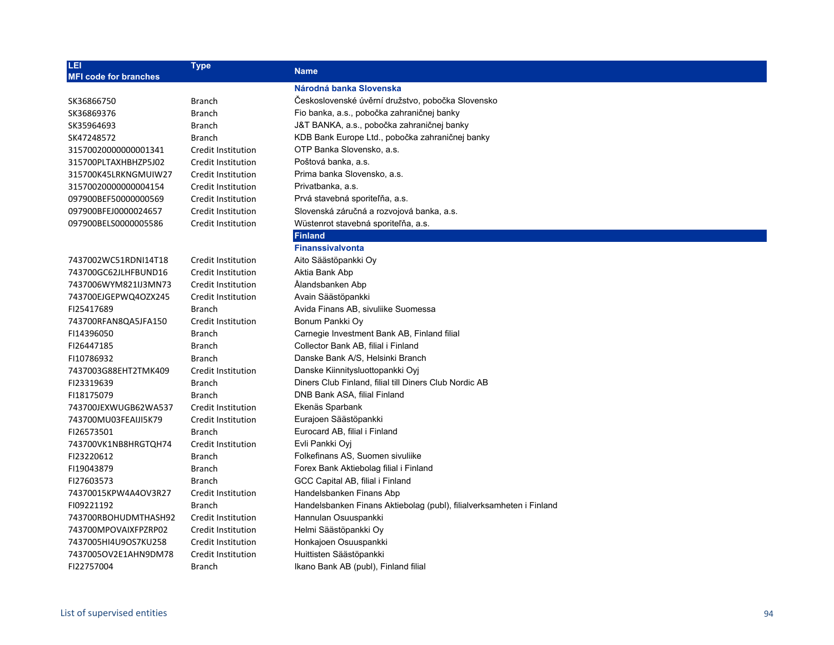| LEI<br><b>MFI code for branches</b> | <b>Type</b>               | <b>Name</b>                                                          |
|-------------------------------------|---------------------------|----------------------------------------------------------------------|
|                                     |                           | Národná banka Slovenska                                              |
| SK36866750                          | <b>Branch</b>             | Československé úvěrní družstvo, pobočka Slovensko                    |
| SK36869376                          | <b>Branch</b>             | Fio banka, a.s., pobočka zahraničnej banky                           |
| SK35964693                          | <b>Branch</b>             | J&T BANKA, a.s., pobočka zahraničnej banky                           |
| SK47248572                          | <b>Branch</b>             | KDB Bank Europe Ltd., pobočka zahraničnej banky                      |
| 31570020000000001341                | Credit Institution        | OTP Banka Slovensko, a.s.                                            |
| 315700PLTAXHBHZP5J02                | Credit Institution        | Poštová banka, a.s.                                                  |
| 315700K45LRKNGMUIW27                | Credit Institution        | Prima banka Slovensko, a.s.                                          |
| 31570020000000004154                | Credit Institution        | Privatbanka, a.s.                                                    |
| 097900BEF50000000569                | Credit Institution        | Prvá stavebná sporiteľňa, a.s.                                       |
| 097900BFEJ0000024657                | Credit Institution        | Slovenská záručná a rozvojová banka, a.s.                            |
| 097900BELS0000005586                | Credit Institution        | Wüstenrot stavebná sporiteľňa, a.s.                                  |
|                                     |                           | <b>Finland</b>                                                       |
|                                     |                           | <b>Finanssivalvonta</b>                                              |
| 7437002WC51RDNI14T18                | Credit Institution        | Aito Säästöpankki Oy                                                 |
| 743700GC62JLHFBUND16                | Credit Institution        | Aktia Bank Abp                                                       |
| 7437006WYM821IJ3MN73                | Credit Institution        | Ålandsbanken Abp                                                     |
| 743700EJGEPWQ4OZX245                | Credit Institution        | Avain Säästöpankki                                                   |
| FI25417689                          | <b>Branch</b>             | Avida Finans AB, sivuliike Suomessa                                  |
| 743700RFAN8QA5JFA150                | Credit Institution        | Bonum Pankki Oy                                                      |
| FI14396050                          | <b>Branch</b>             | Carnegie Investment Bank AB, Finland filial                          |
| FI26447185                          | <b>Branch</b>             | Collector Bank AB, filial i Finland                                  |
| FI10786932                          | <b>Branch</b>             | Danske Bank A/S, Helsinki Branch                                     |
| 7437003G88EHT2TMK409                | Credit Institution        | Danske Kiinnitysluottopankki Oyj                                     |
| FI23319639                          | <b>Branch</b>             | Diners Club Finland, filial till Diners Club Nordic AB               |
| FI18175079                          | <b>Branch</b>             | DNB Bank ASA, filial Finland                                         |
| 743700JEXWUGB62WA537                | Credit Institution        | Ekenäs Sparbank                                                      |
| 743700MU03FEAIJI5K79                | Credit Institution        | Eurajoen Säästöpankki                                                |
| FI26573501                          | <b>Branch</b>             | Eurocard AB, filial i Finland                                        |
| 743700VK1NB8HRGTQH74                | Credit Institution        | Evli Pankki Oyi                                                      |
| FI23220612                          | <b>Branch</b>             | Folkefinans AS, Suomen sivuliike                                     |
| FI19043879                          | <b>Branch</b>             | Forex Bank Aktiebolag filial i Finland                               |
| FI27603573                          | <b>Branch</b>             | GCC Capital AB, filial i Finland                                     |
| 74370015KPW4A4OV3R27                | Credit Institution        | Handelsbanken Finans Abp                                             |
| FI09221192                          | <b>Branch</b>             | Handelsbanken Finans Aktiebolag (publ), filialverksamheten i Finland |
| 743700RBOHUDMTHASH92                | Credit Institution        | Hannulan Osuuspankki                                                 |
| 743700MPOVAIXFPZRP02                | Credit Institution        | Helmi Säästöpankki Oy                                                |
| 7437005HI4U9OS7KU258                | Credit Institution        | Honkajoen Osuuspankki                                                |
| 7437005OV2E1AHN9DM78                | <b>Credit Institution</b> | Huittisten Säästöpankki                                              |
| FI22757004                          | <b>Branch</b>             | Ikano Bank AB (publ), Finland filial                                 |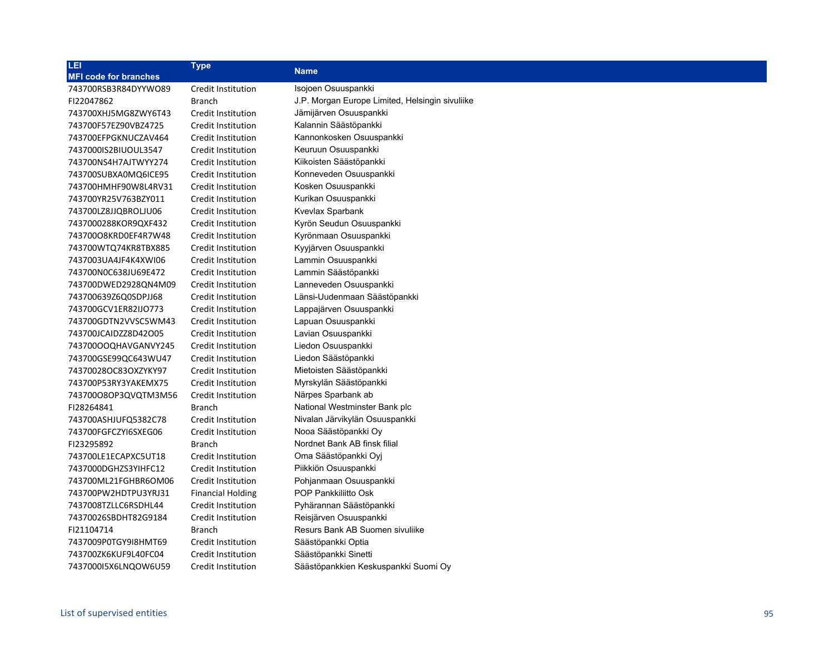| LEI                          | <b>Type</b>               | <b>Name</b>                                     |
|------------------------------|---------------------------|-------------------------------------------------|
| <b>MFI code for branches</b> |                           |                                                 |
| 743700RSB3R84DYYWO89         | Credit Institution        | Isojoen Osuuspankki                             |
| FI22047862                   | Branch                    | J.P. Morgan Europe Limited, Helsingin sivuliike |
| 743700XHJ5MG8ZWY6T43         | Credit Institution        | Jämijärven Osuuspankki                          |
| 743700F57EZ90VBZ4725         | Credit Institution        | Kalannin Säästöpankki                           |
| 743700EFPGKNUCZAV464         | Credit Institution        | Kannonkosken Osuuspankki                        |
| 7437000IS2BIUOUL3547         | <b>Credit Institution</b> | Keuruun Osuuspankki                             |
| 743700NS4H7AJTWYY274         | <b>Credit Institution</b> | Kiikoisten Säästöpankki                         |
| 743700SUBXA0MQ6ICE95         | Credit Institution        | Konneveden Osuuspankki                          |
| 743700HMHF90W8L4RV31         | Credit Institution        | Kosken Osuuspankki                              |
| 743700YR25V763BZY011         | Credit Institution        | Kurikan Osuuspankki                             |
| 743700LZ8JJQBROLJU06         | Credit Institution        | Kvevlax Sparbank                                |
| 7437000288KOR9QXF432         | Credit Institution        | Kyrön Seudun Osuuspankki                        |
| 74370008KRD0EF4R7W48         | Credit Institution        | Kyrönmaan Osuuspankki                           |
| 743700WTQ74KR8TBX885         | Credit Institution        | Kyyjärven Osuuspankki                           |
| 7437003UA4JF4K4XWI06         | Credit Institution        | Lammin Osuuspankki                              |
| 743700N0C638JU69E472         | Credit Institution        | Lammin Säästöpankki                             |
| 743700DWED2928QN4M09         | Credit Institution        | Lanneveden Osuuspankki                          |
| 743700639Z6Q0SDPJJ68         | Credit Institution        | Länsi-Uudenmaan Säästöpankki                    |
| 743700GCV1ER82IJO773         | Credit Institution        | Lappajärven Osuuspankki                         |
| 743700GDTN2VVSC5WM43         | Credit Institution        | Lapuan Osuuspankki                              |
| 743700JCAIDZZ8D42O05         | Credit Institution        | Lavian Osuuspankki                              |
| 743700OOQHAVGANVY245         | Credit Institution        | Liedon Osuuspankki                              |
| 743700GSE99QC643WU47         | Credit Institution        | Liedon Säästöpankki                             |
| 74370028OC83OXZYKY97         | Credit Institution        | Mietoisten Säästöpankki                         |
| 743700P53RY3YAKEMX75         | Credit Institution        | Myrskylän Säästöpankki                          |
| 743700080P3QVQTM3M56         | Credit Institution        | Närpes Sparbank ab                              |
| FI28264841                   | <b>Branch</b>             | National Westminster Bank plc                   |
| 743700ASHJUFQ5382C78         | Credit Institution        | Nivalan Järvikylän Osuuspankki                  |
| 743700FGFCZYI6SXEG06         | Credit Institution        | Nooa Säästöpankki Oy                            |
| FI23295892                   | <b>Branch</b>             | Nordnet Bank AB finsk filial                    |
| 743700LE1ECAPXC5UT18         | Credit Institution        | Oma Säästöpankki Oyj                            |
| 7437000DGHZS3YIHFC12         | Credit Institution        | Piikkiön Osuuspankki                            |
| 743700ML21FGHBR6OM06         | Credit Institution        | Pohjanmaan Osuuspankki                          |
| 743700PW2HDTPU3YRJ31         | <b>Financial Holding</b>  | POP Pankkiliitto Osk                            |
| 7437008TZLLC6RSDHL44         | Credit Institution        | Pyhärannan Säästöpankki                         |
| 74370026SBDHT82G9184         | Credit Institution        | Reisjärven Osuuspankki                          |
| FI21104714                   | Branch                    | Resurs Bank AB Suomen sivuliike                 |
| 7437009P0TGY9I8HMT69         | Credit Institution        | Säästöpankki Optia                              |
| 743700ZK6KUF9L40FC04         | <b>Credit Institution</b> | Säästöpankki Sinetti                            |
| 743700015X6LNQOW6U59         | <b>Credit Institution</b> | Säästöpankkien Keskuspankki Suomi Oy            |
|                              |                           |                                                 |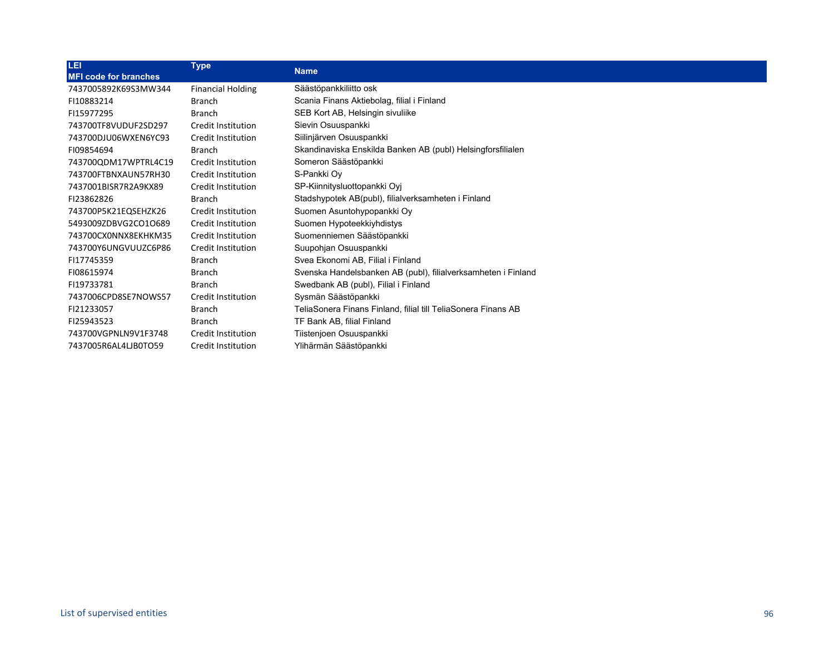| LEI                          | <b>Type</b>               |                                                               |
|------------------------------|---------------------------|---------------------------------------------------------------|
| <b>MFI code for branches</b> |                           | <b>Name</b>                                                   |
| 7437005892K69S3MW344         | <b>Financial Holding</b>  | Säästöpankkiliitto osk                                        |
| FI10883214                   | <b>Branch</b>             | Scania Finans Aktiebolag, filial i Finland                    |
| FI15977295                   | <b>Branch</b>             | SEB Kort AB, Helsingin sivuliike                              |
| 743700TF8VUDUF2SD297         | Credit Institution        | Sievin Osuuspankki                                            |
| 743700DJU06WXEN6YC93         | Credit Institution        | Siilinjärven Osuuspankki                                      |
| FI09854694                   | <b>Branch</b>             | Skandinaviska Enskilda Banken AB (publ) Helsingforsfilialen   |
| 743700QDM17WPTRL4C19         | Credit Institution        | Someron Säästöpankki                                          |
| 743700FTBNXAUN57RH30         | Credit Institution        | S-Pankki Ov                                                   |
| 7437001BISR7R2A9KX89         | Credit Institution        | SP-Kiinnitysluottopankki Oyj                                  |
| FI23862826                   | <b>Branch</b>             | Stadshypotek AB(publ), filialverksamheten i Finland           |
| 743700P5K21EQSEHZK26         | Credit Institution        | Suomen Asuntohypopankki Oy                                    |
| 5493009ZDBVG2CO1O689         | Credit Institution        | Suomen Hypoteekkiyhdistys                                     |
| 743700CX0NNX8EKHKM35         | Credit Institution        | Suomenniemen Säästöpankki                                     |
| 743700Y6UNGVUUZC6P86         | Credit Institution        | Suupohjan Osuuspankki                                         |
| FI17745359                   | <b>Branch</b>             | Svea Ekonomi AB, Filial i Finland                             |
| FI08615974                   | <b>Branch</b>             | Svenska Handelsbanken AB (publ), filialverksamheten i Finland |
| FI19733781                   | <b>Branch</b>             | Swedbank AB (publ), Filial i Finland                          |
| 7437006CPD8SE7NOWS57         | Credit Institution        | Sysmän Säästöpankki                                           |
| FI21233057                   | <b>Branch</b>             | TeliaSonera Finans Finland, filial till TeliaSonera Finans AB |
| FI25943523                   | <b>Branch</b>             | TF Bank AB, filial Finland                                    |
| 743700VGPNLN9V1F3748         | <b>Credit Institution</b> | Tiistenjoen Osuuspankki                                       |
| 7437005R6AL4LJB0TO59         | Credit Institution        | Ylihärmän Säästöpankki                                        |
|                              |                           |                                                               |